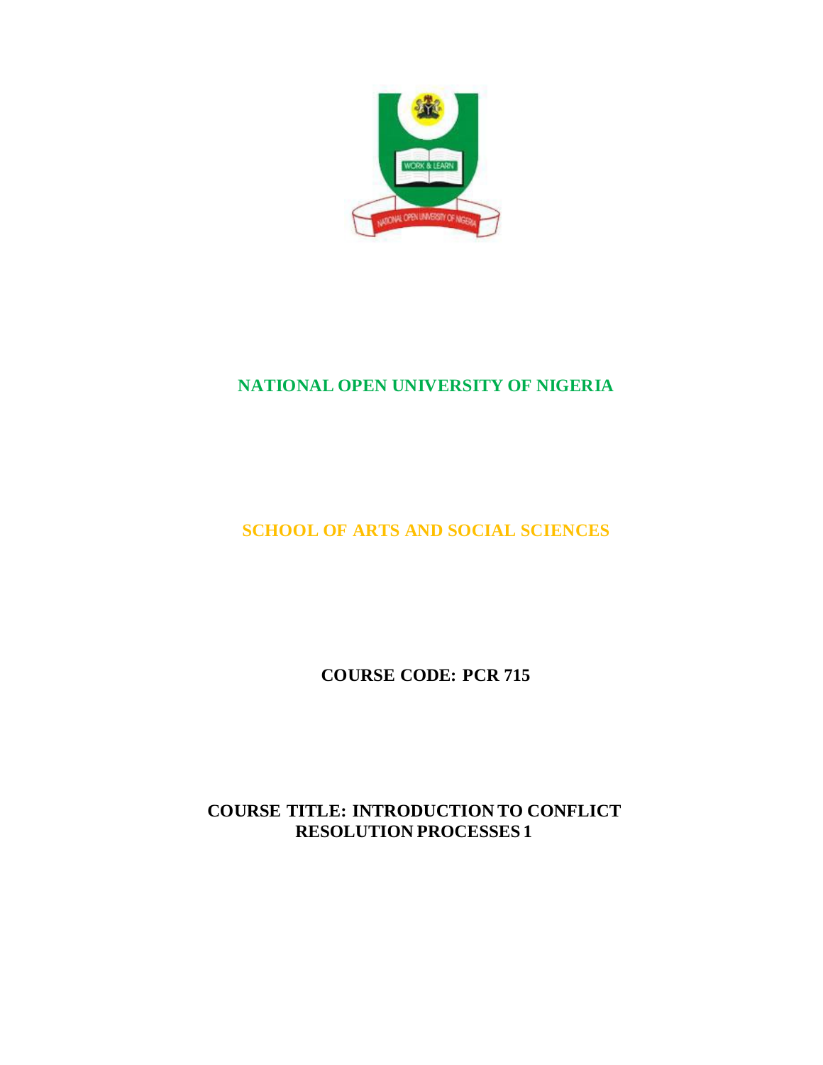

# **NATIONAL OPEN UNIVERSITY OF NIGERIA**

**SCHOOL OF ARTS AND SOCIAL SCIENCES**

**COURSE CODE: PCR 715**

**COURSE TITLE: INTRODUCTION TO CONFLICT RESOLUTION PROCESSES 1**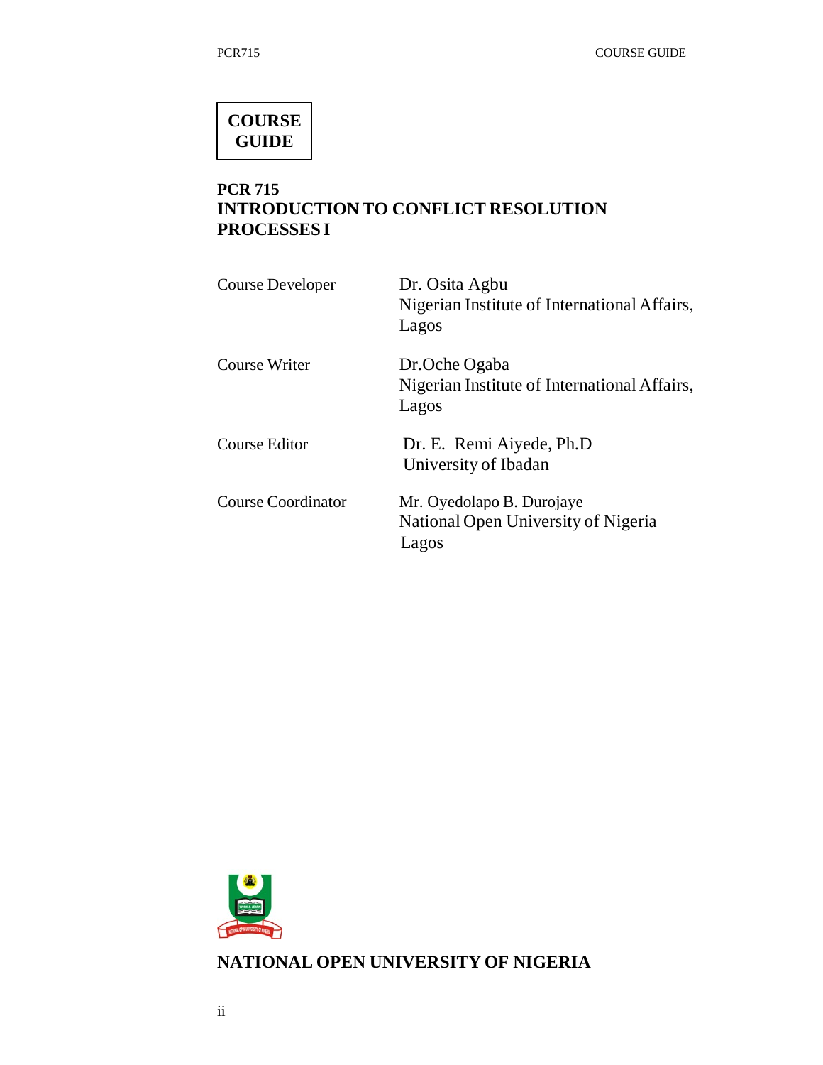# **COURSE GUIDE**

## **PCR 715 INTRODUCTION TO CONFLICT RESOLUTION PROCESSES I**

| <b>Course Developer</b>   | Dr. Osita Agbu<br>Nigerian Institute of International Affairs,<br>Lagos   |
|---------------------------|---------------------------------------------------------------------------|
| <b>Course Writer</b>      | Dr. Oche Ogaba<br>Nigerian Institute of International Affairs,<br>Lagos   |
| <b>Course Editor</b>      | Dr. E. Remi Aiyede, Ph.D.<br>University of Ibadan                         |
| <b>Course Coordinator</b> | Mr. Oyedolapo B. Durojaye<br>National Open University of Nigeria<br>Lagos |



**NATIONAL OPEN UNIVERSITY OF NIGERIA**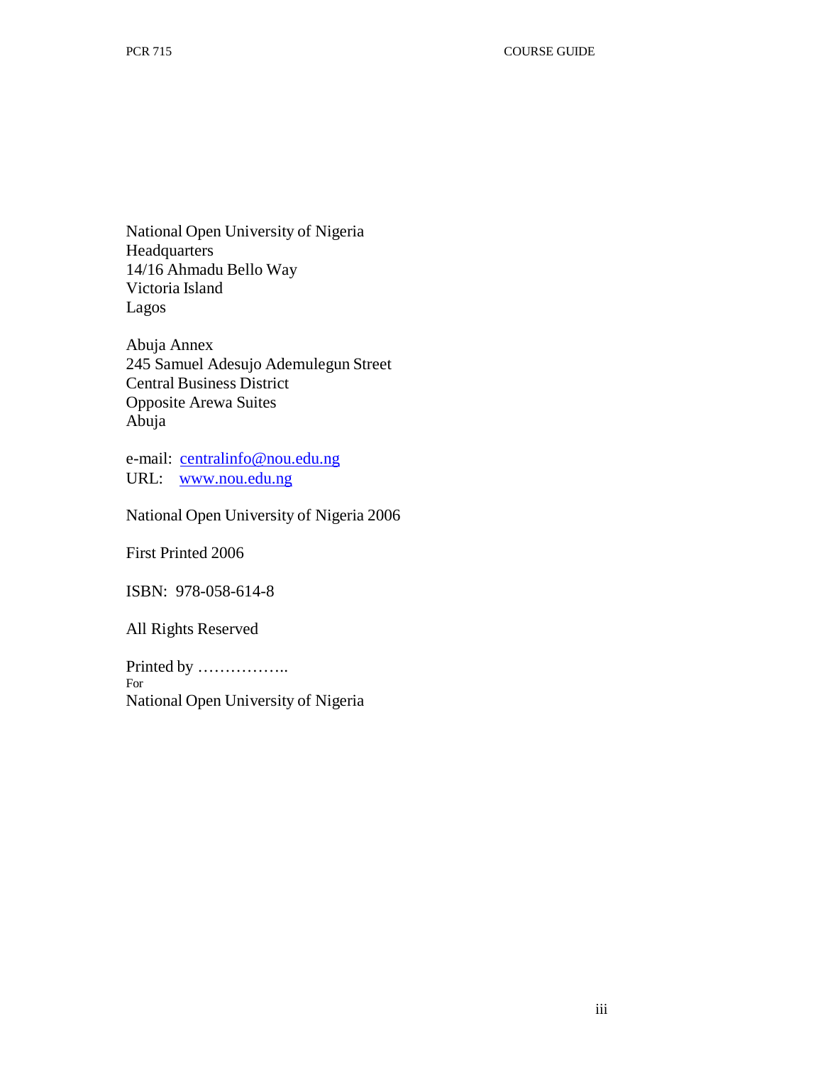National Open University of Nigeria Headquarters 14/16 Ahmadu Bello Way Victoria Island Lagos

Abuja Annex 245 Samuel Adesujo Ademulegun Street Central Business District Opposite Arewa Suites Abuja

e-mail: centralinfo@nou.edu.ng URL: www.nou.edu.ng

National Open University of Nigeria 2006

First Printed 2006

ISBN: 978-058-614-8

All Rights Reserved

Printed by …………….. For National Open University of Nigeria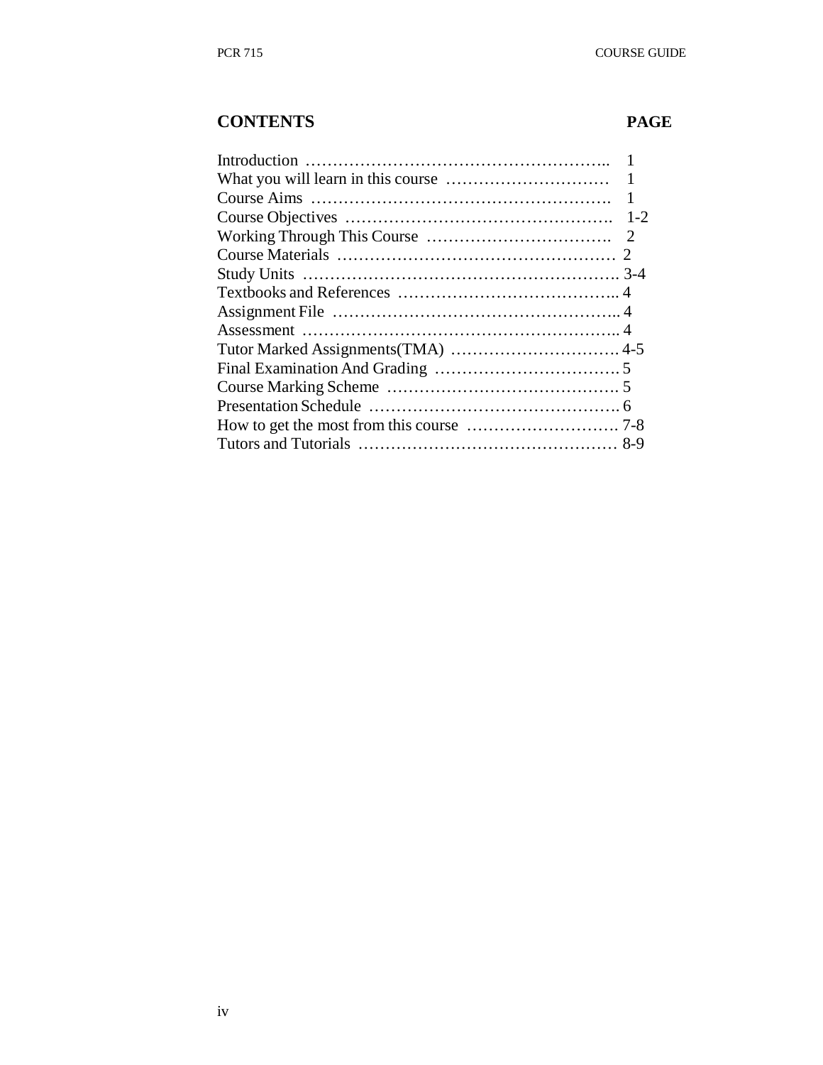## **CONTENTS PAGE**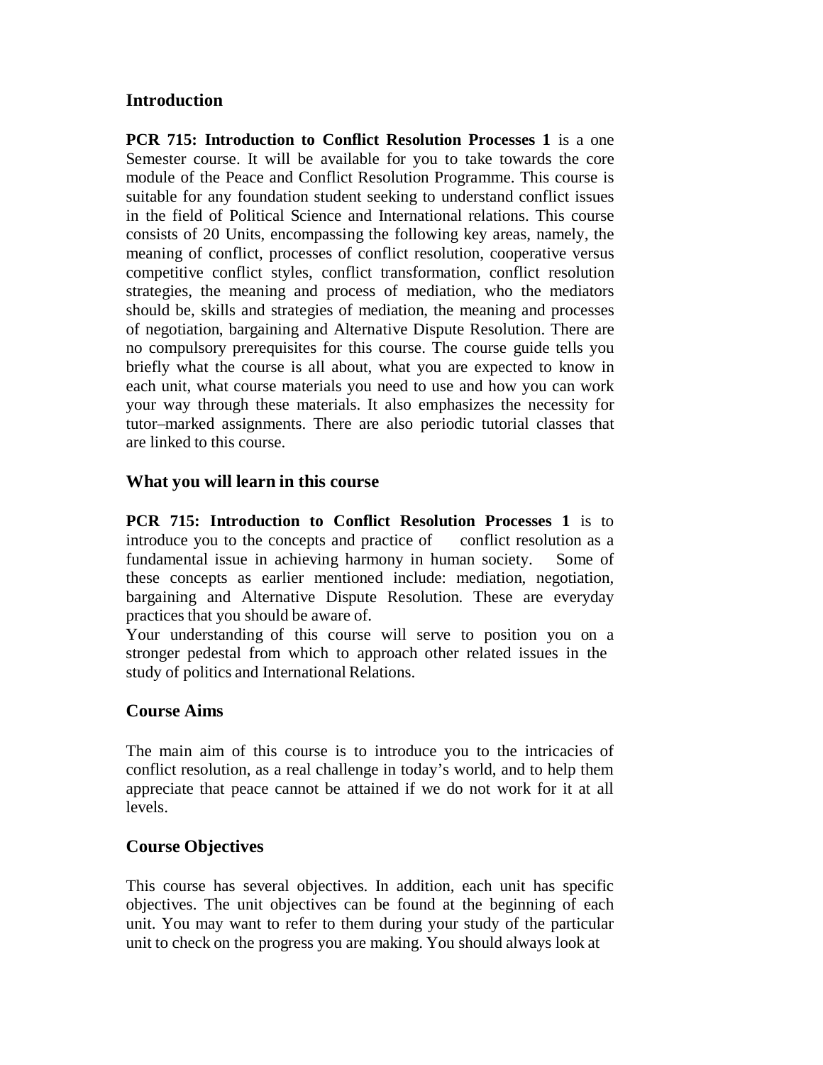## **Introduction**

**PCR 715: Introduction to Conflict Resolution Processes 1** is a one Semester course. It will be available for you to take towards the core module of the Peace and Conflict Resolution Programme. This course is suitable for any foundation student seeking to understand conflict issues in the field of Political Science and International relations. This course consists of 20 Units, encompassing the following key areas, namely, the meaning of conflict, processes of conflict resolution, cooperative versus competitive conflict styles, conflict transformation, conflict resolution strategies, the meaning and process of mediation, who the mediators should be, skills and strategies of mediation, the meaning and processes of negotiation, bargaining and Alternative Dispute Resolution. There are no compulsory prerequisites for this course. The course guide tells you briefly what the course is all about, what you are expected to know in each unit, what course materials you need to use and how you can work your way through these materials. It also emphasizes the necessity for tutor–marked assignments. There are also periodic tutorial classes that are linked to this course.

## **What you will learn in this course**

**PCR 715: Introduction to Conflict Resolution Processes 1** is to introduce you to the concepts and practice of conflict resolution as a fundamental issue in achieving harmony in human society. Some of these concepts as earlier mentioned include: mediation, negotiation, bargaining and Alternative Dispute Resolution. These are everyday practices that you should be aware of.

Your understanding of this course will serve to position you on a stronger pedestal from which to approach other related issues in the study of politics and International Relations.

## **Course Aims**

The main aim of this course is to introduce you to the intricacies of conflict resolution, as a real challenge in today's world, and to help them appreciate that peace cannot be attained if we do not work for it at all levels.

## **Course Objectives**

This course has several objectives. In addition, each unit has specific objectives. The unit objectives can be found at the beginning of each unit. You may want to refer to them during your study of the particular unit to check on the progress you are making. You should always look at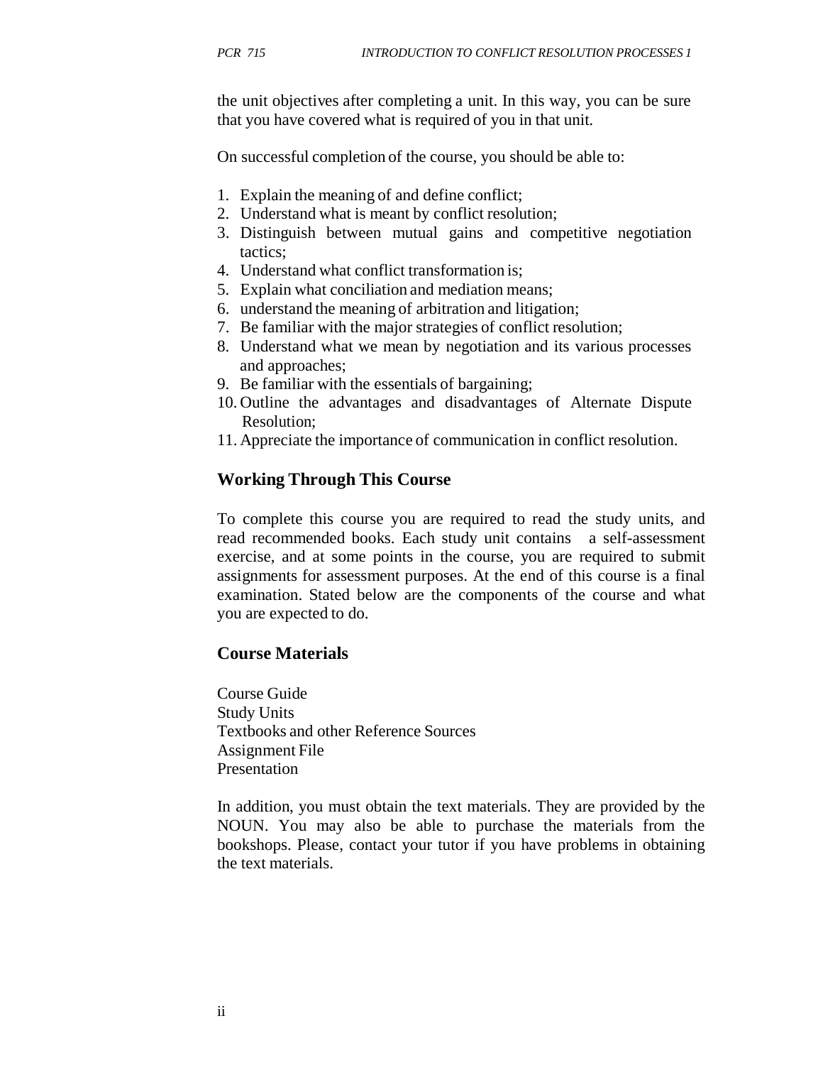the unit objectives after completing a unit. In this way, you can be sure that you have covered what is required of you in that unit.

On successful completion of the course, you should be able to:

- 1. Explain the meaning of and define conflict;
- 2. Understand what is meant by conflict resolution;
- 3. Distinguish between mutual gains and competitive negotiation tactics;
- 4. Understand what conflict transformation is;
- 5. Explain what conciliation and mediation means;
- 6. understand the meaning of arbitration and litigation;
- 7. Be familiar with the major strategies of conflict resolution;
- 8. Understand what we mean by negotiation and its various processes and approaches;
- 9. Be familiar with the essentials of bargaining;
- 10. Outline the advantages and disadvantages of Alternate Dispute Resolution;
- 11. Appreciate the importance of communication in conflict resolution.

#### **Working Through This Course**

To complete this course you are required to read the study units, and read recommended books. Each study unit contains a self-assessment exercise, and at some points in the course, you are required to submit assignments for assessment purposes. At the end of this course is a final examination. Stated below are the components of the course and what you are expected to do.

#### **Course Materials**

Course Guide Study Units Textbooks and other Reference Sources Assignment File Presentation

In addition, you must obtain the text materials. They are provided by the NOUN. You may also be able to purchase the materials from the bookshops. Please, contact your tutor if you have problems in obtaining the text materials.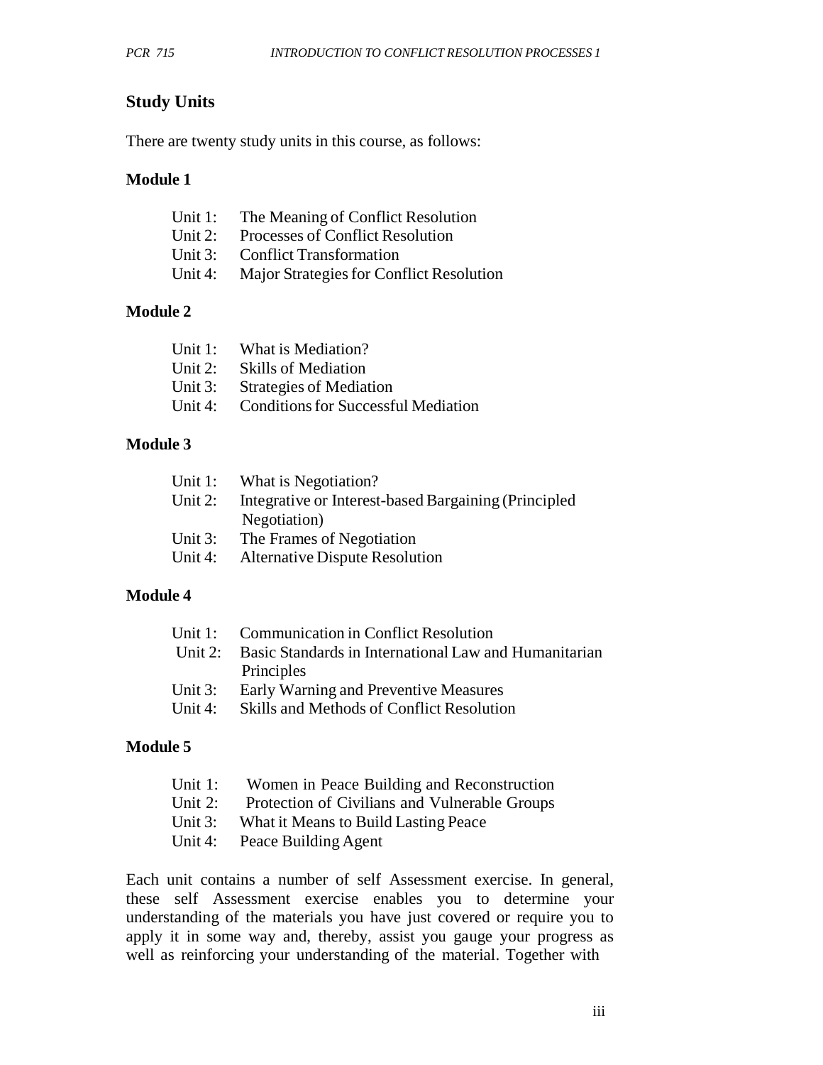## **Study Units**

There are twenty study units in this course, as follows:

#### **Module 1**

| Unit 1: The Meaning of Conflict Resolution       |
|--------------------------------------------------|
| Unit 2: Processes of Conflict Resolution         |
| Unit 3: Conflict Transformation                  |
| Unit 4: Major Strategies for Conflict Resolution |

#### **Module 2**

|         | Unit 1: What is Mediation?                  |
|---------|---------------------------------------------|
| Unit 2: | <b>Skills of Mediation</b>                  |
|         | Unit 3: Strategies of Mediation             |
|         | Unit 4: Conditions for Successful Mediation |

#### **Module 3**

| Unit $1$ : | What is Negotiation?                                 |
|------------|------------------------------------------------------|
| Unit 2:    | Integrative or Interest-based Bargaining (Principled |
|            | Negotiation)                                         |
| Unit $3:$  | The Frames of Negotiation                            |
| Unit 4:    | <b>Alternative Dispute Resolution</b>                |

#### **Module 4**

| Unit 1: Communication in Conflict Resolution                  |
|---------------------------------------------------------------|
| Unit 2: Basic Standards in International Law and Humanitarian |
| Principles                                                    |
| Unit 3: Early Warning and Preventive Measures                 |
| Unit 4: Skills and Methods of Conflict Resolution             |

#### **Module 5**

| Unit 1: | Women in Peace Building and Reconstruction |
|---------|--------------------------------------------|
|---------|--------------------------------------------|

- Unit 2: Protection of Civilians and Vulnerable Groups
- Unit 3: What it Means to Build Lasting Peace
- Unit 4: Peace Building Agent

Each unit contains a number of self Assessment exercise. In general, these self Assessment exercise enables you to determine your understanding of the materials you have just covered or require you to apply it in some way and, thereby, assist you gauge your progress as well as reinforcing your understanding of the material. Together with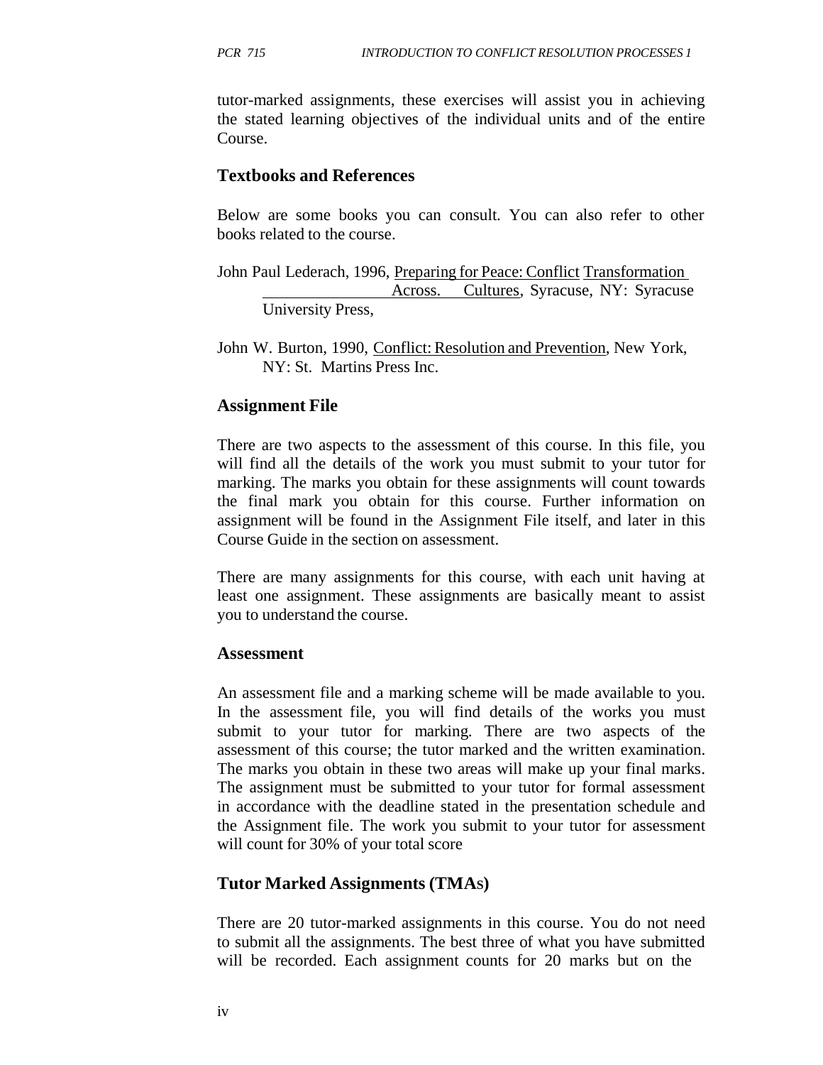tutor-marked assignments, these exercises will assist you in achieving the stated learning objectives of the individual units and of the entire Course.

#### **Textbooks and References**

Below are some books you can consult. You can also refer to other books related to the course.

| John Paul Lederach, 1996, Preparing for Peace: Conflict Transformation |  |                                          |  |
|------------------------------------------------------------------------|--|------------------------------------------|--|
|                                                                        |  | Across. Cultures, Syracuse, NY: Syracuse |  |
| University Press,                                                      |  |                                          |  |

John W. Burton, 1990, Conflict: Resolution and Prevention, New York, NY: St. Martins Press Inc.

#### **Assignment File**

There are two aspects to the assessment of this course. In this file, you will find all the details of the work you must submit to your tutor for marking. The marks you obtain for these assignments will count towards the final mark you obtain for this course. Further information on assignment will be found in the Assignment File itself, and later in this Course Guide in the section on assessment.

There are many assignments for this course, with each unit having at least one assignment. These assignments are basically meant to assist you to understand the course.

#### **Assessment**

An assessment file and a marking scheme will be made available to you. In the assessment file, you will find details of the works you must submit to your tutor for marking. There are two aspects of the assessment of this course; the tutor marked and the written examination. The marks you obtain in these two areas will make up your final marks. The assignment must be submitted to your tutor for formal assessment in accordance with the deadline stated in the presentation schedule and the Assignment file. The work you submit to your tutor for assessment will count for 30% of your total score

#### **Tutor Marked Assignments (TMAS)**

There are 20 tutor-marked assignments in this course. You do not need to submit all the assignments. The best three of what you have submitted will be recorded. Each assignment counts for 20 marks but on the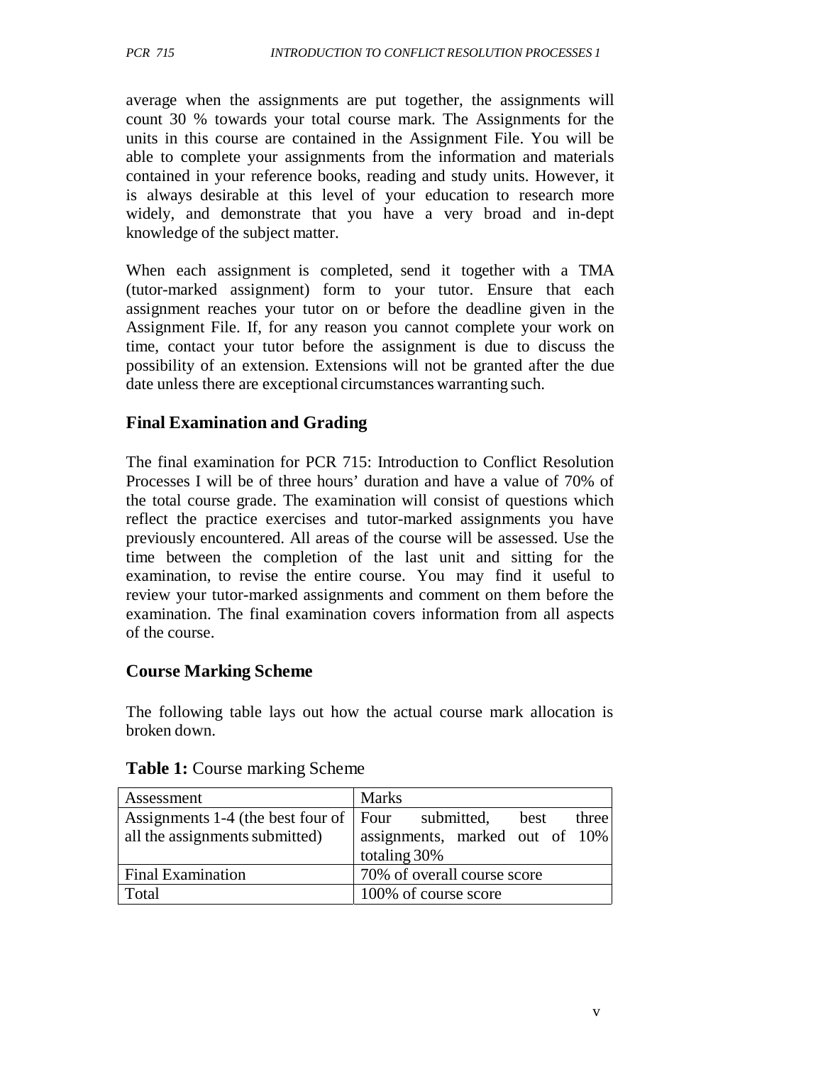average when the assignments are put together, the assignments will count 30 % towards your total course mark. The Assignments for the units in this course are contained in the Assignment File. You will be able to complete your assignments from the information and materials contained in your reference books, reading and study units. However, it is always desirable at this level of your education to research more widely, and demonstrate that you have a very broad and in-dept knowledge of the subject matter.

When each assignment is completed, send it together with a TMA (tutor-marked assignment) form to your tutor. Ensure that each assignment reaches your tutor on or before the deadline given in the Assignment File. If, for any reason you cannot complete your work on time, contact your tutor before the assignment is due to discuss the possibility of an extension. Extensions will not be granted after the due date unless there are exceptional circumstances warranting such.

#### **Final Examination and Grading**

The final examination for PCR 715: Introduction to Conflict Resolution Processes I will be of three hours' duration and have a value of 70% of the total course grade. The examination will consist of questions which reflect the practice exercises and tutor-marked assignments you have previously encountered. All areas of the course will be assessed. Use the time between the completion of the last unit and sitting for the examination, to revise the entire course. You may find it useful to review your tutor-marked assignments and comment on them before the examination. The final examination covers information from all aspects of the course.

#### **Course Marking Scheme**

The following table lays out how the actual course mark allocation is broken down.

| Assessment                                               | <b>Marks</b>                   |  |  |
|----------------------------------------------------------|--------------------------------|--|--|
| Assignments 1-4 (the best four of   Four submitted, best | three                          |  |  |
| all the assignments submitted)                           | assignments, marked out of 10% |  |  |
|                                                          | totaling 30%                   |  |  |
| <b>Final Examination</b>                                 | 70% of overall course score    |  |  |
| Total                                                    | 100% of course score           |  |  |

#### **Table 1:** Course marking Scheme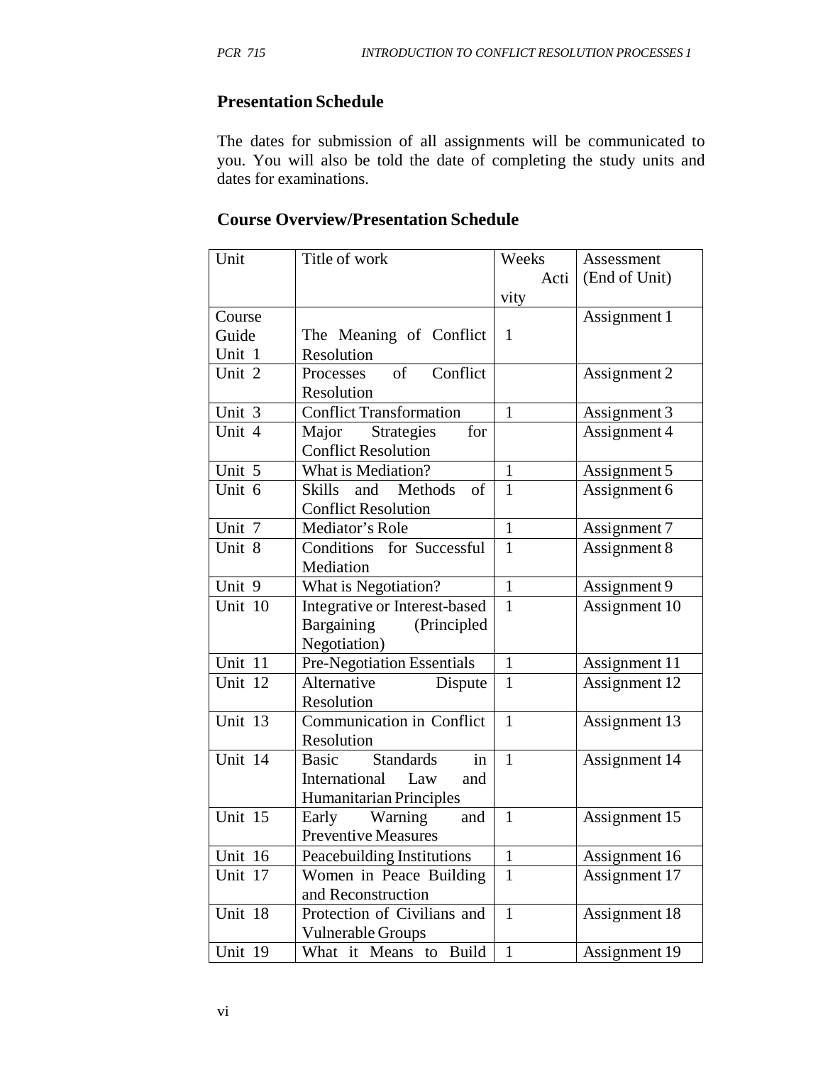## **Presentation Schedule**

The dates for submission of all assignments will be communicated to you. You will also be told the date of completing the study units and dates for examinations.

## **Course Overview/Presentation Schedule**

| Unit    | Title of work                          | Weeks        | Assessment    |
|---------|----------------------------------------|--------------|---------------|
|         |                                        | Acti         | (End of Unit) |
|         |                                        | vity         |               |
| Course  |                                        |              | Assignment 1  |
| Guide   | The Meaning of Conflict                | $\mathbf{1}$ |               |
| Unit 1  | Resolution                             |              |               |
| Unit 2  | Conflict<br>$\sigma$<br>Processes      |              | Assignment 2  |
|         | Resolution                             |              |               |
| Unit 3  | <b>Conflict Transformation</b>         | $\mathbf{1}$ | Assignment 3  |
| Unit 4  | for<br>Major Strategies                |              | Assignment 4  |
|         | <b>Conflict Resolution</b>             |              |               |
| Unit 5  | What is Mediation?                     | $\mathbf{1}$ | Assignment 5  |
| Unit 6  | of<br>Skills and<br>Methods            | $\mathbf{1}$ | Assignment 6  |
|         | <b>Conflict Resolution</b>             |              |               |
| Unit 7  | Mediator's Role                        | $\mathbf{1}$ | Assignment 7  |
| Unit 8  | Conditions for Successful              | $\mathbf{1}$ | Assignment 8  |
|         | Mediation                              |              |               |
| Unit 9  | What is Negotiation?                   | $\mathbf{1}$ | Assignment 9  |
| Unit 10 | Integrative or Interest-based          | $\mathbf{1}$ | Assignment 10 |
|         | Bargaining (Principled                 |              |               |
|         | Negotiation)                           |              |               |
| Unit 11 | Pre-Negotiation Essentials             | $\mathbf{1}$ | Assignment 11 |
| Unit 12 | Alternative<br>Dispute                 | $\mathbf{1}$ | Assignment 12 |
|         | Resolution                             |              |               |
| Unit 13 | <b>Communication in Conflict</b>       | $\mathbf{1}$ | Assignment 13 |
|         | Resolution                             |              |               |
| Unit 14 | <b>Standards</b><br><b>Basic</b><br>in | $\mathbf{1}$ | Assignment 14 |
|         | International Law<br>and               |              |               |
|         | <b>Humanitarian Principles</b>         |              |               |
| Unit 15 | Warning<br>Early<br>and                | $\mathbf{1}$ | Assignment 15 |
|         | <b>Preventive Measures</b>             |              |               |
| Unit 16 | Peacebuilding Institutions             | $\mathbf{1}$ | Assignment 16 |
| Unit 17 | Women in Peace Building                | $\mathbf{1}$ | Assignment 17 |
|         | and Reconstruction                     |              |               |
| Unit 18 | Protection of Civilians and            | $\mathbf{1}$ | Assignment 18 |
|         | <b>Vulnerable Groups</b>               |              |               |
| Unit 19 | <b>Build</b><br>What it Means to       | $\mathbf{1}$ | Assignment 19 |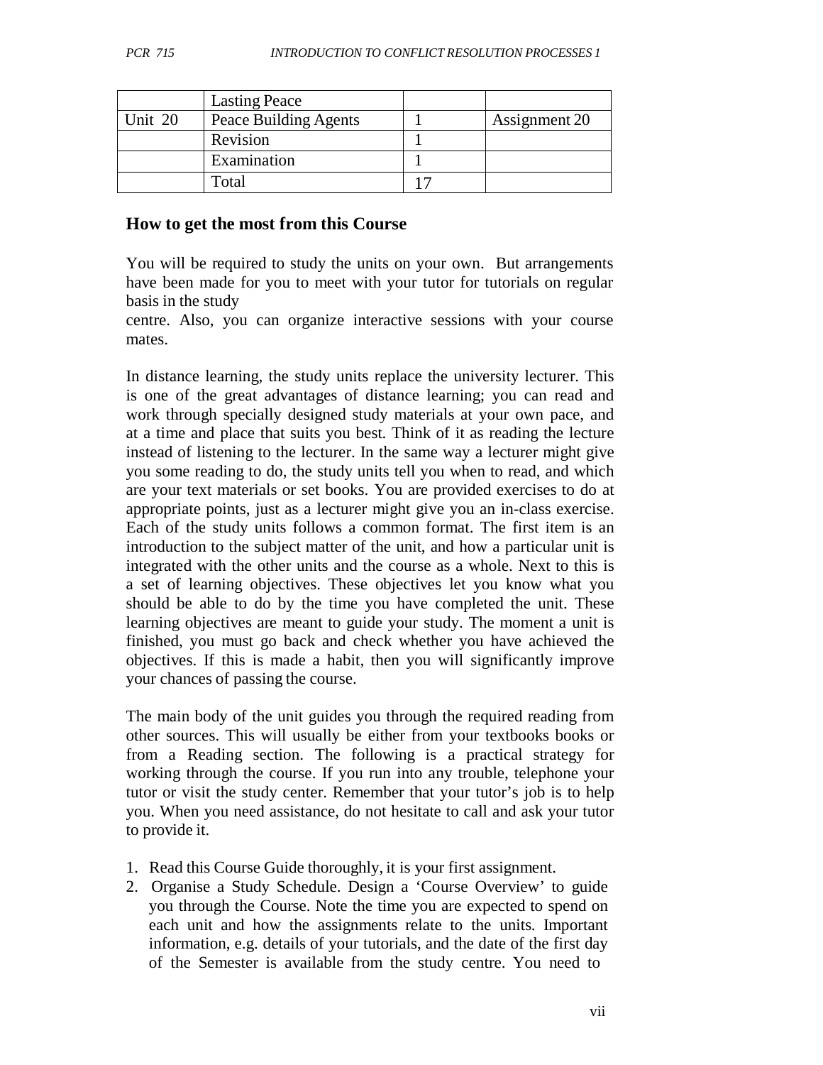|         | <b>Lasting Peace</b>  |               |
|---------|-----------------------|---------------|
| Unit 20 | Peace Building Agents | Assignment 20 |
|         | Revision              |               |
|         | Examination           |               |
|         | Total                 |               |

#### **How to get the most from this Course**

You will be required to study the units on your own. But arrangements have been made for you to meet with your tutor for tutorials on regular basis in the study

centre. Also, you can organize interactive sessions with your course mates.

In distance learning, the study units replace the university lecturer. This is one of the great advantages of distance learning; you can read and work through specially designed study materials at your own pace, and at a time and place that suits you best. Think of it as reading the lecture instead of listening to the lecturer. In the same way a lecturer might give you some reading to do, the study units tell you when to read, and which are your text materials or set books. You are provided exercises to do at appropriate points, just as a lecturer might give you an in-class exercise. Each of the study units follows a common format. The first item is an introduction to the subject matter of the unit, and how a particular unit is integrated with the other units and the course as a whole. Next to this is a set of learning objectives. These objectives let you know what you should be able to do by the time you have completed the unit. These learning objectives are meant to guide your study. The moment a unit is finished, you must go back and check whether you have achieved the objectives. If this is made a habit, then you will significantly improve your chances of passing the course.

The main body of the unit guides you through the required reading from other sources. This will usually be either from your textbooks books or from a Reading section. The following is a practical strategy for working through the course. If you run into any trouble, telephone your tutor or visit the study center. Remember that your tutor's job is to help you. When you need assistance, do not hesitate to call and ask your tutor to provide it.

- 1. Read this Course Guide thoroughly, it is your first assignment.
- 2. Organise a Study Schedule. Design a 'Course Overview' to guide you through the Course. Note the time you are expected to spend on each unit and how the assignments relate to the units. Important information, e.g. details of your tutorials, and the date of the first day of the Semester is available from the study centre. You need to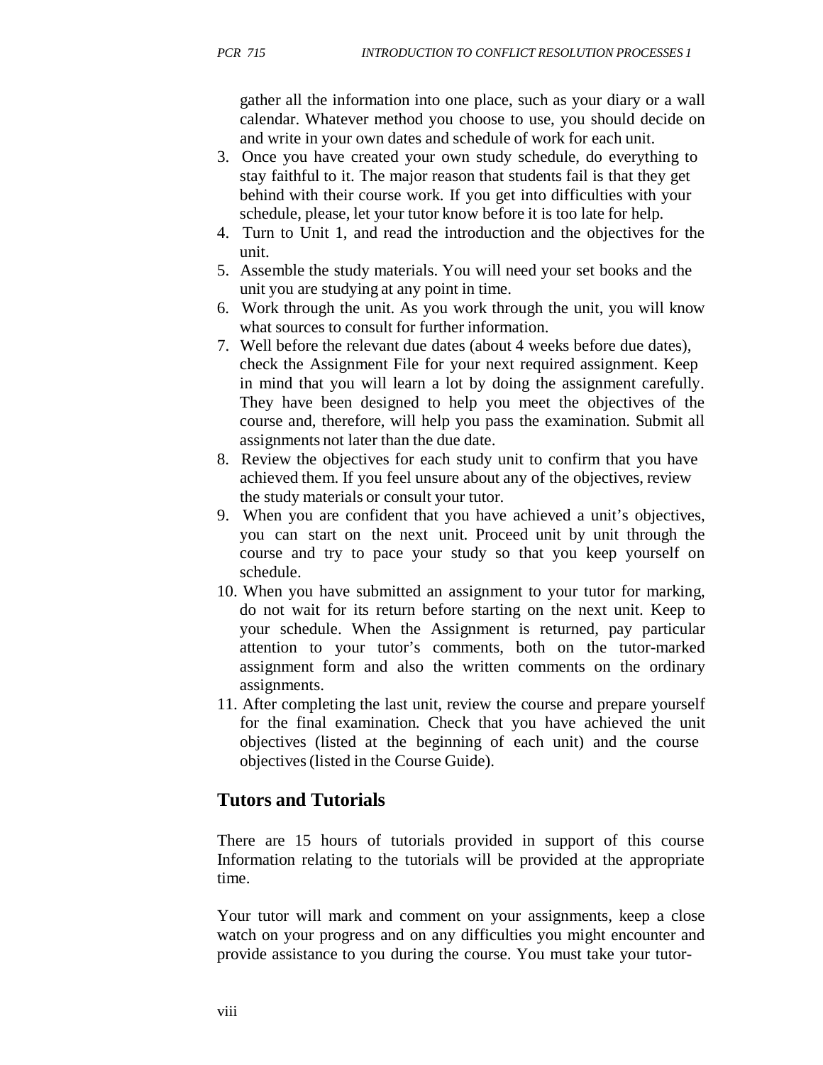gather all the information into one place, such as your diary or a wall calendar. Whatever method you choose to use, you should decide on and write in your own dates and schedule of work for each unit.

- 3. Once you have created your own study schedule, do everything to stay faithful to it. The major reason that students fail is that they get behind with their course work. If you get into difficulties with your schedule, please, let your tutor know before it is too late for help.
- 4. Turn to Unit 1, and read the introduction and the objectives for the unit.
- 5. Assemble the study materials. You will need your set books and the unit you are studying at any point in time.
- 6. Work through the unit. As you work through the unit, you will know what sources to consult for further information.
- 7. Well before the relevant due dates (about 4 weeks before due dates), check the Assignment File for your next required assignment. Keep in mind that you will learn a lot by doing the assignment carefully. They have been designed to help you meet the objectives of the course and, therefore, will help you pass the examination. Submit all assignments not later than the due date.
- 8. Review the objectives for each study unit to confirm that you have achieved them. If you feel unsure about any of the objectives, review the study materials or consult your tutor.
- 9. When you are confident that you have achieved a unit's objectives, you can start on the next unit. Proceed unit by unit through the course and try to pace your study so that you keep yourself on schedule.
- 10. When you have submitted an assignment to your tutor for marking, do not wait for its return before starting on the next unit. Keep to your schedule. When the Assignment is returned, pay particular attention to your tutor's comments, both on the tutor-marked assignment form and also the written comments on the ordinary assignments.
- 11. After completing the last unit, review the course and prepare yourself for the final examination. Check that you have achieved the unit objectives (listed at the beginning of each unit) and the course objectives (listed in the Course Guide).

## **Tutors and Tutorials**

There are 15 hours of tutorials provided in support of this course Information relating to the tutorials will be provided at the appropriate time.

Your tutor will mark and comment on your assignments, keep a close watch on your progress and on any difficulties you might encounter and provide assistance to you during the course. You must take your tutor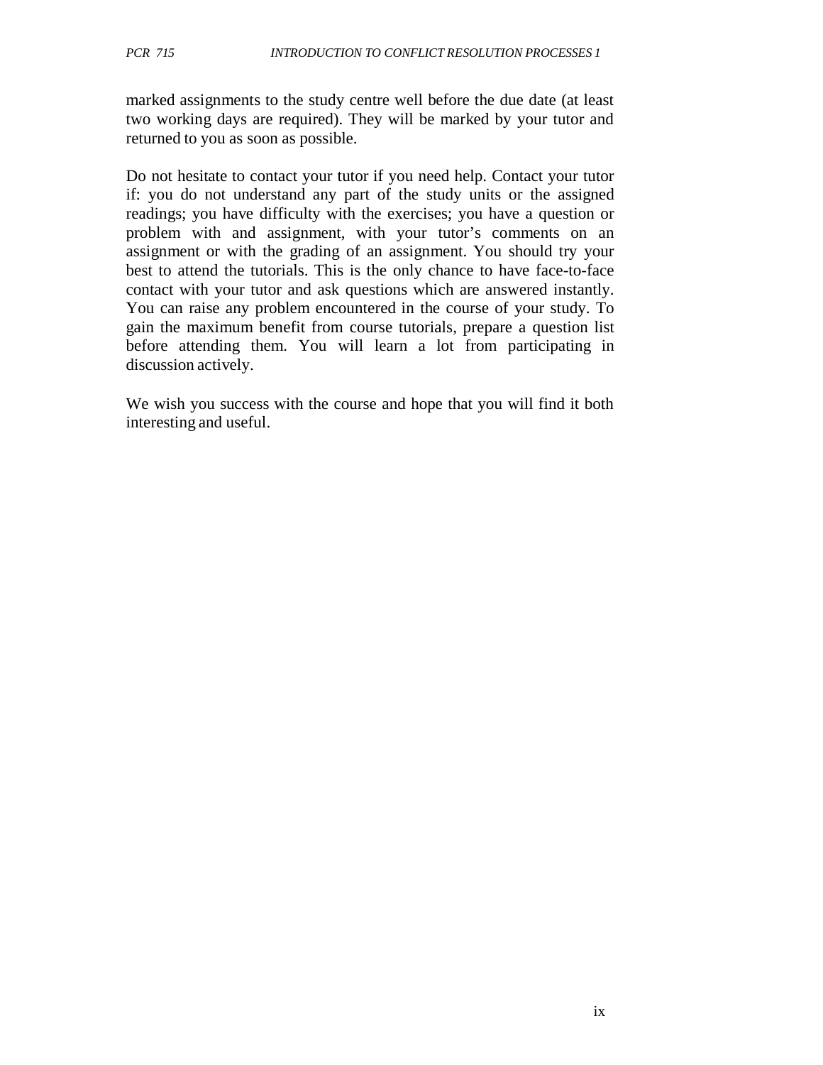marked assignments to the study centre well before the due date (at least two working days are required). They will be marked by your tutor and returned to you as soon as possible.

Do not hesitate to contact your tutor if you need help. Contact your tutor if: you do not understand any part of the study units or the assigned readings; you have difficulty with the exercises; you have a question or problem with and assignment, with your tutor's comments on an assignment or with the grading of an assignment. You should try your best to attend the tutorials. This is the only chance to have face-to-face contact with your tutor and ask questions which are answered instantly. You can raise any problem encountered in the course of your study. To gain the maximum benefit from course tutorials, prepare a question list before attending them. You will learn a lot from participating in discussion actively.

We wish you success with the course and hope that you will find it both interesting and useful.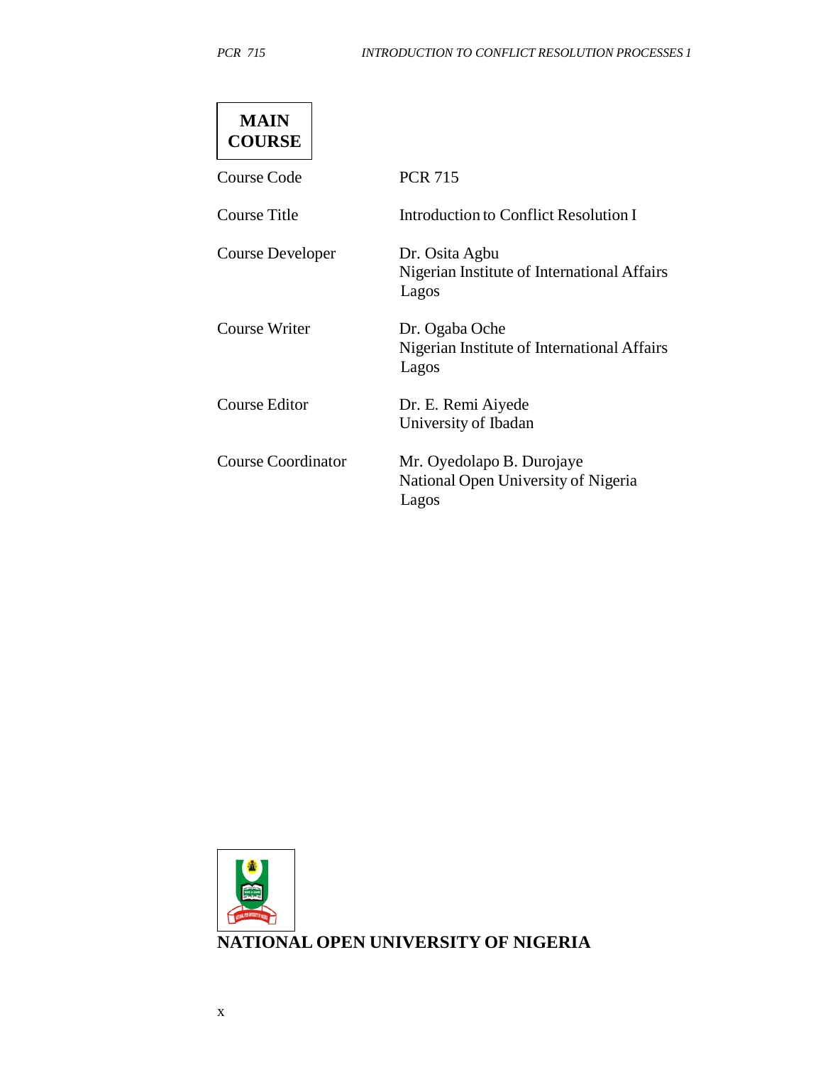| MAIN          |  |
|---------------|--|
| <b>COURSE</b> |  |

| Course Code               | <b>PCR 715</b>                                                            |
|---------------------------|---------------------------------------------------------------------------|
| Course Title              | Introduction to Conflict Resolution I                                     |
| <b>Course Developer</b>   | Dr. Osita Agbu<br>Nigerian Institute of International Affairs<br>Lagos    |
| Course Writer             | Dr. Ogaba Oche<br>Nigerian Institute of International Affairs<br>Lagos    |
| Course Editor             | Dr. E. Remi Aiyede<br>University of Ibadan                                |
| <b>Course Coordinator</b> | Mr. Oyedolapo B. Durojaye<br>National Open University of Nigeria<br>Lagos |

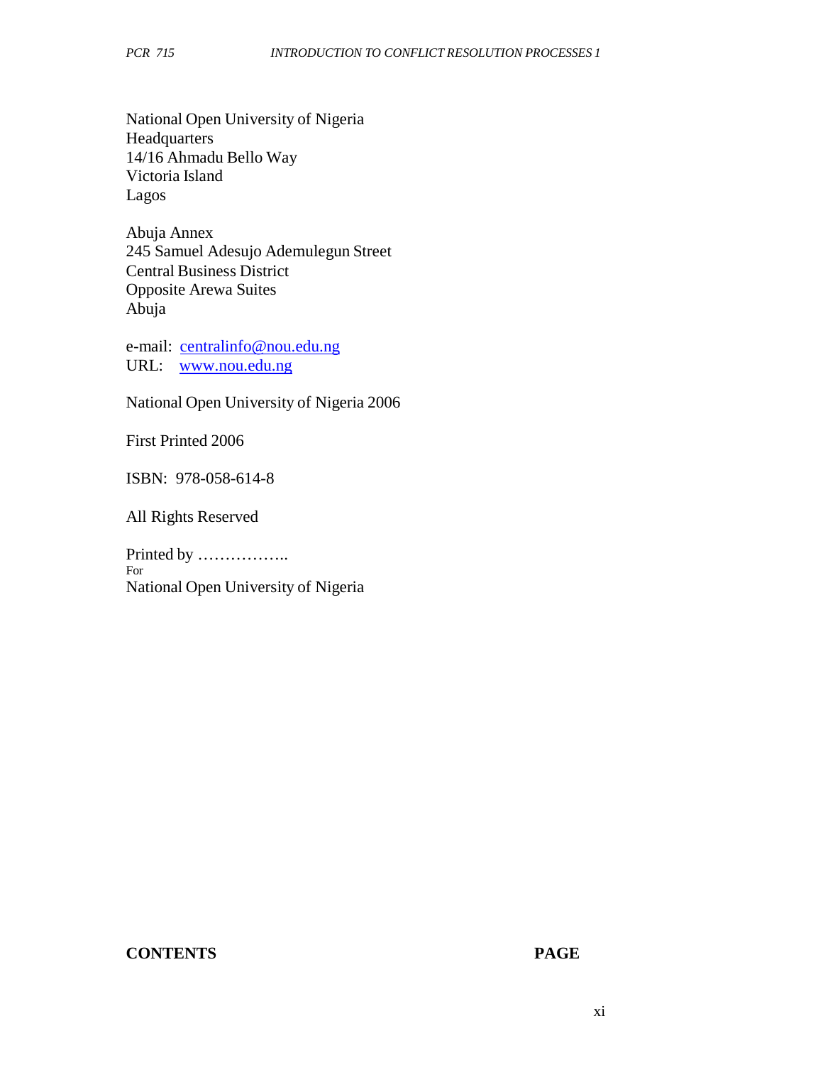*PCR 715 INTRODUCTION TO CONFLICT RESOLUTION PROCESSES 1*

National Open University of Nigeria **Headquarters** 14/16 Ahmadu Bello Way Victoria Island Lagos

Abuja Annex 245 Samuel Adesujo Ademulegun Street Central Business District Opposite Arewa Suites Abuja

e-mail: centralinfo@nou.edu.ng URL: www.nou.edu.ng

National Open University of Nigeria 2006

First Printed 2006

ISBN: 978-058-614-8

All Rights Reserved

Printed by …………….. For National Open University of Nigeria

#### **CONTENTS PAGE**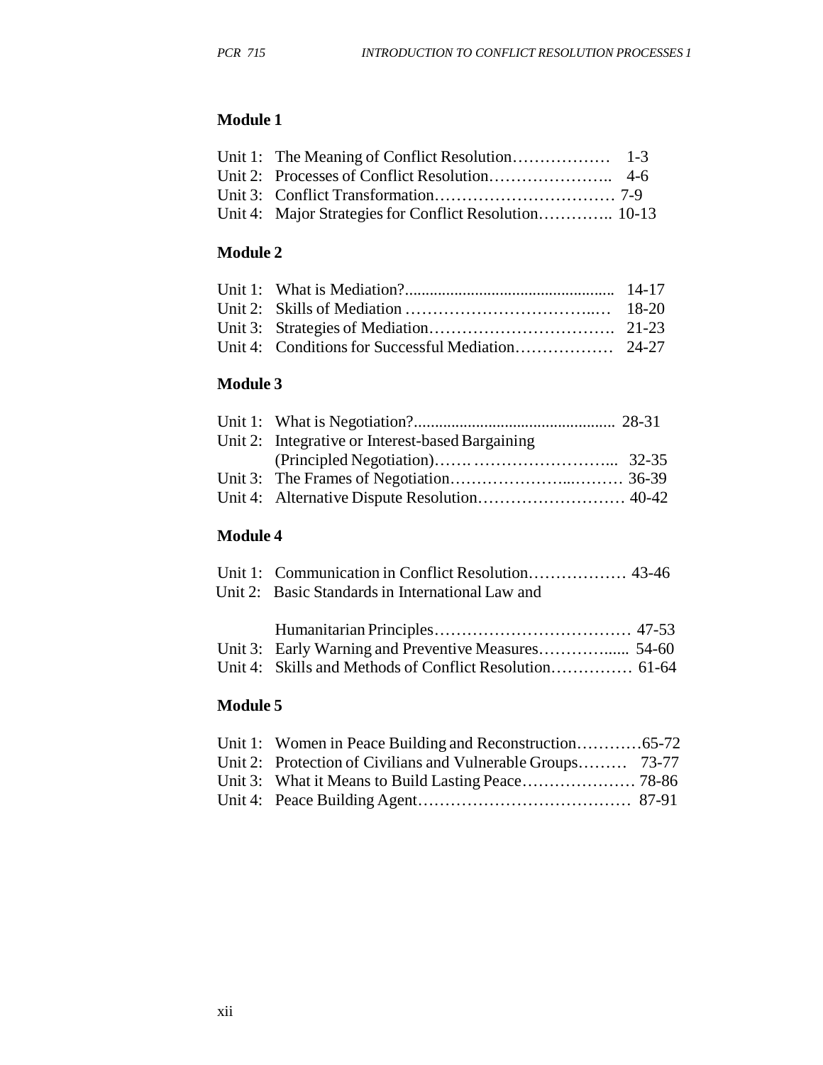#### **Module 1**

## **Module 2**

#### **Module 3**

| Unit 2: Integrative or Interest-based Bargaining |  |
|--------------------------------------------------|--|
|                                                  |  |
|                                                  |  |
|                                                  |  |

## **Module 4**

| Unit 2: Basic Standards in International Law and |
|--------------------------------------------------|
|                                                  |
|                                                  |
|                                                  |
|                                                  |

## **Module 5**

| Unit 2: Protection of Civilians and Vulnerable Groups 73-77 |  |
|-------------------------------------------------------------|--|
|                                                             |  |
|                                                             |  |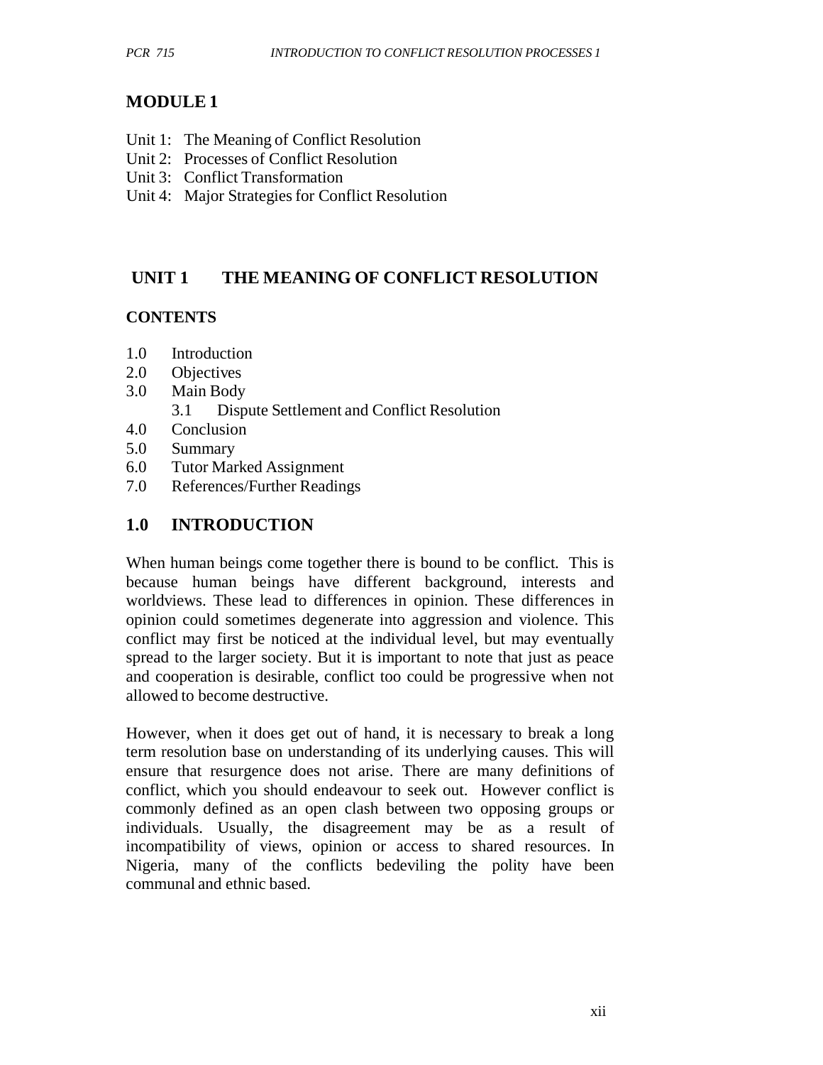## **MODULE 1**

- Unit 1: The Meaning of Conflict Resolution
- Unit 2: Processes of Conflict Resolution
- Unit 3: Conflict Transformation
- Unit 4: Major Strategies for Conflict Resolution

## **UNIT 1 THE MEANING OF CONFLICT RESOLUTION**

#### **CONTENTS**

- 1.0 Introduction
- 2.0 Objectives
- 3.0 Main Body
	- 3.1 Dispute Settlement and Conflict Resolution
- 4.0 Conclusion
- 5.0 Summary
- 6.0 Tutor Marked Assignment
- 7.0 References/Further Readings

## **1.0 INTRODUCTION**

When human beings come together there is bound to be conflict. This is because human beings have different background, interests and worldviews. These lead to differences in opinion. These differences in opinion could sometimes degenerate into aggression and violence. This conflict may first be noticed at the individual level, but may eventually spread to the larger society. But it is important to note that just as peace and cooperation is desirable, conflict too could be progressive when not allowed to become destructive.

However, when it does get out of hand, it is necessary to break a long term resolution base on understanding of its underlying causes. This will ensure that resurgence does not arise. There are many definitions of conflict, which you should endeavour to seek out. However conflict is commonly defined as an open clash between two opposing groups or individuals. Usually, the disagreement may be as a result of incompatibility of views, opinion or access to shared resources. In Nigeria, many of the conflicts bedeviling the polity have been communal and ethnic based.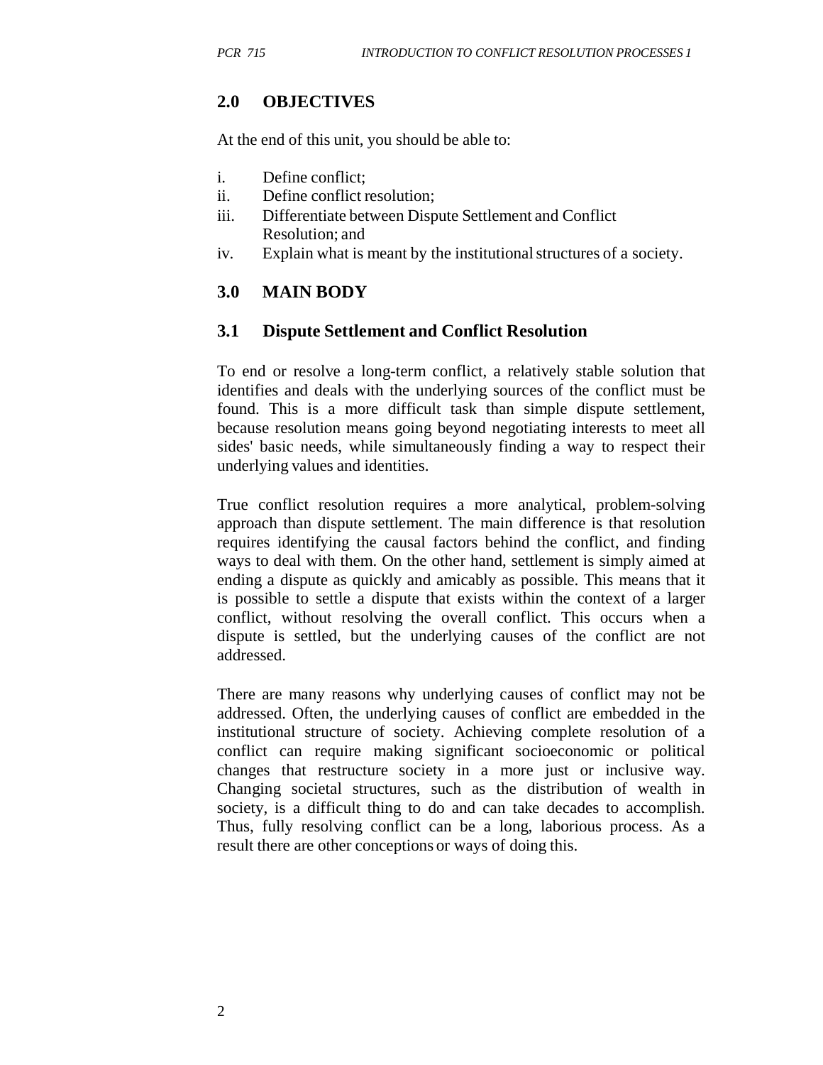## **2.0 OBJECTIVES**

At the end of this unit, you should be able to:

- i. Define conflict;
- ii. Define conflict resolution;
- iii. Differentiate between Dispute Settlement and Conflict Resolution; and
- iv. Explain what is meant by the institutional structures of a society.

## **3.0 MAIN BODY**

#### **3.1 Dispute Settlement and Conflict Resolution**

To end or resolve a long-term conflict, a relatively stable solution that identifies and deals with the underlying sources of the conflict must be found. This is a more difficult task than simple dispute settlement, because resolution means going beyond negotiating interests to meet all sides' basic needs, while simultaneously finding a way to respect their underlying values and identities.

True conflict resolution requires a more analytical, problem-solving approach than dispute settlement. The main difference is that resolution requires identifying the causal factors behind the conflict, and finding ways to deal with them. On the other hand, settlement is simply aimed at ending a dispute as quickly and amicably as possible. This means that it is possible to settle a dispute that exists within the context of a larger conflict, without resolving the overall conflict. This occurs when a dispute is settled, but the underlying causes of the conflict are not addressed.

There are many reasons why underlying causes of conflict may not be addressed. Often, the underlying causes of conflict are embedded in the institutional structure of society. Achieving complete resolution of a conflict can require making significant socioeconomic or political changes that restructure society in a more just or inclusive way. Changing societal structures, such as the distribution of wealth in society, is a difficult thing to do and can take decades to accomplish. Thus, fully resolving conflict can be a long, laborious process. As a result there are other conceptions or ways of doing this.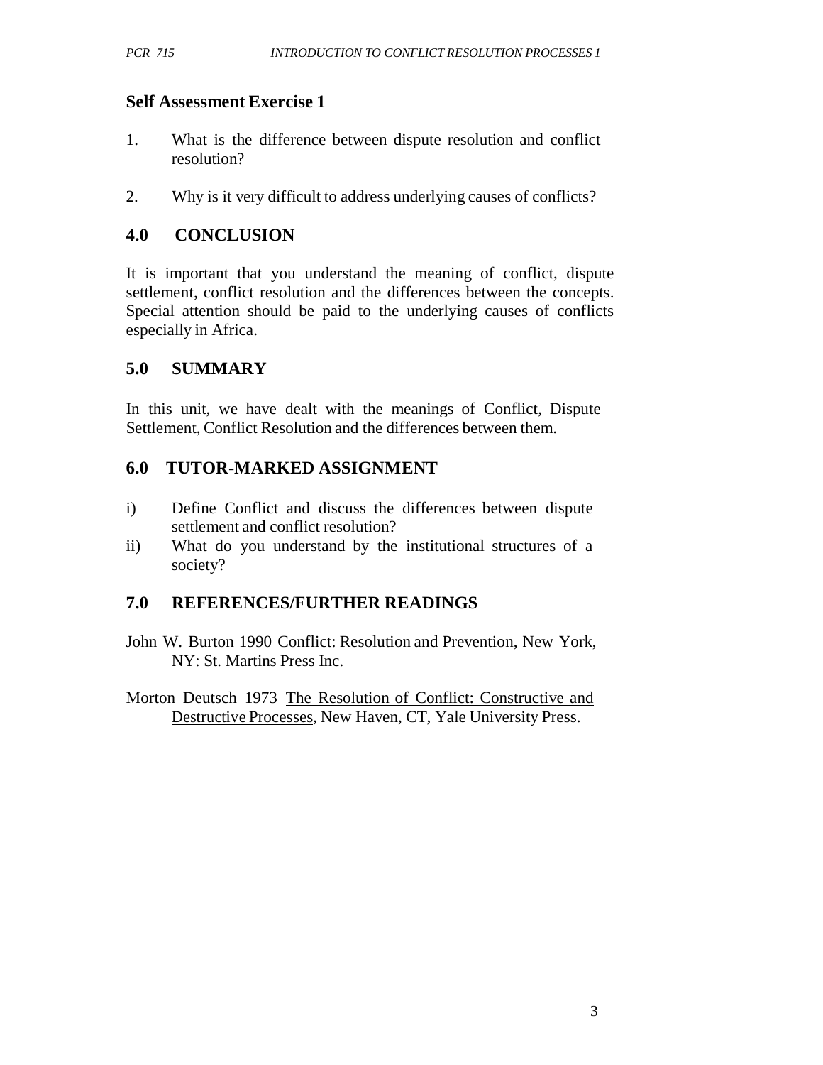#### **Self Assessment Exercise 1**

- 1. What is the difference between dispute resolution and conflict resolution?
- 2. Why is it very difficult to address underlying causes of conflicts?

## **4.0 CONCLUSION**

It is important that you understand the meaning of conflict, dispute settlement, conflict resolution and the differences between the concepts. Special attention should be paid to the underlying causes of conflicts especially in Africa.

## **5.0 SUMMARY**

In this unit, we have dealt with the meanings of Conflict, Dispute Settlement, Conflict Resolution and the differences between them.

## **6.0 TUTOR-MARKED ASSIGNMENT**

- i) Define Conflict and discuss the differences between dispute settlement and conflict resolution?
- ii) What do you understand by the institutional structures of a society?

## **7.0 REFERENCES/FURTHER READINGS**

- John W. Burton 1990 Conflict: Resolution and Prevention, New York, NY: St. Martins Press Inc.
- Morton Deutsch 1973 The Resolution of Conflict: Constructive and Destructive Processes, New Haven, CT, Yale University Press.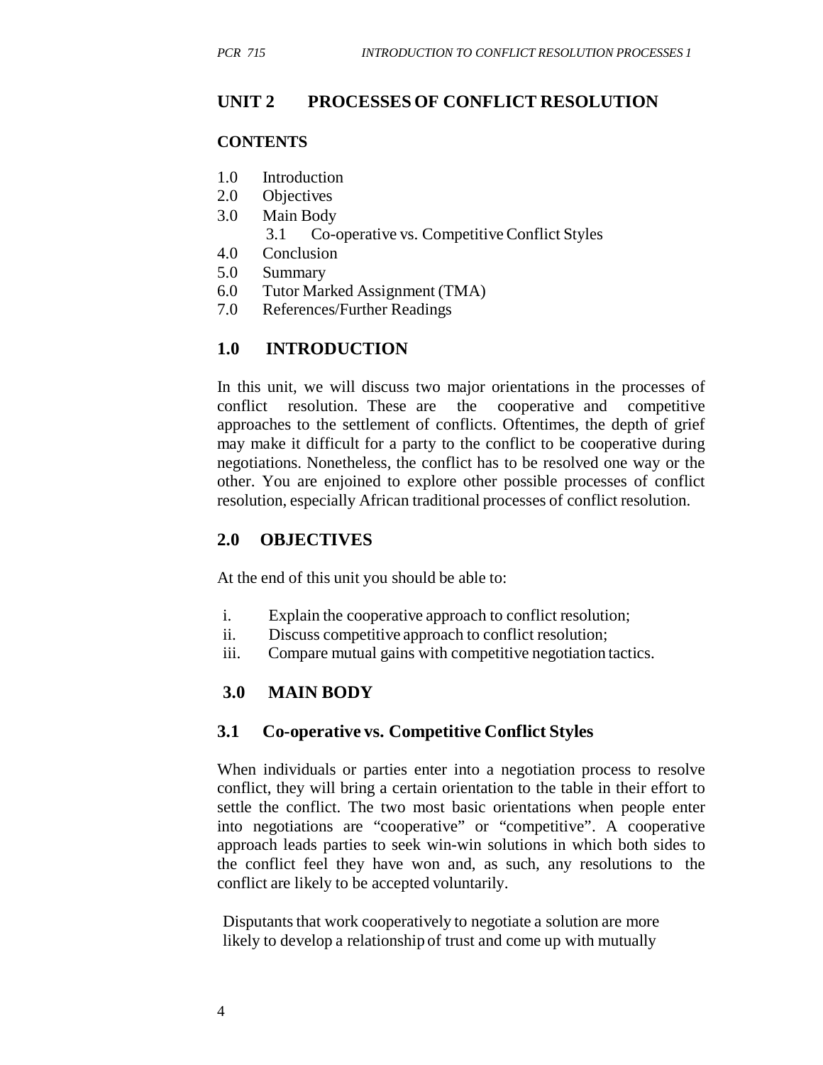#### **UNIT 2 PROCESSES OF CONFLICT RESOLUTION**

#### **CONTENTS**

- 1.0 Introduction
- 2.0 Objectives
- 3.0 Main Body
	- 3.1 Co-operative vs. Competitive Conflict Styles
- 4.0 Conclusion
- 5.0 Summary
- 6.0 Tutor Marked Assignment (TMA)
- 7.0 References/Further Readings

## **1.0 INTRODUCTION**

In this unit, we will discuss two major orientations in the processes of conflict resolution. These are the cooperative and competitive approaches to the settlement of conflicts. Oftentimes, the depth of grief may make it difficult for a party to the conflict to be cooperative during negotiations. Nonetheless, the conflict has to be resolved one way or the other. You are enjoined to explore other possible processes of conflict resolution, especially African traditional processes of conflict resolution.

#### **2.0 OBJECTIVES**

At the end of this unit you should be able to:

- i. Explain the cooperative approach to conflict resolution;
- ii. Discuss competitive approach to conflict resolution;
- iii. Compare mutual gains with competitive negotiation tactics.

#### **3.0 MAIN BODY**

#### **3.1 Co-operative vs. Competitive Conflict Styles**

When individuals or parties enter into a negotiation process to resolve conflict, they will bring a certain orientation to the table in their effort to settle the conflict. The two most basic orientations when people enter into negotiations are "cooperative" or "competitive". A cooperative approach leads parties to seek win-win solutions in which both sides to the conflict feel they have won and, as such, any resolutions to the conflict are likely to be accepted voluntarily.

Disputants that work cooperatively to negotiate a solution are more likely to develop a relationship of trust and come up with mutually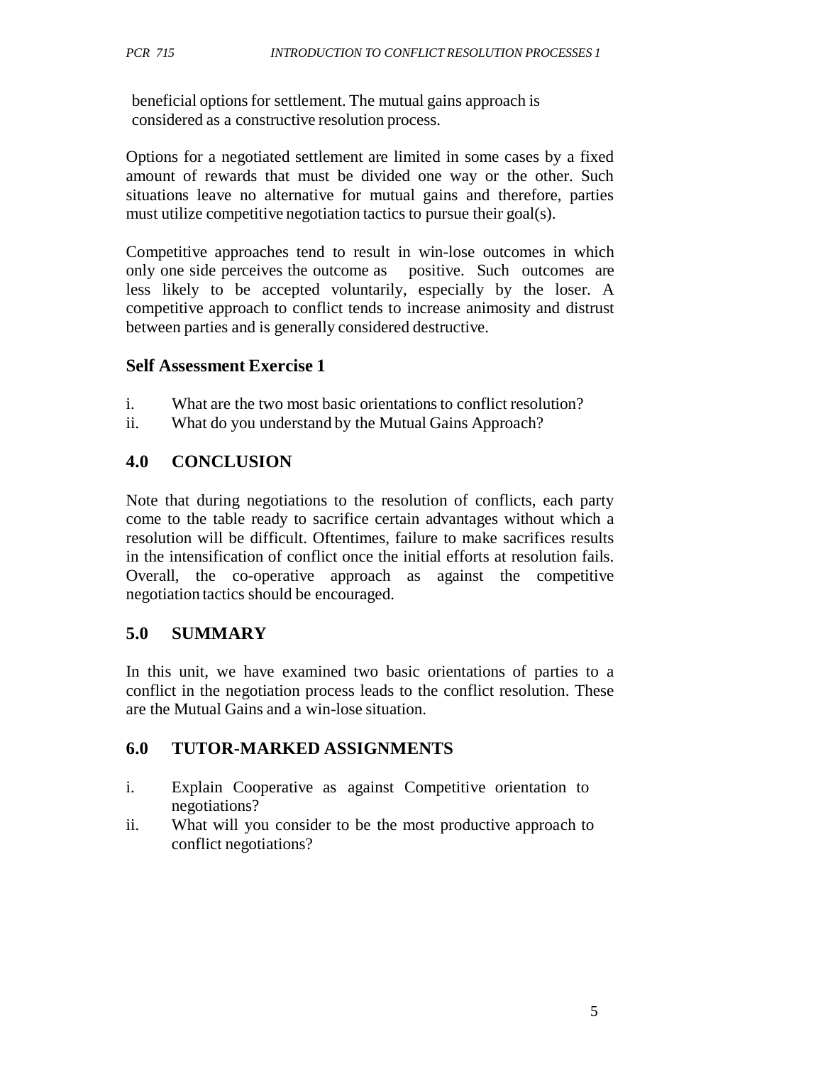beneficial options for settlement. The mutual gains approach is considered as a constructive resolution process.

Options for a negotiated settlement are limited in some cases by a fixed amount of rewards that must be divided one way or the other. Such situations leave no alternative for mutual gains and therefore, parties must utilize competitive negotiation tactics to pursue their goal(s).

Competitive approaches tend to result in win-lose outcomes in which only one side perceives the outcome as positive. Such outcomes are less likely to be accepted voluntarily, especially by the loser. A competitive approach to conflict tends to increase animosity and distrust between parties and is generally considered destructive.

## **Self Assessment Exercise 1**

- i. What are the two most basic orientations to conflict resolution?
- ii. What do you understand by the Mutual Gains Approach?

#### **4.0 CONCLUSION**

Note that during negotiations to the resolution of conflicts, each party come to the table ready to sacrifice certain advantages without which a resolution will be difficult. Oftentimes, failure to make sacrifices results in the intensification of conflict once the initial efforts at resolution fails. Overall, the co-operative approach as against the competitive negotiation tactics should be encouraged.

## **5.0 SUMMARY**

In this unit, we have examined two basic orientations of parties to a conflict in the negotiation process leads to the conflict resolution. These are the Mutual Gains and a win-lose situation.

## **6.0 TUTOR-MARKED ASSIGNMENTS**

- i. Explain Cooperative as against Competitive orientation to negotiations?
- ii. What will you consider to be the most productive approach to conflict negotiations?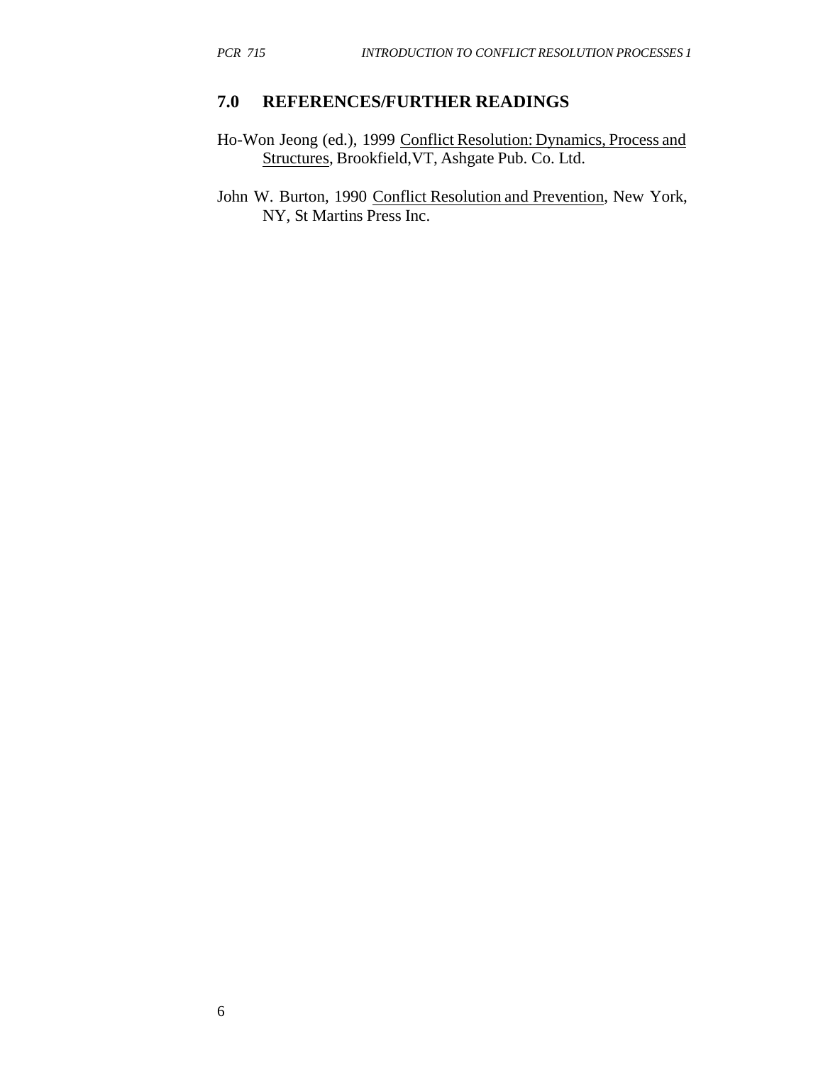#### **7.0 REFERENCES/FURTHER READINGS**

Ho-Won Jeong (ed.), 1999 Conflict Resolution: Dynamics, Process and Structures, Brookfield,VT, Ashgate Pub. Co. Ltd.

John W. Burton, 1990 Conflict Resolution and Prevention, New York, NY, St Martins Press Inc.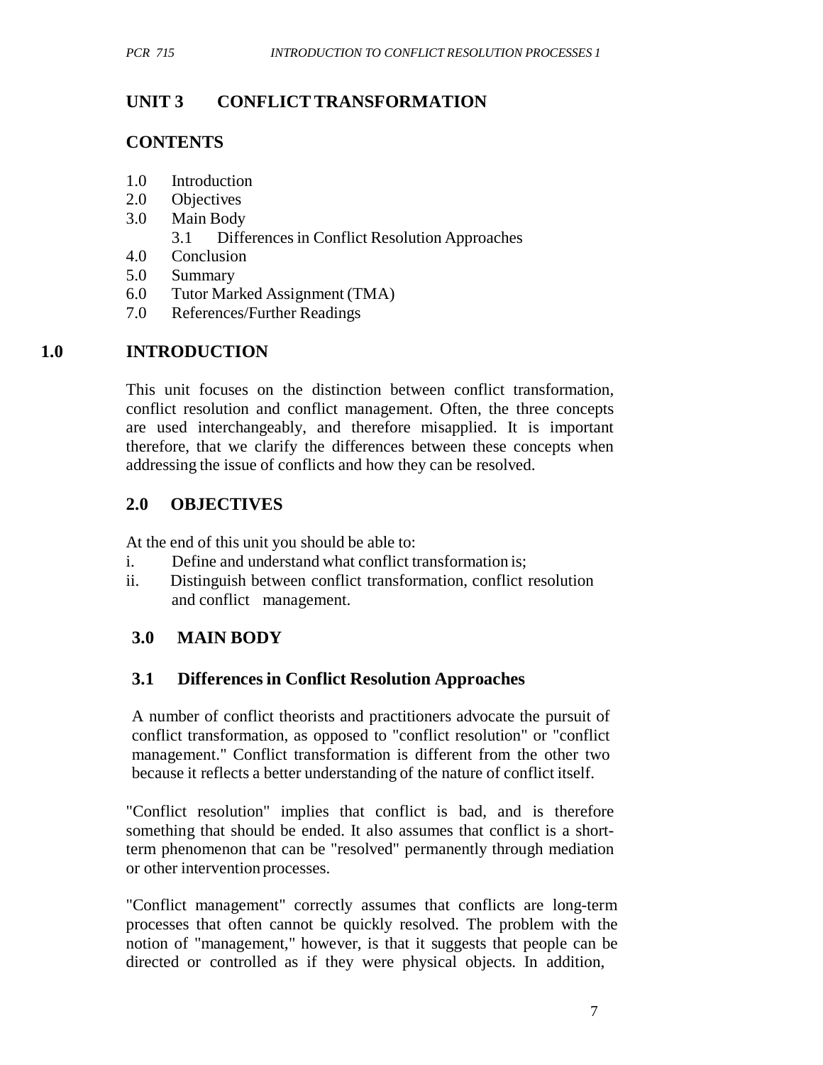## **UNIT 3 CONFLICT TRANSFORMATION**

## **CONTENTS**

- 1.0 Introduction
- 2.0 Objectives
- 3.0 Main Body
	- 3.1 Differences in Conflict Resolution Approaches
- 4.0 Conclusion
- 5.0 Summary
- 6.0 Tutor Marked Assignment (TMA)
- 7.0 References/Further Readings

## **1.0 INTRODUCTION**

This unit focuses on the distinction between conflict transformation, conflict resolution and conflict management. Often, the three concepts are used interchangeably, and therefore misapplied. It is important therefore, that we clarify the differences between these concepts when addressing the issue of conflicts and how they can be resolved.

## **2.0 OBJECTIVES**

At the end of this unit you should be able to:

- i. Define and understand what conflict transformation is;
- ii. Distinguish between conflict transformation, conflict resolution and conflict management.

## **3.0 MAIN BODY**

## **3.1 Differences in Conflict Resolution Approaches**

A number of conflict theorists and practitioners advocate the pursuit of conflict transformation, as opposed to "conflict resolution" or "conflict management." Conflict transformation is different from the other two because it reflects a better understanding of the nature of conflict itself.

"Conflict resolution" implies that conflict is bad, and is therefore something that should be ended. It also assumes that conflict is a shortterm phenomenon that can be "resolved" permanently through mediation or other intervention processes.

"Conflict management" correctly assumes that conflicts are long-term processes that often cannot be quickly resolved. The problem with the notion of "management," however, is that it suggests that people can be directed or controlled as if they were physical objects. In addition,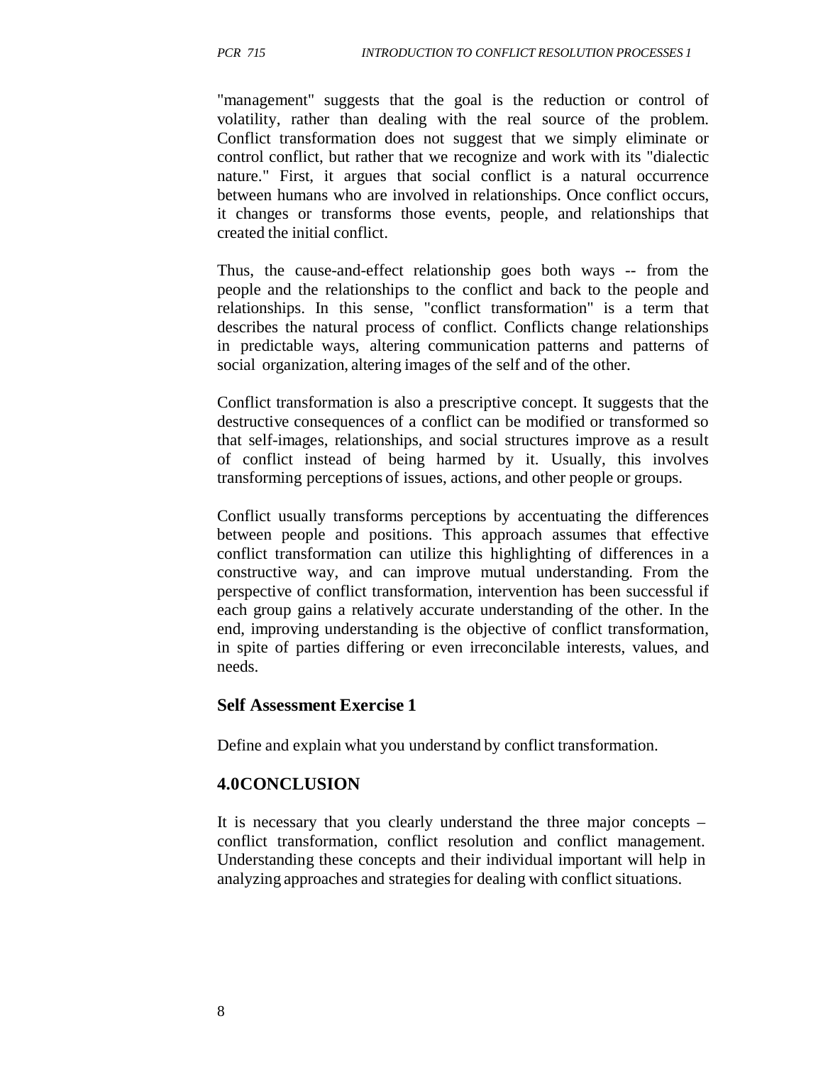"management" suggests that the goal is the reduction or control of volatility, rather than dealing with the real source of the problem. Conflict transformation does not suggest that we simply eliminate or control conflict, but rather that we recognize and work with its "dialectic nature." First, it argues that social conflict is a natural occurrence between humans who are involved in relationships. Once conflict occurs, it changes or transforms those events, people, and relationships that created the initial conflict.

Thus, the cause-and-effect relationship goes both ways -- from the people and the relationships to the conflict and back to the people and relationships. In this sense, "conflict transformation" is a term that describes the natural process of conflict. Conflicts change relationships in predictable ways, altering communication patterns and patterns of social organization, altering images of the self and of the other.

Conflict transformation is also a prescriptive concept. It suggests that the destructive consequences of a conflict can be modified or transformed so that self-images, relationships, and social structures improve as a result of conflict instead of being harmed by it. Usually, this involves transforming perceptions of issues, actions, and other people or groups.

Conflict usually transforms perceptions by accentuating the differences between people and positions. This approach assumes that effective conflict transformation can utilize this highlighting of differences in a constructive way, and can improve mutual understanding. From the perspective of conflict transformation, intervention has been successful if each group gains a relatively accurate understanding of the other. In the end, improving understanding is the objective of conflict transformation, in spite of parties differing or even irreconcilable interests, values, and needs.

#### **Self Assessment Exercise 1**

Define and explain what you understand by conflict transformation.

#### **4.0CONCLUSION**

It is necessary that you clearly understand the three major concepts – conflict transformation, conflict resolution and conflict management. Understanding these concepts and their individual important will help in analyzing approaches and strategies for dealing with conflict situations.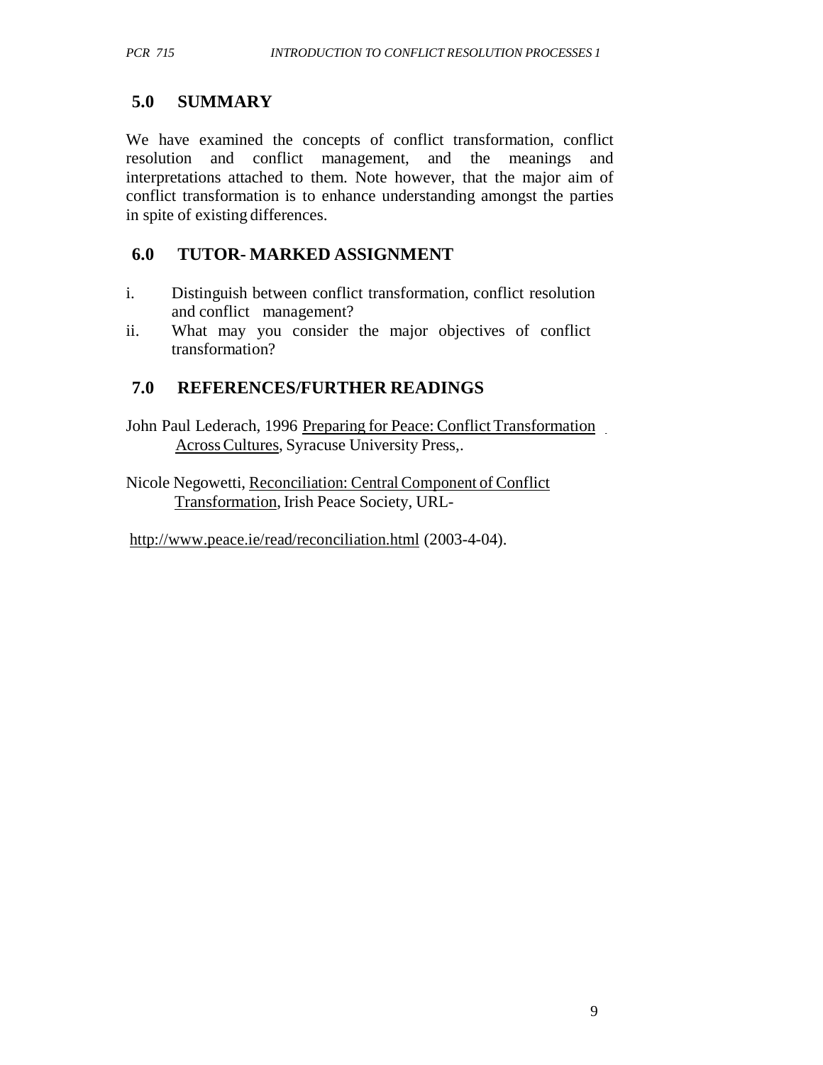## **5.0 SUMMARY**

We have examined the concepts of conflict transformation, conflict resolution and conflict management, and the meanings and interpretations attached to them. Note however, that the major aim of conflict transformation is to enhance understanding amongst the parties in spite of existing differences.

## **6.0 TUTOR- MARKED ASSIGNMENT**

- i. Distinguish between conflict transformation, conflict resolution and conflict management?
- ii. What may you consider the major objectives of conflict transformation?

## **7.0 REFERENCES/FURTHER READINGS**

- John Paul Lederach, 1996 Preparing for Peace: Conflict Transformation Across Cultures, Syracuse University Press,.
- Nicole Negowetti, Reconciliation: Central Component of Conflict Transformation, Irish Peace Society, URL-

http://www.peace.ie/read/reconciliation.html (2003-4-04).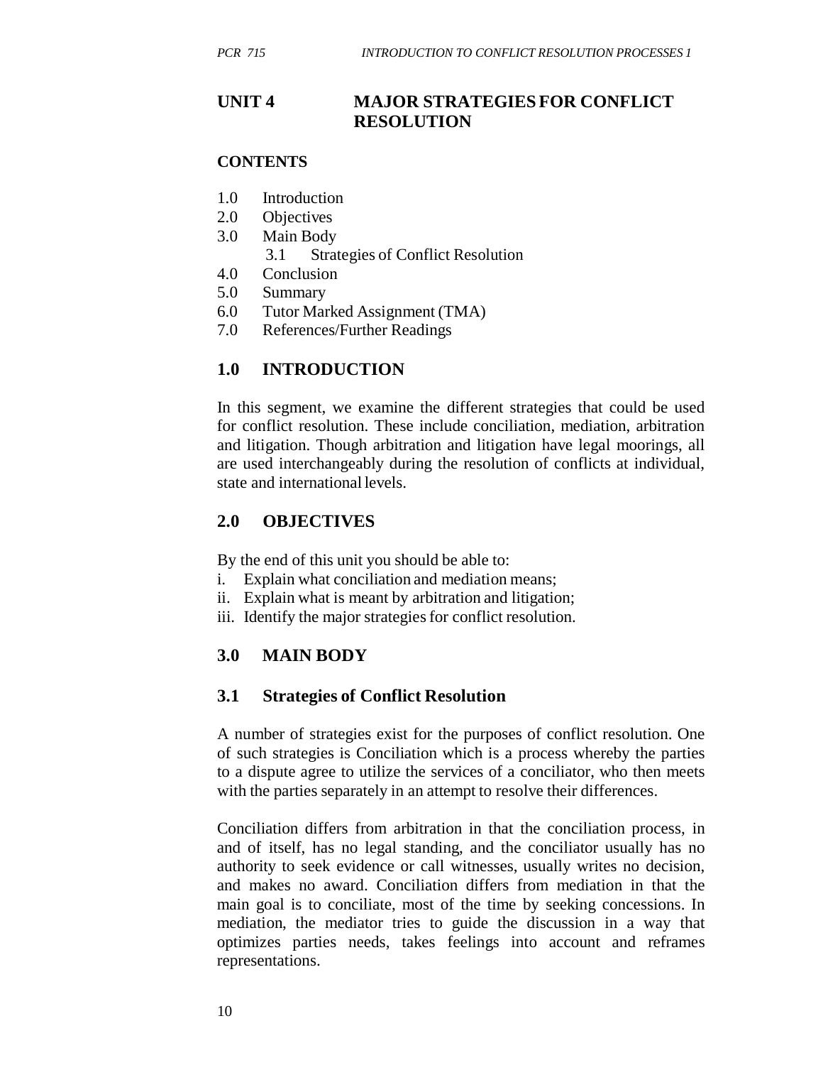## **UNIT 4 MAJOR STRATEGIES FOR CONFLICT RESOLUTION**

#### **CONTENTS**

- 1.0 Introduction
- 2.0 Objectives
- 3.0 Main Body
	- 3.1 Strategies of Conflict Resolution
- 4.0 Conclusion
- 5.0 Summary
- 6.0 Tutor Marked Assignment (TMA)
- 7.0 References/Further Readings

## **1.0 INTRODUCTION**

In this segment, we examine the different strategies that could be used for conflict resolution. These include conciliation, mediation, arbitration and litigation. Though arbitration and litigation have legal moorings, all are used interchangeably during the resolution of conflicts at individual, state and international levels.

## **2.0 OBJECTIVES**

By the end of this unit you should be able to:

- i. Explain what conciliation and mediation means;
- ii. Explain what is meant by arbitration and litigation;
- iii. Identify the major strategies for conflict resolution.

## **3.0 MAIN BODY**

#### **3.1 Strategies of Conflict Resolution**

A number of strategies exist for the purposes of conflict resolution. One of such strategies is Conciliation which is a process whereby the parties to a dispute agree to utilize the services of a conciliator, who then meets with the parties separately in an attempt to resolve their differences.

Conciliation differs from arbitration in that the conciliation process, in and of itself, has no legal standing, and the conciliator usually has no authority to seek evidence or call witnesses, usually writes no decision, and makes no award. Conciliation differs from mediation in that the main goal is to conciliate, most of the time by seeking concessions. In mediation, the mediator tries to guide the discussion in a way that optimizes parties needs, takes feelings into account and reframes representations.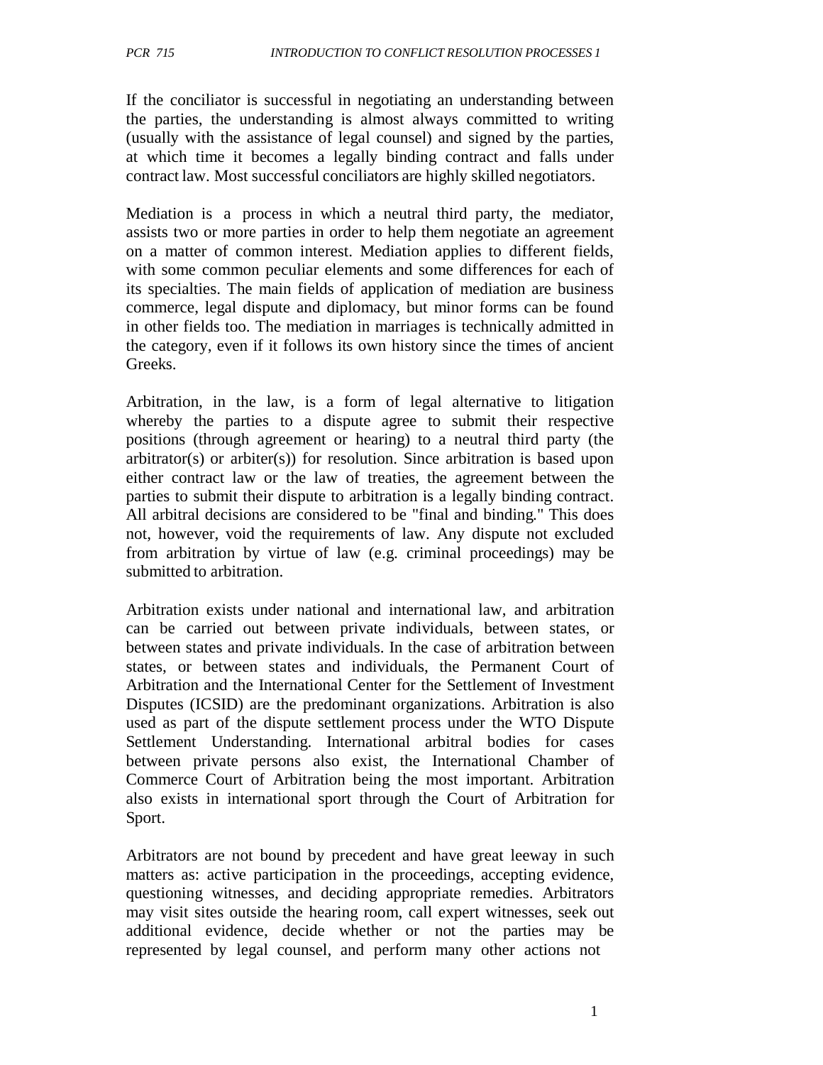If the conciliator is successful in negotiating an understanding between the parties, the understanding is almost always committed to writing (usually with the assistance of legal counsel) and signed by the parties, at which time it becomes a legally binding contract and falls under contract law. Most successful conciliators are highly skilled negotiators.

Mediation is a process in which a neutral third party, the mediator, assists two or more parties in order to help them negotiate an agreement on a matter of common interest. Mediation applies to different fields, with some common peculiar elements and some differences for each of its specialties. The main fields of application of mediation are business commerce, legal dispute and diplomacy, but minor forms can be found in other fields too. The mediation in marriages is technically admitted in the category, even if it follows its own history since the times of ancient Greeks.

Arbitration, in the law, is a form of legal alternative to litigation whereby the parties to a dispute agree to submit their respective positions (through agreement or hearing) to a neutral third party (the arbitrator(s) or arbiter(s)) for resolution. Since arbitration is based upon either contract law or the law of treaties, the agreement between the parties to submit their dispute to arbitration is a legally binding contract. All arbitral decisions are considered to be "final and binding." This does not, however, void the requirements of law. Any dispute not excluded from arbitration by virtue of law (e.g. criminal proceedings) may be submitted to arbitration.

Arbitration exists under national and international law, and arbitration can be carried out between private individuals, between states, or between states and private individuals. In the case of arbitration between states, or between states and individuals, the Permanent Court of Arbitration and the International Center for the Settlement of Investment Disputes (ICSID) are the predominant organizations. Arbitration is also used as part of the dispute settlement process under the WTO Dispute Settlement Understanding. International arbitral bodies for cases between private persons also exist, the International Chamber of Commerce Court of Arbitration being the most important. Arbitration also exists in international sport through the Court of Arbitration for Sport.

Arbitrators are not bound by precedent and have great leeway in such matters as: active participation in the proceedings, accepting evidence, questioning witnesses, and deciding appropriate remedies. Arbitrators may visit sites outside the hearing room, call expert witnesses, seek out additional evidence, decide whether or not the parties may be represented by legal counsel, and perform many other actions not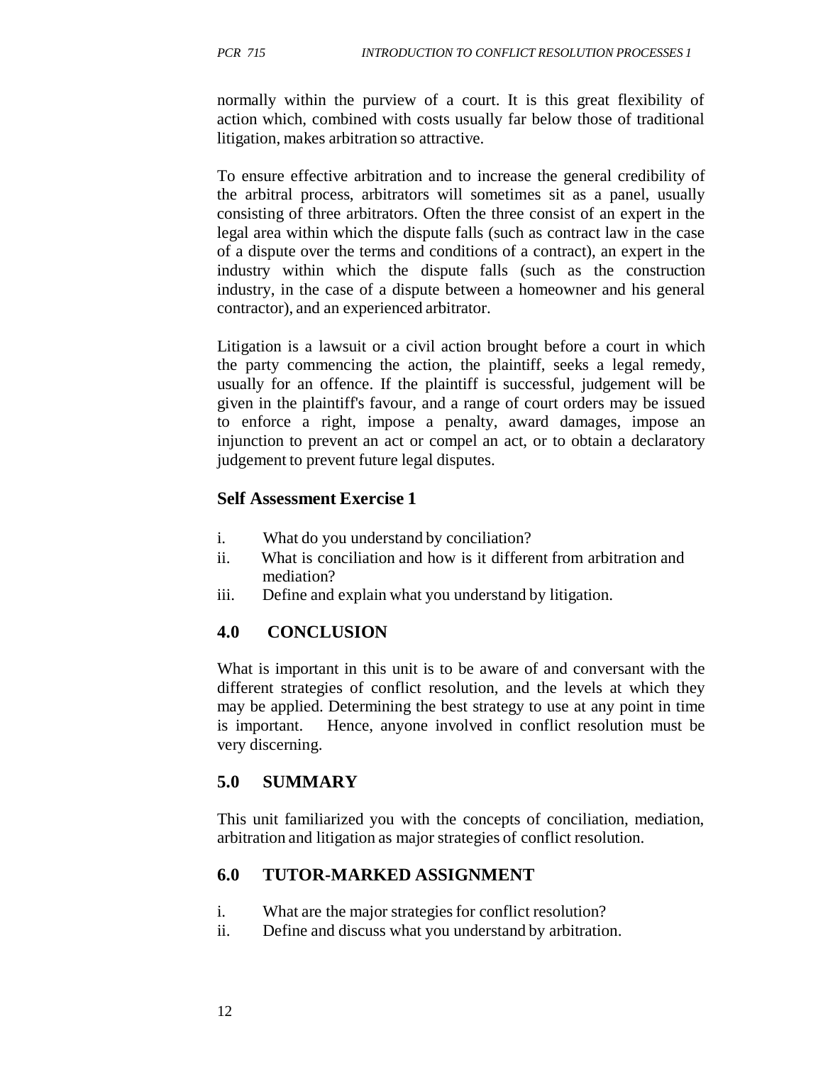normally within the purview of a court. It is this great flexibility of action which, combined with costs usually far below those of traditional litigation, makes arbitration so attractive.

To ensure effective arbitration and to increase the general credibility of the arbitral process, arbitrators will sometimes sit as a panel, usually consisting of three arbitrators. Often the three consist of an expert in the legal area within which the dispute falls (such as contract law in the case of a dispute over the terms and conditions of a contract), an expert in the industry within which the dispute falls (such as the construction industry, in the case of a dispute between a homeowner and his general contractor), and an experienced arbitrator.

Litigation is a lawsuit or a civil action brought before a court in which the party commencing the action, the plaintiff, seeks a legal remedy, usually for an offence. If the plaintiff is successful, judgement will be given in the plaintiff's favour, and a range of court orders may be issued to enforce a right, impose a penalty, award damages, impose an injunction to prevent an act or compel an act, or to obtain a declaratory judgement to prevent future legal disputes.

#### **Self Assessment Exercise 1**

- i. What do you understand by conciliation?
- ii. What is conciliation and how is it different from arbitration and mediation?
- iii. Define and explain what you understand by litigation.

## **4.0 CONCLUSION**

What is important in this unit is to be aware of and conversant with the different strategies of conflict resolution, and the levels at which they may be applied. Determining the best strategy to use at any point in time is important. Hence, anyone involved in conflict resolution must be very discerning.

## **5.0 SUMMARY**

This unit familiarized you with the concepts of conciliation, mediation, arbitration and litigation as major strategies of conflict resolution.

## **6.0 TUTOR-MARKED ASSIGNMENT**

- i. What are the major strategies for conflict resolution?
- ii. Define and discuss what you understand by arbitration.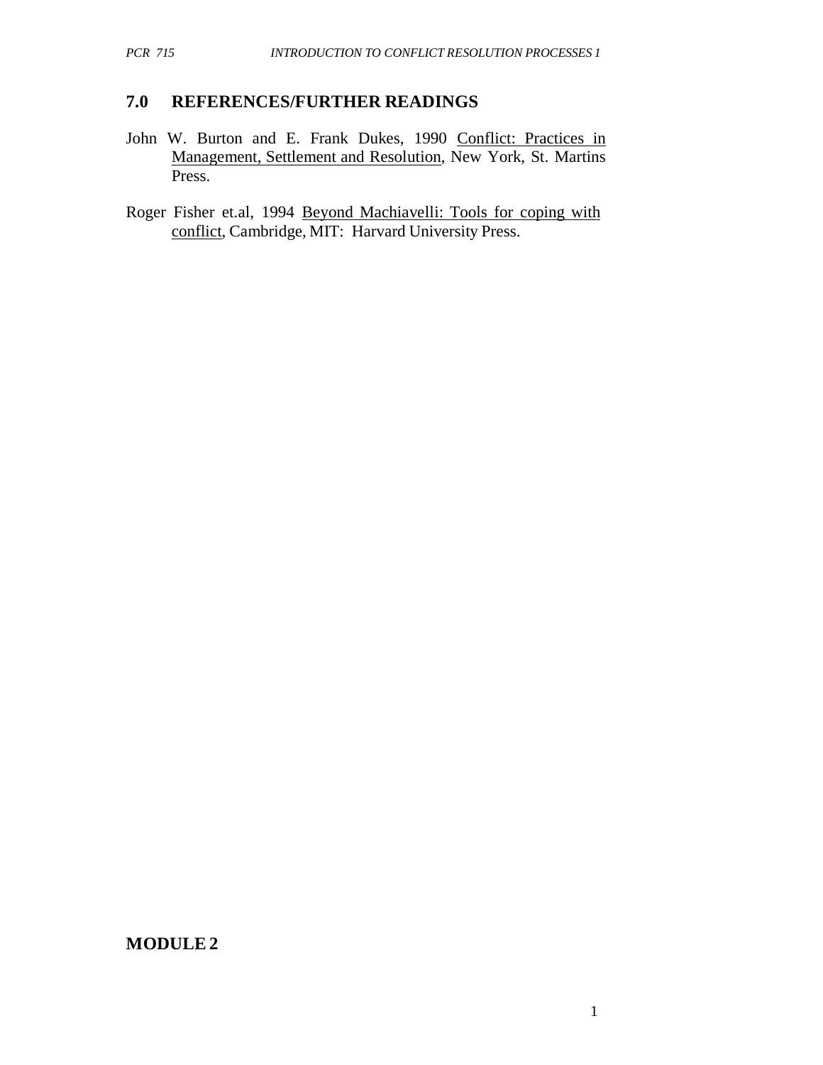*PCR 715 INTRODUCTION TO CONFLICT RESOLUTION PROCESSES 1*

#### **7.0 REFERENCES/FURTHER READINGS**

- John W. Burton and E. Frank Dukes, 1990 Conflict: Practices in Management, Settlement and Resolution, New York, St. Martins Press.
- Roger Fisher et.al, 1994 Beyond Machiavelli: Tools for coping with conflict, Cambridge, MIT: Harvard University Press.

## **MODULE 2**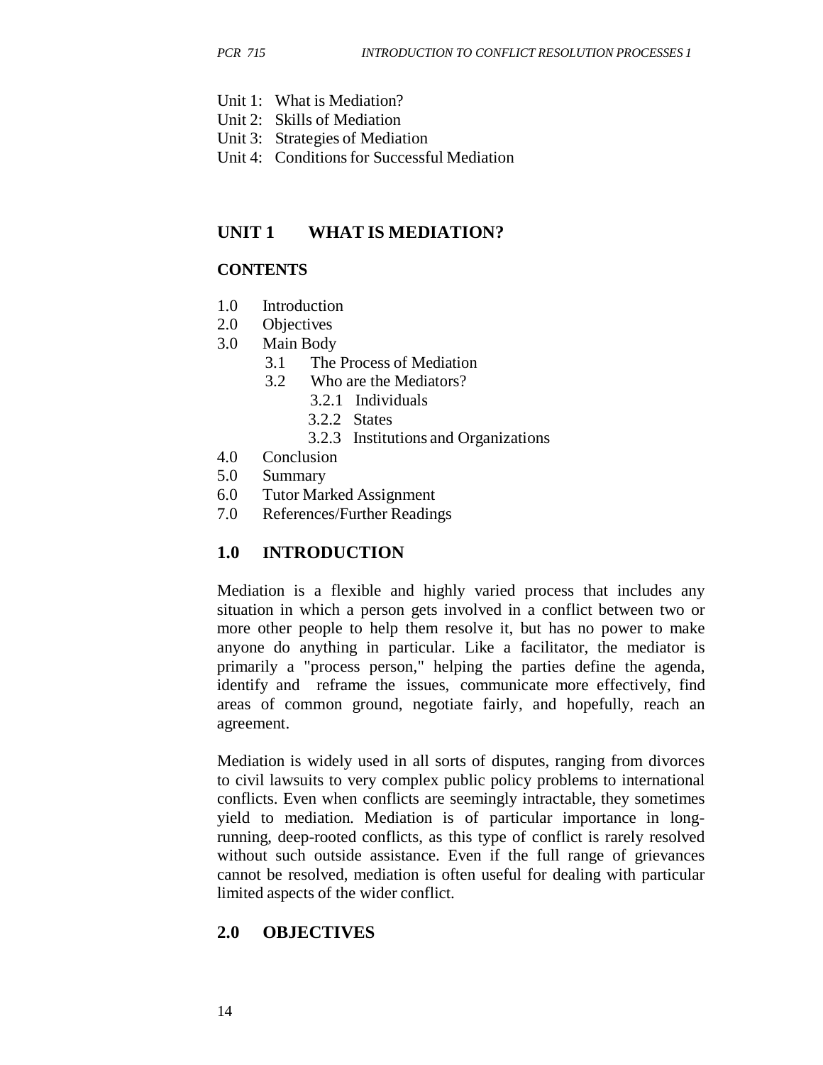- Unit 1: What is Mediation?
- Unit 2: Skills of Mediation
- Unit 3: Strategies of Mediation
- Unit 4: Conditions for Successful Mediation

#### **UNIT 1 WHAT IS MEDIATION?**

#### **CONTENTS**

- 1.0 Introduction
- 2.0 Objectives
- 3.0 Main Body
	- 3.1 The Process of Mediation
	- 3.2 Who are the Mediators?
		- 3.2.1 Individuals
		- 3.2.2 States
		- 3.2.3 Institutions and Organizations
- 4.0 Conclusion
- 5.0 Summary
- 6.0 Tutor Marked Assignment
- 7.0 References/Further Readings

#### **1.0 INTRODUCTION**

Mediation is a flexible and highly varied process that includes any situation in which a person gets involved in a conflict between two or more other people to help them resolve it, but has no power to make anyone do anything in particular. Like a facilitator, the mediator is primarily a "process person," helping the parties define the agenda, identify and reframe the issues, communicate more effectively, find areas of common ground, negotiate fairly, and hopefully, reach an agreement.

Mediation is widely used in all sorts of disputes, ranging from divorces to civil lawsuits to very complex public policy problems to international conflicts. Even when conflicts are seemingly intractable, they sometimes yield to mediation. Mediation is of particular importance in longrunning, deep-rooted conflicts, as this type of conflict is rarely resolved without such outside assistance. Even if the full range of grievances cannot be resolved, mediation is often useful for dealing with particular limited aspects of the wider conflict.

#### **2.0 OBJECTIVES**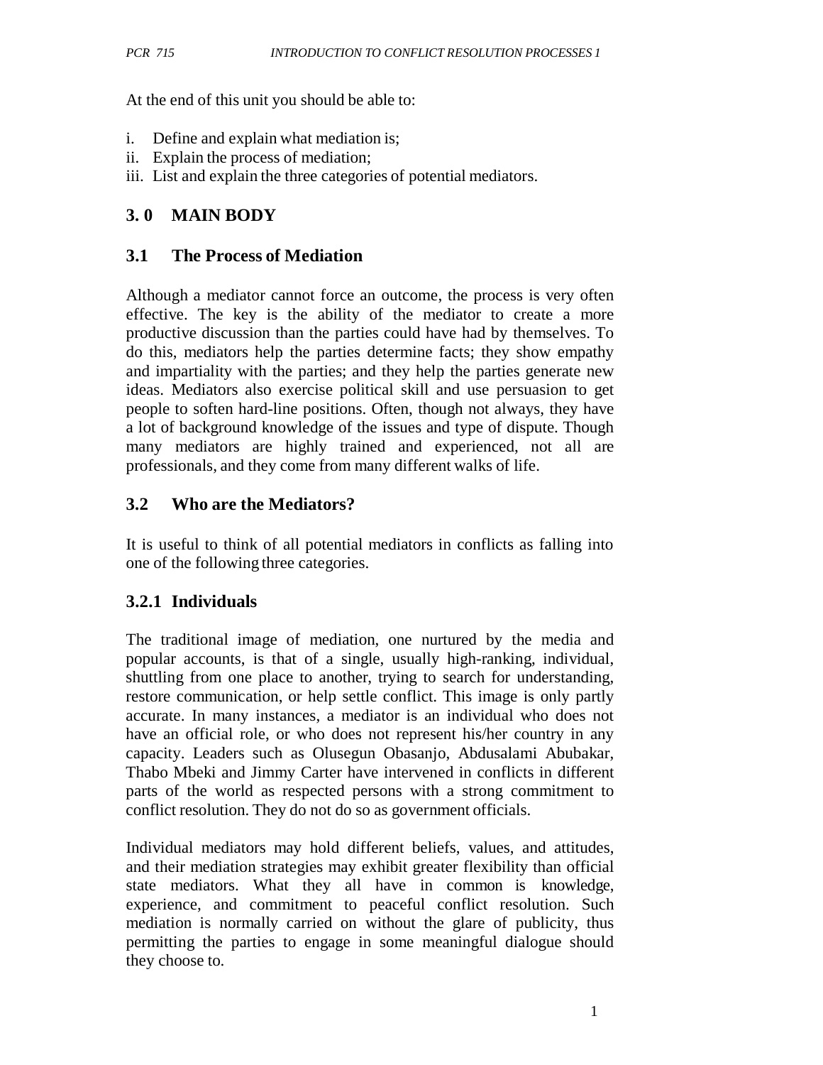At the end of this unit you should be able to:

- i. Define and explain what mediation is;
- ii. Explain the process of mediation;
- iii. List and explain the three categories of potential mediators.

## **3. 0 MAIN BODY**

#### **3.1 The Process of Mediation**

Although a mediator cannot force an outcome, the process is very often effective. The key is the ability of the mediator to create a more productive discussion than the parties could have had by themselves. To do this, mediators help the parties determine facts; they show empathy and impartiality with the parties; and they help the parties generate new ideas. Mediators also exercise political skill and use persuasion to get people to soften hard-line positions. Often, though not always, they have a lot of background knowledge of the issues and type of dispute. Though many mediators are highly trained and experienced, not all are professionals, and they come from many different walks of life.

## **3.2 Who are the Mediators?**

It is useful to think of all potential mediators in conflicts as falling into one of the following three categories.

## **3.2.1 Individuals**

The traditional image of mediation, one nurtured by the media and popular accounts, is that of a single, usually high-ranking, individual, shuttling from one place to another, trying to search for understanding, restore communication, or help settle conflict. This image is only partly accurate. In many instances, a mediator is an individual who does not have an official role, or who does not represent his/her country in any capacity. Leaders such as Olusegun Obasanjo, Abdusalami Abubakar, Thabo Mbeki and Jimmy Carter have intervened in conflicts in different parts of the world as respected persons with a strong commitment to conflict resolution. They do not do so as government officials.

Individual mediators may hold different beliefs, values, and attitudes, and their mediation strategies may exhibit greater flexibility than official state mediators. What they all have in common is knowledge, experience, and commitment to peaceful conflict resolution. Such mediation is normally carried on without the glare of publicity, thus permitting the parties to engage in some meaningful dialogue should they choose to.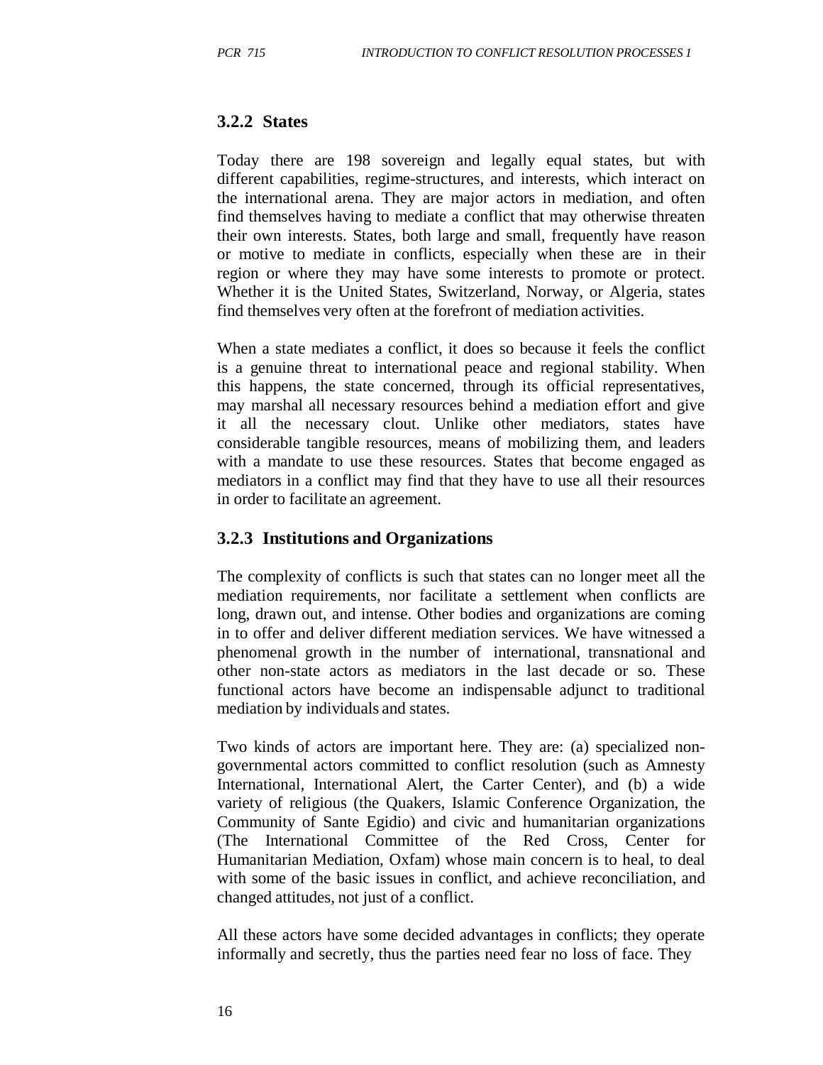#### **3.2.2 States**

Today there are 198 sovereign and legally equal states, but with different capabilities, regime-structures, and interests, which interact on the international arena. They are major actors in mediation, and often find themselves having to mediate a conflict that may otherwise threaten their own interests. States, both large and small, frequently have reason or motive to mediate in conflicts, especially when these are in their region or where they may have some interests to promote or protect. Whether it is the United States, Switzerland, Norway, or Algeria, states find themselves very often at the forefront of mediation activities.

When a state mediates a conflict, it does so because it feels the conflict is a genuine threat to international peace and regional stability. When this happens, the state concerned, through its official representatives, may marshal all necessary resources behind a mediation effort and give it all the necessary clout. Unlike other mediators, states have considerable tangible resources, means of mobilizing them, and leaders with a mandate to use these resources. States that become engaged as mediators in a conflict may find that they have to use all their resources in order to facilitate an agreement.

#### **3.2.3 Institutions and Organizations**

The complexity of conflicts is such that states can no longer meet all the mediation requirements, nor facilitate a settlement when conflicts are long, drawn out, and intense. Other bodies and organizations are coming in to offer and deliver different mediation services. We have witnessed a phenomenal growth in the number of international, transnational and other non-state actors as mediators in the last decade or so. These functional actors have become an indispensable adjunct to traditional mediation by individuals and states.

Two kinds of actors are important here. They are: (a) specialized nongovernmental actors committed to conflict resolution (such as Amnesty International, International Alert, the Carter Center), and (b) a wide variety of religious (the Quakers, Islamic Conference Organization, the Community of Sante Egidio) and civic and humanitarian organizations (The International Committee of the Red Cross, Center for Humanitarian Mediation, Oxfam) whose main concern is to heal, to deal with some of the basic issues in conflict, and achieve reconciliation, and changed attitudes, not just of a conflict.

All these actors have some decided advantages in conflicts; they operate informally and secretly, thus the parties need fear no loss of face. They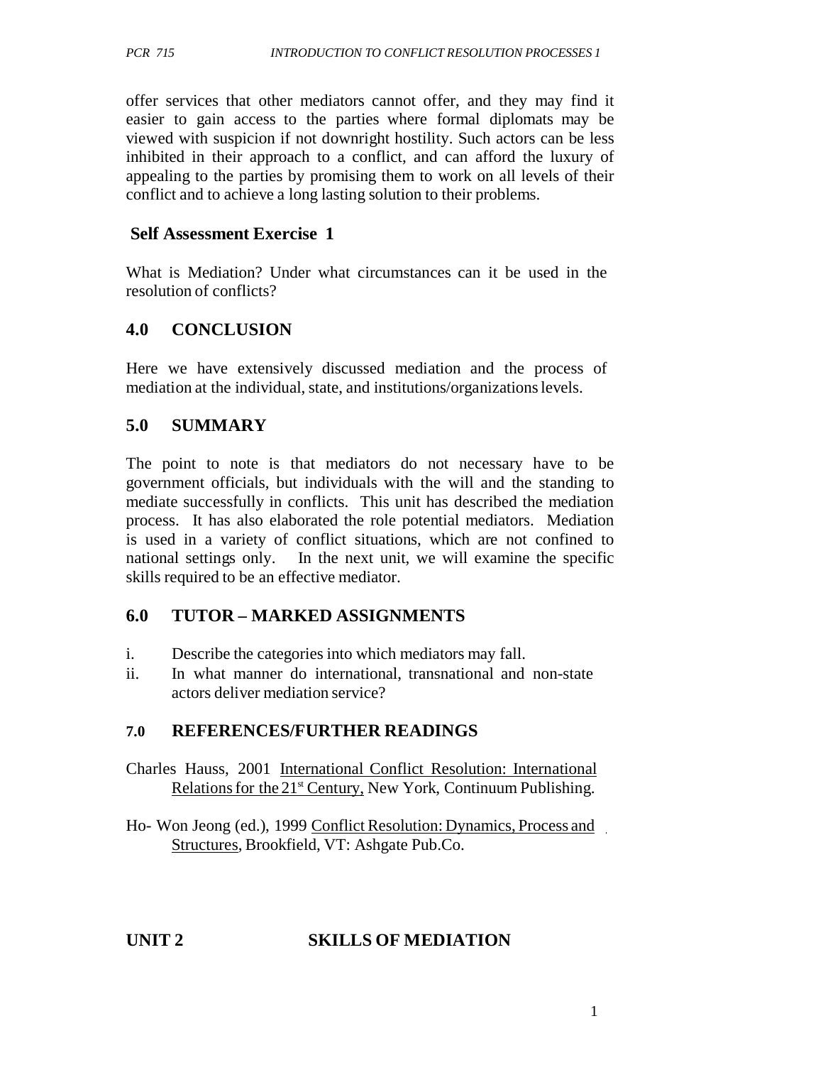offer services that other mediators cannot offer, and they may find it easier to gain access to the parties where formal diplomats may be viewed with suspicion if not downright hostility. Such actors can be less inhibited in their approach to a conflict, and can afford the luxury of appealing to the parties by promising them to work on all levels of their conflict and to achieve a long lasting solution to their problems.

#### **Self Assessment Exercise 1**

What is Mediation? Under what circumstances can it be used in the resolution of conflicts?

#### **4.0 CONCLUSION**

Here we have extensively discussed mediation and the process of mediation at the individual, state, and institutions/organizations levels.

#### **5.0 SUMMARY**

The point to note is that mediators do not necessary have to be government officials, but individuals with the will and the standing to mediate successfully in conflicts. This unit has described the mediation process. It has also elaborated the role potential mediators. Mediation is used in a variety of conflict situations, which are not confined to national settings only. In the next unit, we will examine the specific skills required to be an effective mediator.

## **6.0 TUTOR – MARKED ASSIGNMENTS**

- i. Describe the categories into which mediators may fall.
- ii. In what manner do international, transnational and non-state actors deliver mediation service?

#### **7.0 REFERENCES/FURTHER READINGS**

- Charles Hauss, 2001 International Conflict Resolution: International Relations for the  $21<sup>st</sup>$  Century, New York, Continuum Publishing.
- Ho- Won Jeong (ed.), 1999 Conflict Resolution: Dynamics, Process and Structures, Brookfield, VT: Ashgate Pub.Co.

## **UNIT 2 SKILLS OF MEDIATION**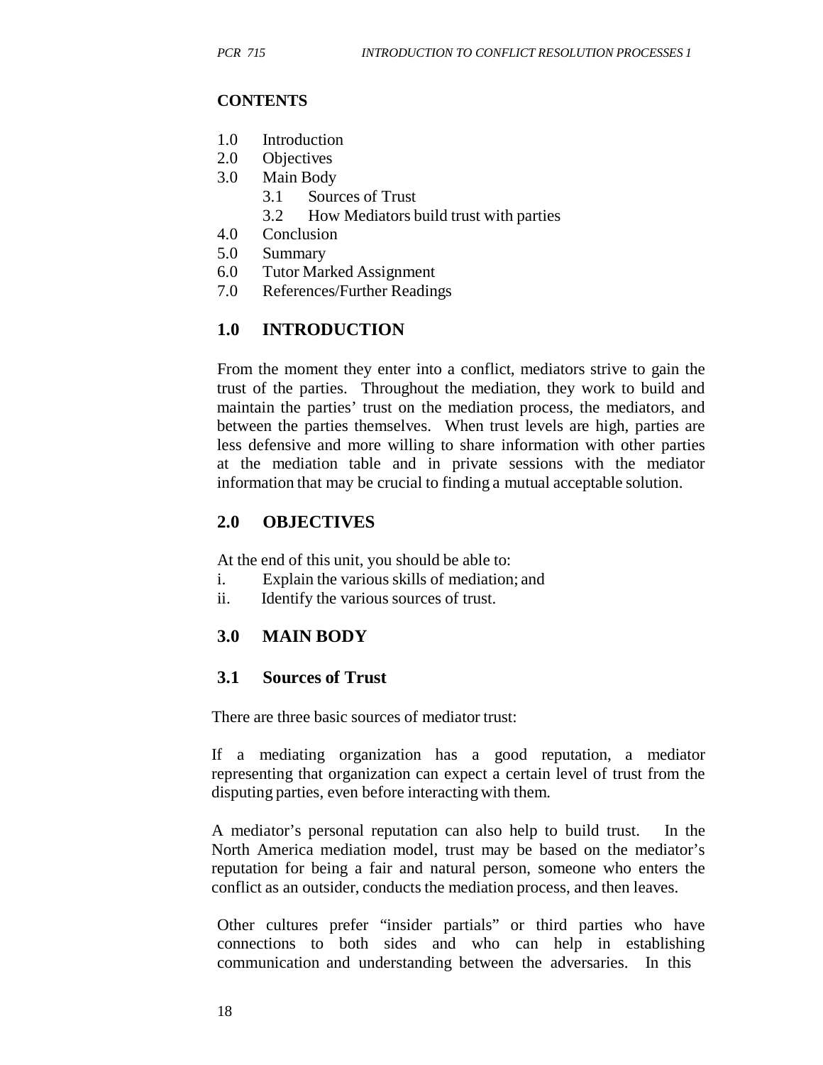#### **CONTENTS**

- 1.0 Introduction
- 2.0 Objectives
- 3.0 Main Body
	- 3.1 Sources of Trust
	- 3.2 How Mediators build trust with parties
- 4.0 Conclusion
- 5.0 Summary
- 6.0 Tutor Marked Assignment
- 7.0 References/Further Readings

## **1.0 INTRODUCTION**

From the moment they enter into a conflict, mediators strive to gain the trust of the parties. Throughout the mediation, they work to build and maintain the parties' trust on the mediation process, the mediators, and between the parties themselves. When trust levels are high, parties are less defensive and more willing to share information with other parties at the mediation table and in private sessions with the mediator information that may be crucial to finding a mutual acceptable solution.

## **2.0 OBJECTIVES**

At the end of this unit, you should be able to:

- i. Explain the various skills of mediation; and
- ii. Identify the various sources of trust.

## **3.0 MAIN BODY**

#### **3.1 Sources of Trust**

There are three basic sources of mediator trust:

If a mediating organization has a good reputation, a mediator representing that organization can expect a certain level of trust from the disputing parties, even before interacting with them.

A mediator's personal reputation can also help to build trust. In the North America mediation model, trust may be based on the mediator's reputation for being a fair and natural person, someone who enters the conflict as an outsider, conducts the mediation process, and then leaves.

Other cultures prefer "insider partials" or third parties who have connections to both sides and who can help in establishing communication and understanding between the adversaries. In this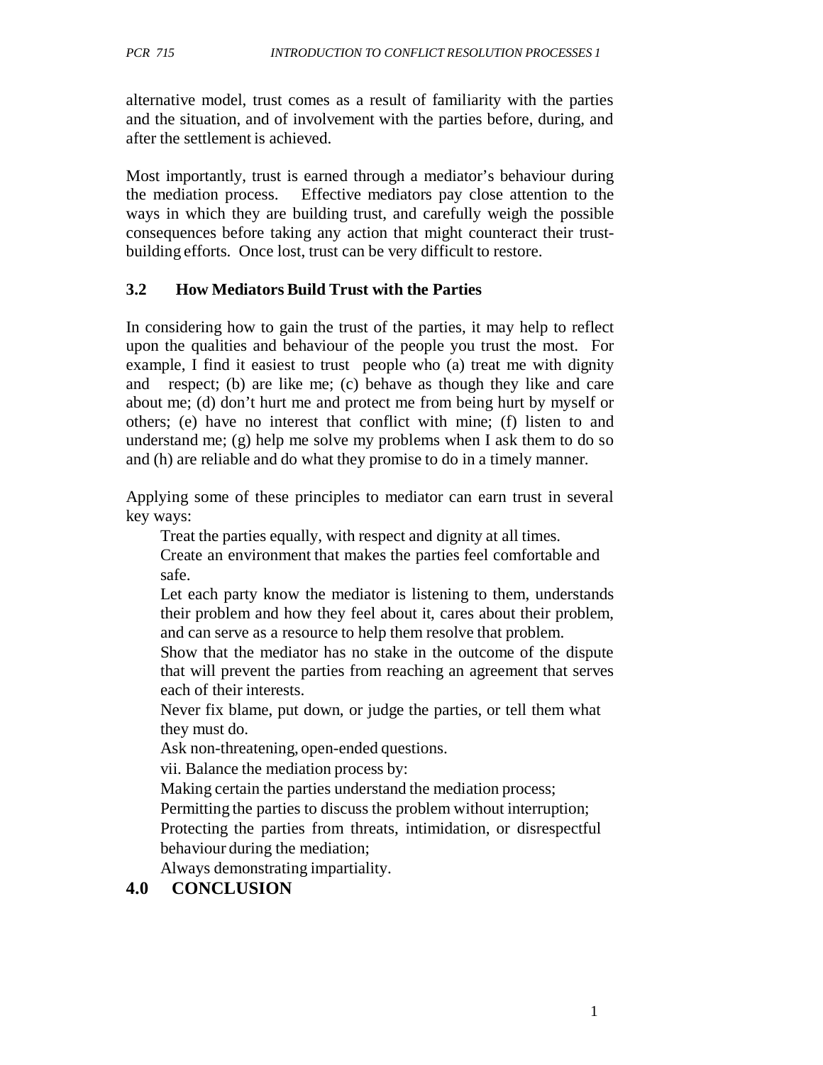alternative model, trust comes as a result of familiarity with the parties and the situation, and of involvement with the parties before, during, and after the settlement is achieved.

Most importantly, trust is earned through a mediator's behaviour during the mediation process. Effective mediators pay close attention to the ways in which they are building trust, and carefully weigh the possible consequences before taking any action that might counteract their trustbuilding efforts. Once lost, trust can be very difficult to restore.

#### **3.2 How Mediators Build Trust with the Parties**

In considering how to gain the trust of the parties, it may help to reflect upon the qualities and behaviour of the people you trust the most. For example, I find it easiest to trust people who (a) treat me with dignity and respect; (b) are like me; (c) behave as though they like and care about me; (d) don't hurt me and protect me from being hurt by myself or others; (e) have no interest that conflict with mine; (f) listen to and understand me;  $(g)$  help me solve my problems when I ask them to do so and (h) are reliable and do what they promise to do in a timely manner.

Applying some of these principles to mediator can earn trust in several key ways:

Treat the parties equally, with respect and dignity at all times.

Create an environment that makes the parties feel comfortable and safe.

Let each party know the mediator is listening to them, understands their problem and how they feel about it, cares about their problem, and can serve as a resource to help them resolve that problem.

Show that the mediator has no stake in the outcome of the dispute that will prevent the parties from reaching an agreement that serves each of their interests.

Never fix blame, put down, or judge the parties, or tell them what they must do.

Ask non-threatening, open-ended questions.

vii. Balance the mediation process by:

Making certain the parties understand the mediation process;

Permitting the parties to discuss the problem without interruption;

Protecting the parties from threats, intimidation, or disrespectful behaviour during the mediation;

Always demonstrating impartiality.

## **4.0 CONCLUSION**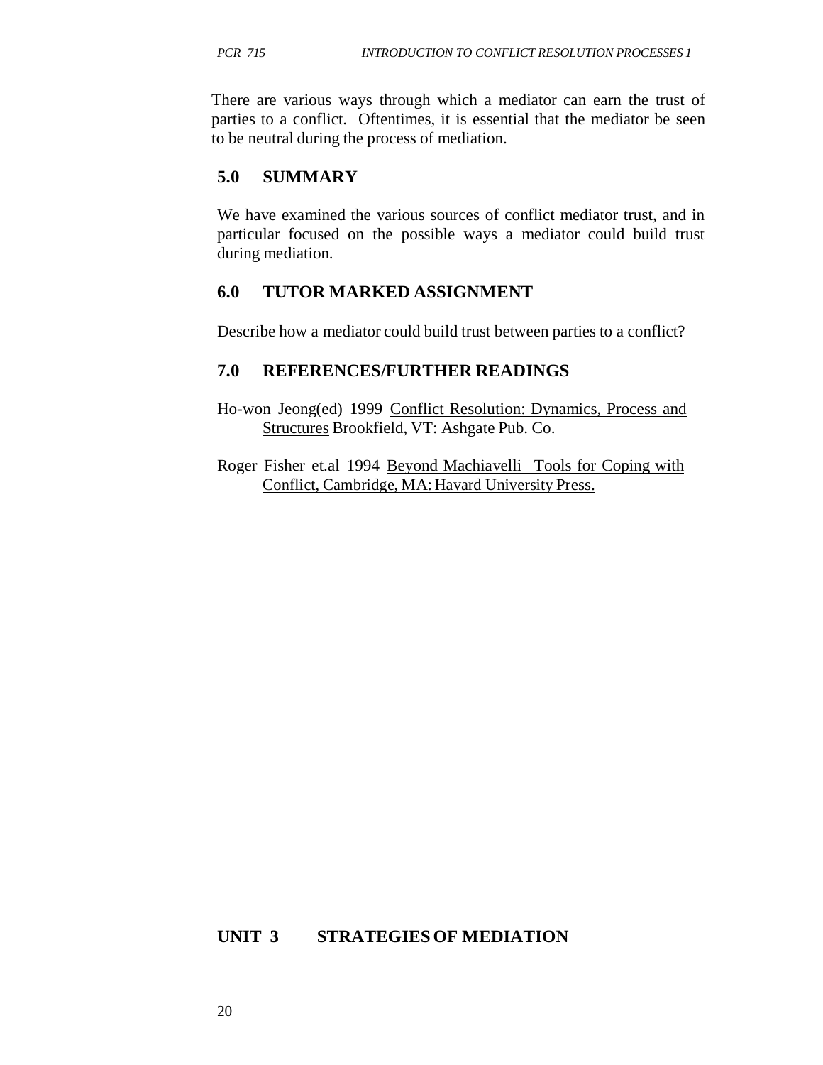There are various ways through which a mediator can earn the trust of parties to a conflict. Oftentimes, it is essential that the mediator be seen to be neutral during the process of mediation.

#### **5.0 SUMMARY**

We have examined the various sources of conflict mediator trust, and in particular focused on the possible ways a mediator could build trust during mediation.

#### **6.0 TUTOR MARKED ASSIGNMENT**

Describe how a mediator could build trust between parties to a conflict?

#### **7.0 REFERENCES/FURTHER READINGS**

Ho-won Jeong(ed) 1999 Conflict Resolution: Dynamics, Process and Structures Brookfield, VT: Ashgate Pub. Co.

Roger Fisher et.al 1994 Beyond Machiavelli Tools for Coping with Conflict, Cambridge, MA: Havard University Press.

#### **UNIT 3 STRATEGIES OF MEDIATION**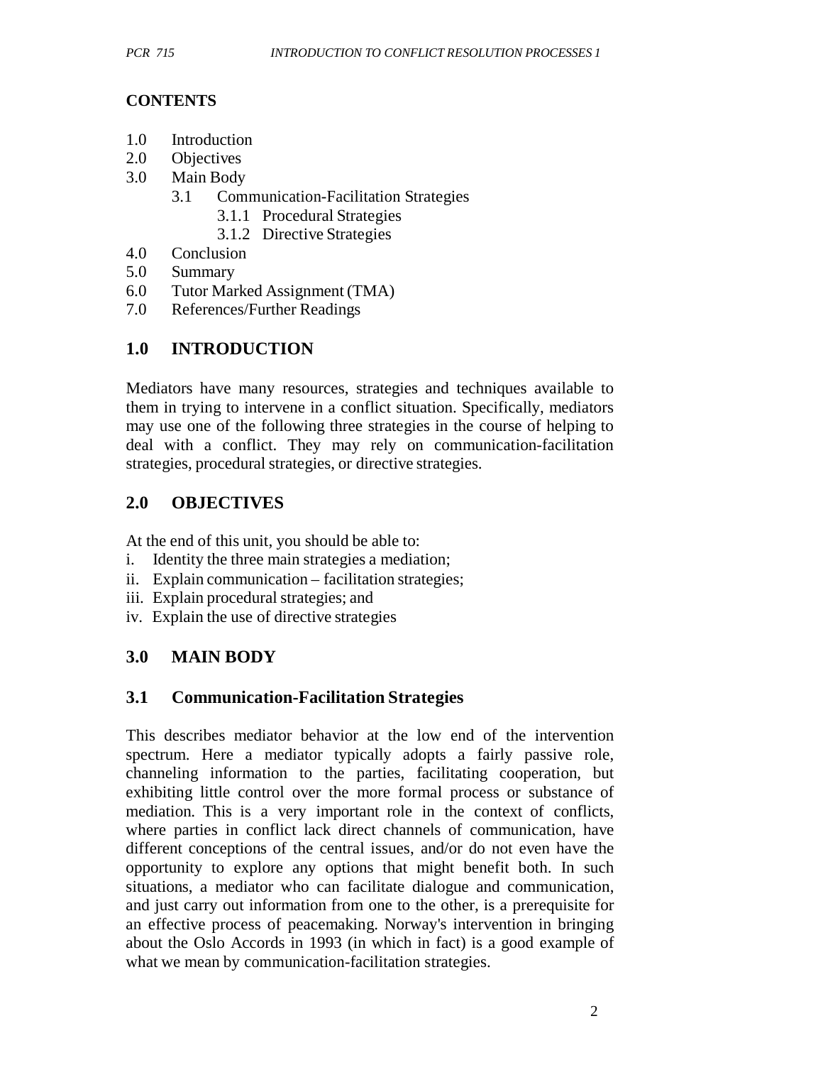## **CONTENTS**

- 1.0 Introduction
- 2.0 Objectives
- 3.0 Main Body
	- 3.1 Communication-Facilitation Strategies
		- 3.1.1 Procedural Strategies
		- 3.1.2 Directive Strategies
- 4.0 Conclusion
- 5.0 Summary
- 6.0 Tutor Marked Assignment (TMA)
- 7.0 References/Further Readings

# **1.0 INTRODUCTION**

Mediators have many resources, strategies and techniques available to them in trying to intervene in a conflict situation. Specifically, mediators may use one of the following three strategies in the course of helping to deal with a conflict. They may rely on communication-facilitation strategies, procedural strategies, or directive strategies.

# **2.0 OBJECTIVES**

At the end of this unit, you should be able to:

- i. Identity the three main strategies a mediation;
- ii. Explain communication facilitation strategies;
- iii. Explain procedural strategies; and
- iv. Explain the use of directive strategies

# **3.0 MAIN BODY**

# **3.1 Communication-Facilitation Strategies**

This describes mediator behavior at the low end of the intervention spectrum. Here a mediator typically adopts a fairly passive role, channeling information to the parties, facilitating cooperation, but exhibiting little control over the more formal process or substance of mediation. This is a very important role in the context of conflicts, where parties in conflict lack direct channels of communication, have different conceptions of the central issues, and/or do not even have the opportunity to explore any options that might benefit both. In such situations, a mediator who can facilitate dialogue and communication, and just carry out information from one to the other, is a prerequisite for an effective process of peacemaking. Norway's intervention in bringing about the Oslo Accords in 1993 (in which in fact) is a good example of what we mean by communication-facilitation strategies.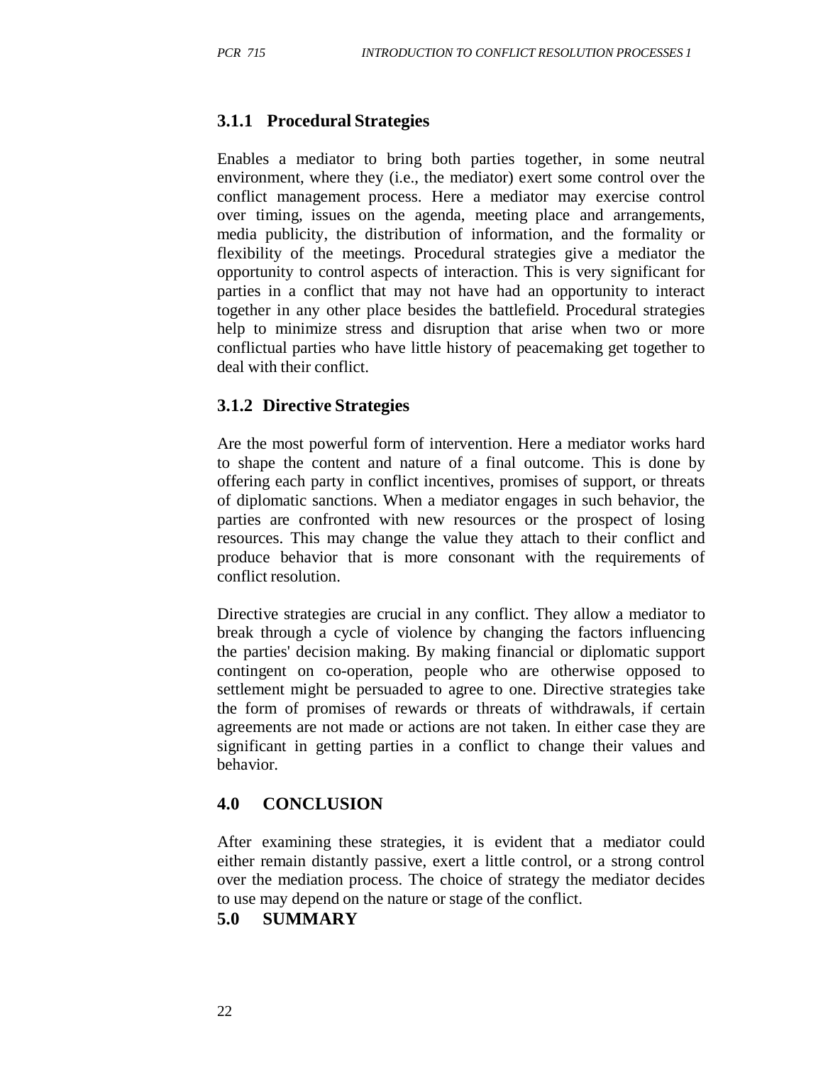## **3.1.1 Procedural Strategies**

Enables a mediator to bring both parties together, in some neutral environment, where they (i.e., the mediator) exert some control over the conflict management process. Here a mediator may exercise control over timing, issues on the agenda, meeting place and arrangements, media publicity, the distribution of information, and the formality or flexibility of the meetings. Procedural strategies give a mediator the opportunity to control aspects of interaction. This is very significant for parties in a conflict that may not have had an opportunity to interact together in any other place besides the battlefield. Procedural strategies help to minimize stress and disruption that arise when two or more conflictual parties who have little history of peacemaking get together to deal with their conflict.

## **3.1.2 Directive Strategies**

Are the most powerful form of intervention. Here a mediator works hard to shape the content and nature of a final outcome. This is done by offering each party in conflict incentives, promises of support, or threats of diplomatic sanctions. When a mediator engages in such behavior, the parties are confronted with new resources or the prospect of losing resources. This may change the value they attach to their conflict and produce behavior that is more consonant with the requirements of conflict resolution.

Directive strategies are crucial in any conflict. They allow a mediator to break through a cycle of violence by changing the factors influencing the parties' decision making. By making financial or diplomatic support contingent on co-operation, people who are otherwise opposed to settlement might be persuaded to agree to one. Directive strategies take the form of promises of rewards or threats of withdrawals, if certain agreements are not made or actions are not taken. In either case they are significant in getting parties in a conflict to change their values and behavior.

## **4.0 CONCLUSION**

After examining these strategies, it is evident that a mediator could either remain distantly passive, exert a little control, or a strong control over the mediation process. The choice of strategy the mediator decides to use may depend on the nature or stage of the conflict.

## **5.0 SUMMARY**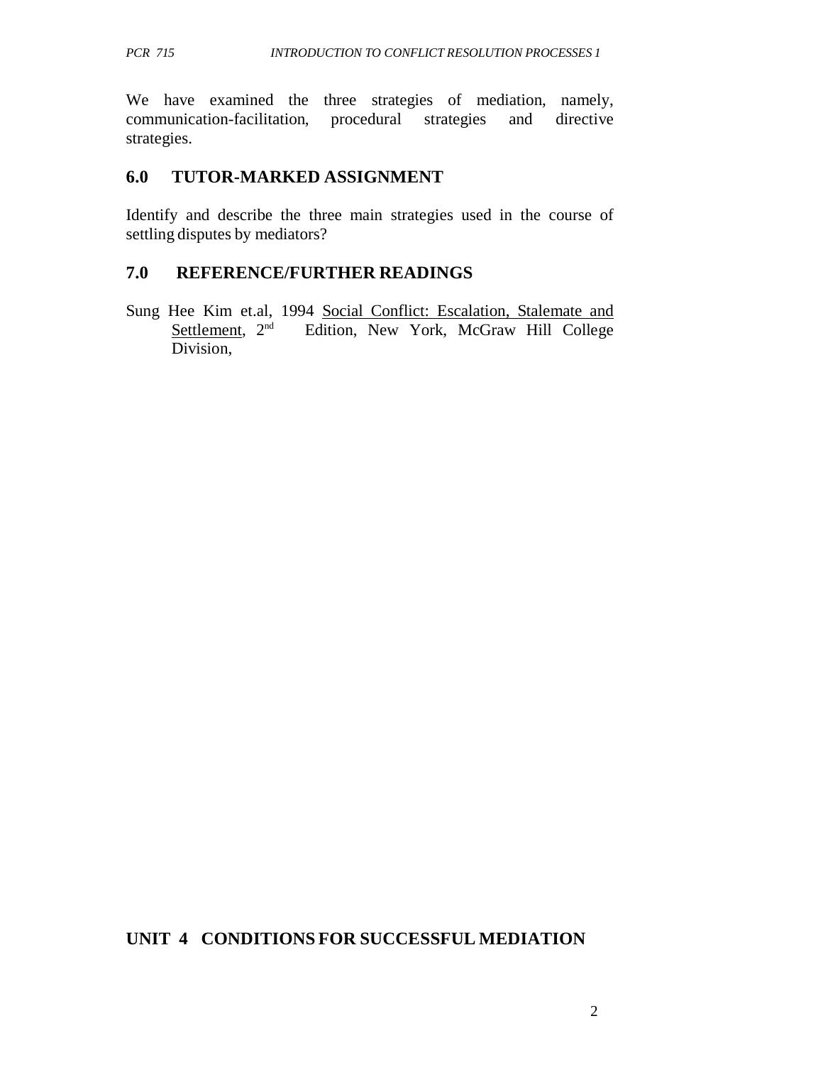We have examined the three strategies of mediation, namely, communication-facilitation, procedural strategies and directive strategies.

### **6.0 TUTOR-MARKED ASSIGNMENT**

Identify and describe the three main strategies used in the course of settling disputes by mediators?

## **7.0 REFERENCE/FURTHER READINGS**

Sung Hee Kim et.al, 1994 Social Conflict: Escalation, Stalemate and Settlement, 2<sup>nd</sup> Edition, New York, McGraw Hill College Division,

# **UNIT 4 CONDITIONS FOR SUCCESSFUL MEDIATION**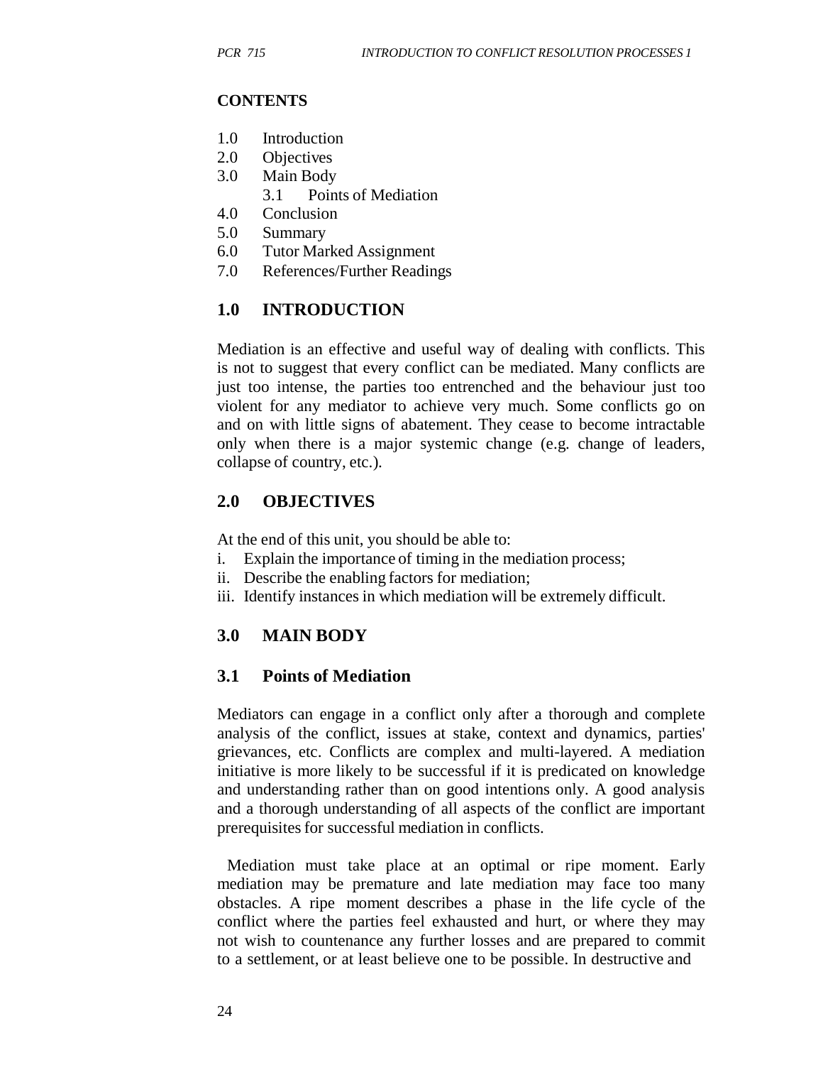#### **CONTENTS**

- 1.0 Introduction
- 2.0 Objectives
- 3.0 Main Body
	- 3.1 Points of Mediation
- 4.0 Conclusion
- 5.0 Summary
- 6.0 Tutor Marked Assignment
- 7.0 References/Further Readings

# **1.0 INTRODUCTION**

Mediation is an effective and useful way of dealing with conflicts. This is not to suggest that every conflict can be mediated. Many conflicts are just too intense, the parties too entrenched and the behaviour just too violent for any mediator to achieve very much. Some conflicts go on and on with little signs of abatement. They cease to become intractable only when there is a major systemic change (e.g. change of leaders, collapse of country, etc.).

# **2.0 OBJECTIVES**

At the end of this unit, you should be able to:

- i. Explain the importance of timing in the mediation process;
- ii. Describe the enabling factors for mediation;
- iii. Identify instances in which mediation will be extremely difficult.

# **3.0 MAIN BODY**

## **3.1 Points of Mediation**

Mediators can engage in a conflict only after a thorough and complete analysis of the conflict, issues at stake, context and dynamics, parties' grievances, etc. Conflicts are complex and multi-layered. A mediation initiative is more likely to be successful if it is predicated on knowledge and understanding rather than on good intentions only. A good analysis and a thorough understanding of all aspects of the conflict are important prerequisites for successful mediation in conflicts.

Mediation must take place at an optimal or ripe moment. Early mediation may be premature and late mediation may face too many obstacles. A ripe moment describes a phase in the life cycle of the conflict where the parties feel exhausted and hurt, or where they may not wish to countenance any further losses and are prepared to commit to a settlement, or at least believe one to be possible. In destructive and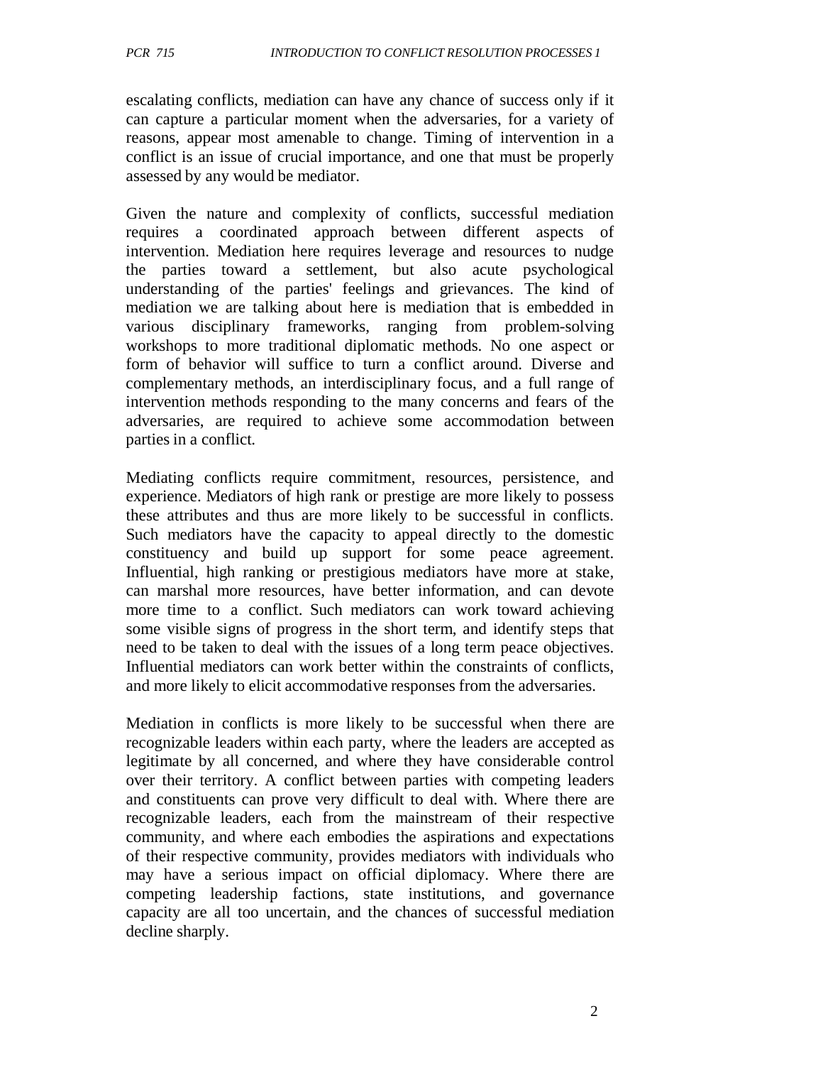escalating conflicts, mediation can have any chance of success only if it can capture a particular moment when the adversaries, for a variety of reasons, appear most amenable to change. Timing of intervention in a conflict is an issue of crucial importance, and one that must be properly assessed by any would be mediator.

Given the nature and complexity of conflicts, successful mediation requires a coordinated approach between different aspects of intervention. Mediation here requires leverage and resources to nudge the parties toward a settlement, but also acute psychological understanding of the parties' feelings and grievances. The kind of mediation we are talking about here is mediation that is embedded in various disciplinary frameworks, ranging from problem-solving workshops to more traditional diplomatic methods. No one aspect or form of behavior will suffice to turn a conflict around. Diverse and complementary methods, an interdisciplinary focus, and a full range of intervention methods responding to the many concerns and fears of the adversaries, are required to achieve some accommodation between parties in a conflict.

Mediating conflicts require commitment, resources, persistence, and experience. Mediators of high rank or prestige are more likely to possess these attributes and thus are more likely to be successful in conflicts. Such mediators have the capacity to appeal directly to the domestic constituency and build up support for some peace agreement. Influential, high ranking or prestigious mediators have more at stake, can marshal more resources, have better information, and can devote more time to a conflict. Such mediators can work toward achieving some visible signs of progress in the short term, and identify steps that need to be taken to deal with the issues of a long term peace objectives. Influential mediators can work better within the constraints of conflicts, and more likely to elicit accommodative responses from the adversaries.

Mediation in conflicts is more likely to be successful when there are recognizable leaders within each party, where the leaders are accepted as legitimate by all concerned, and where they have considerable control over their territory. A conflict between parties with competing leaders and constituents can prove very difficult to deal with. Where there are recognizable leaders, each from the mainstream of their respective community, and where each embodies the aspirations and expectations of their respective community, provides mediators with individuals who may have a serious impact on official diplomacy. Where there are competing leadership factions, state institutions, and governance capacity are all too uncertain, and the chances of successful mediation decline sharply.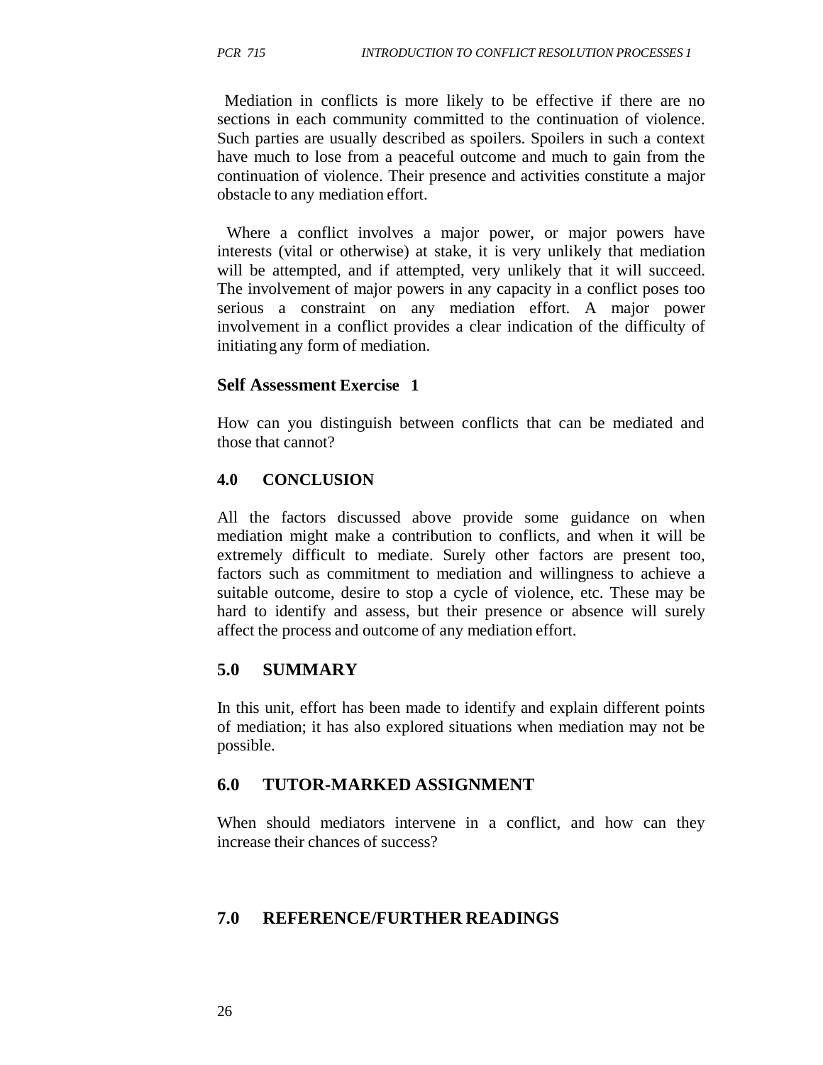Mediation in conflicts is more likely to be effective if there are no sections in each community committed to the continuation of violence. Such parties are usually described as spoilers. Spoilers in such a context have much to lose from a peaceful outcome and much to gain from the continuation of violence. Their presence and activities constitute a major obstacle to any mediation effort.

Where a conflict involves a major power, or major powers have interests (vital or otherwise) at stake, it is very unlikely that mediation will be attempted, and if attempted, very unlikely that it will succeed. The involvement of major powers in any capacity in a conflict poses too serious a constraint on any mediation effort. A major power involvement in a conflict provides a clear indication of the difficulty of initiating any form of mediation.

#### **Self Assessment Exercise 1**

How can you distinguish between conflicts that can be mediated and those that cannot?

#### **4.0 CONCLUSION**

All the factors discussed above provide some guidance on when mediation might make a contribution to conflicts, and when it will be extremely difficult to mediate. Surely other factors are present too, factors such as commitment to mediation and willingness to achieve a suitable outcome, desire to stop a cycle of violence, etc. These may be hard to identify and assess, but their presence or absence will surely affect the process and outcome of any mediation effort.

#### **5.0 SUMMARY**

In this unit, effort has been made to identify and explain different points of mediation; it has also explored situations when mediation may not be possible.

## **6.0 TUTOR-MARKED ASSIGNMENT**

When should mediators intervene in a conflict, and how can they increase their chances of success?

#### **7.0 REFERENCE/FURTHER READINGS**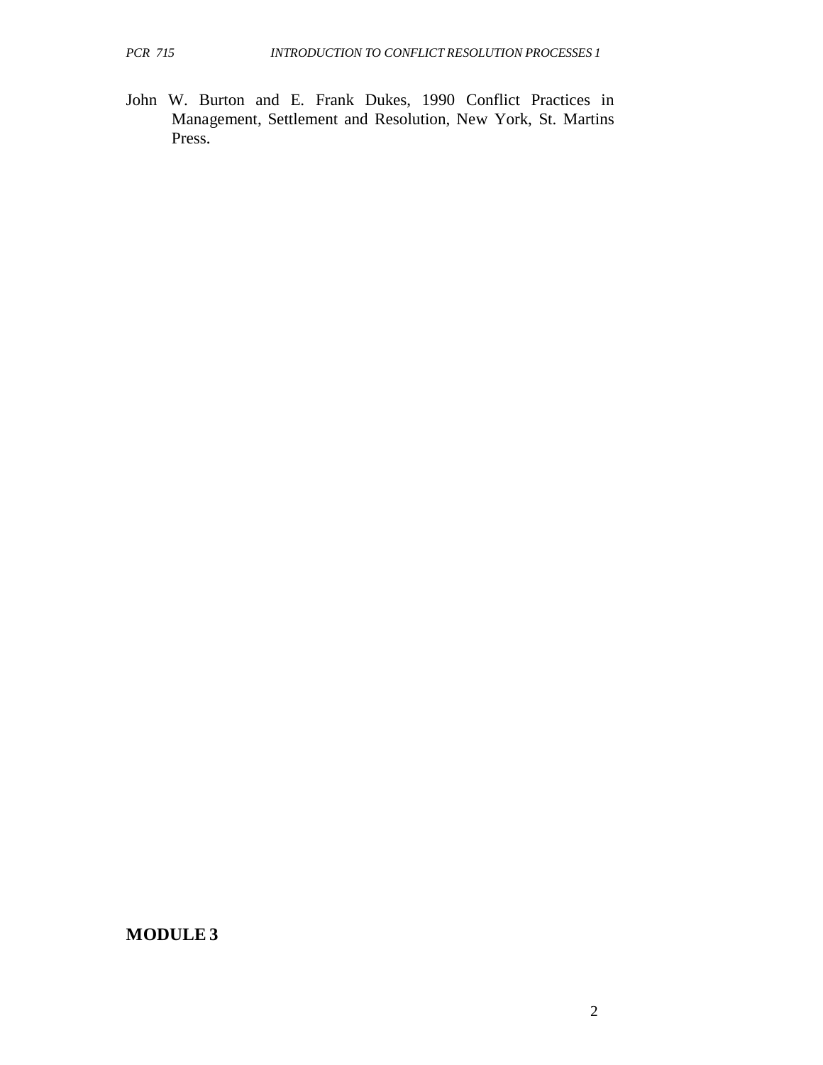John W. Burton and E. Frank Dukes, 1990 Conflict Practices in Management, Settlement and Resolution, New York, St. Martins Press.

# **MODULE 3**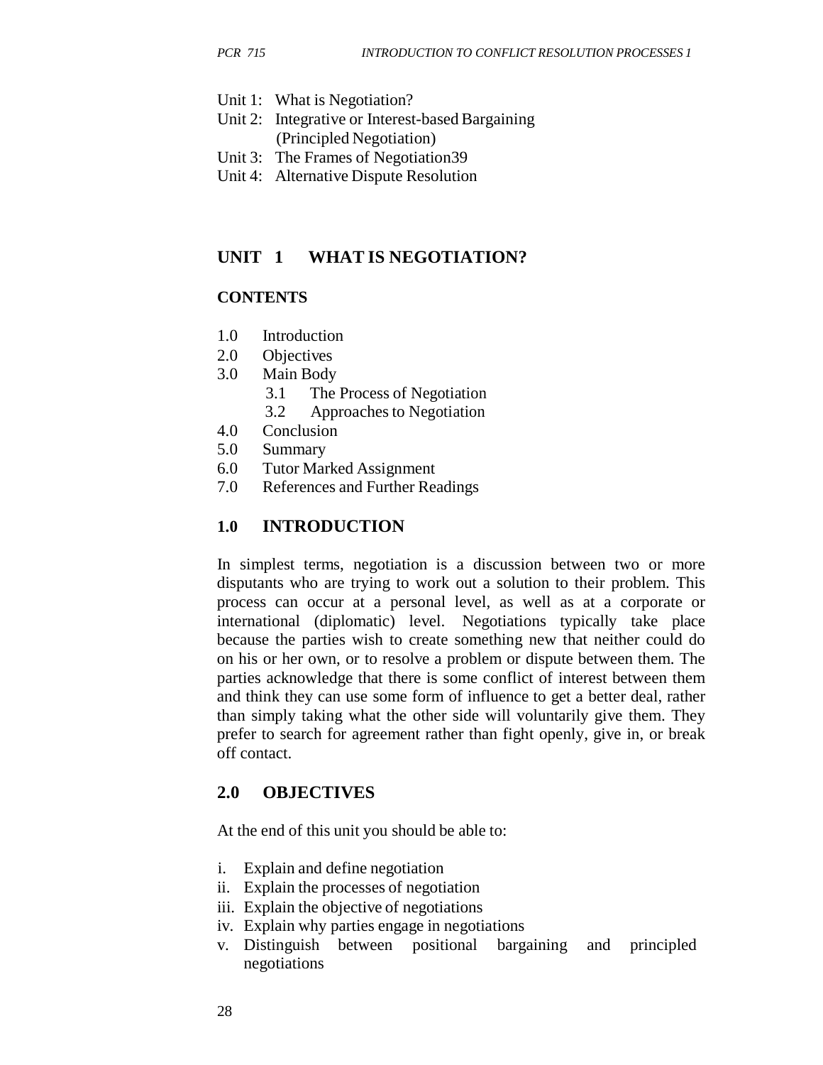- Unit 1: What is Negotiation?
- Unit 2: Integrative or Interest-based Bargaining (Principled Negotiation)
- Unit 3: The Frames of Negotiation39
- Unit 4: Alternative Dispute Resolution

#### **UNIT 1 WHAT IS NEGOTIATION?**

#### **CONTENTS**

- 1.0 Introduction
- 2.0 Objectives
- 3.0 Main Body
	- 3.1 The Process of Negotiation
	- 3.2 Approaches to Negotiation
- 4.0 Conclusion
- 5.0 Summary
- 6.0 Tutor Marked Assignment
- 7.0 References and Further Readings

#### **1.0 INTRODUCTION**

In simplest terms, negotiation is a discussion between two or more disputants who are trying to work out a solution to their problem. This process can occur at a personal level, as well as at a corporate or international (diplomatic) level. Negotiations typically take place because the parties wish to create something new that neither could do on his or her own, or to resolve a problem or dispute between them. The parties acknowledge that there is some conflict of interest between them and think they can use some form of influence to get a better deal, rather than simply taking what the other side will voluntarily give them. They prefer to search for agreement rather than fight openly, give in, or break off contact.

#### **2.0 OBJECTIVES**

At the end of this unit you should be able to:

- i. Explain and define negotiation
- ii. Explain the processes of negotiation
- iii. Explain the objective of negotiations
- iv. Explain why parties engage in negotiations
- v. Distinguish between positional bargaining and principled negotiations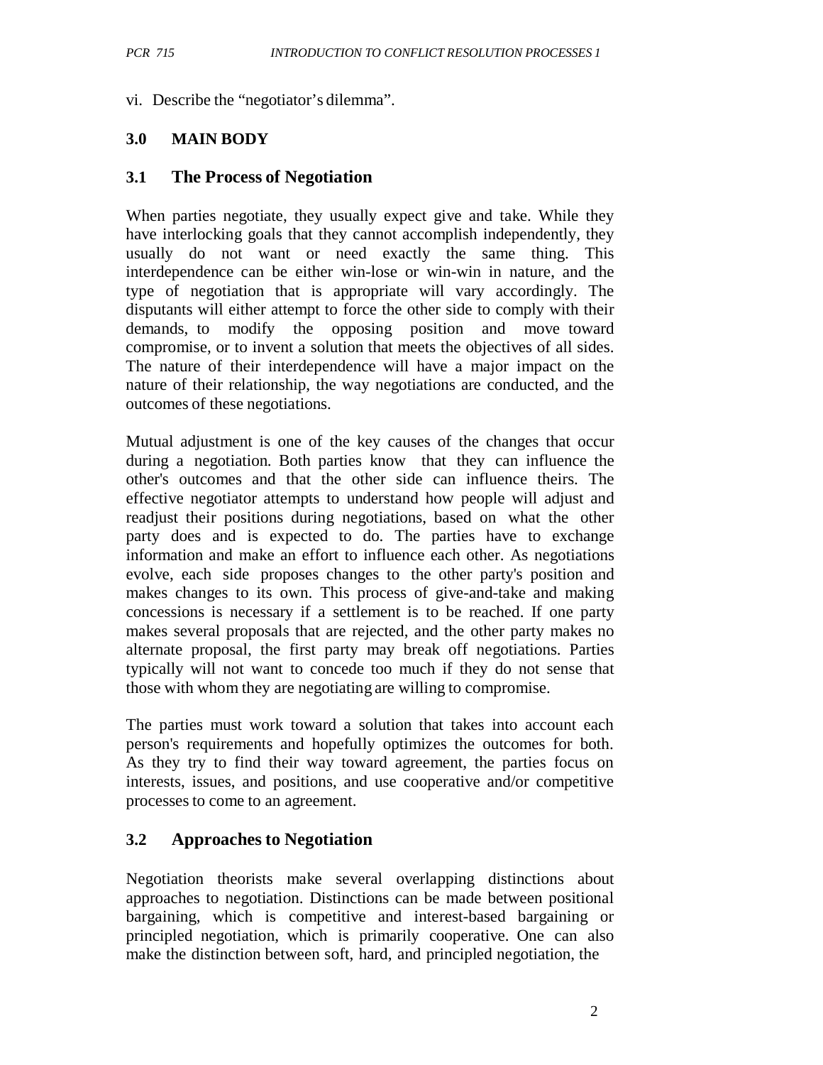vi. Describe the "negotiator's dilemma".

#### **3.0 MAIN BODY**

#### **3.1 The Process of Negotiation**

When parties negotiate, they usually expect give and take. While they have interlocking goals that they cannot accomplish independently, they usually do not want or need exactly the same thing. This interdependence can be either win-lose or win-win in nature, and the type of negotiation that is appropriate will vary accordingly. The disputants will either attempt to force the other side to comply with their demands, to modify the opposing position and move toward compromise, or to invent a solution that meets the objectives of all sides. The nature of their interdependence will have a major impact on the nature of their relationship, the way negotiations are conducted, and the outcomes of these negotiations.

Mutual adjustment is one of the key causes of the changes that occur during a negotiation. Both parties know that they can influence the other's outcomes and that the other side can influence theirs. The effective negotiator attempts to understand how people will adjust and readjust their positions during negotiations, based on what the other party does and is expected to do. The parties have to exchange information and make an effort to influence each other. As negotiations evolve, each side proposes changes to the other party's position and makes changes to its own. This process of give-and-take and making concessions is necessary if a settlement is to be reached. If one party makes several proposals that are rejected, and the other party makes no alternate proposal, the first party may break off negotiations. Parties typically will not want to concede too much if they do not sense that those with whom they are negotiating are willing to compromise.

The parties must work toward a solution that takes into account each person's requirements and hopefully optimizes the outcomes for both. As they try to find their way toward agreement, the parties focus on interests, issues, and positions, and use cooperative and/or competitive processes to come to an agreement.

## **3.2 Approaches to Negotiation**

Negotiation theorists make several overlapping distinctions about approaches to negotiation. Distinctions can be made between positional bargaining, which is competitive and interest-based bargaining or principled negotiation, which is primarily cooperative. One can also make the distinction between soft, hard, and principled negotiation, the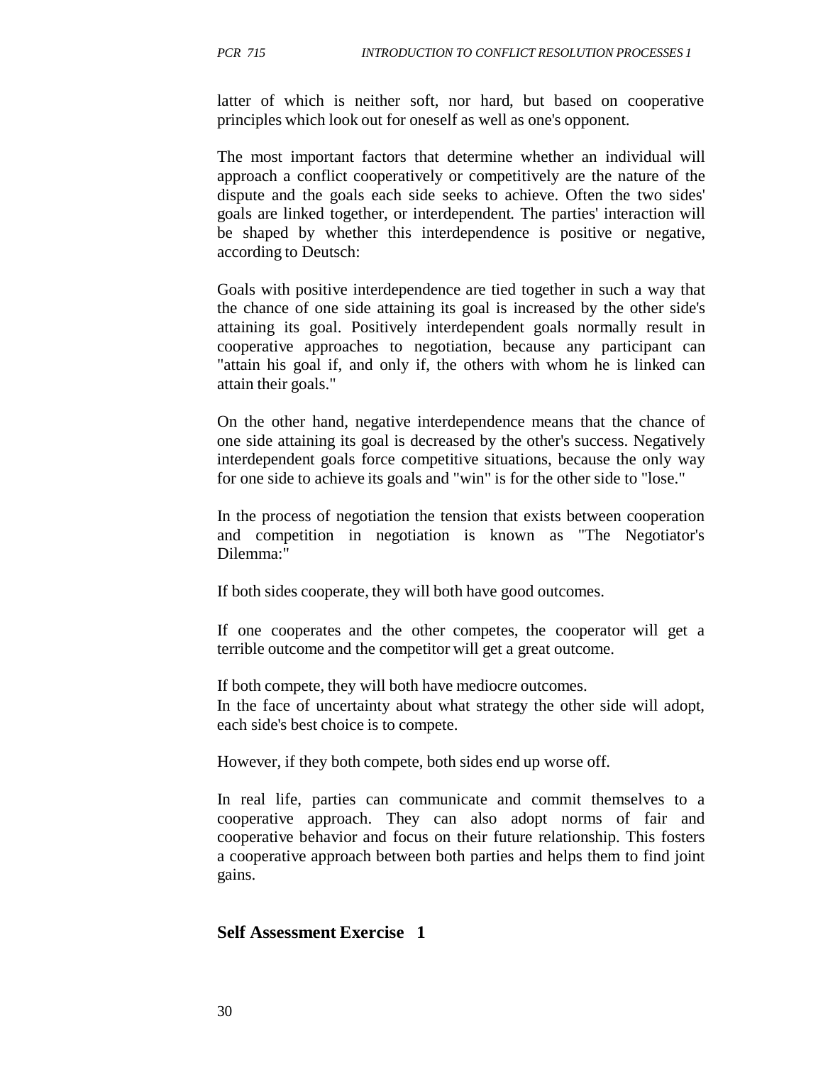latter of which is neither soft, nor hard, but based on cooperative principles which look out for oneself as well as one's opponent.

The most important factors that determine whether an individual will approach a conflict cooperatively or competitively are the nature of the dispute and the goals each side seeks to achieve. Often the two sides' goals are linked together, or interdependent*.* The parties' interaction will be shaped by whether this interdependence is positive or negative, according to Deutsch:

Goals with positive interdependence are tied together in such a way that the chance of one side attaining its goal is increased by the other side's attaining its goal. Positively interdependent goals normally result in cooperative approaches to negotiation, because any participant can "attain his goal if, and only if, the others with whom he is linked can attain their goals."

On the other hand, negative interdependence means that the chance of one side attaining its goal is decreased by the other's success. Negatively interdependent goals force competitive situations, because the only way for one side to achieve its goals and "win" is for the other side to "lose."

In the process of negotiation the tension that exists between cooperation and competition in negotiation is known as "The Negotiator's Dilemma:"

If both sides cooperate, they will both have good outcomes.

If one cooperates and the other competes, the cooperator will get a terrible outcome and the competitor will get a great outcome.

If both compete, they will both have mediocre outcomes.

In the face of uncertainty about what strategy the other side will adopt, each side's best choice is to compete.

However, if they both compete, both sides end up worse off.

In real life, parties can communicate and commit themselves to a cooperative approach. They can also adopt norms of fair and cooperative behavior and focus on their future relationship. This fosters a cooperative approach between both parties and helps them to find joint gains.

#### **Self Assessment Exercise 1**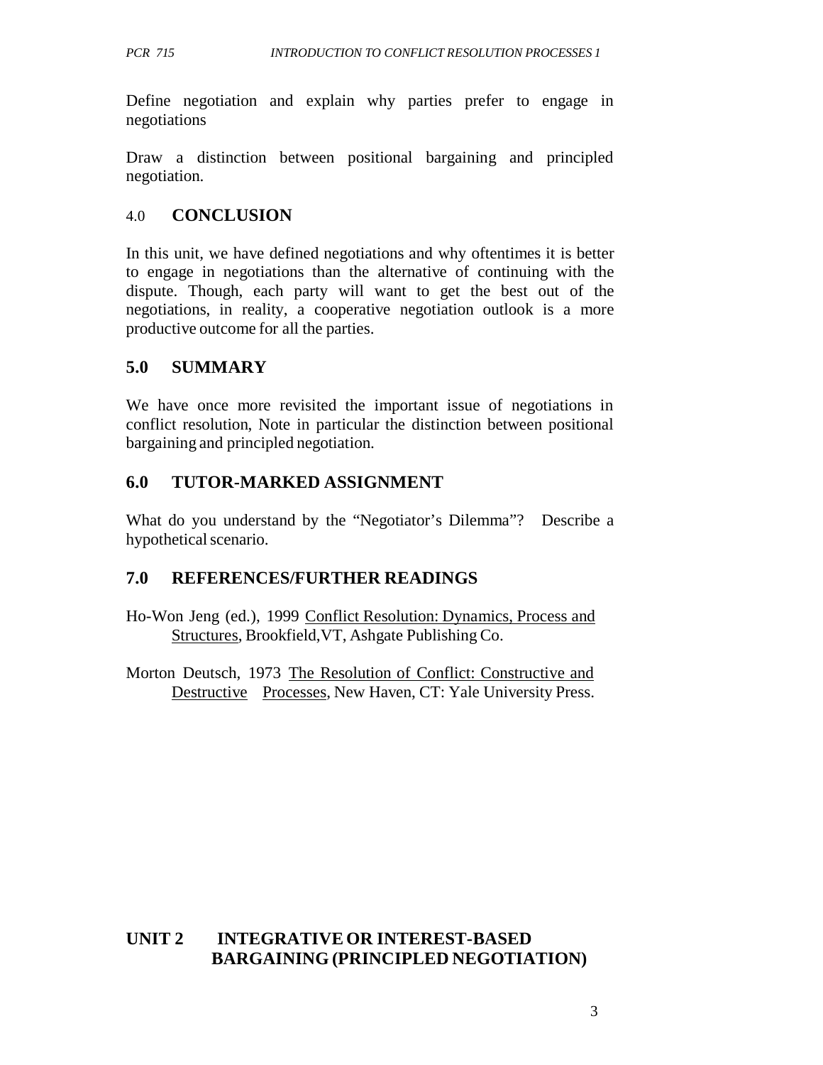Define negotiation and explain why parties prefer to engage in negotiations

Draw a distinction between positional bargaining and principled negotiation.

### 4.0 **CONCLUSION**

In this unit, we have defined negotiations and why oftentimes it is better to engage in negotiations than the alternative of continuing with the dispute. Though, each party will want to get the best out of the negotiations, in reality, a cooperative negotiation outlook is a more productive outcome for all the parties.

## **5.0 SUMMARY**

We have once more revisited the important issue of negotiations in conflict resolution, Note in particular the distinction between positional bargaining and principled negotiation.

## **6.0 TUTOR-MARKED ASSIGNMENT**

What do you understand by the "Negotiator's Dilemma"? Describe a hypothetical scenario.

## **7.0 REFERENCES/FURTHER READINGS**

Ho-Won Jeng (ed.), 1999 Conflict Resolution: Dynamics, Process and Structures, Brookfield,VT, Ashgate Publishing Co.

Morton Deutsch, 1973 The Resolution of Conflict: Constructive and Destructive Processes, New Haven, CT: Yale University Press.

## **UNIT 2 INTEGRATIVE OR INTEREST-BASED BARGAINING (PRINCIPLED NEGOTIATION)**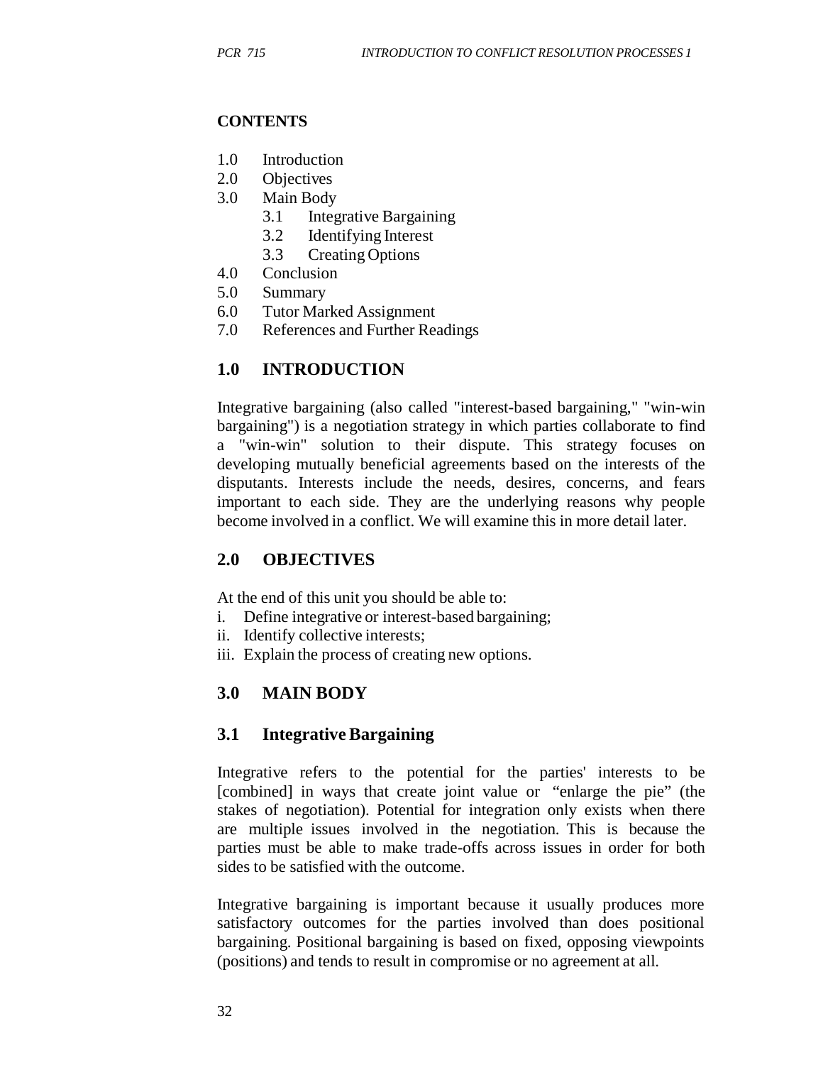#### **CONTENTS**

- 1.0 Introduction
- 2.0 Objectives
- 3.0 Main Body
	- 3.1 Integrative Bargaining
	- 3.2 Identifying Interest
	- 3.3 Creating Options
- 4.0 Conclusion
- 5.0 Summary
- 6.0 Tutor Marked Assignment
- 7.0 References and Further Readings

## **1.0 INTRODUCTION**

Integrative bargaining (also called "interest-based bargaining," "win-win bargaining") is a negotiation strategy in which parties collaborate to find a "win-win" solution to their dispute. This strategy focuses on developing mutually beneficial agreements based on the interests of the disputants. Interests include the needs, desires, concerns, and fears important to each side. They are the underlying reasons why people become involved in a conflict. We will examine this in more detail later.

## **2.0 OBJECTIVES**

At the end of this unit you should be able to:

- i. Define integrative or interest-based bargaining;
- ii. Identify collective interests;
- iii. Explain the process of creating new options.

## **3.0 MAIN BODY**

## **3.1 Integrative Bargaining**

Integrative refers to the potential for the parties' interests to be [combined] in ways that create joint value or "enlarge the pie" (the stakes of negotiation). Potential for integration only exists when there are multiple issues involved in the negotiation. This is because the parties must be able to make trade-offs across issues in order for both sides to be satisfied with the outcome.

Integrative bargaining is important because it usually produces more satisfactory outcomes for the parties involved than does positional bargaining. Positional bargaining is based on fixed, opposing viewpoints (positions) and tends to result in compromise or no agreement at all.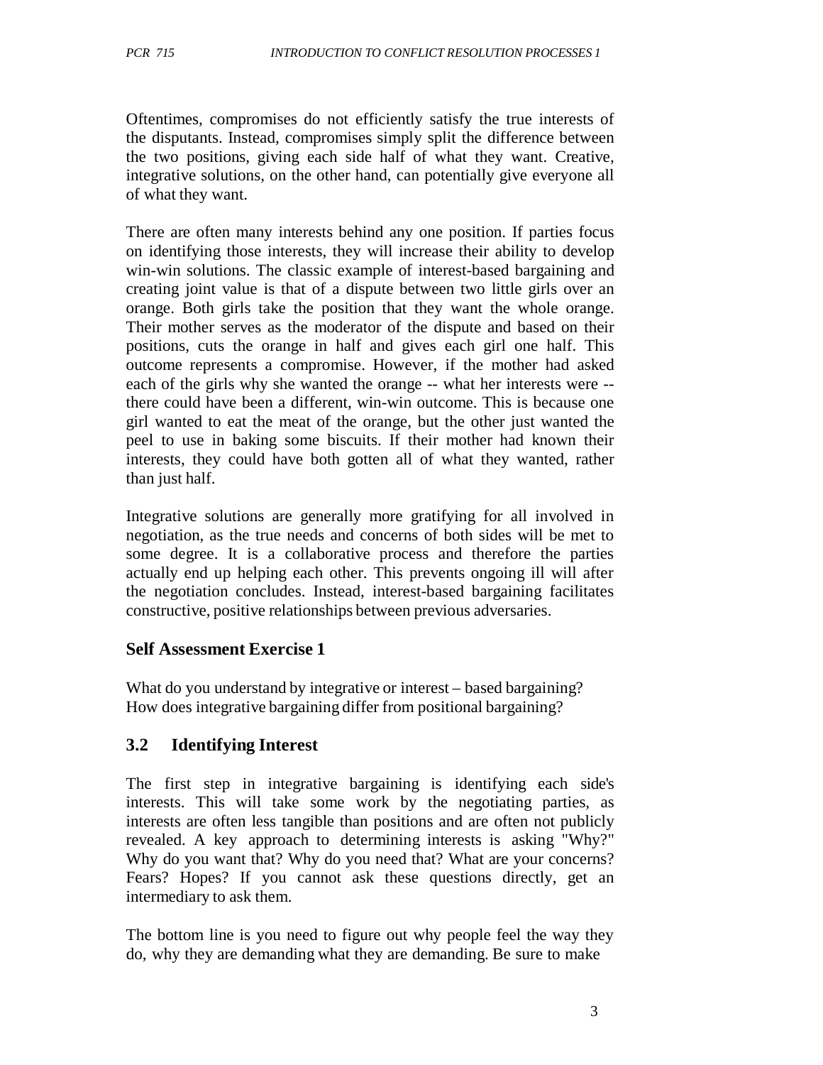Oftentimes, compromises do not efficiently satisfy the true interests of the disputants. Instead, compromises simply split the difference between the two positions, giving each side half of what they want. Creative, integrative solutions, on the other hand, can potentially give everyone all of what they want.

There are often many interests behind any one position. If parties focus on identifying those interests, they will increase their ability to develop win-win solutions. The classic example of interest-based bargaining and creating joint value is that of a dispute between two little girls over an orange. Both girls take the position that they want the whole orange. Their mother serves as the moderator of the dispute and based on their positions, cuts the orange in half and gives each girl one half. This outcome represents a compromise. However, if the mother had asked each of the girls why she wanted the orange -- what her interests were - there could have been a different, win-win outcome. This is because one girl wanted to eat the meat of the orange, but the other just wanted the peel to use in baking some biscuits. If their mother had known their interests, they could have both gotten all of what they wanted, rather than just half.

Integrative solutions are generally more gratifying for all involved in negotiation, as the true needs and concerns of both sides will be met to some degree. It is a collaborative process and therefore the parties actually end up helping each other. This prevents ongoing ill will after the negotiation concludes. Instead, interest-based bargaining facilitates constructive, positive relationships between previous adversaries.

## **Self Assessment Exercise 1**

What do you understand by integrative or interest – based bargaining? How does integrative bargaining differ from positional bargaining?

# **3.2 Identifying Interest**

The first step in integrative bargaining is identifying each side's interests. This will take some work by the negotiating parties, as interests are often less tangible than positions and are often not publicly revealed. A key approach to determining interests is asking "Why?" Why do you want that? Why do you need that? What are your concerns? Fears? Hopes? If you cannot ask these questions directly, get an intermediary to ask them.

The bottom line is you need to figure out why people feel the way they do, why they are demanding what they are demanding. Be sure to make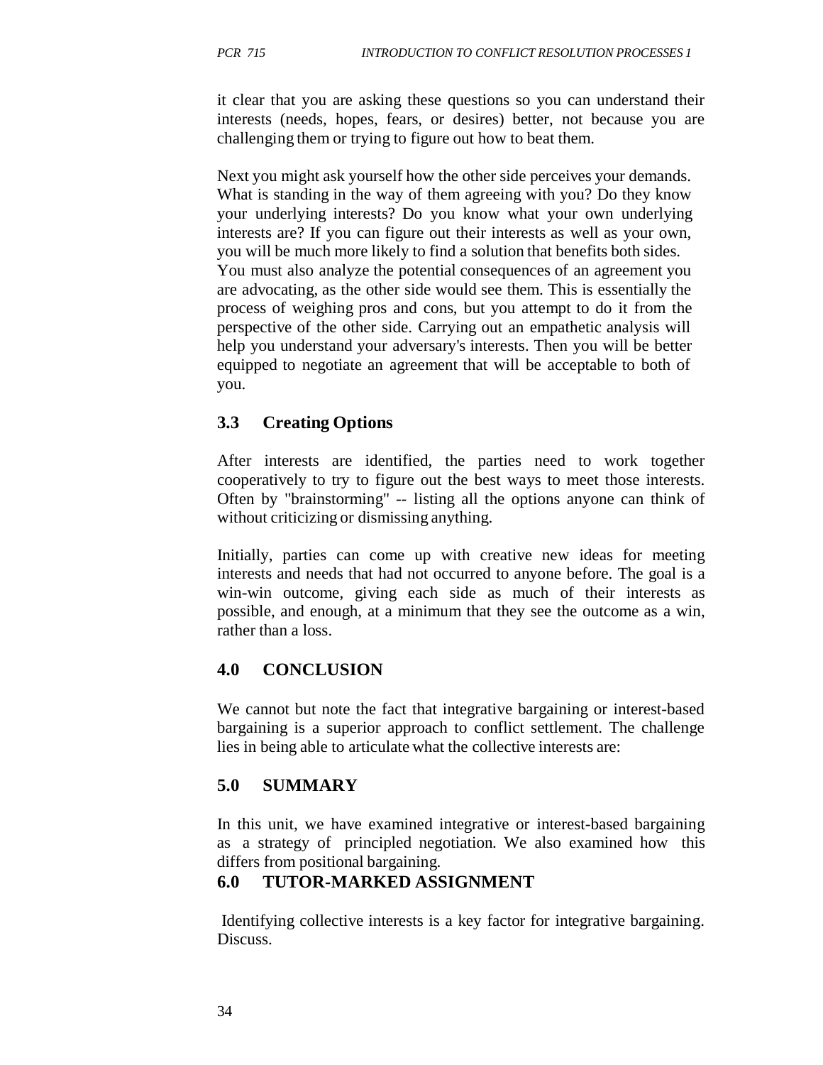it clear that you are asking these questions so you can understand their interests (needs, hopes, fears, or desires) better, not because you are challenging them or trying to figure out how to beat them.

Next you might ask yourself how the other side perceives your demands. What is standing in the way of them agreeing with you? Do they know your underlying interests? Do you know what your own underlying interests are? If you can figure out their interests as well as your own, you will be much more likely to find a solution that benefits both sides. You must also analyze the potential consequences of an agreement you are advocating, as the other side would see them. This is essentially the process of weighing pros and cons, but you attempt to do it from the perspective of the other side. Carrying out an empathetic analysis will help you understand your adversary's interests. Then you will be better equipped to negotiate an agreement that will be acceptable to both of you.

### **3.3 Creating Options**

After interests are identified, the parties need to work together cooperatively to try to figure out the best ways to meet those interests. Often by "brainstorming" -- listing all the options anyone can think of without criticizing or dismissing anything.

Initially, parties can come up with creative new ideas for meeting interests and needs that had not occurred to anyone before. The goal is a win-win outcome, giving each side as much of their interests as possible, and enough, at a minimum that they see the outcome as a win, rather than a loss.

#### **4.0 CONCLUSION**

We cannot but note the fact that integrative bargaining or interest-based bargaining is a superior approach to conflict settlement. The challenge lies in being able to articulate what the collective interests are:

## **5.0 SUMMARY**

In this unit, we have examined integrative or interest-based bargaining as a strategy of principled negotiation. We also examined how this differs from positional bargaining.

## **6.0 TUTOR-MARKED ASSIGNMENT**

Identifying collective interests is a key factor for integrative bargaining. Discuss.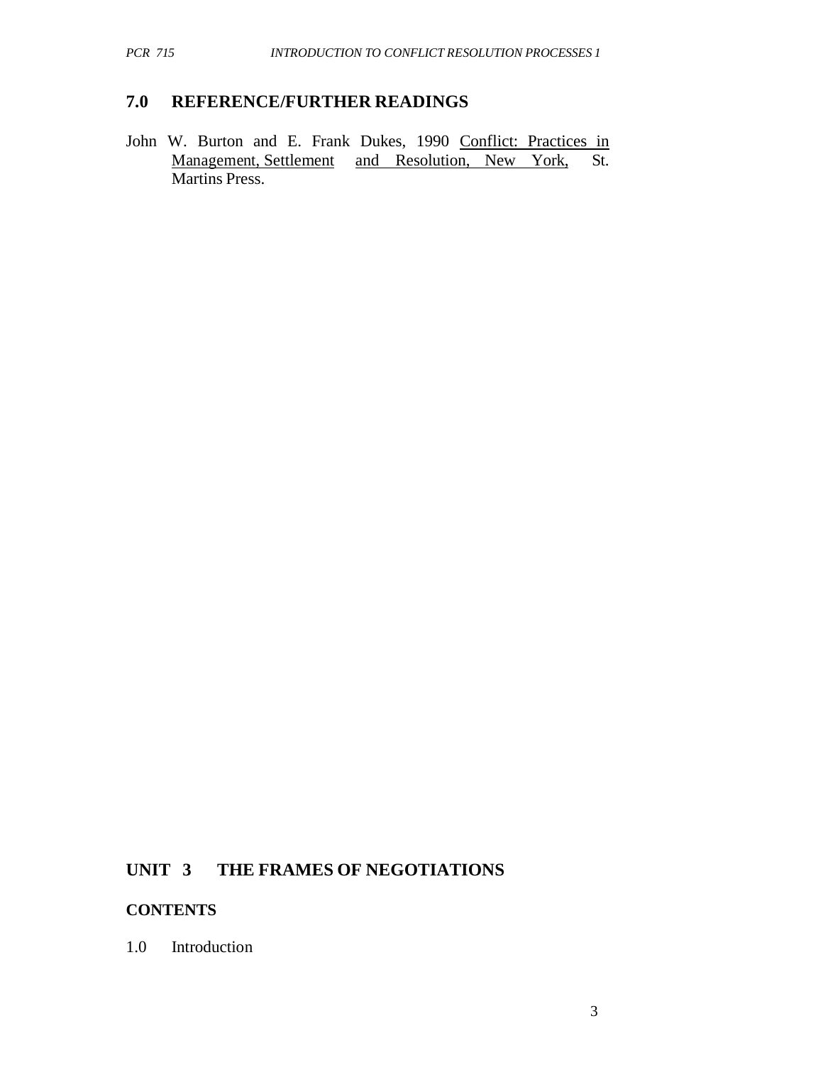#### *PCR 715 INTRODUCTION TO CONFLICT RESOLUTION PROCESSES 1*

#### **7.0 REFERENCE/FURTHER READINGS**

John W. Burton and E. Frank Dukes, 1990 Conflict: Practices in Management, Settlement and Resolution, New York, St. Martins Press.

## **UNIT 3 THE FRAMES OF NEGOTIATIONS**

#### **CONTENTS**

1.0 Introduction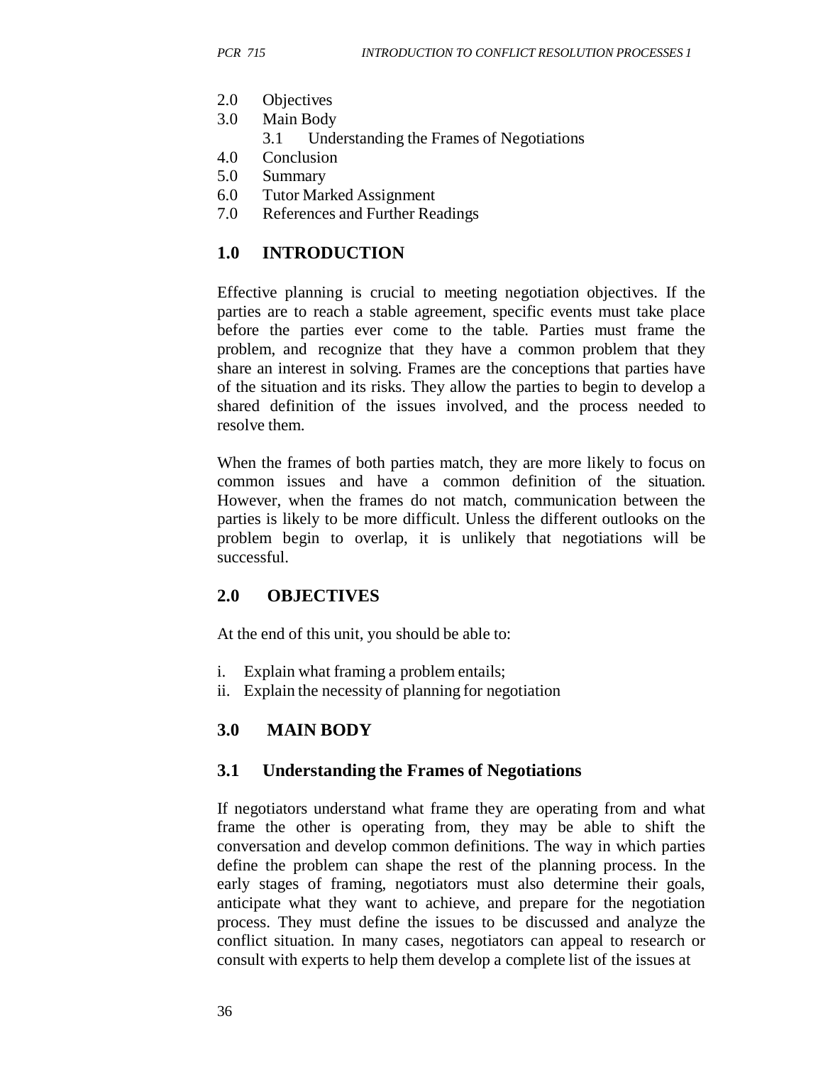- 2.0 Objectives
- 3.0 Main Body
	- 3.1 Understanding the Frames of Negotiations
- 4.0 Conclusion
- 5.0 Summary
- 6.0 Tutor Marked Assignment
- 7.0 References and Further Readings

### **1.0 INTRODUCTION**

Effective planning is crucial to meeting negotiation objectives. If the parties are to reach a stable agreement, specific events must take place before the parties ever come to the table. Parties must frame the problem, and recognize that they have a common problem that they share an interest in solving. Frames are the conceptions that parties have of the situation and its risks. They allow the parties to begin to develop a shared definition of the issues involved, and the process needed to resolve them.

When the frames of both parties match, they are more likely to focus on common issues and have a common definition of the situation. However, when the frames do not match, communication between the parties is likely to be more difficult. Unless the different outlooks on the problem begin to overlap, it is unlikely that negotiations will be successful.

## **2.0 OBJECTIVES**

At the end of this unit, you should be able to:

- i. Explain what framing a problem entails;
- ii. Explain the necessity of planning for negotiation

#### **3.0 MAIN BODY**

#### **3.1 Understanding the Frames of Negotiations**

If negotiators understand what frame they are operating from and what frame the other is operating from, they may be able to shift the conversation and develop common definitions. The way in which parties define the problem can shape the rest of the planning process. In the early stages of framing, negotiators must also determine their goals, anticipate what they want to achieve, and prepare for the negotiation process. They must define the issues to be discussed and analyze the conflict situation. In many cases, negotiators can appeal to research or consult with experts to help them develop a complete list of the issues at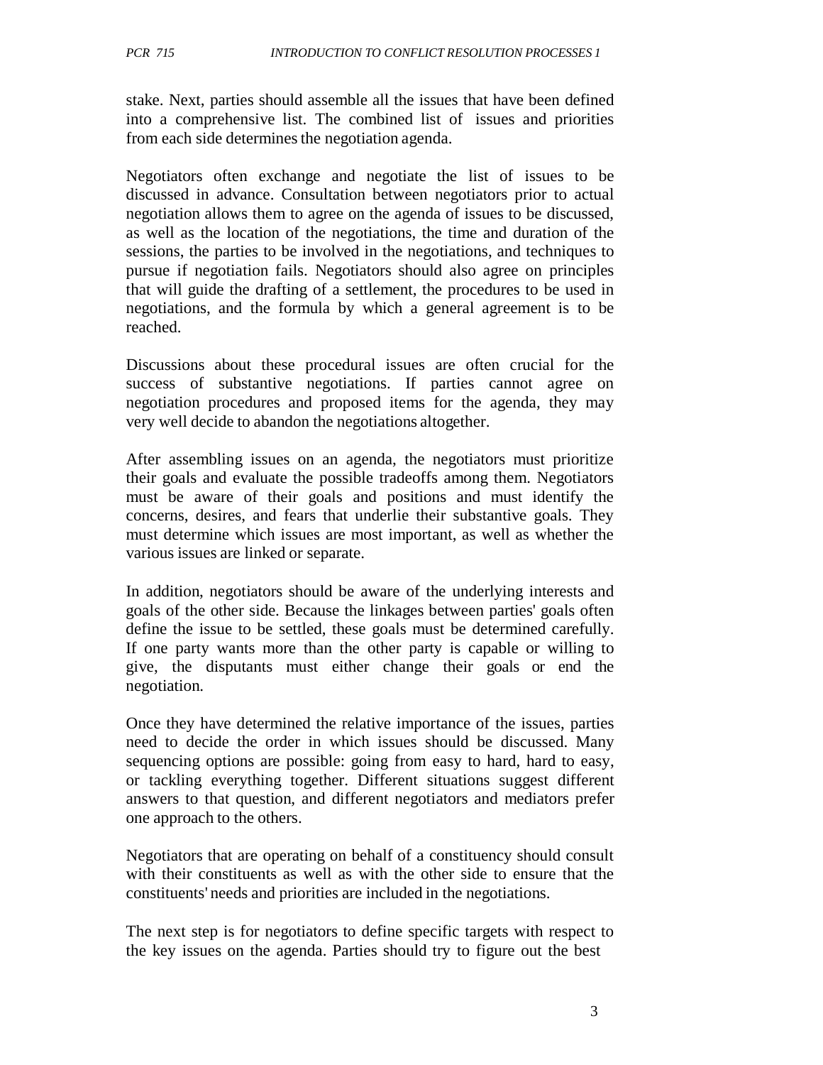stake. Next, parties should assemble all the issues that have been defined into a comprehensive list. The combined list of issues and priorities from each side determines the negotiation agenda.

Negotiators often exchange and negotiate the list of issues to be discussed in advance. Consultation between negotiators prior to actual negotiation allows them to agree on the agenda of issues to be discussed, as well as the location of the negotiations, the time and duration of the sessions, the parties to be involved in the negotiations, and techniques to pursue if negotiation fails. Negotiators should also agree on principles that will guide the drafting of a settlement, the procedures to be used in negotiations, and the formula by which a general agreement is to be reached.

Discussions about these procedural issues are often crucial for the success of substantive negotiations. If parties cannot agree on negotiation procedures and proposed items for the agenda, they may very well decide to abandon the negotiations altogether.

After assembling issues on an agenda, the negotiators must prioritize their goals and evaluate the possible tradeoffs among them. Negotiators must be aware of their goals and positions and must identify the concerns, desires, and fears that underlie their substantive goals. They must determine which issues are most important, as well as whether the various issues are linked or separate.

In addition, negotiators should be aware of the underlying interests and goals of the other side. Because the linkages between parties' goals often define the issue to be settled, these goals must be determined carefully. If one party wants more than the other party is capable or willing to give, the disputants must either change their goals or end the negotiation.

Once they have determined the relative importance of the issues, parties need to decide the order in which issues should be discussed. Many sequencing options are possible: going from easy to hard, hard to easy, or tackling everything together. Different situations suggest different answers to that question, and different negotiators and mediators prefer one approach to the others.

Negotiators that are operating on behalf of a constituency should consult with their constituents as well as with the other side to ensure that the constituents' needs and priorities are included in the negotiations.

The next step is for negotiators to define specific targets with respect to the key issues on the agenda. Parties should try to figure out the best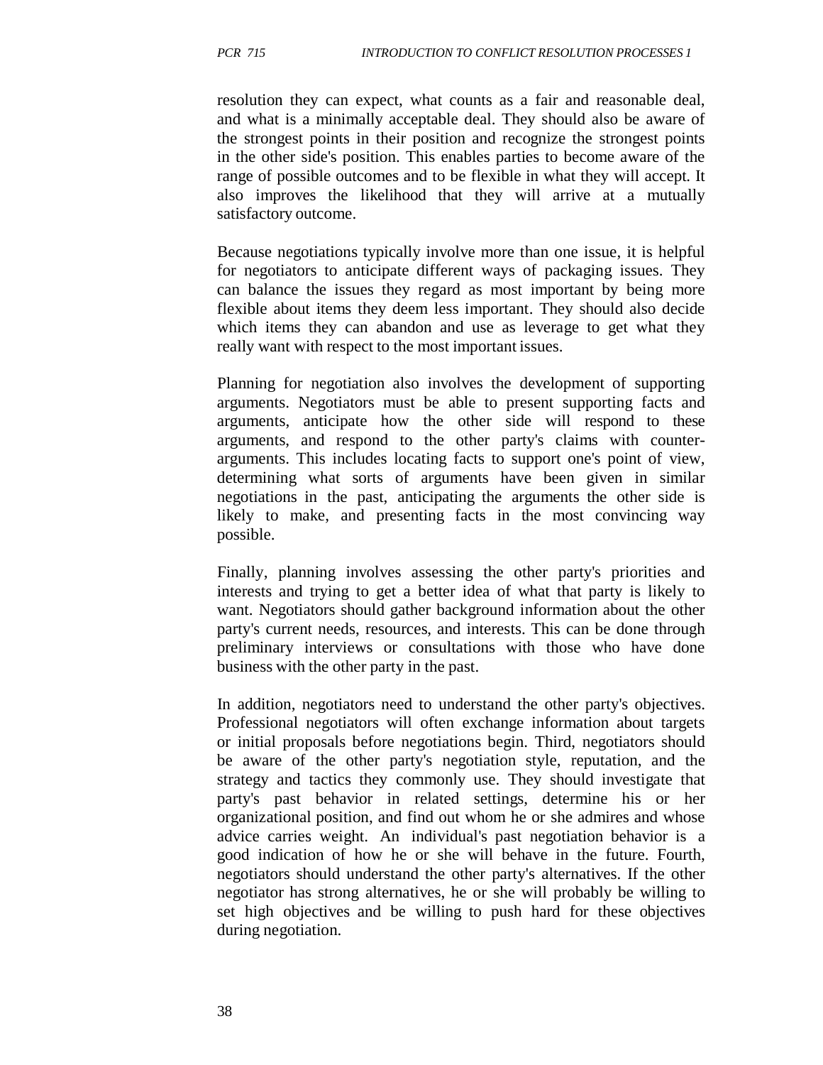resolution they can expect, what counts as a fair and reasonable deal, and what is a minimally acceptable deal. They should also be aware of the strongest points in their position and recognize the strongest points in the other side's position. This enables parties to become aware of the range of possible outcomes and to be flexible in what they will accept. It also improves the likelihood that they will arrive at a mutually satisfactory outcome.

Because negotiations typically involve more than one issue, it is helpful for negotiators to anticipate different ways of packaging issues. They can balance the issues they regard as most important by being more flexible about items they deem less important. They should also decide which items they can abandon and use as leverage to get what they really want with respect to the most important issues.

Planning for negotiation also involves the development of supporting arguments. Negotiators must be able to present supporting facts and arguments, anticipate how the other side will respond to these arguments, and respond to the other party's claims with counterarguments. This includes locating facts to support one's point of view, determining what sorts of arguments have been given in similar negotiations in the past, anticipating the arguments the other side is likely to make, and presenting facts in the most convincing way possible.

Finally, planning involves assessing the other party's priorities and interests and trying to get a better idea of what that party is likely to want. Negotiators should gather background information about the other party's current needs, resources, and interests. This can be done through preliminary interviews or consultations with those who have done business with the other party in the past.

In addition, negotiators need to understand the other party's objectives. Professional negotiators will often exchange information about targets or initial proposals before negotiations begin. Third, negotiators should be aware of the other party's negotiation style, reputation, and the strategy and tactics they commonly use. They should investigate that party's past behavior in related settings, determine his or her organizational position, and find out whom he or she admires and whose advice carries weight. An individual's past negotiation behavior is a good indication of how he or she will behave in the future. Fourth, negotiators should understand the other party's alternatives. If the other negotiator has strong alternatives, he or she will probably be willing to set high objectives and be willing to push hard for these objectives during negotiation.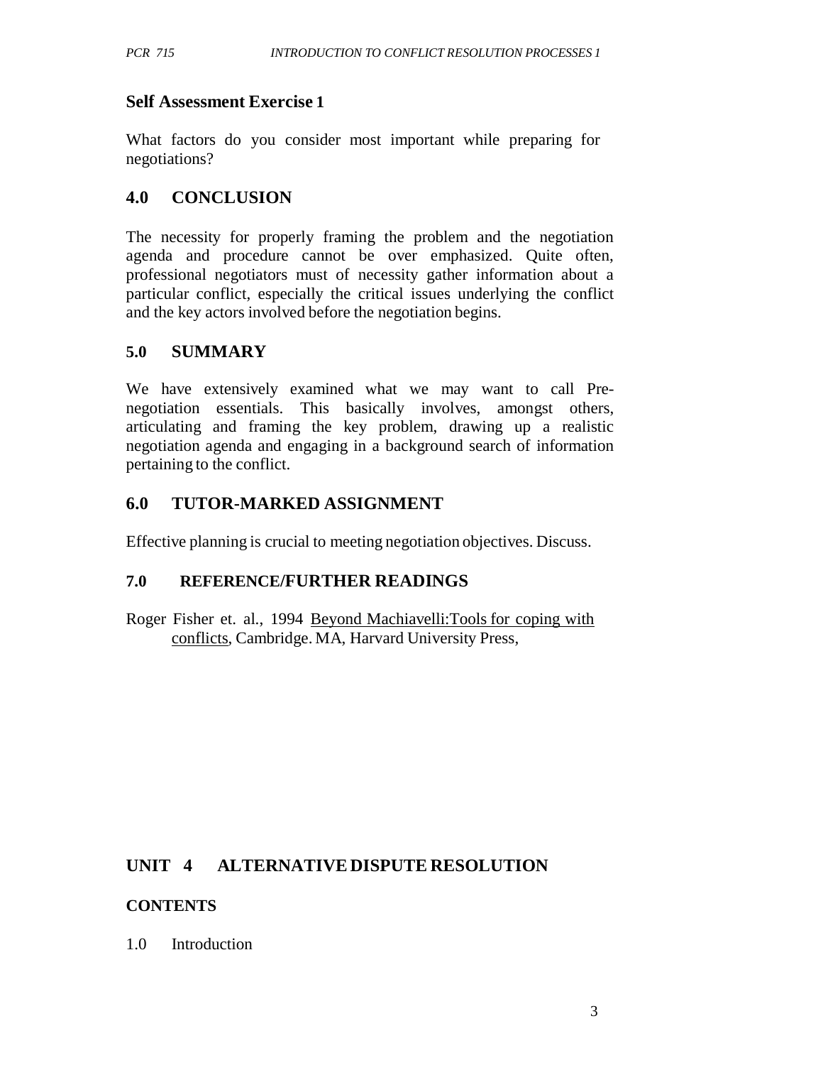### **Self Assessment Exercise 1**

What factors do you consider most important while preparing for negotiations?

## **4.0 CONCLUSION**

The necessity for properly framing the problem and the negotiation agenda and procedure cannot be over emphasized. Quite often, professional negotiators must of necessity gather information about a particular conflict, especially the critical issues underlying the conflict and the key actors involved before the negotiation begins.

### **5.0 SUMMARY**

We have extensively examined what we may want to call Prenegotiation essentials. This basically involves, amongst others, articulating and framing the key problem, drawing up a realistic negotiation agenda and engaging in a background search of information pertaining to the conflict.

## **6.0 TUTOR-MARKED ASSIGNMENT**

Effective planning is crucial to meeting negotiation objectives. Discuss.

## **7.0 REFERENCE/FURTHER READINGS**

Roger Fisher et. al., 1994 Beyond Machiavelli:Tools for coping with conflicts, Cambridge. MA, Harvard University Press,

# **UNIT 4 ALTERNATIVE DISPUTE RESOLUTION**

## **CONTENTS**

#### 1.0 Introduction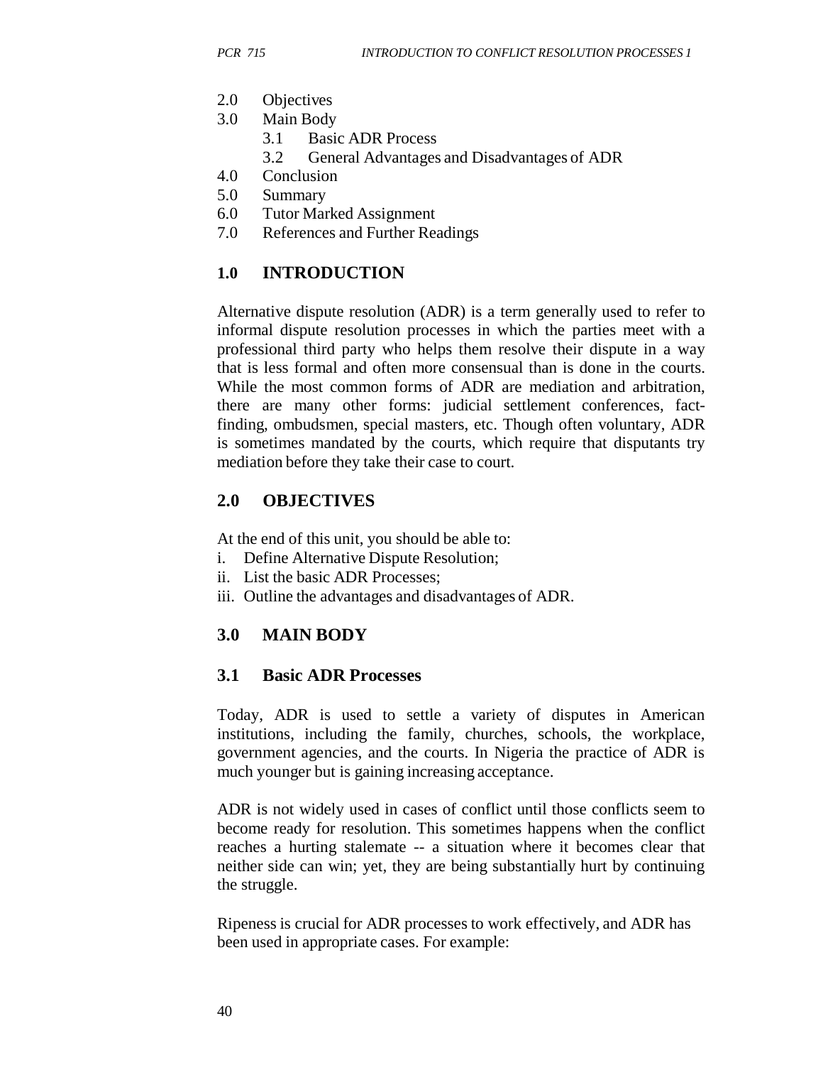- 2.0 Objectives
- 3.0 Main Body
	- 3.1 Basic ADR Process
	- 3.2 General Advantages and Disadvantages of ADR
- 4.0 Conclusion
- 5.0 Summary
- 6.0 Tutor Marked Assignment
- 7.0 References and Further Readings

### **1.0 INTRODUCTION**

Alternative dispute resolution (ADR) is a term generally used to refer to informal dispute resolution processes in which the parties meet with a professional third party who helps them resolve their dispute in a way that is less formal and often more consensual than is done in the courts. While the most common forms of ADR are mediation and arbitration, there are many other forms: judicial settlement conferences, factfinding, ombudsmen, special masters, etc. Though often voluntary, ADR is sometimes mandated by the courts, which require that disputants try mediation before they take their case to court.

### **2.0 OBJECTIVES**

At the end of this unit, you should be able to:

- i. Define Alternative Dispute Resolution;
- ii. List the basic ADR Processes;
- iii. Outline the advantages and disadvantages of ADR.

## **3.0 MAIN BODY**

#### **3.1 Basic ADR Processes**

Today, ADR is used to settle a variety of disputes in American institutions, including the family, churches, schools, the workplace, government agencies, and the courts. In Nigeria the practice of ADR is much younger but is gaining increasing acceptance.

ADR is not widely used in cases of conflict until those conflicts seem to become ready for resolution. This sometimes happens when the conflict reaches a hurting stalemate -- a situation where it becomes clear that neither side can win; yet, they are being substantially hurt by continuing the struggle.

Ripeness is crucial for ADR processes to work effectively, and ADR has been used in appropriate cases. For example: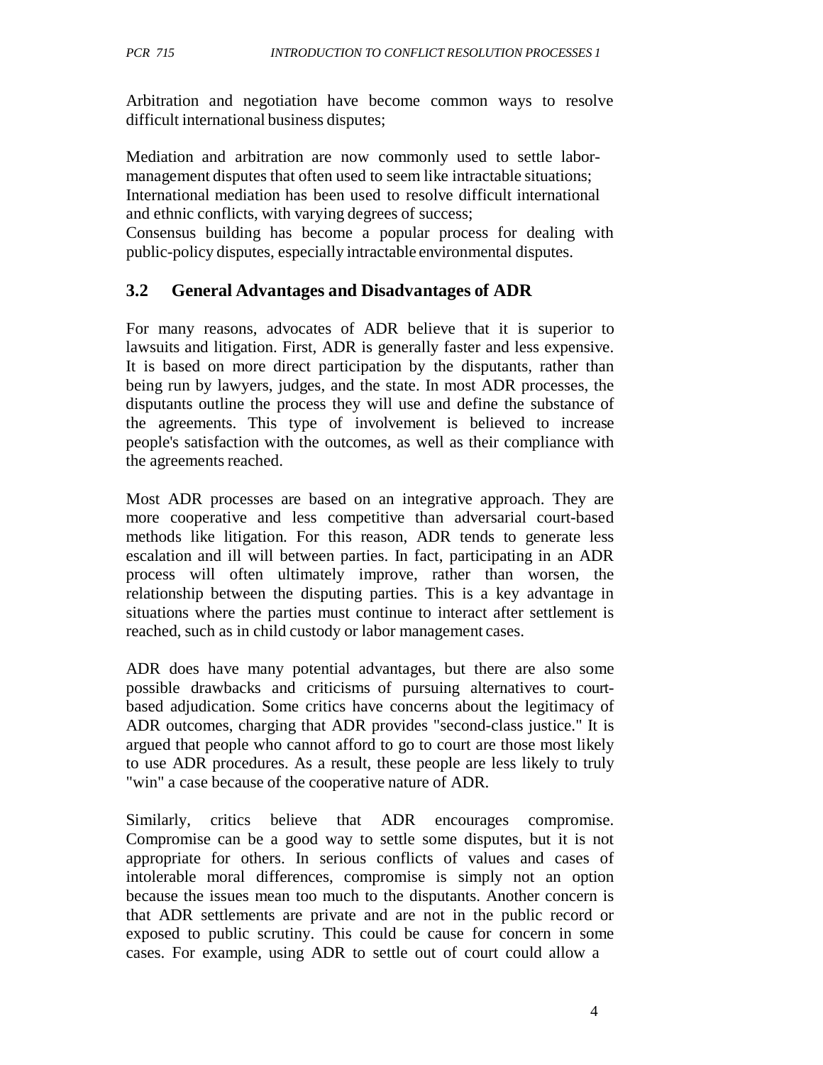Arbitration and negotiation have become common ways to resolve difficult international business disputes;

Mediation and arbitration are now commonly used to settle labormanagement disputes that often used to seem like intractable situations; International mediation has been used to resolve difficult international and ethnic conflicts, with varying degrees of success;

Consensus building has become a popular process for dealing with public-policy disputes, especially intractable environmental disputes.

## **3.2 General Advantages and Disadvantages of ADR**

For many reasons, advocates of ADR believe that it is superior to lawsuits and litigation. First, ADR is generally faster and less expensive. It is based on more direct participation by the disputants, rather than being run by lawyers, judges, and the state. In most ADR processes, the disputants outline the process they will use and define the substance of the agreements. This type of involvement is believed to increase people's satisfaction with the outcomes, as well as their compliance with the agreements reached.

Most ADR processes are based on an integrative approach. They are more cooperative and less competitive than adversarial court-based methods like litigation. For this reason, ADR tends to generate less escalation and ill will between parties. In fact, participating in an ADR process will often ultimately improve, rather than worsen, the relationship between the disputing parties. This is a key advantage in situations where the parties must continue to interact after settlement is reached, such as in child custody or labor management cases.

ADR does have many potential advantages, but there are also some possible drawbacks and criticisms of pursuing alternatives to courtbased adjudication. Some critics have concerns about the legitimacy of ADR outcomes, charging that ADR provides "second-class justice." It is argued that people who cannot afford to go to court are those most likely to use ADR procedures. As a result, these people are less likely to truly "win" a case because of the cooperative nature of ADR.

Similarly, critics believe that ADR encourages compromise. Compromise can be a good way to settle some disputes, but it is not appropriate for others. In serious conflicts of values and cases of intolerable moral differences, compromise is simply not an option because the issues mean too much to the disputants. Another concern is that ADR settlements are private and are not in the public record or exposed to public scrutiny. This could be cause for concern in some cases. For example, using ADR to settle out of court could allow a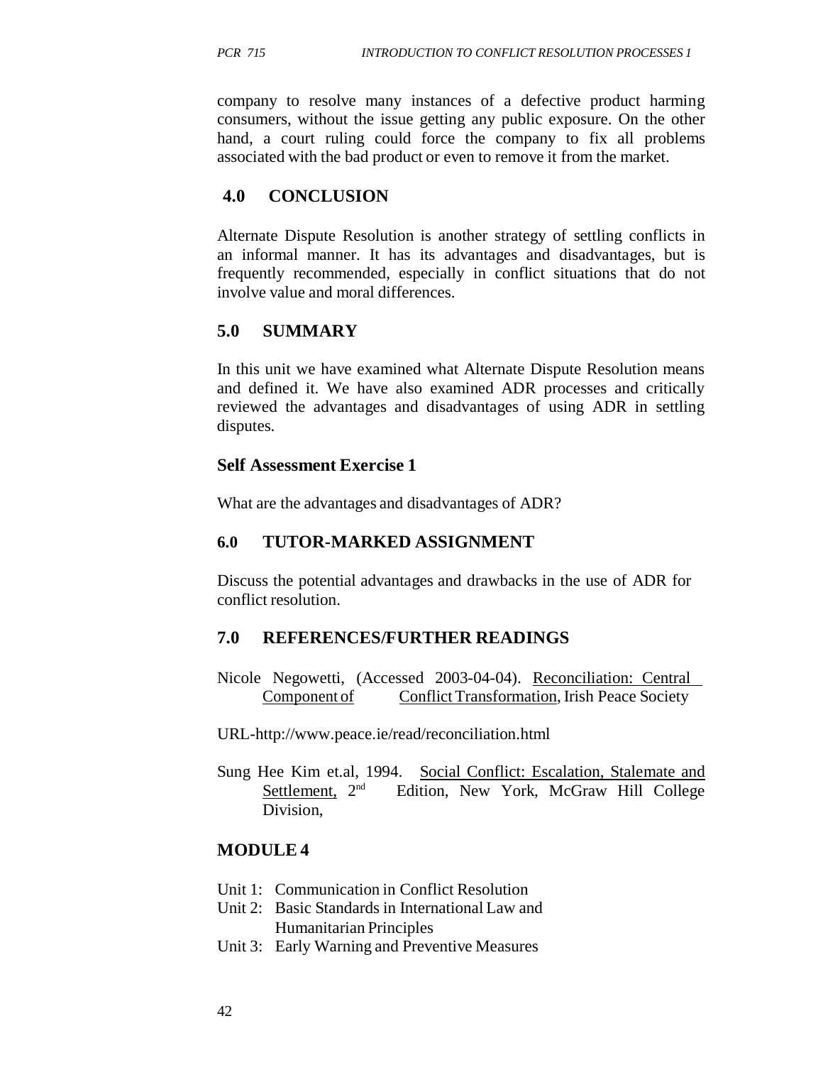company to resolve many instances of a defective product harming consumers, without the issue getting any public exposure. On the other hand, a court ruling could force the company to fix all problems associated with the bad product or even to remove it from the market.

#### **4.0 CONCLUSION**

Alternate Dispute Resolution is another strategy of settling conflicts in an informal manner. It has its advantages and disadvantages, but is frequently recommended, especially in conflict situations that do not involve value and moral differences.

### **5.0 SUMMARY**

In this unit we have examined what Alternate Dispute Resolution means and defined it. We have also examined ADR processes and critically reviewed the advantages and disadvantages of using ADR in settling disputes.

#### **Self Assessment Exercise 1**

What are the advantages and disadvantages of ADR?

#### **6.0 TUTOR-MARKED ASSIGNMENT**

Discuss the potential advantages and drawbacks in the use of ADR for conflict resolution.

#### **7.0 REFERENCES/FURTHER READINGS**

Nicole Negowetti, (Accessed 2003-04-04). Reconciliation: Central Component of Conflict Transformation, Irish Peace Society

URL-http://www.peace.ie/read/reconciliation.html

Sung Hee Kim et.al, 1994. Social Conflict: Escalation, Stalemate and Settlement, 2<sup>nd</sup> Edition, New York, McGraw Hill College Division,

#### **MODULE 4**

- Unit 1: Communication in Conflict Resolution
- Unit 2: Basic Standards in International Law and Humanitarian Principles
- Unit 3: Early Warning and Preventive Measures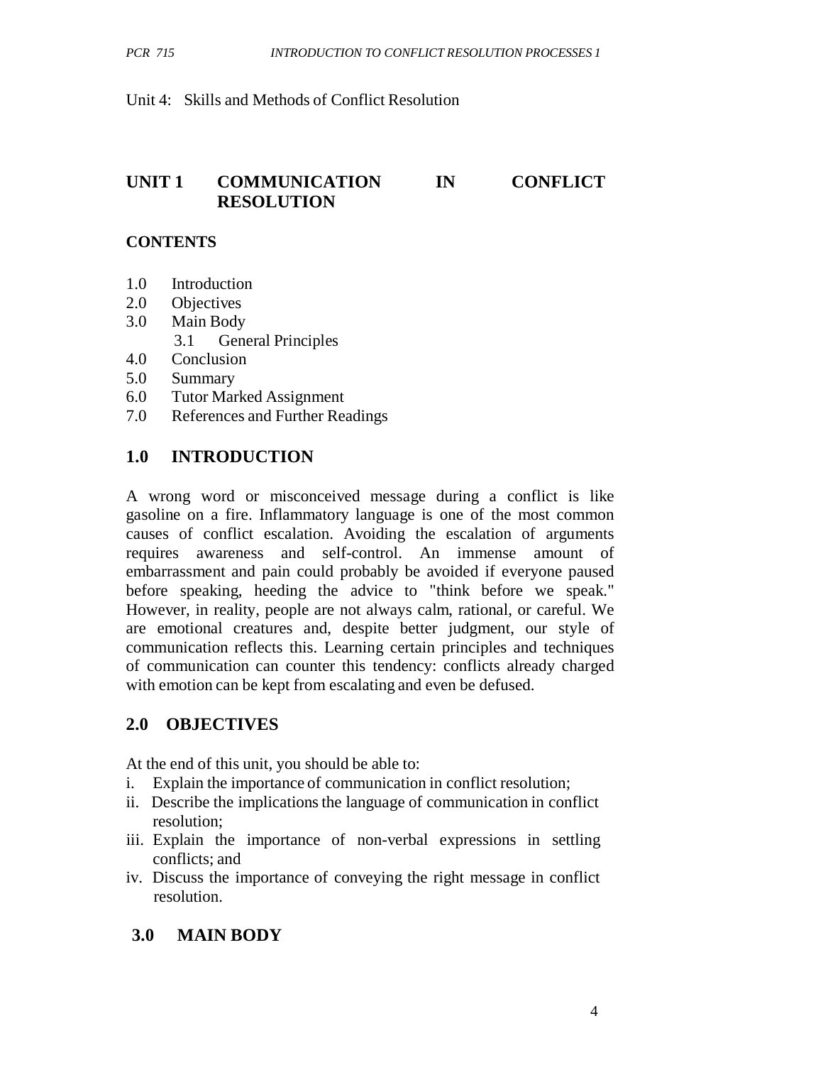#### Unit 4: Skills and Methods of Conflict Resolution

## **UNIT 1 COMMUNICATION IN CONFLICT RESOLUTION**

#### **CONTENTS**

- 1.0 Introduction
- 2.0 Objectives
- 3.0 Main Body
	- 3.1 General Principles
- 4.0 Conclusion
- 5.0 Summary
- 6.0 Tutor Marked Assignment
- 7.0 References and Further Readings

### **1.0 INTRODUCTION**

A wrong word or misconceived message during a conflict is like gasoline on a fire. Inflammatory language is one of the most common causes of conflict escalation. Avoiding the escalation of arguments requires awareness and self-control. An immense amount of embarrassment and pain could probably be avoided if everyone paused before speaking, heeding the advice to "think before we speak." However, in reality, people are not always calm, rational, or careful. We are emotional creatures and, despite better judgment, our style of communication reflects this. Learning certain principles and techniques of communication can counter this tendency: conflicts already charged with emotion can be kept from escalating and even be defused.

#### **2.0 OBJECTIVES**

At the end of this unit, you should be able to:

- i. Explain the importance of communication in conflict resolution;
- ii. Describe the implications the language of communication in conflict resolution;
- iii. Explain the importance of non-verbal expressions in settling conflicts; and
- iv. Discuss the importance of conveying the right message in conflict resolution.

#### **3.0 MAIN BODY**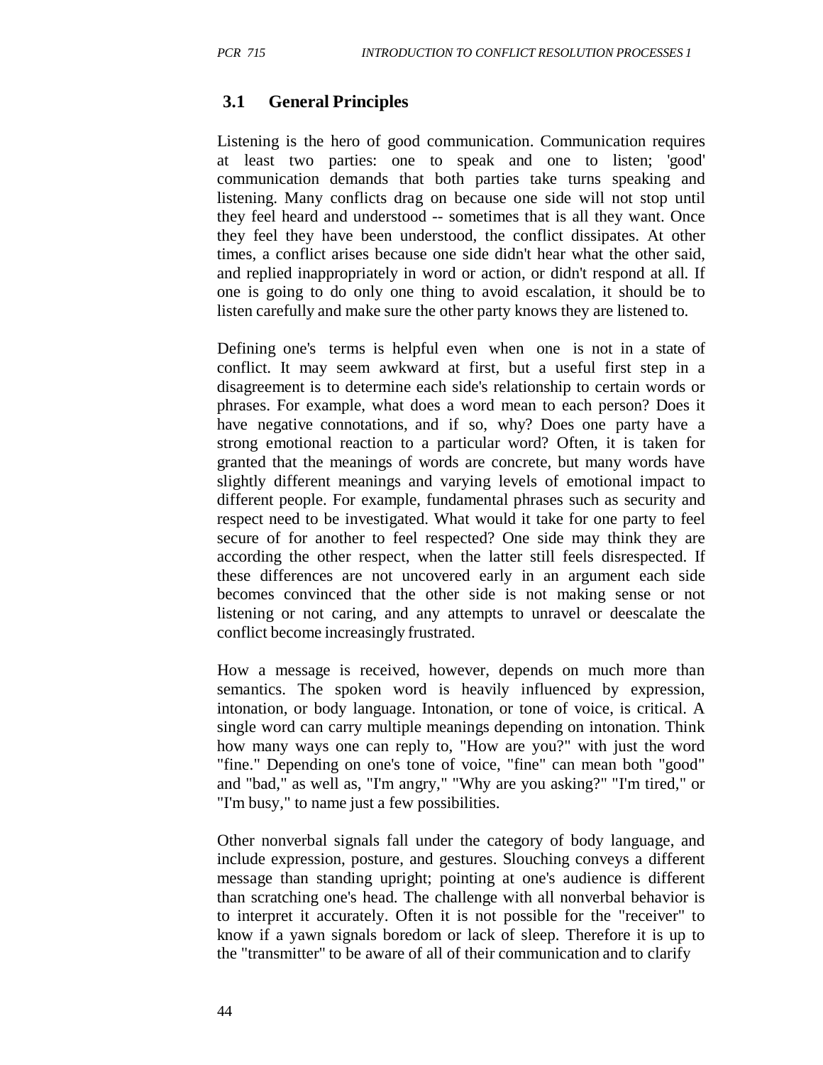#### **3.1 General Principles**

Listening is the hero of good communication. Communication requires at least two parties: one to speak and one to listen; 'good' communication demands that both parties take turns speaking and listening. Many conflicts drag on because one side will not stop until they feel heard and understood -- sometimes that is all they want. Once they feel they have been understood, the conflict dissipates. At other times, a conflict arises because one side didn't hear what the other said, and replied inappropriately in word or action, or didn't respond at all. If one is going to do only one thing to avoid escalation, it should be to listen carefully and make sure the other party knows they are listened to.

Defining one's terms is helpful even when one is not in a state of conflict. It may seem awkward at first, but a useful first step in a disagreement is to determine each side's relationship to certain words or phrases. For example, what does a word mean to each person? Does it have negative connotations, and if so, why? Does one party have a strong emotional reaction to a particular word? Often, it is taken for granted that the meanings of words are concrete, but many words have slightly different meanings and varying levels of emotional impact to different people. For example, fundamental phrases such as security and respect need to be investigated. What would it take for one party to feel secure of for another to feel respected? One side may think they are according the other respect, when the latter still feels disrespected. If these differences are not uncovered early in an argument each side becomes convinced that the other side is not making sense or not listening or not caring, and any attempts to unravel or deescalate the conflict become increasingly frustrated.

How a message is received, however, depends on much more than semantics. The spoken word is heavily influenced by expression, intonation, or body language. Intonation, or tone of voice, is critical. A single word can carry multiple meanings depending on intonation. Think how many ways one can reply to, "How are you?" with just the word "fine." Depending on one's tone of voice, "fine" can mean both "good" and "bad," as well as, "I'm angry," "Why are you asking?" "I'm tired," or "I'm busy," to name just a few possibilities.

Other nonverbal signals fall under the category of body language, and include expression, posture, and gestures. Slouching conveys a different message than standing upright; pointing at one's audience is different than scratching one's head. The challenge with all nonverbal behavior is to interpret it accurately. Often it is not possible for the "receiver" to know if a yawn signals boredom or lack of sleep. Therefore it is up to the "transmitter" to be aware of all of their communication and to clarify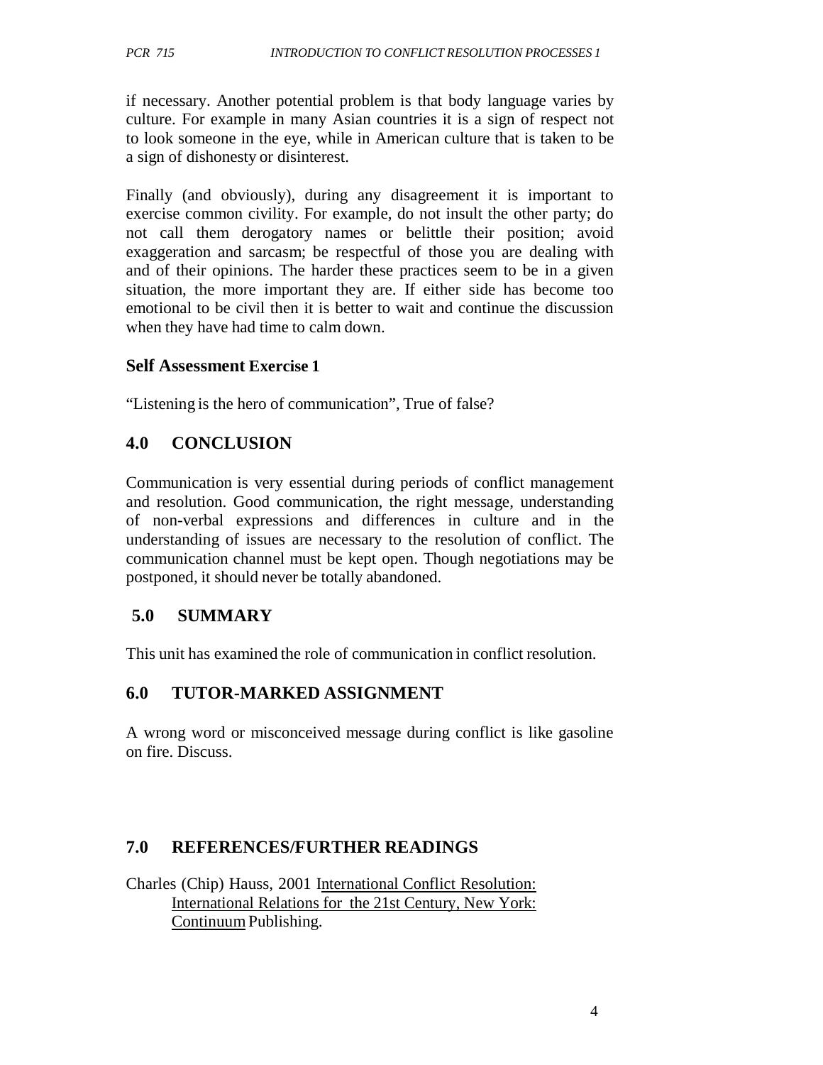if necessary. Another potential problem is that body language varies by culture. For example in many Asian countries it is a sign of respect not to look someone in the eye, while in American culture that is taken to be a sign of dishonesty or disinterest.

Finally (and obviously), during any disagreement it is important to exercise common civility. For example, do not insult the other party; do not call them derogatory names or belittle their position; avoid exaggeration and sarcasm; be respectful of those you are dealing with and of their opinions. The harder these practices seem to be in a given situation, the more important they are. If either side has become too emotional to be civil then it is better to wait and continue the discussion when they have had time to calm down.

### **Self Assessment Exercise 1**

"Listening is the hero of communication", True of false?

## **4.0 CONCLUSION**

Communication is very essential during periods of conflict management and resolution. Good communication, the right message, understanding of non-verbal expressions and differences in culture and in the understanding of issues are necessary to the resolution of conflict. The communication channel must be kept open. Though negotiations may be postponed, it should never be totally abandoned.

## **5.0 SUMMARY**

This unit has examined the role of communication in conflict resolution.

## **6.0 TUTOR-MARKED ASSIGNMENT**

A wrong word or misconceived message during conflict is like gasoline on fire. Discuss.

## **7.0 REFERENCES/FURTHER READINGS**

Charles (Chip) Hauss, 2001 International Conflict Resolution: International Relations for the 21st Century, New York: Continuum Publishing.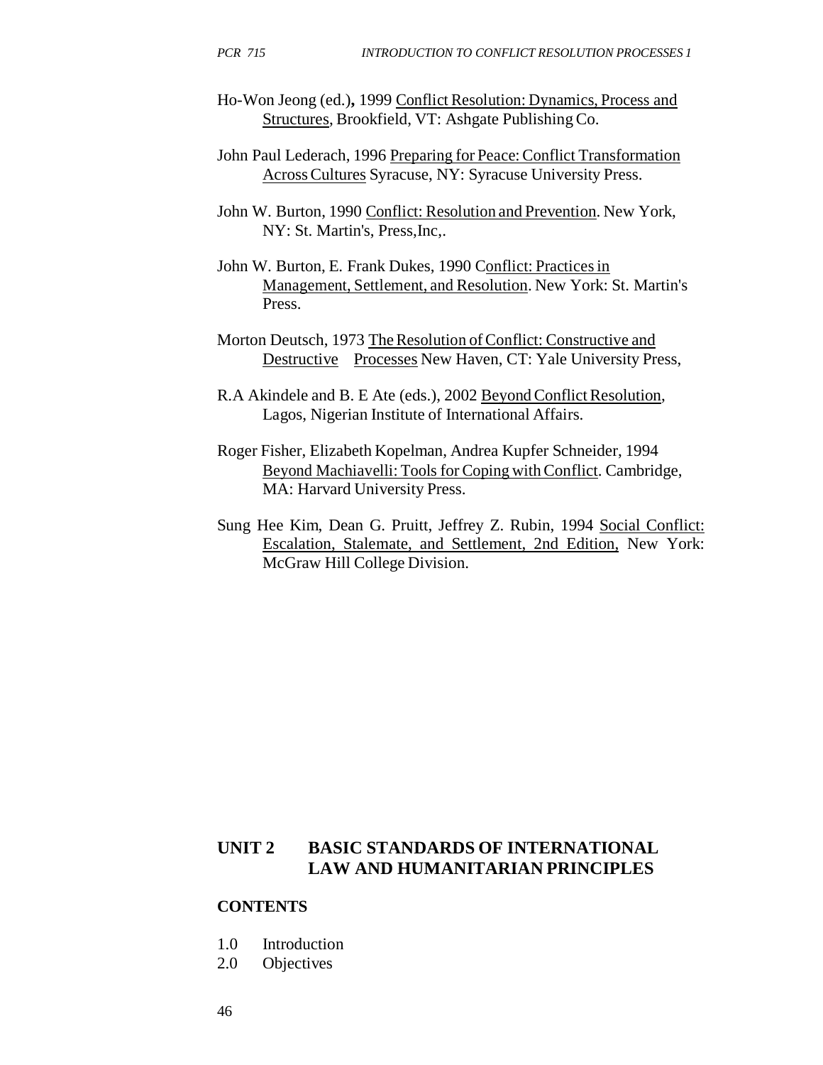- Ho-Won Jeong (ed.)**,** 1999 Conflict Resolution: Dynamics, Process and Structures, Brookfield, VT: Ashgate Publishing Co.
- John Paul Lederach, 1996 Preparing for Peace: Conflict Transformation Across Cultures Syracuse, NY: Syracuse University Press.
- John W. Burton, 1990 Conflict: Resolution and Prevention. New York, NY: St. Martin's, Press,Inc,.
- John W. Burton, E. Frank Dukes, 1990 Conflict: Practices in Management, Settlement, and Resolution. New York: St. Martin's Press.
- Morton Deutsch, 1973 The Resolution of Conflict: Constructive and Destructive Processes New Haven, CT: Yale University Press,
- R.A Akindele and B. E Ate (eds.), 2002 Beyond Conflict Resolution, Lagos, Nigerian Institute of International Affairs.
- Roger Fisher, Elizabeth Kopelman, Andrea Kupfer Schneider, 1994 Beyond Machiavelli: Tools for Coping with Conflict. Cambridge, MA: Harvard University Press.
- Sung Hee Kim, Dean G. Pruitt, Jeffrey Z. Rubin, 1994 Social Conflict: Escalation, Stalemate, and Settlement, 2nd Edition, New York: McGraw Hill College Division.

## **UNIT 2 BASIC STANDARDS OF INTERNATIONAL LAW AND HUMANITARIAN PRINCIPLES**

#### **CONTENTS**

- 1.0 Introduction
- 2.0 Objectives
- 46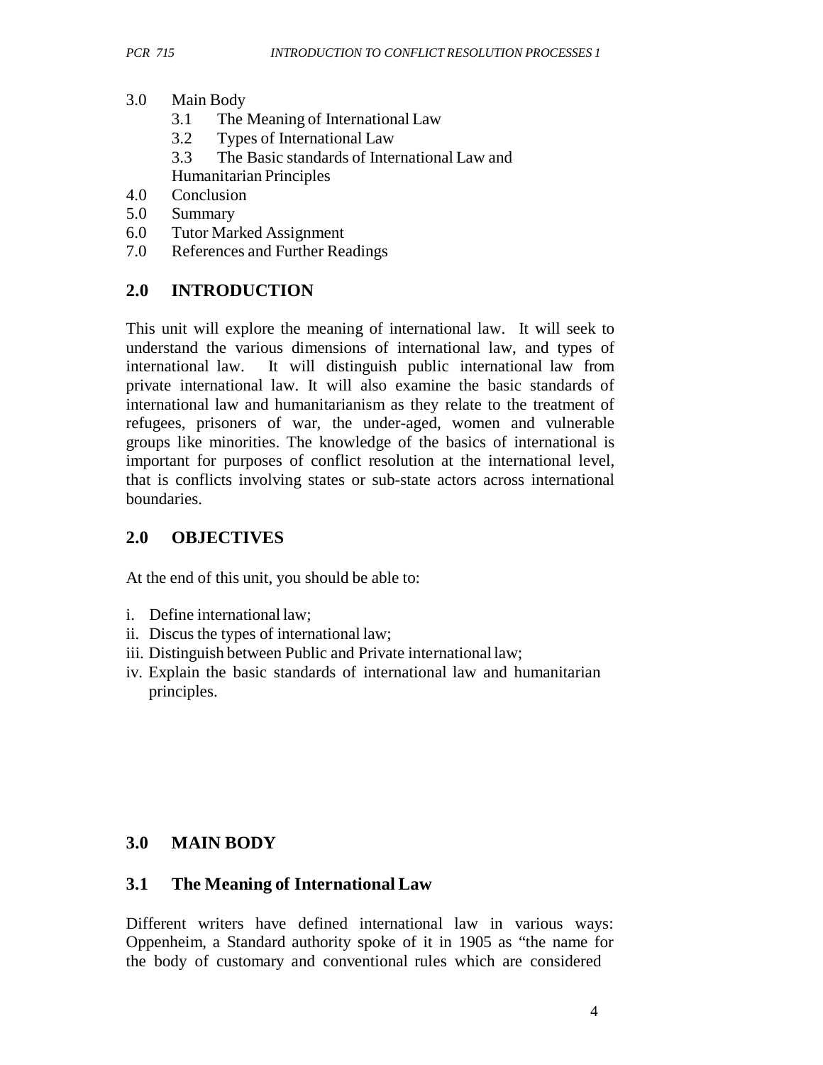- 3.0 Main Body
	- 3.1 The Meaning of International Law
	- 3.2 Types of International Law
	- 3.3 The Basic standards of International Law and
	- Humanitarian Principles
- 4.0 Conclusion
- 5.0 Summary
- 6.0 Tutor Marked Assignment
- 7.0 References and Further Readings

# **2.0 INTRODUCTION**

This unit will explore the meaning of international law. It will seek to understand the various dimensions of international law, and types of international law. It will distinguish public international law from private international law. It will also examine the basic standards of international law and humanitarianism as they relate to the treatment of refugees, prisoners of war, the under-aged, women and vulnerable groups like minorities. The knowledge of the basics of international is important for purposes of conflict resolution at the international level, that is conflicts involving states or sub-state actors across international boundaries.

## **2.0 OBJECTIVES**

At the end of this unit, you should be able to:

- i. Define international law;
- ii. Discus the types of international law;
- iii. Distinguish between Public and Private international law;
- iv. Explain the basic standards of international law and humanitarian principles.

# **3.0 MAIN BODY**

## **3.1 The Meaning of International Law**

Different writers have defined international law in various ways: Oppenheim, a Standard authority spoke of it in 1905 as "the name for the body of customary and conventional rules which are considered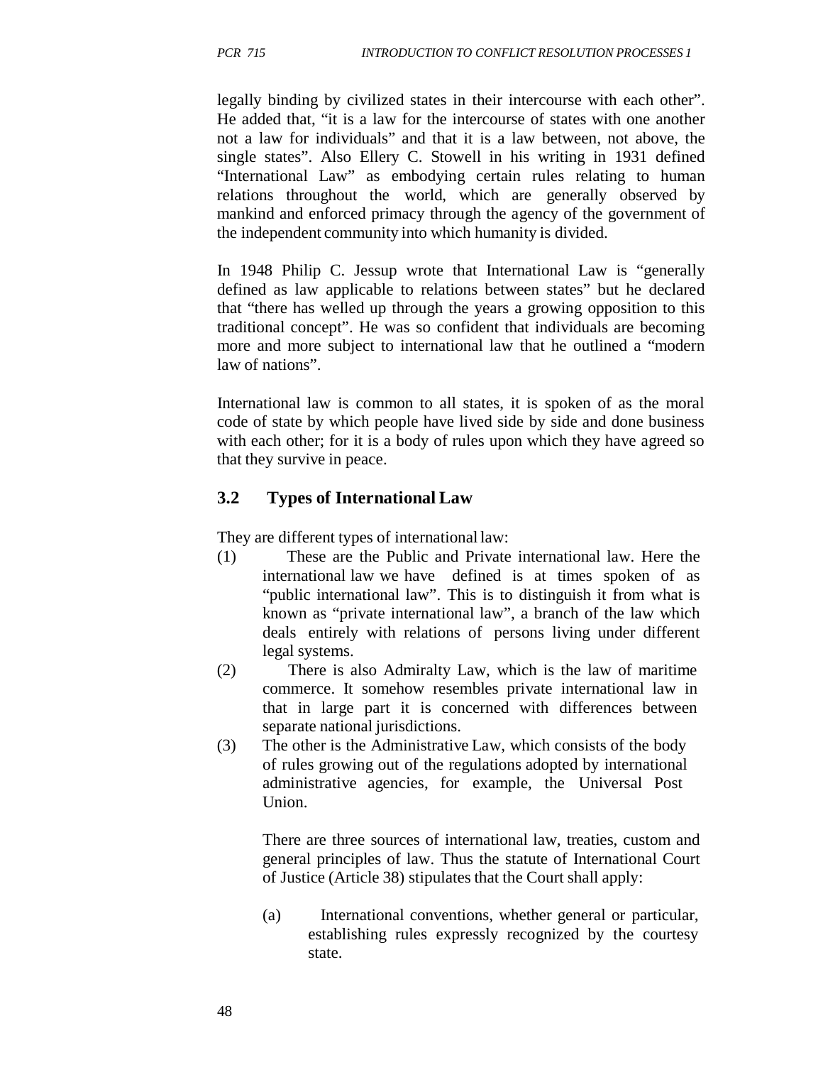legally binding by civilized states in their intercourse with each other". He added that, "it is a law for the intercourse of states with one another not a law for individuals" and that it is a law between, not above, the single states". Also Ellery C. Stowell in his writing in 1931 defined "International Law" as embodying certain rules relating to human relations throughout the world, which are generally observed by mankind and enforced primacy through the agency of the government of the independent community into which humanity is divided.

In 1948 Philip C. Jessup wrote that International Law is "generally defined as law applicable to relations between states" but he declared that "there has welled up through the years a growing opposition to this traditional concept". He was so confident that individuals are becoming more and more subject to international law that he outlined a "modern law of nations".

International law is common to all states, it is spoken of as the moral code of state by which people have lived side by side and done business with each other; for it is a body of rules upon which they have agreed so that they survive in peace.

## **3.2 Types of International Law**

They are different types of international law:

- (1) These are the Public and Private international law. Here the international law we have defined is at times spoken of as "public international law". This is to distinguish it from what is known as "private international law", a branch of the law which deals entirely with relations of persons living under different legal systems.
- (2) There is also Admiralty Law, which is the law of maritime commerce. It somehow resembles private international law in that in large part it is concerned with differences between separate national jurisdictions.
- (3) The other is the Administrative Law, which consists of the body of rules growing out of the regulations adopted by international administrative agencies, for example, the Universal Post Union.

There are three sources of international law, treaties, custom and general principles of law. Thus the statute of International Court of Justice (Article 38) stipulates that the Court shall apply:

(a) International conventions, whether general or particular, establishing rules expressly recognized by the courtesy state.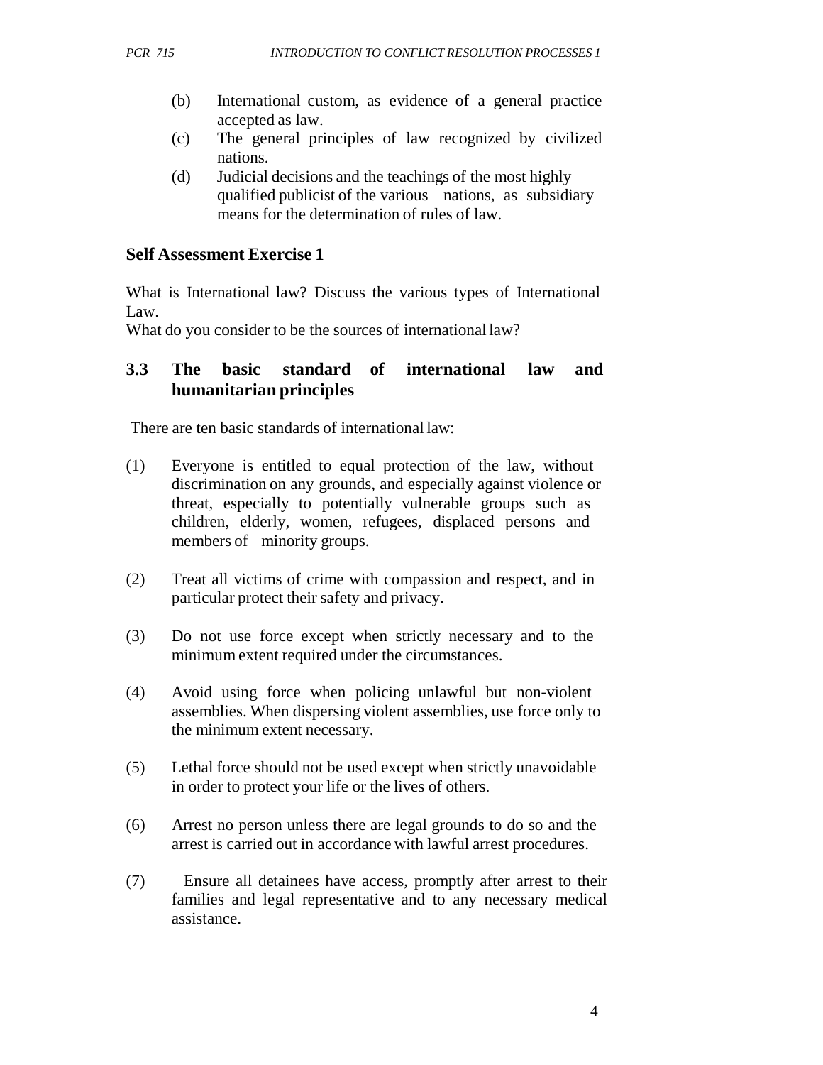- (b) International custom, as evidence of a general practice accepted as law.
- (c) The general principles of law recognized by civilized nations.
- (d) Judicial decisions and the teachings of the most highly qualified publicist of the various nations, as subsidiary means for the determination of rules of law.

#### **Self Assessment Exercise 1**

What is International law? Discuss the various types of International Law.

What do you consider to be the sources of international law?

## **3.3 The basic standard of international law and humanitarian principles**

There are ten basic standards of international law:

- (1) Everyone is entitled to equal protection of the law, without discrimination on any grounds, and especially against violence or threat, especially to potentially vulnerable groups such as children, elderly, women, refugees, displaced persons and members of minority groups.
- (2) Treat all victims of crime with compassion and respect, and in particular protect their safety and privacy.
- (3) Do not use force except when strictly necessary and to the minimum extent required under the circumstances.
- (4) Avoid using force when policing unlawful but non-violent assemblies. When dispersing violent assemblies, use force only to the minimum extent necessary.
- (5) Lethal force should not be used except when strictly unavoidable in order to protect your life or the lives of others.
- (6) Arrest no person unless there are legal grounds to do so and the arrest is carried out in accordance with lawful arrest procedures.
- (7) Ensure all detainees have access, promptly after arrest to their families and legal representative and to any necessary medical assistance.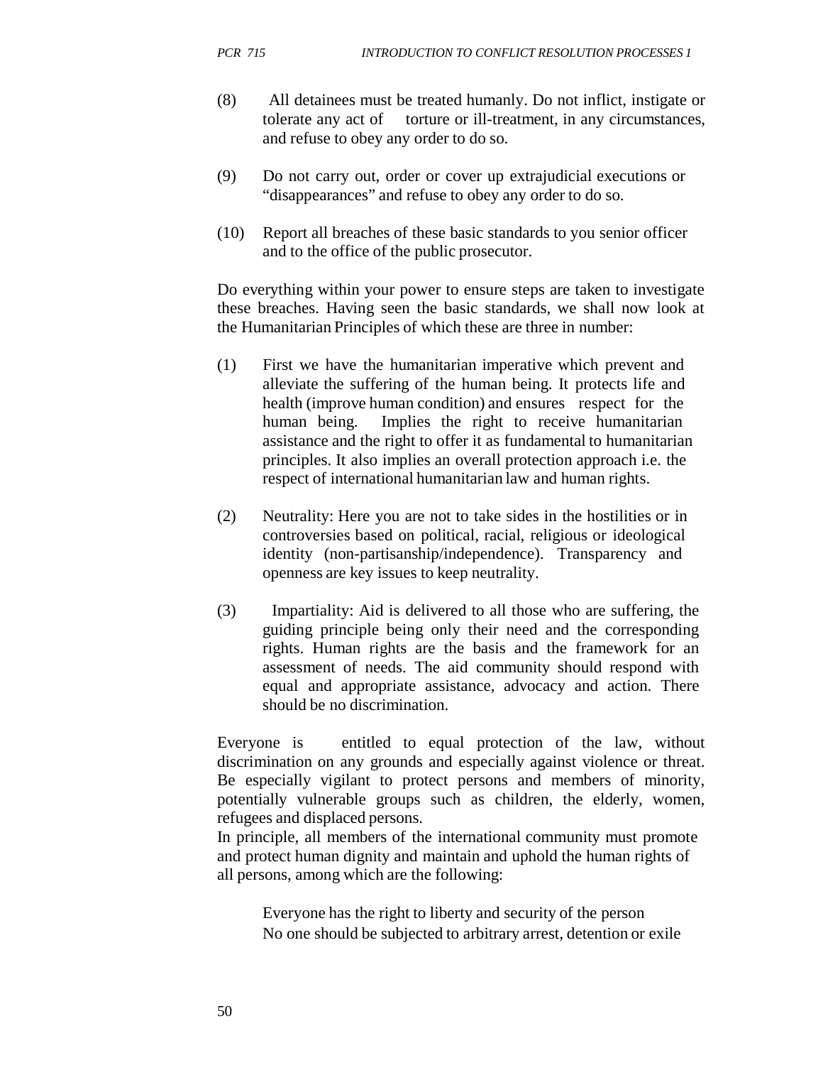- (8) All detainees must be treated humanly. Do not inflict, instigate or tolerate any act of torture or ill-treatment, in any circumstances, and refuse to obey any order to do so.
- (9) Do not carry out, order or cover up extrajudicial executions or "disappearances" and refuse to obey any order to do so.
- (10) Report all breaches of these basic standards to you senior officer and to the office of the public prosecutor.

Do everything within your power to ensure steps are taken to investigate these breaches. Having seen the basic standards, we shall now look at the Humanitarian Principles of which these are three in number:

- (1) First we have the humanitarian imperative which prevent and alleviate the suffering of the human being. It protects life and health (improve human condition) and ensures respect for the human being. Implies the right to receive humanitarian assistance and the right to offer it as fundamental to humanitarian principles. It also implies an overall protection approach i.e. the respect of international humanitarian law and human rights.
- (2) Neutrality: Here you are not to take sides in the hostilities or in controversies based on political, racial, religious or ideological identity (non-partisanship/independence). Transparency and openness are key issues to keep neutrality.
- (3) Impartiality: Aid is delivered to all those who are suffering, the guiding principle being only their need and the corresponding rights. Human rights are the basis and the framework for an assessment of needs. The aid community should respond with equal and appropriate assistance, advocacy and action. There should be no discrimination.

Everyone is entitled to equal protection of the law, without discrimination on any grounds and especially against violence or threat. Be especially vigilant to protect persons and members of minority, potentially vulnerable groups such as children, the elderly, women, refugees and displaced persons.

In principle, all members of the international community must promote and protect human dignity and maintain and uphold the human rights of all persons, among which are the following:

Everyone has the right to liberty and security of the person No one should be subjected to arbitrary arrest, detention or exile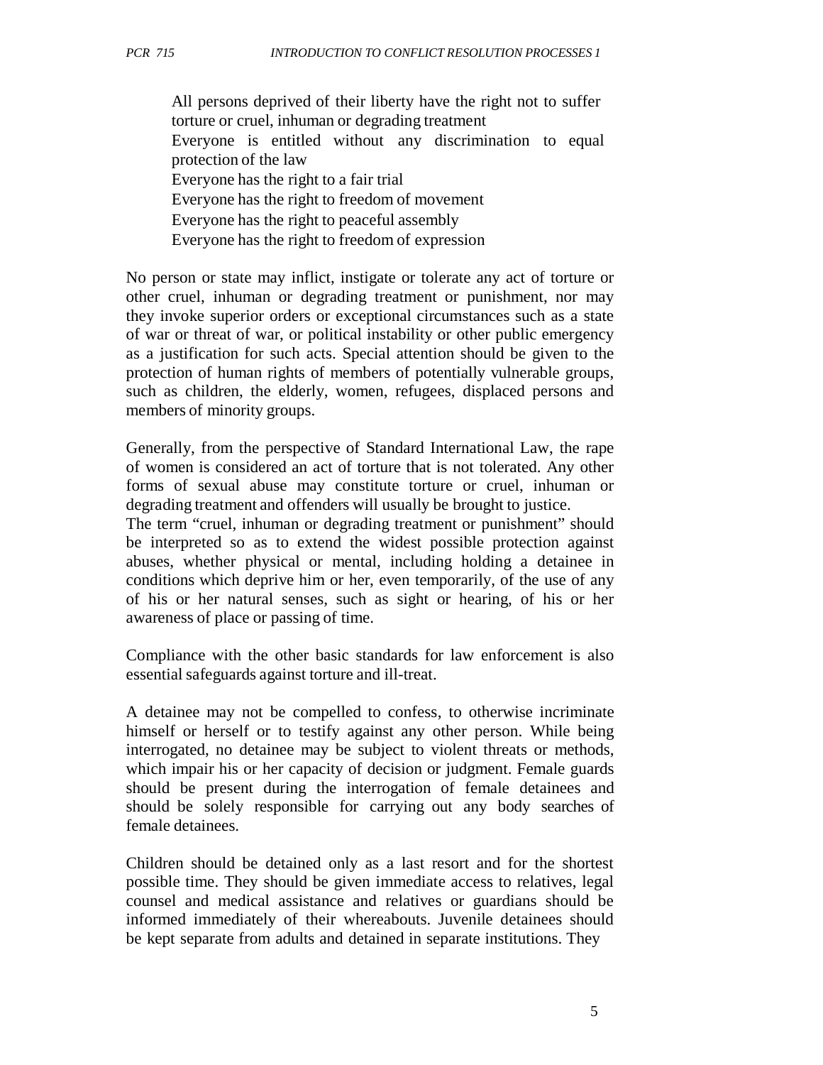All persons deprived of their liberty have the right not to suffer torture or cruel, inhuman or degrading treatment Everyone is entitled without any discrimination to equal protection of the law Everyone has the right to a fair trial Everyone has the right to freedom of movement Everyone has the right to peaceful assembly Everyone has the right to freedom of expression

No person or state may inflict, instigate or tolerate any act of torture or other cruel, inhuman or degrading treatment or punishment, nor may they invoke superior orders or exceptional circumstances such as a state of war or threat of war, or political instability or other public emergency as a justification for such acts. Special attention should be given to the protection of human rights of members of potentially vulnerable groups, such as children, the elderly, women, refugees, displaced persons and members of minority groups.

Generally, from the perspective of Standard International Law, the rape of women is considered an act of torture that is not tolerated. Any other forms of sexual abuse may constitute torture or cruel, inhuman or degrading treatment and offenders will usually be brought to justice.

The term "cruel, inhuman or degrading treatment or punishment" should be interpreted so as to extend the widest possible protection against abuses, whether physical or mental, including holding a detainee in conditions which deprive him or her, even temporarily, of the use of any of his or her natural senses, such as sight or hearing, of his or her awareness of place or passing of time.

Compliance with the other basic standards for law enforcement is also essential safeguards against torture and ill-treat.

A detainee may not be compelled to confess, to otherwise incriminate himself or herself or to testify against any other person. While being interrogated, no detainee may be subject to violent threats or methods, which impair his or her capacity of decision or judgment. Female guards should be present during the interrogation of female detainees and should be solely responsible for carrying out any body searches of female detainees.

Children should be detained only as a last resort and for the shortest possible time. They should be given immediate access to relatives, legal counsel and medical assistance and relatives or guardians should be informed immediately of their whereabouts. Juvenile detainees should be kept separate from adults and detained in separate institutions. They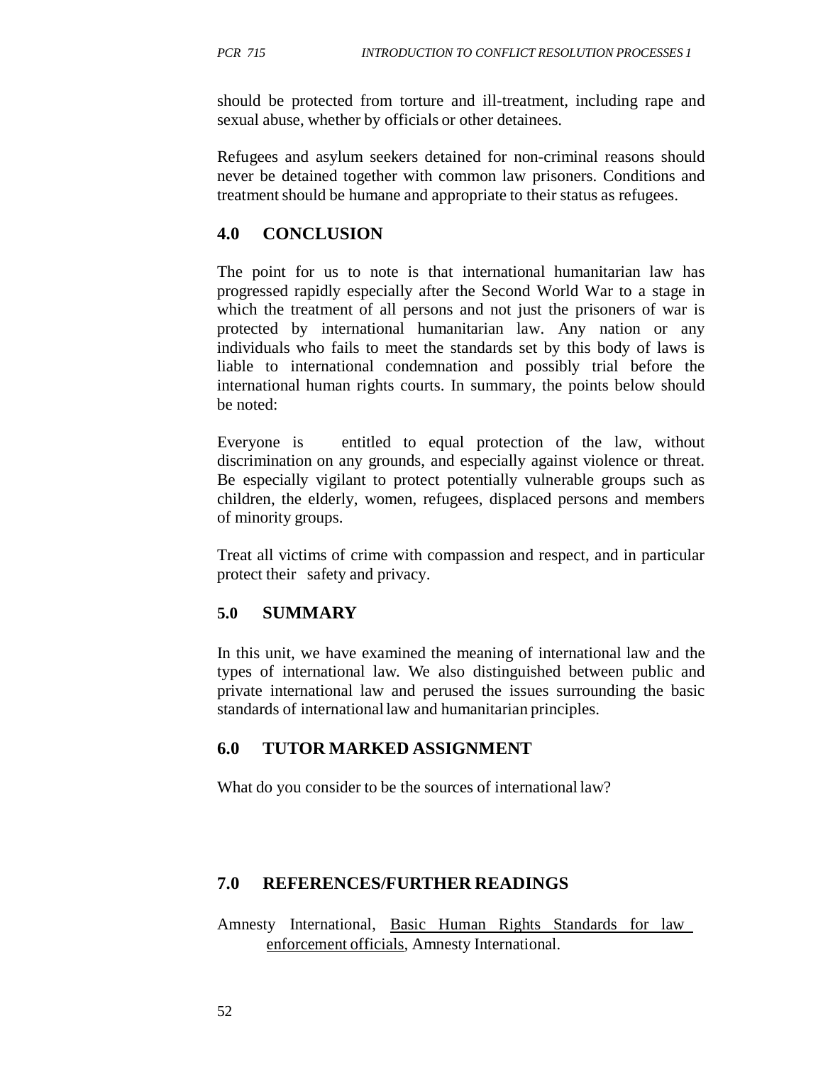should be protected from torture and ill-treatment, including rape and sexual abuse, whether by officials or other detainees.

Refugees and asylum seekers detained for non-criminal reasons should never be detained together with common law prisoners. Conditions and treatment should be humane and appropriate to their status as refugees.

## **4.0 CONCLUSION**

The point for us to note is that international humanitarian law has progressed rapidly especially after the Second World War to a stage in which the treatment of all persons and not just the prisoners of war is protected by international humanitarian law. Any nation or any individuals who fails to meet the standards set by this body of laws is liable to international condemnation and possibly trial before the international human rights courts. In summary, the points below should be noted:

Everyone is entitled to equal protection of the law, without discrimination on any grounds, and especially against violence or threat. Be especially vigilant to protect potentially vulnerable groups such as children, the elderly, women, refugees, displaced persons and members of minority groups.

Treat all victims of crime with compassion and respect, and in particular protect their safety and privacy.

## **5.0 SUMMARY**

In this unit, we have examined the meaning of international law and the types of international law. We also distinguished between public and private international law and perused the issues surrounding the basic standards of international law and humanitarian principles.

## **6.0 TUTOR MARKED ASSIGNMENT**

What do you consider to be the sources of international law?

#### **7.0 REFERENCES/FURTHER READINGS**

Amnesty International, Basic Human Rights Standards for law enforcement officials, Amnesty International.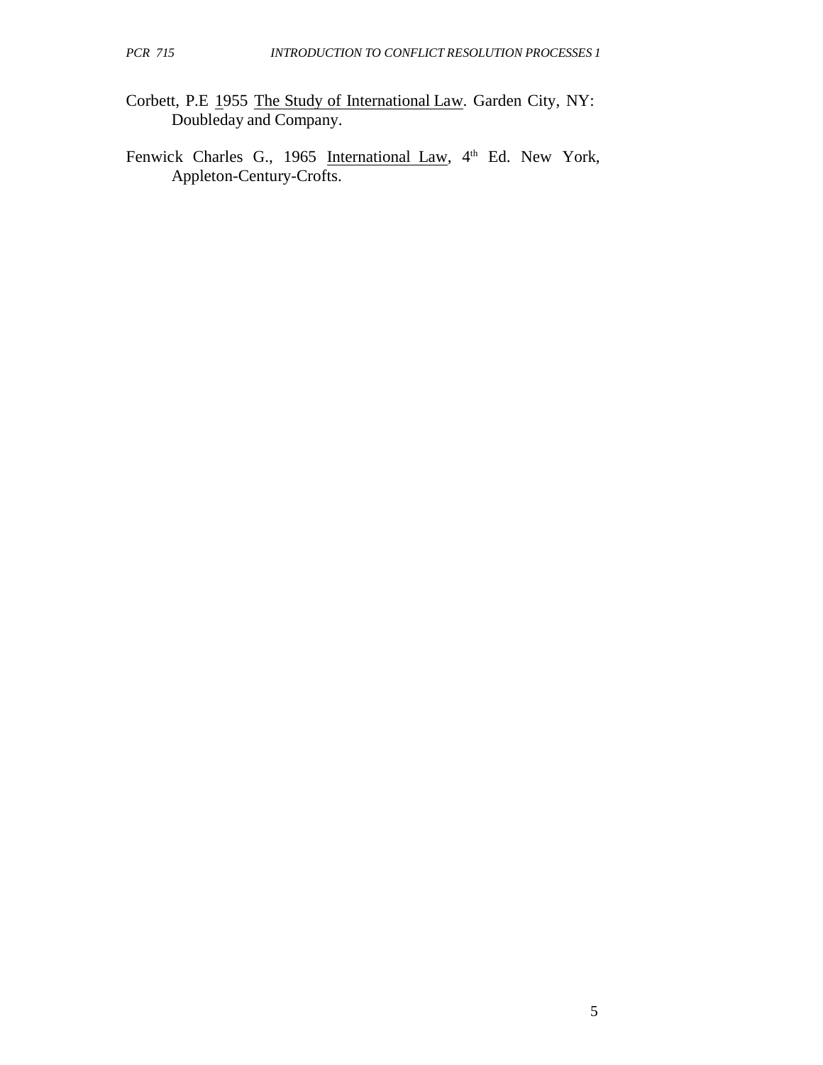- Corbett, P.E 1955 The Study of International Law. Garden City, NY: Doubleday and Company.
- Fenwick Charles G., 1965 International Law, 4<sup>th</sup> Ed. New York, Appleton-Century-Crofts.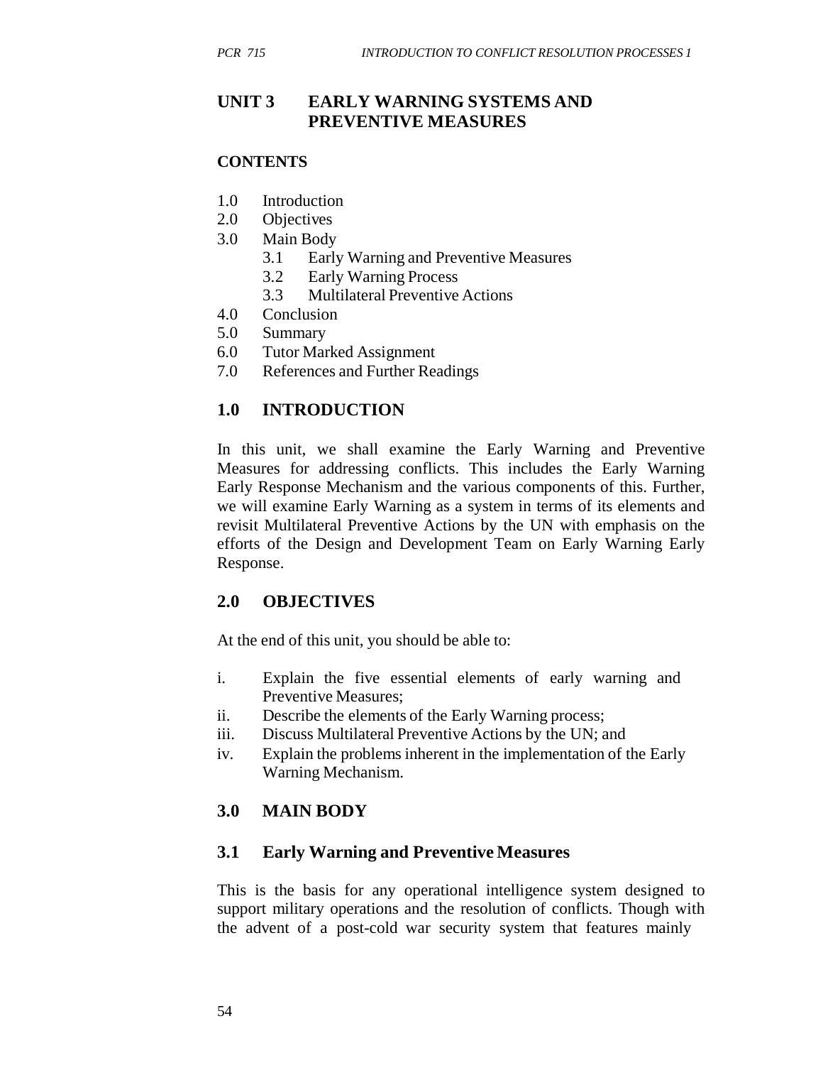## **UNIT 3 EARLY WARNING SYSTEMS AND PREVENTIVE MEASURES**

#### **CONTENTS**

- 1.0 Introduction
- 2.0 Objectives
- 3.0 Main Body
	- 3.1 Early Warning and Preventive Measures
	- 3.2 Early Warning Process
	- 3.3 Multilateral Preventive Actions
- 4.0 Conclusion
- 5.0 Summary
- 6.0 Tutor Marked Assignment
- 7.0 References and Further Readings

#### **1.0 INTRODUCTION**

In this unit, we shall examine the Early Warning and Preventive Measures for addressing conflicts. This includes the Early Warning Early Response Mechanism and the various components of this. Further, we will examine Early Warning as a system in terms of its elements and revisit Multilateral Preventive Actions by the UN with emphasis on the efforts of the Design and Development Team on Early Warning Early Response.

#### **2.0 OBJECTIVES**

At the end of this unit, you should be able to:

- i. Explain the five essential elements of early warning and Preventive Measures;
- ii. Describe the elements of the Early Warning process;
- iii. Discuss Multilateral Preventive Actions by the UN; and
- iv. Explain the problems inherent in the implementation of the Early Warning Mechanism.

#### **3.0 MAIN BODY**

#### **3.1 Early Warning and Preventive Measures**

This is the basis for any operational intelligence system designed to support military operations and the resolution of conflicts. Though with the advent of a post-cold war security system that features mainly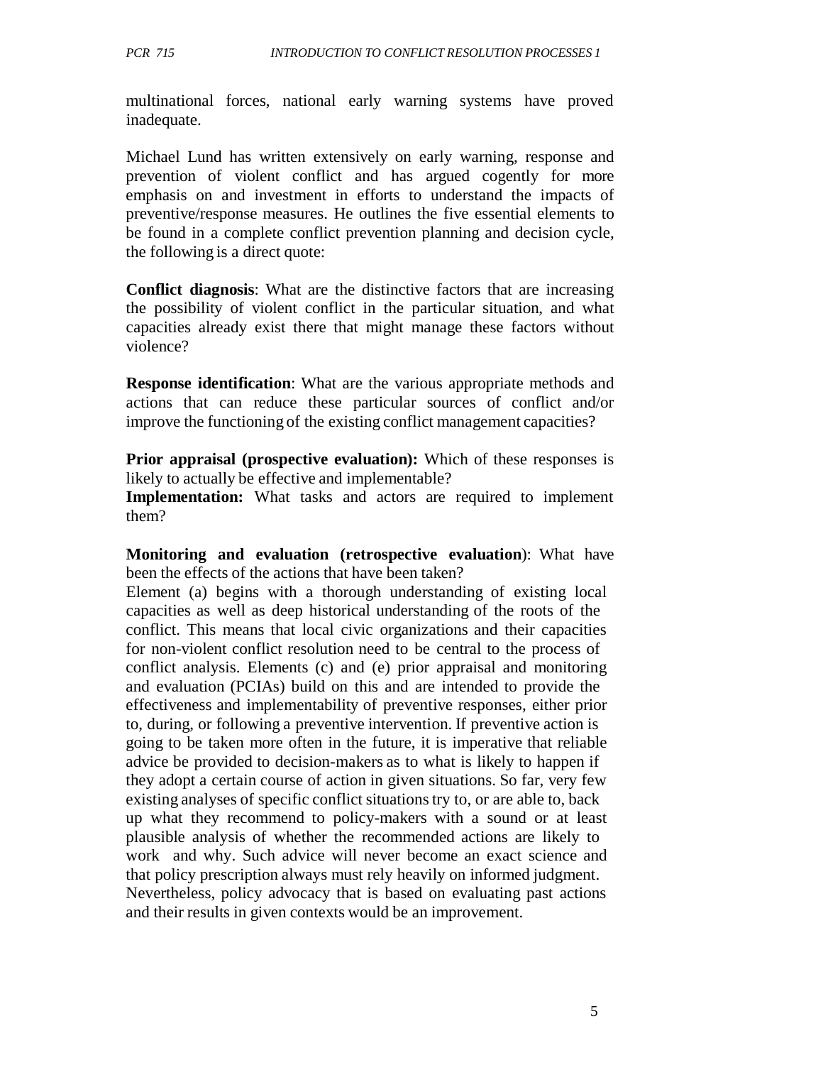multinational forces, national early warning systems have proved inadequate.

Michael Lund has written extensively on early warning, response and prevention of violent conflict and has argued cogently for more emphasis on and investment in efforts to understand the impacts of preventive/response measures. He outlines the five essential elements to be found in a complete conflict prevention planning and decision cycle, the following is a direct quote:

**Conflict diagnosis**: What are the distinctive factors that are increasing the possibility of violent conflict in the particular situation, and what capacities already exist there that might manage these factors without violence?

**Response identification**: What are the various appropriate methods and actions that can reduce these particular sources of conflict and/or improve the functioning of the existing conflict management capacities?

**Prior appraisal (prospective evaluation):** Which of these responses is likely to actually be effective and implementable?

**Implementation:** What tasks and actors are required to implement them?

**Monitoring and evaluation (retrospective evaluation**): What have been the effects of the actions that have been taken?

Element (a) begins with a thorough understanding of existing local capacities as well as deep historical understanding of the roots of the conflict. This means that local civic organizations and their capacities for non-violent conflict resolution need to be central to the process of conflict analysis. Elements (c) and (e) prior appraisal and monitoring and evaluation (PCIAs) build on this and are intended to provide the effectiveness and implementability of preventive responses, either prior to, during, or following a preventive intervention. If preventive action is going to be taken more often in the future, it is imperative that reliable advice be provided to decision-makers as to what is likely to happen if they adopt a certain course of action in given situations. So far, very few existing analyses of specific conflict situations try to, or are able to, back up what they recommend to policy-makers with a sound or at least plausible analysis of whether the recommended actions are likely to work and why. Such advice will never become an exact science and that policy prescription always must rely heavily on informed judgment. Nevertheless, policy advocacy that is based on evaluating past actions and their results in given contexts would be an improvement.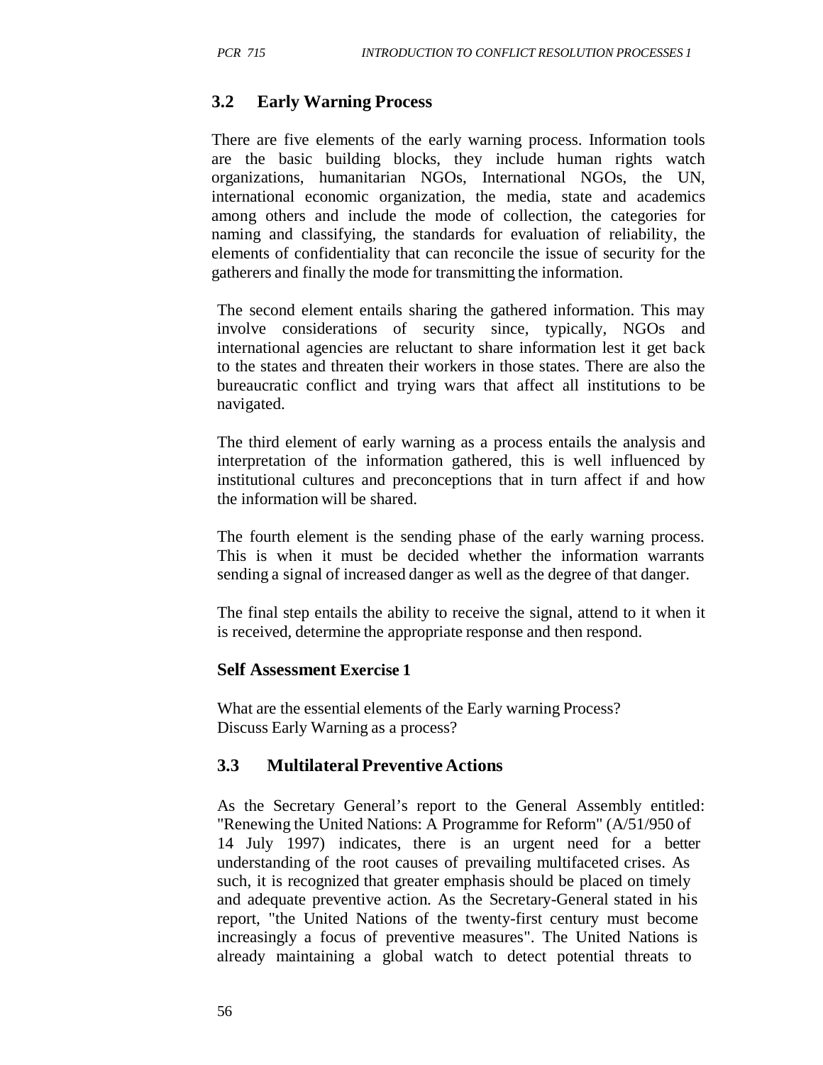## **3.2 Early Warning Process**

There are five elements of the early warning process. Information tools are the basic building blocks, they include human rights watch organizations, humanitarian NGOs, International NGOs, the UN, international economic organization, the media, state and academics among others and include the mode of collection, the categories for naming and classifying, the standards for evaluation of reliability, the elements of confidentiality that can reconcile the issue of security for the gatherers and finally the mode for transmitting the information.

The second element entails sharing the gathered information. This may involve considerations of security since, typically, NGOs and international agencies are reluctant to share information lest it get back to the states and threaten their workers in those states. There are also the bureaucratic conflict and trying wars that affect all institutions to be navigated.

The third element of early warning as a process entails the analysis and interpretation of the information gathered, this is well influenced by institutional cultures and preconceptions that in turn affect if and how the information will be shared.

The fourth element is the sending phase of the early warning process. This is when it must be decided whether the information warrants sending a signal of increased danger as well as the degree of that danger.

The final step entails the ability to receive the signal, attend to it when it is received, determine the appropriate response and then respond.

#### **Self Assessment Exercise 1**

What are the essential elements of the Early warning Process? Discuss Early Warning as a process?

#### **3.3 Multilateral Preventive Actions**

As the Secretary General's report to the General Assembly entitled: "Renewing the United Nations: A Programme for Reform" (A/51/950 of 14 July 1997) indicates, there is an urgent need for a better understanding of the root causes of prevailing multifaceted crises. As such, it is recognized that greater emphasis should be placed on timely and adequate preventive action. As the Secretary-General stated in his report, "the United Nations of the twenty-first century must become increasingly a focus of preventive measures". The United Nations is already maintaining a global watch to detect potential threats to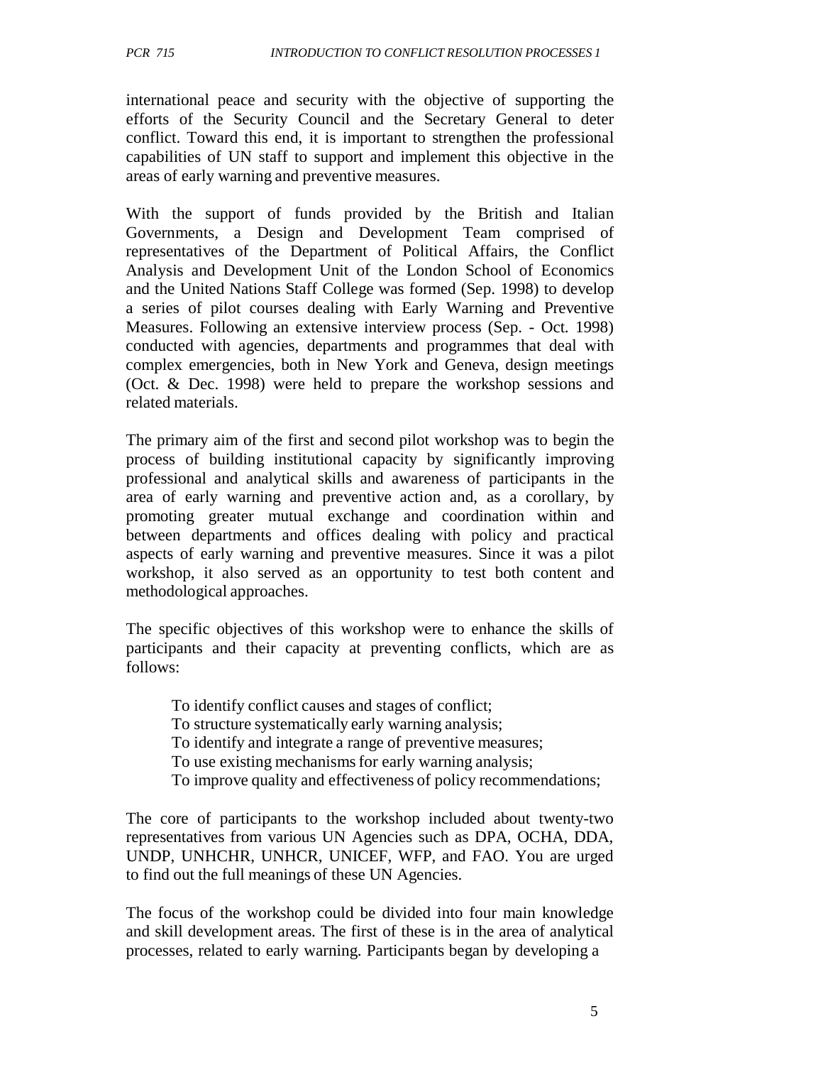international peace and security with the objective of supporting the efforts of the Security Council and the Secretary General to deter conflict. Toward this end, it is important to strengthen the professional capabilities of UN staff to support and implement this objective in the areas of early warning and preventive measures.

With the support of funds provided by the British and Italian Governments, a Design and Development Team comprised of representatives of the Department of Political Affairs, the Conflict Analysis and Development Unit of the London School of Economics and the United Nations Staff College was formed (Sep. 1998) to develop a series of pilot courses dealing with Early Warning and Preventive Measures. Following an extensive interview process (Sep. - Oct. 1998) conducted with agencies, departments and programmes that deal with complex emergencies, both in New York and Geneva, design meetings (Oct. & Dec. 1998) were held to prepare the workshop sessions and related materials.

The primary aim of the first and second pilot workshop was to begin the process of building institutional capacity by significantly improving professional and analytical skills and awareness of participants in the area of early warning and preventive action and, as a corollary, by promoting greater mutual exchange and coordination within and between departments and offices dealing with policy and practical aspects of early warning and preventive measures. Since it was a pilot workshop, it also served as an opportunity to test both content and methodological approaches.

The specific objectives of this workshop were to enhance the skills of participants and their capacity at preventing conflicts, which are as follows:

To identify conflict causes and stages of conflict; To structure systematically early warning analysis; To identify and integrate a range of preventive measures; To use existing mechanisms for early warning analysis; To improve quality and effectiveness of policy recommendations;

The core of participants to the workshop included about twenty-two representatives from various UN Agencies such as DPA, OCHA, DDA, UNDP, UNHCHR, UNHCR, UNICEF, WFP, and FAO. You are urged to find out the full meanings of these UN Agencies.

The focus of the workshop could be divided into four main knowledge and skill development areas. The first of these is in the area of analytical processes, related to early warning. Participants began by developing a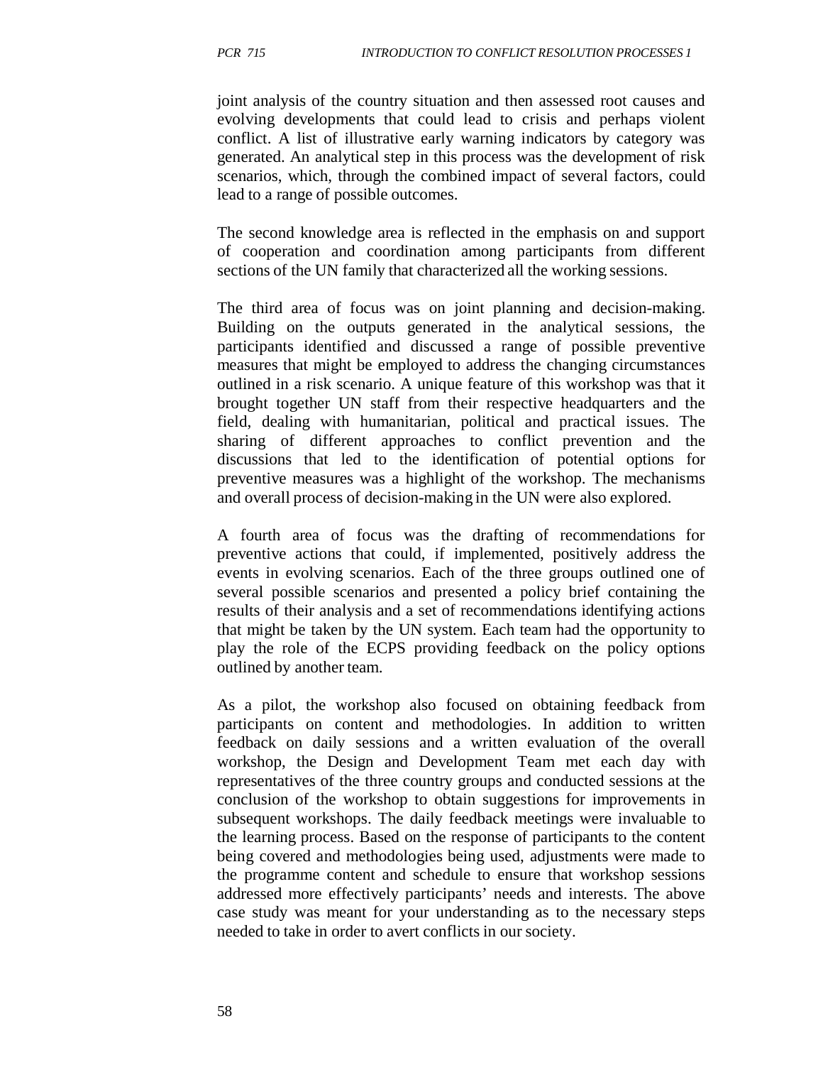joint analysis of the country situation and then assessed root causes and evolving developments that could lead to crisis and perhaps violent conflict. A list of illustrative early warning indicators by category was generated. An analytical step in this process was the development of risk scenarios, which, through the combined impact of several factors, could lead to a range of possible outcomes.

The second knowledge area is reflected in the emphasis on and support of cooperation and coordination among participants from different sections of the UN family that characterized all the working sessions.

The third area of focus was on joint planning and decision-making. Building on the outputs generated in the analytical sessions, the participants identified and discussed a range of possible preventive measures that might be employed to address the changing circumstances outlined in a risk scenario. A unique feature of this workshop was that it brought together UN staff from their respective headquarters and the field, dealing with humanitarian, political and practical issues. The sharing of different approaches to conflict prevention and the discussions that led to the identification of potential options for preventive measures was a highlight of the workshop. The mechanisms and overall process of decision-making in the UN were also explored.

A fourth area of focus was the drafting of recommendations for preventive actions that could, if implemented, positively address the events in evolving scenarios. Each of the three groups outlined one of several possible scenarios and presented a policy brief containing the results of their analysis and a set of recommendations identifying actions that might be taken by the UN system. Each team had the opportunity to play the role of the ECPS providing feedback on the policy options outlined by another team.

As a pilot, the workshop also focused on obtaining feedback from participants on content and methodologies. In addition to written feedback on daily sessions and a written evaluation of the overall workshop, the Design and Development Team met each day with representatives of the three country groups and conducted sessions at the conclusion of the workshop to obtain suggestions for improvements in subsequent workshops. The daily feedback meetings were invaluable to the learning process. Based on the response of participants to the content being covered and methodologies being used, adjustments were made to the programme content and schedule to ensure that workshop sessions addressed more effectively participants' needs and interests. The above case study was meant for your understanding as to the necessary steps needed to take in order to avert conflicts in our society.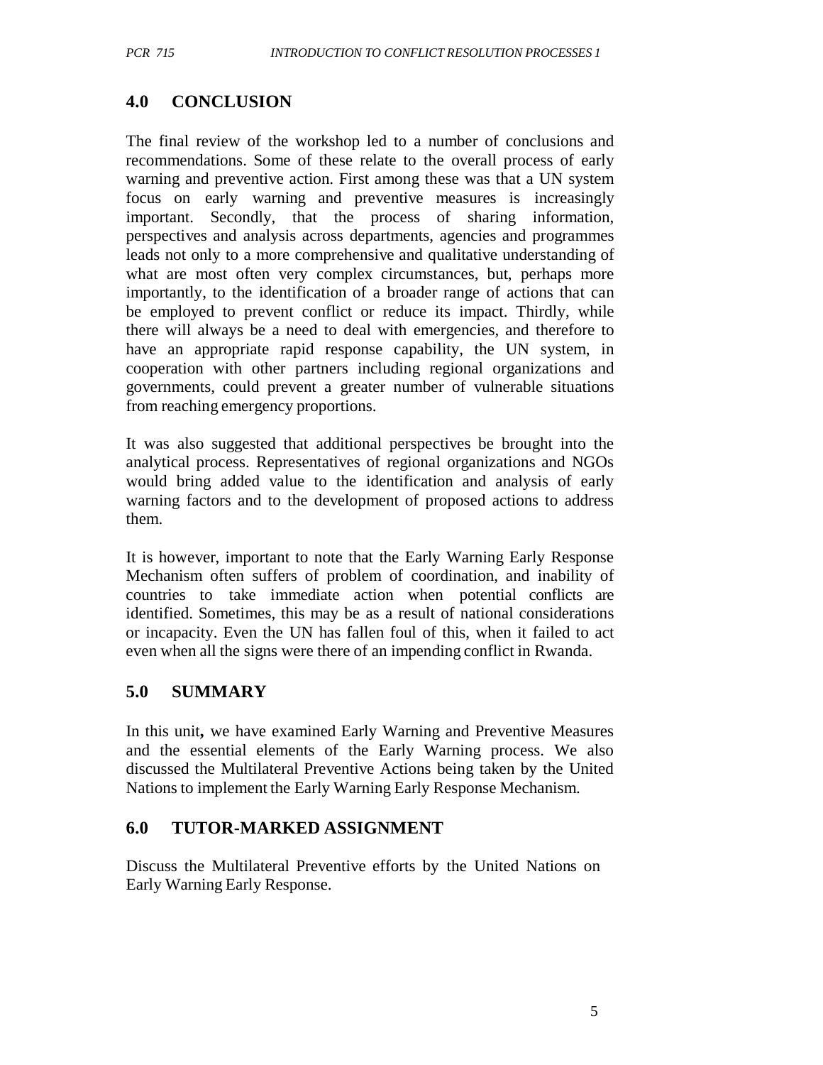# **4.0 CONCLUSION**

The final review of the workshop led to a number of conclusions and recommendations. Some of these relate to the overall process of early warning and preventive action. First among these was that a UN system focus on early warning and preventive measures is increasingly important. Secondly, that the process of sharing information, perspectives and analysis across departments, agencies and programmes leads not only to a more comprehensive and qualitative understanding of what are most often very complex circumstances, but, perhaps more importantly, to the identification of a broader range of actions that can be employed to prevent conflict or reduce its impact. Thirdly, while there will always be a need to deal with emergencies, and therefore to have an appropriate rapid response capability, the UN system, in cooperation with other partners including regional organizations and governments, could prevent a greater number of vulnerable situations from reaching emergency proportions.

It was also suggested that additional perspectives be brought into the analytical process. Representatives of regional organizations and NGOs would bring added value to the identification and analysis of early warning factors and to the development of proposed actions to address them.

It is however, important to note that the Early Warning Early Response Mechanism often suffers of problem of coordination, and inability of countries to take immediate action when potential conflicts are identified. Sometimes, this may be as a result of national considerations or incapacity. Even the UN has fallen foul of this, when it failed to act even when all the signs were there of an impending conflict in Rwanda.

## **5.0 SUMMARY**

In this unit**,** we have examined Early Warning and Preventive Measures and the essential elements of the Early Warning process. We also discussed the Multilateral Preventive Actions being taken by the United Nations to implement the Early Warning Early Response Mechanism.

#### **6.0 TUTOR-MARKED ASSIGNMENT**

Discuss the Multilateral Preventive efforts by the United Nations on Early Warning Early Response.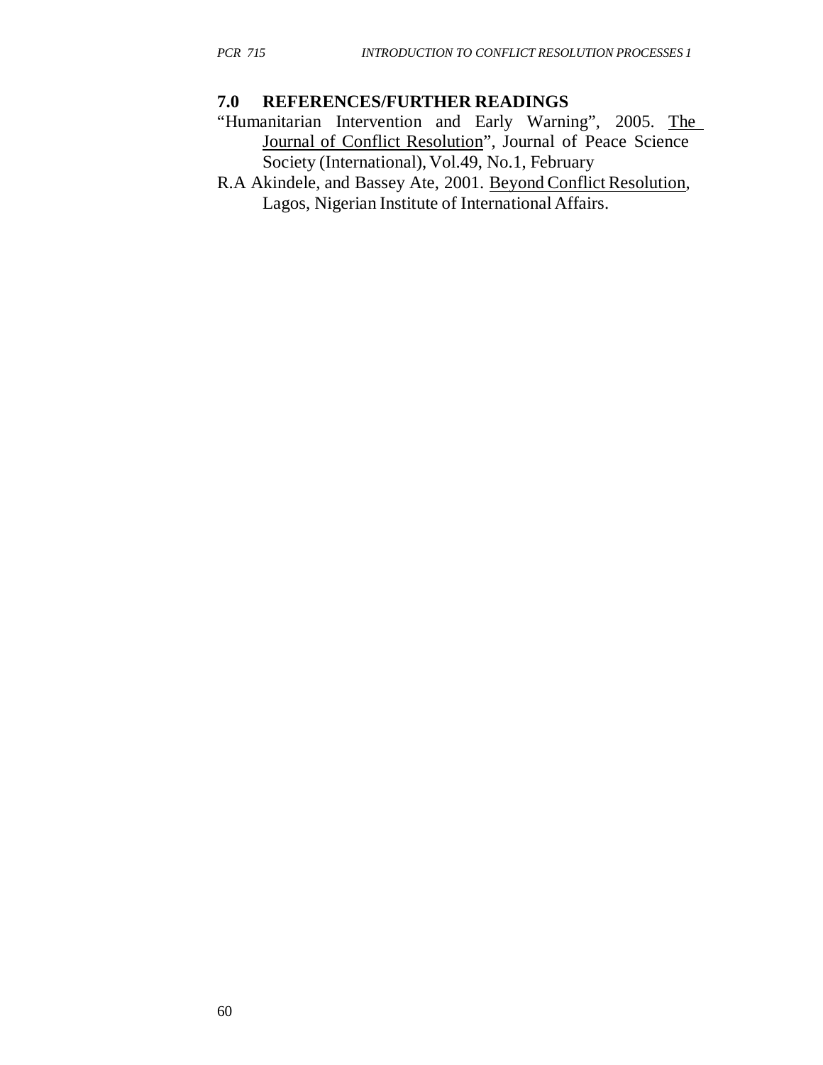#### **7.0 REFERENCES/FURTHER READINGS**

- "Humanitarian Intervention and Early Warning", 2005. The Journal of Conflict Resolution", Journal of Peace Science Society (International), Vol.49, No.1, February
- R.A Akindele, and Bassey Ate, 2001. Beyond Conflict Resolution, Lagos, Nigerian Institute of International Affairs.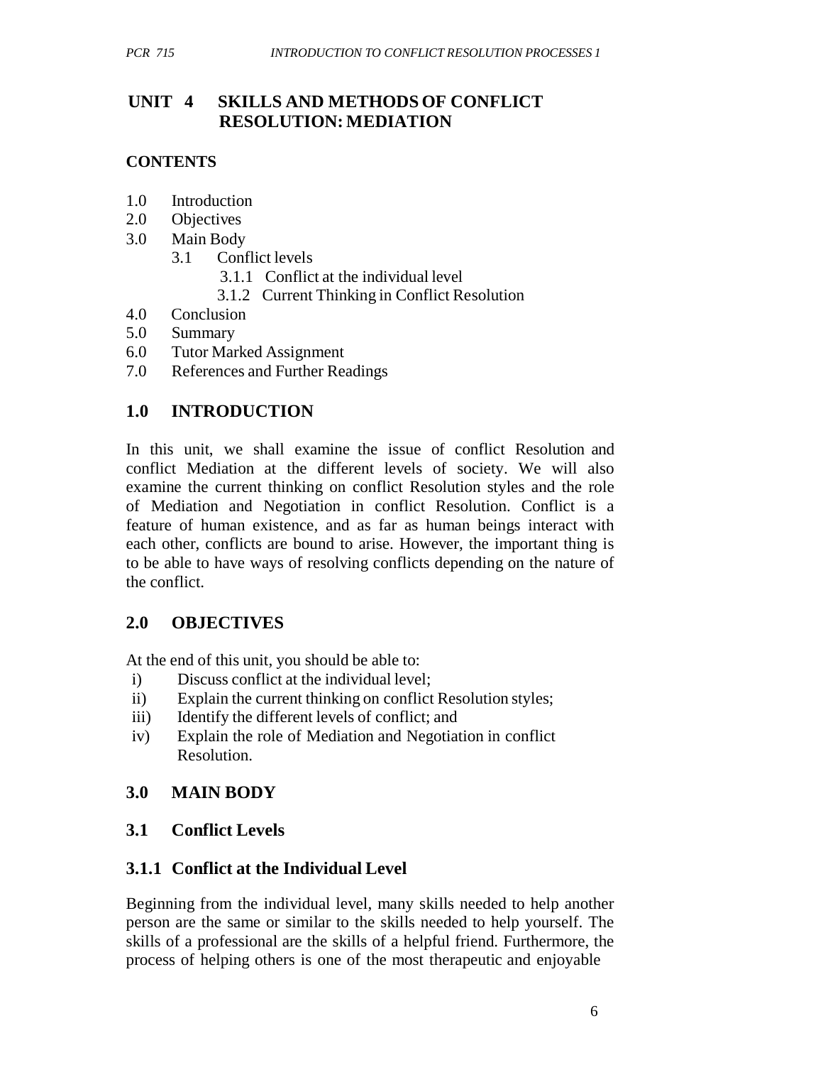# **UNIT 4 SKILLS AND METHODS OF CONFLICT RESOLUTION: MEDIATION**

## **CONTENTS**

- 1.0 Introduction
- 2.0 Objectives
- 3.0 Main Body
	- 3.1 Conflict levels
		- 3.1.1 Conflict at the individual level
		- 3.1.2 Current Thinking in Conflict Resolution
- 4.0 Conclusion
- 5.0 Summary
- 6.0 Tutor Marked Assignment
- 7.0 References and Further Readings

# **1.0 INTRODUCTION**

In this unit, we shall examine the issue of conflict Resolution and conflict Mediation at the different levels of society. We will also examine the current thinking on conflict Resolution styles and the role of Mediation and Negotiation in conflict Resolution. Conflict is a feature of human existence, and as far as human beings interact with each other, conflicts are bound to arise. However, the important thing is to be able to have ways of resolving conflicts depending on the nature of the conflict.

# **2.0 OBJECTIVES**

At the end of this unit, you should be able to:

- i) Discuss conflict at the individual level;
- ii) Explain the current thinking on conflict Resolution styles;
- iii) Identify the different levels of conflict; and
- iv) Explain the role of Mediation and Negotiation in conflict Resolution.

# **3.0 MAIN BODY**

## **3.1 Conflict Levels**

## **3.1.1 Conflict at the Individual Level**

Beginning from the individual level, many skills needed to help another person are the same or similar to the skills needed to help yourself. The skills of a professional are the skills of a helpful friend. Furthermore, the process of helping others is one of the most therapeutic and enjoyable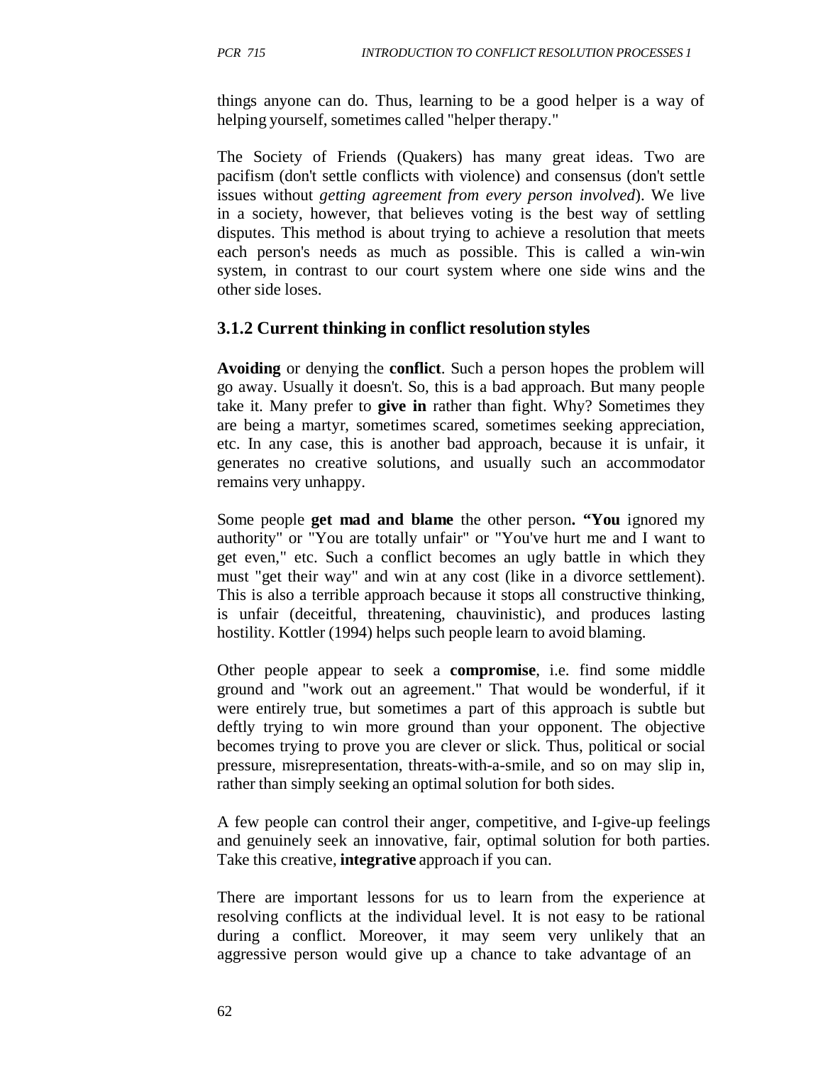things anyone can do. Thus, learning to be a good helper is a way of helping yourself, sometimes called "helper therapy."

The Society of Friends (Quakers) has many great ideas. Two are pacifism (don't settle conflicts with violence) and consensus (don't settle issues without *getting agreement from every person involved*). We live in a society, however, that believes voting is the best way of settling disputes. This method is about trying to achieve a resolution that meets each person's needs as much as possible. This is called a win-win system, in contrast to our court system where one side wins and the other side loses.

#### **3.1.2 Current thinking in conflict resolution styles**

**Avoiding** or denying the **conflict**. Such a person hopes the problem will go away. Usually it doesn't. So, this is a bad approach. But many people take it. Many prefer to **give in** rather than fight. Why? Sometimes they are being a martyr, sometimes scared, sometimes seeking appreciation, etc. In any case, this is another bad approach, because it is unfair, it generates no creative solutions, and usually such an accommodator remains very unhappy.

Some people **get mad and blame** the other person**. "You** ignored my authority" or "You are totally unfair" or "You've hurt me and I want to get even," etc. Such a conflict becomes an ugly battle in which they must "get their way" and win at any cost (like in a divorce settlement). This is also a terrible approach because it stops all constructive thinking, is unfair (deceitful, threatening, chauvinistic), and produces lasting hostility. Kottler (1994) helps such people learn to avoid blaming.

Other people appear to seek a **compromise**, i.e. find some middle ground and "work out an agreement." That would be wonderful, if it were entirely true, but sometimes a part of this approach is subtle but deftly trying to win more ground than your opponent. The objective becomes trying to prove you are clever or slick. Thus, political or social pressure, misrepresentation, threats-with-a-smile, and so on may slip in, rather than simply seeking an optimal solution for both sides.

A few people can control their anger, competitive, and I-give-up feelings and genuinely seek an innovative, fair, optimal solution for both parties. Take this creative, **integrative** approach if you can.

There are important lessons for us to learn from the experience at resolving conflicts at the individual level. It is not easy to be rational during a conflict. Moreover, it may seem very unlikely that an aggressive person would give up a chance to take advantage of an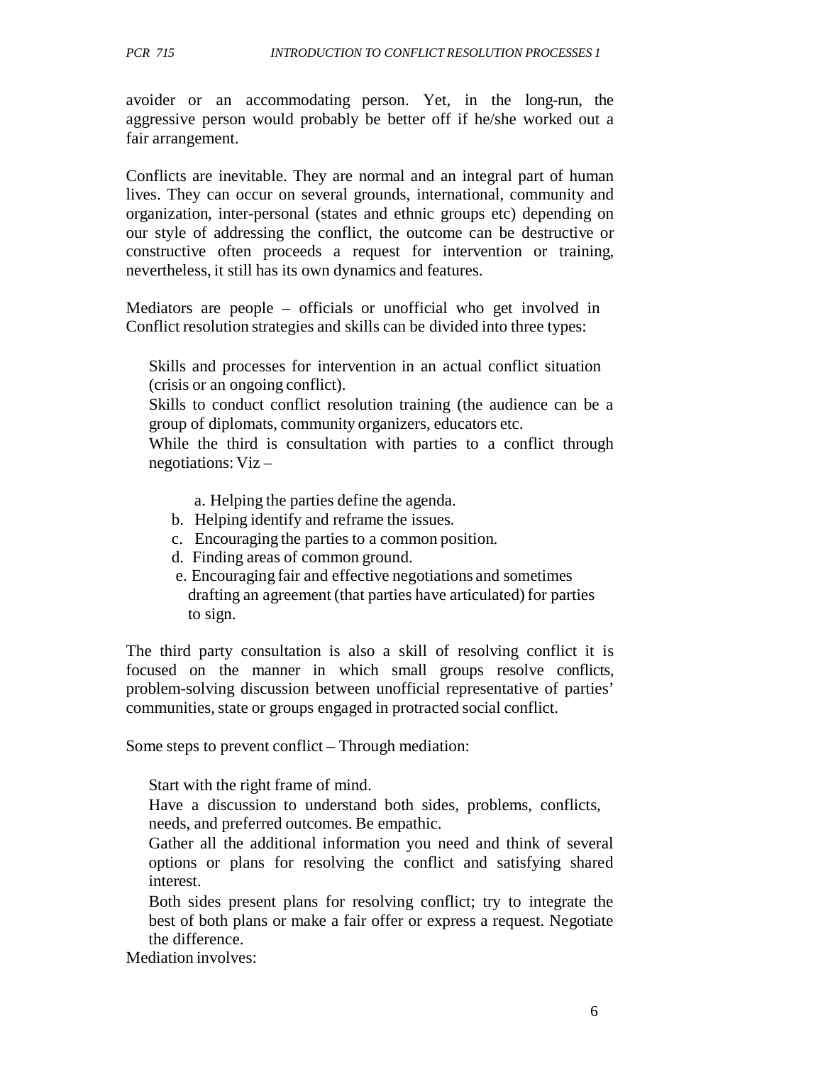avoider or an accommodating person. Yet, in the long-run, the aggressive person would probably be better off if he/she worked out a fair arrangement.

Conflicts are inevitable. They are normal and an integral part of human lives. They can occur on several grounds, international, community and organization, inter-personal (states and ethnic groups etc) depending on our style of addressing the conflict, the outcome can be destructive or constructive often proceeds a request for intervention or training, nevertheless, it still has its own dynamics and features.

Mediators are people – officials or unofficial who get involved in Conflict resolution strategies and skills can be divided into three types:

Skills and processes for intervention in an actual conflict situation (crisis or an ongoing conflict).

Skills to conduct conflict resolution training (the audience can be a group of diplomats, community organizers, educators etc.

While the third is consultation with parties to a conflict through negotiations: Viz –

a. Helping the parties define the agenda.

- b. Helping identify and reframe the issues.
- c. Encouraging the parties to a common position.
- d. Finding areas of common ground.
- e. Encouraging fair and effective negotiations and sometimes drafting an agreement (that parties have articulated) for parties to sign.

The third party consultation is also a skill of resolving conflict it is focused on the manner in which small groups resolve conflicts, problem-solving discussion between unofficial representative of parties' communities, state or groups engaged in protracted social conflict.

Some steps to prevent conflict – Through mediation:

Start with the right frame of mind.

Have a discussion to understand both sides, problems, conflicts, needs, and preferred outcomes. Be empathic.

Gather all the additional information you need and think of several options or plans for resolving the conflict and satisfying shared interest.

Both sides present plans for resolving conflict; try to integrate the best of both plans or make a fair offer or express a request. Negotiate the difference.

Mediation involves: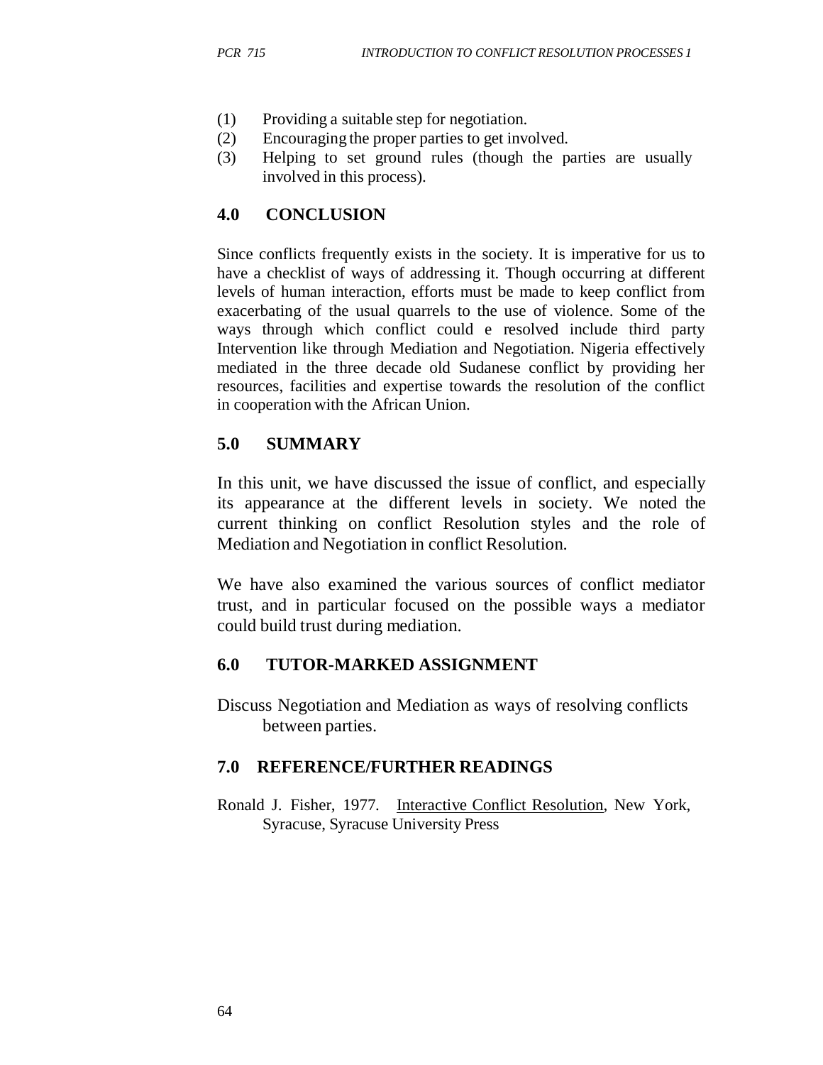- (1) Providing a suitable step for negotiation.
- (2) Encouraging the proper parties to get involved.
- (3) Helping to set ground rules (though the parties are usually involved in this process).

#### **4.0 CONCLUSION**

Since conflicts frequently exists in the society. It is imperative for us to have a checklist of ways of addressing it. Though occurring at different levels of human interaction, efforts must be made to keep conflict from exacerbating of the usual quarrels to the use of violence. Some of the ways through which conflict could e resolved include third party Intervention like through Mediation and Negotiation. Nigeria effectively mediated in the three decade old Sudanese conflict by providing her resources, facilities and expertise towards the resolution of the conflict in cooperation with the African Union.

## **5.0 SUMMARY**

In this unit, we have discussed the issue of conflict, and especially its appearance at the different levels in society. We noted the current thinking on conflict Resolution styles and the role of Mediation and Negotiation in conflict Resolution.

We have also examined the various sources of conflict mediator trust, and in particular focused on the possible ways a mediator could build trust during mediation.

#### **6.0 TUTOR-MARKED ASSIGNMENT**

Discuss Negotiation and Mediation as ways of resolving conflicts between parties.

#### **7.0 REFERENCE/FURTHER READINGS**

Ronald J. Fisher, 1977. Interactive Conflict Resolution, New York, Syracuse, Syracuse University Press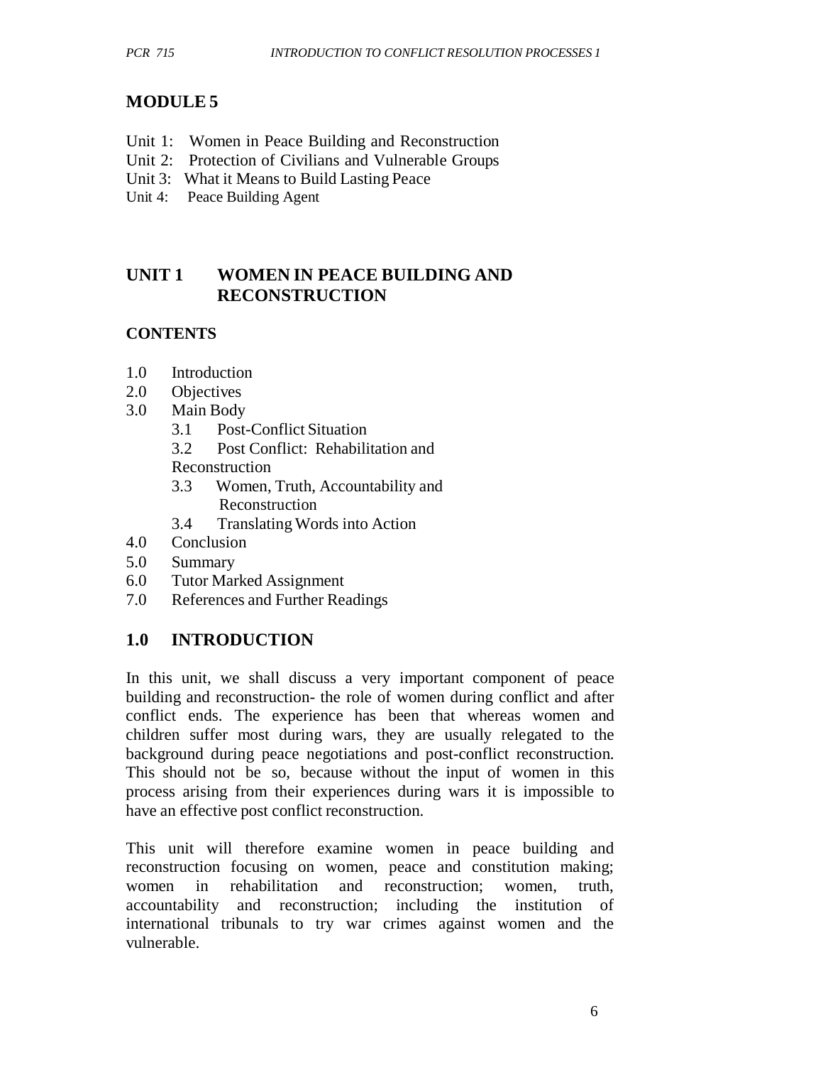# **MODULE 5**

- Unit 1: Women in Peace Building and Reconstruction
- Unit 2: Protection of Civilians and Vulnerable Groups
- Unit 3: What it Means to Build Lasting Peace
- Unit 4: Peace Building Agent

# **UNIT 1 WOMEN IN PEACE BUILDING AND RECONSTRUCTION**

# **CONTENTS**

- 1.0 Introduction
- 2.0 Objectives
- 3.0 Main Body
	- 3.1 Post-Conflict Situation
	- 3.2 Post Conflict: Rehabilitation and

Reconstruction

- 3.3 Women, Truth, Accountability and Reconstruction
- 3.4 Translating Words into Action
- 4.0 Conclusion
- 5.0 Summary
- 6.0 Tutor Marked Assignment
- 7.0 References and Further Readings

# **1.0 INTRODUCTION**

In this unit, we shall discuss a very important component of peace building and reconstruction- the role of women during conflict and after conflict ends. The experience has been that whereas women and children suffer most during wars, they are usually relegated to the background during peace negotiations and post-conflict reconstruction. This should not be so, because without the input of women in this process arising from their experiences during wars it is impossible to have an effective post conflict reconstruction.

This unit will therefore examine women in peace building and reconstruction focusing on women, peace and constitution making; women in rehabilitation and reconstruction; women, truth, accountability and reconstruction; including the institution of international tribunals to try war crimes against women and the vulnerable.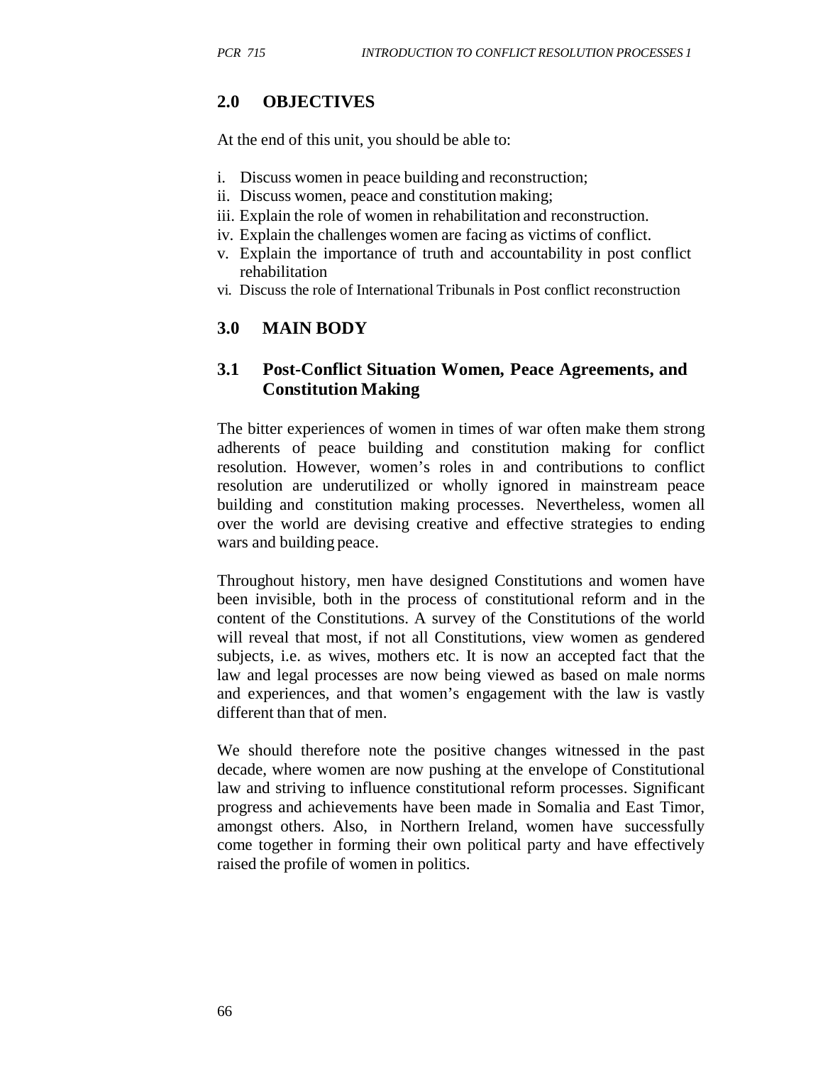# **2.0 OBJECTIVES**

At the end of this unit, you should be able to:

- i. Discuss women in peace building and reconstruction;
- ii. Discuss women, peace and constitution making;
- iii. Explain the role of women in rehabilitation and reconstruction.
- iv. Explain the challenges women are facing as victims of conflict.
- v. Explain the importance of truth and accountability in post conflict rehabilitation
- vi. Discuss the role of International Tribunals in Post conflict reconstruction

## **3.0 MAIN BODY**

## **3.1 Post-Conflict Situation Women, Peace Agreements, and Constitution Making**

The bitter experiences of women in times of war often make them strong adherents of peace building and constitution making for conflict resolution. However, women's roles in and contributions to conflict resolution are underutilized or wholly ignored in mainstream peace building and constitution making processes. Nevertheless, women all over the world are devising creative and effective strategies to ending wars and building peace.

Throughout history, men have designed Constitutions and women have been invisible, both in the process of constitutional reform and in the content of the Constitutions. A survey of the Constitutions of the world will reveal that most, if not all Constitutions, view women as gendered subjects, i.e. as wives, mothers etc. It is now an accepted fact that the law and legal processes are now being viewed as based on male norms and experiences, and that women's engagement with the law is vastly different than that of men.

We should therefore note the positive changes witnessed in the past decade, where women are now pushing at the envelope of Constitutional law and striving to influence constitutional reform processes. Significant progress and achievements have been made in Somalia and East Timor, amongst others. Also, in Northern Ireland, women have successfully come together in forming their own political party and have effectively raised the profile of women in politics.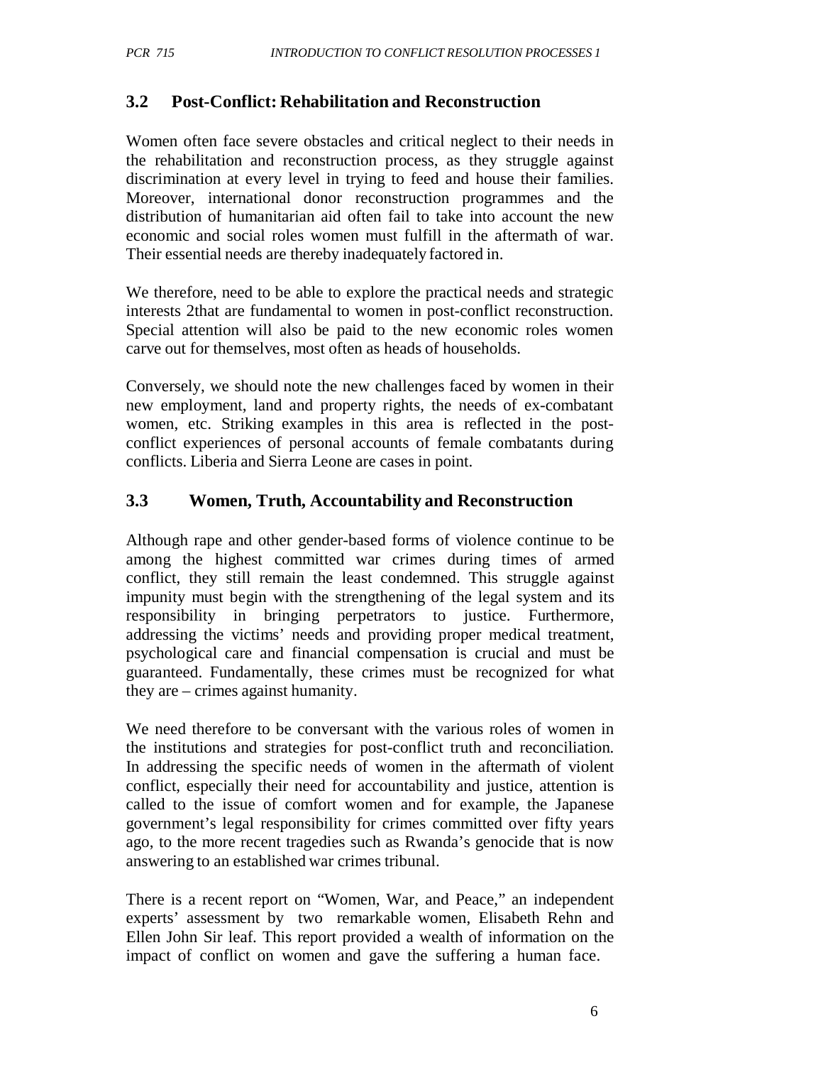## **3.2 Post-Conflict: Rehabilitation and Reconstruction**

Women often face severe obstacles and critical neglect to their needs in the rehabilitation and reconstruction process, as they struggle against discrimination at every level in trying to feed and house their families. Moreover, international donor reconstruction programmes and the distribution of humanitarian aid often fail to take into account the new economic and social roles women must fulfill in the aftermath of war. Their essential needs are thereby inadequately factored in.

We therefore, need to be able to explore the practical needs and strategic interests 2that are fundamental to women in post-conflict reconstruction. Special attention will also be paid to the new economic roles women carve out for themselves, most often as heads of households.

Conversely, we should note the new challenges faced by women in their new employment, land and property rights, the needs of ex-combatant women, etc. Striking examples in this area is reflected in the postconflict experiences of personal accounts of female combatants during conflicts. Liberia and Sierra Leone are cases in point.

# **3.3 Women, Truth, Accountability and Reconstruction**

Although rape and other gender-based forms of violence continue to be among the highest committed war crimes during times of armed conflict, they still remain the least condemned. This struggle against impunity must begin with the strengthening of the legal system and its responsibility in bringing perpetrators to justice. Furthermore, addressing the victims' needs and providing proper medical treatment, psychological care and financial compensation is crucial and must be guaranteed. Fundamentally, these crimes must be recognized for what they are – crimes against humanity.

We need therefore to be conversant with the various roles of women in the institutions and strategies for post-conflict truth and reconciliation. In addressing the specific needs of women in the aftermath of violent conflict, especially their need for accountability and justice, attention is called to the issue of comfort women and for example, the Japanese government's legal responsibility for crimes committed over fifty years ago, to the more recent tragedies such as Rwanda's genocide that is now answering to an established war crimes tribunal.

There is a recent report on "Women, War, and Peace," an independent experts' assessment by two remarkable women, Elisabeth Rehn and Ellen John Sir leaf. This report provided a wealth of information on the impact of conflict on women and gave the suffering a human face.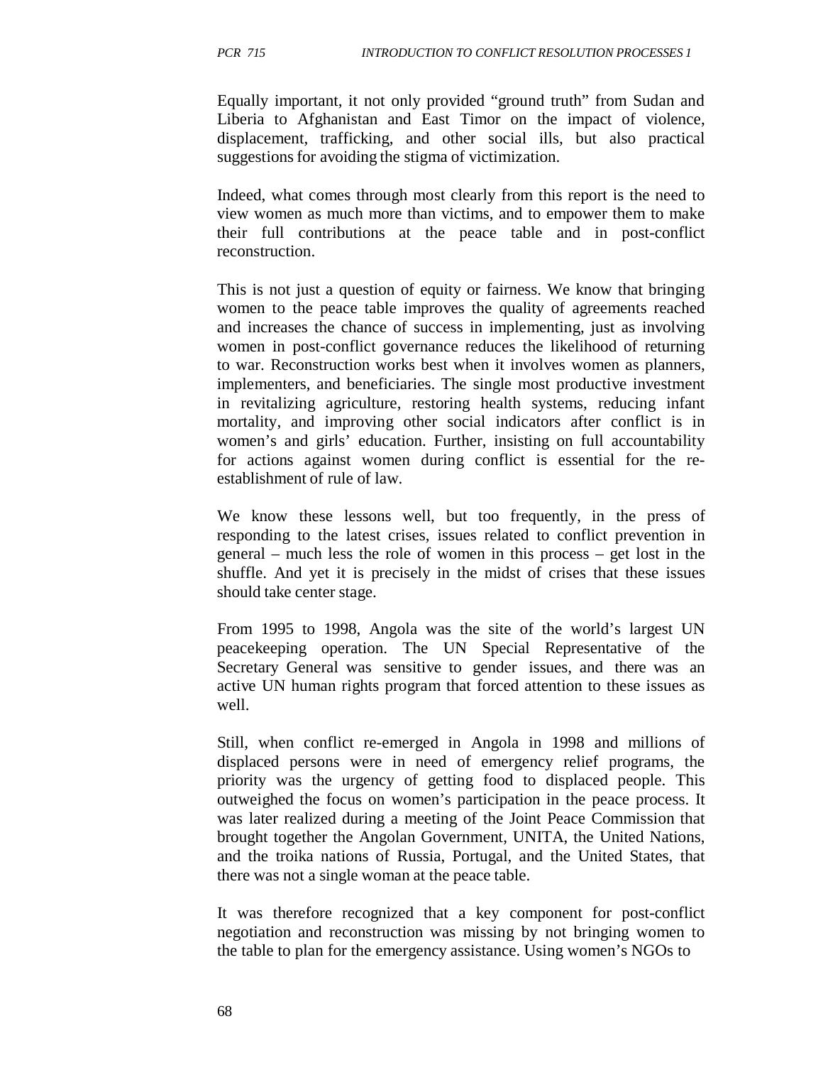Equally important, it not only provided "ground truth" from Sudan and Liberia to Afghanistan and East Timor on the impact of violence, displacement, trafficking, and other social ills, but also practical suggestions for avoiding the stigma of victimization.

Indeed, what comes through most clearly from this report is the need to view women as much more than victims, and to empower them to make their full contributions at the peace table and in post-conflict reconstruction.

This is not just a question of equity or fairness. We know that bringing women to the peace table improves the quality of agreements reached and increases the chance of success in implementing, just as involving women in post-conflict governance reduces the likelihood of returning to war. Reconstruction works best when it involves women as planners, implementers, and beneficiaries. The single most productive investment in revitalizing agriculture, restoring health systems, reducing infant mortality, and improving other social indicators after conflict is in women's and girls' education. Further, insisting on full accountability for actions against women during conflict is essential for the reestablishment of rule of law.

We know these lessons well, but too frequently, in the press of responding to the latest crises, issues related to conflict prevention in general – much less the role of women in this process – get lost in the shuffle. And yet it is precisely in the midst of crises that these issues should take center stage.

From 1995 to 1998, Angola was the site of the world's largest UN peacekeeping operation. The UN Special Representative of the Secretary General was sensitive to gender issues, and there was an active UN human rights program that forced attention to these issues as well.

Still, when conflict re-emerged in Angola in 1998 and millions of displaced persons were in need of emergency relief programs, the priority was the urgency of getting food to displaced people. This outweighed the focus on women's participation in the peace process. It was later realized during a meeting of the Joint Peace Commission that brought together the Angolan Government, UNITA, the United Nations, and the troika nations of Russia, Portugal, and the United States, that there was not a single woman at the peace table.

It was therefore recognized that a key component for post-conflict negotiation and reconstruction was missing by not bringing women to the table to plan for the emergency assistance. Using women's NGOs to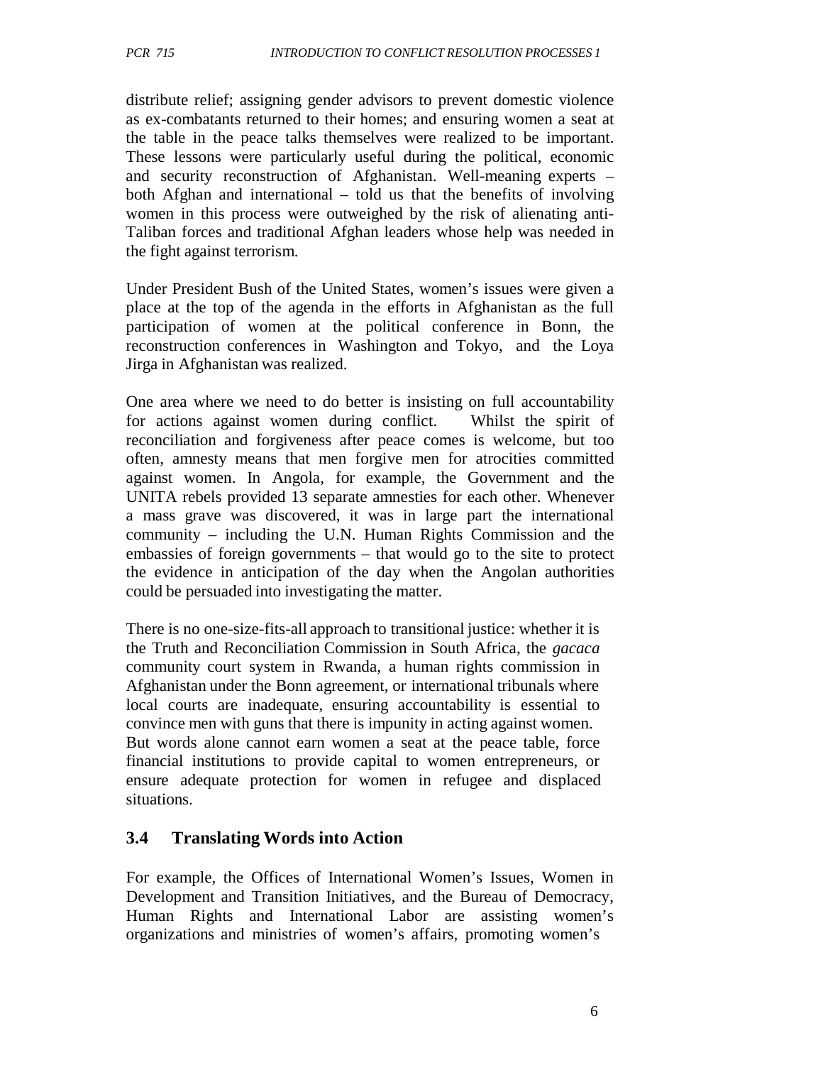distribute relief; assigning gender advisors to prevent domestic violence as ex-combatants returned to their homes; and ensuring women a seat at the table in the peace talks themselves were realized to be important. These lessons were particularly useful during the political, economic and security reconstruction of Afghanistan. Well-meaning experts – both Afghan and international – told us that the benefits of involving women in this process were outweighed by the risk of alienating anti-Taliban forces and traditional Afghan leaders whose help was needed in the fight against terrorism.

Under President Bush of the United States, women's issues were given a place at the top of the agenda in the efforts in Afghanistan as the full participation of women at the political conference in Bonn, the reconstruction conferences in Washington and Tokyo, and the Loya Jirga in Afghanistan was realized.

One area where we need to do better is insisting on full accountability for actions against women during conflict. Whilst the spirit of reconciliation and forgiveness after peace comes is welcome, but too often, amnesty means that men forgive men for atrocities committed against women. In Angola, for example, the Government and the UNITA rebels provided 13 separate amnesties for each other. Whenever a mass grave was discovered, it was in large part the international community – including the U.N. Human Rights Commission and the embassies of foreign governments – that would go to the site to protect the evidence in anticipation of the day when the Angolan authorities could be persuaded into investigating the matter.

There is no one-size-fits-all approach to transitional justice: whether it is the Truth and Reconciliation Commission in South Africa, the *gacaca*  community court system in Rwanda, a human rights commission in Afghanistan under the Bonn agreement, or international tribunals where local courts are inadequate, ensuring accountability is essential to convince men with guns that there is impunity in acting against women. But words alone cannot earn women a seat at the peace table, force financial institutions to provide capital to women entrepreneurs, or ensure adequate protection for women in refugee and displaced situations.

## **3.4 Translating Words into Action**

For example, the Offices of International Women's Issues, Women in Development and Transition Initiatives, and the Bureau of Democracy, Human Rights and International Labor are assisting women's organizations and ministries of women's affairs, promoting women's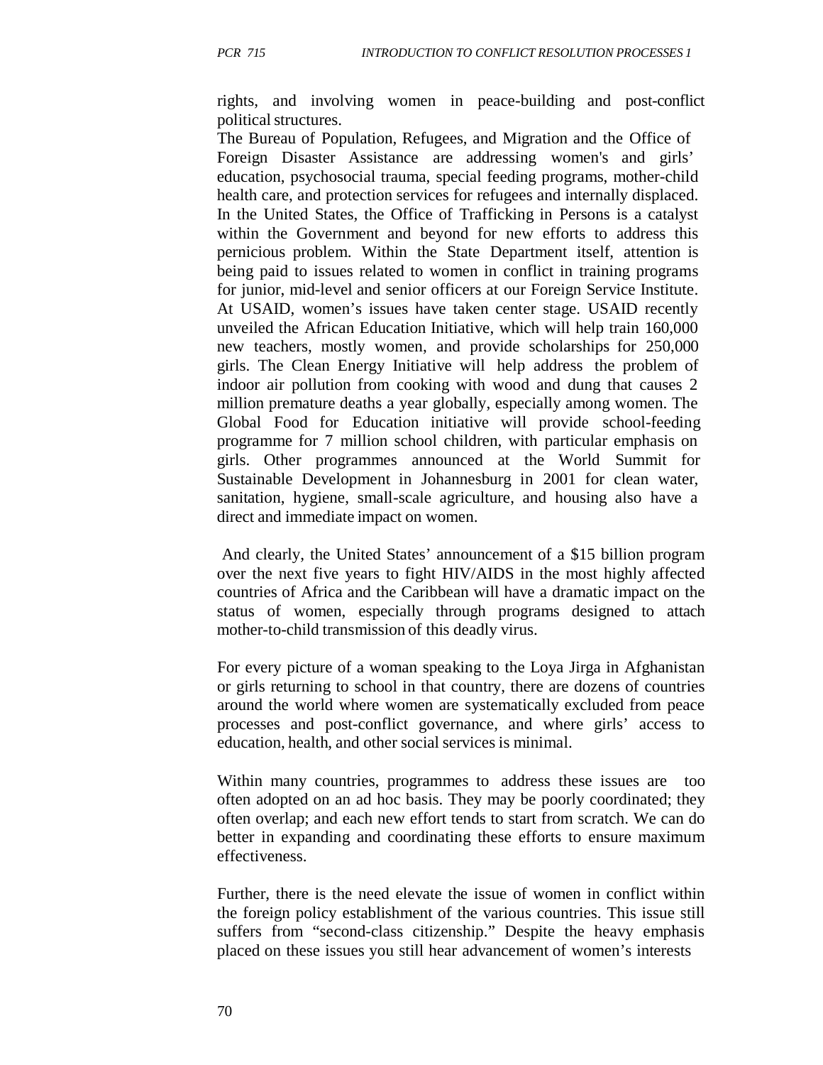rights, and involving women in peace-building and post-conflict political structures.

The Bureau of Population, Refugees, and Migration and the Office of Foreign Disaster Assistance are addressing women's and girls' education, psychosocial trauma, special feeding programs, mother-child health care, and protection services for refugees and internally displaced. In the United States, the Office of Trafficking in Persons is a catalyst within the Government and beyond for new efforts to address this pernicious problem. Within the State Department itself, attention is being paid to issues related to women in conflict in training programs for junior, mid-level and senior officers at our Foreign Service Institute. At USAID, women's issues have taken center stage. USAID recently unveiled the African Education Initiative, which will help train 160,000 new teachers, mostly women, and provide scholarships for 250,000 girls. The Clean Energy Initiative will help address the problem of indoor air pollution from cooking with wood and dung that causes 2 million premature deaths a year globally, especially among women. The Global Food for Education initiative will provide school-feeding programme for 7 million school children, with particular emphasis on girls. Other programmes announced at the World Summit for Sustainable Development in Johannesburg in 2001 for clean water, sanitation, hygiene, small-scale agriculture, and housing also have a direct and immediate impact on women.

And clearly, the United States' announcement of a \$15 billion program over the next five years to fight HIV/AIDS in the most highly affected countries of Africa and the Caribbean will have a dramatic impact on the status of women, especially through programs designed to attach mother-to-child transmission of this deadly virus.

For every picture of a woman speaking to the Loya Jirga in Afghanistan or girls returning to school in that country, there are dozens of countries around the world where women are systematically excluded from peace processes and post-conflict governance, and where girls' access to education, health, and other social services is minimal.

Within many countries, programmes to address these issues are too often adopted on an ad hoc basis. They may be poorly coordinated; they often overlap; and each new effort tends to start from scratch. We can do better in expanding and coordinating these efforts to ensure maximum effectiveness.

Further, there is the need elevate the issue of women in conflict within the foreign policy establishment of the various countries. This issue still suffers from "second-class citizenship." Despite the heavy emphasis placed on these issues you still hear advancement of women's interests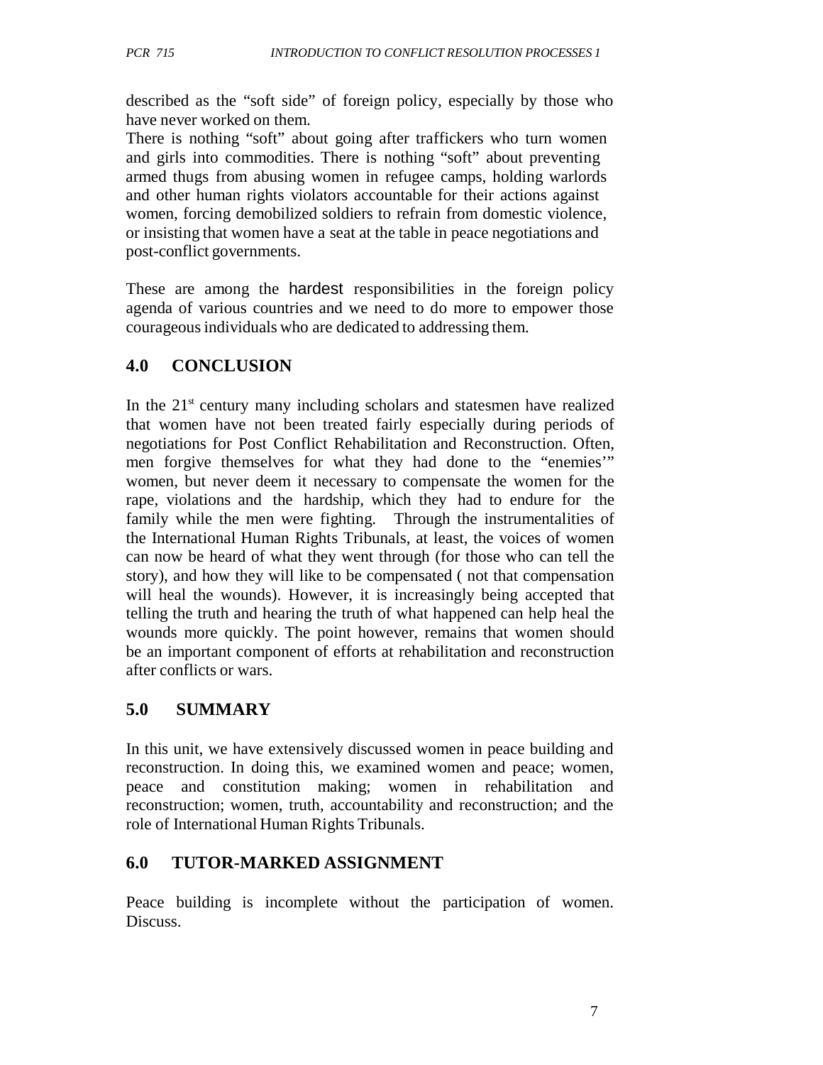described as the "soft side" of foreign policy, especially by those who have never worked on them.

There is nothing "soft" about going after traffickers who turn women and girls into commodities. There is nothing "soft" about preventing armed thugs from abusing women in refugee camps, holding warlords and other human rights violators accountable for their actions against women, forcing demobilized soldiers to refrain from domestic violence, or insisting that women have a seat at the table in peace negotiations and post-conflict governments.

These are among the hardest responsibilities in the foreign policy agenda of various countries and we need to do more to empower those courageous individuals who are dedicated to addressing them.

# **4.0 CONCLUSION**

In the  $21<sup>st</sup>$  century many including scholars and statesmen have realized that women have not been treated fairly especially during periods of negotiations for Post Conflict Rehabilitation and Reconstruction. Often, men forgive themselves for what they had done to the "enemies'" women, but never deem it necessary to compensate the women for the rape, violations and the hardship, which they had to endure for the family while the men were fighting. Through the instrumentalities of the International Human Rights Tribunals, at least, the voices of women can now be heard of what they went through (for those who can tell the story), and how they will like to be compensated ( not that compensation will heal the wounds). However, it is increasingly being accepted that telling the truth and hearing the truth of what happened can help heal the wounds more quickly. The point however, remains that women should be an important component of efforts at rehabilitation and reconstruction after conflicts or wars.

## **5.0 SUMMARY**

In this unit, we have extensively discussed women in peace building and reconstruction. In doing this, we examined women and peace; women, peace and constitution making; women in rehabilitation and reconstruction; women, truth, accountability and reconstruction; and the role of International Human Rights Tribunals.

# **6.0 TUTOR-MARKED ASSIGNMENT**

Peace building is incomplete without the participation of women. Discuss.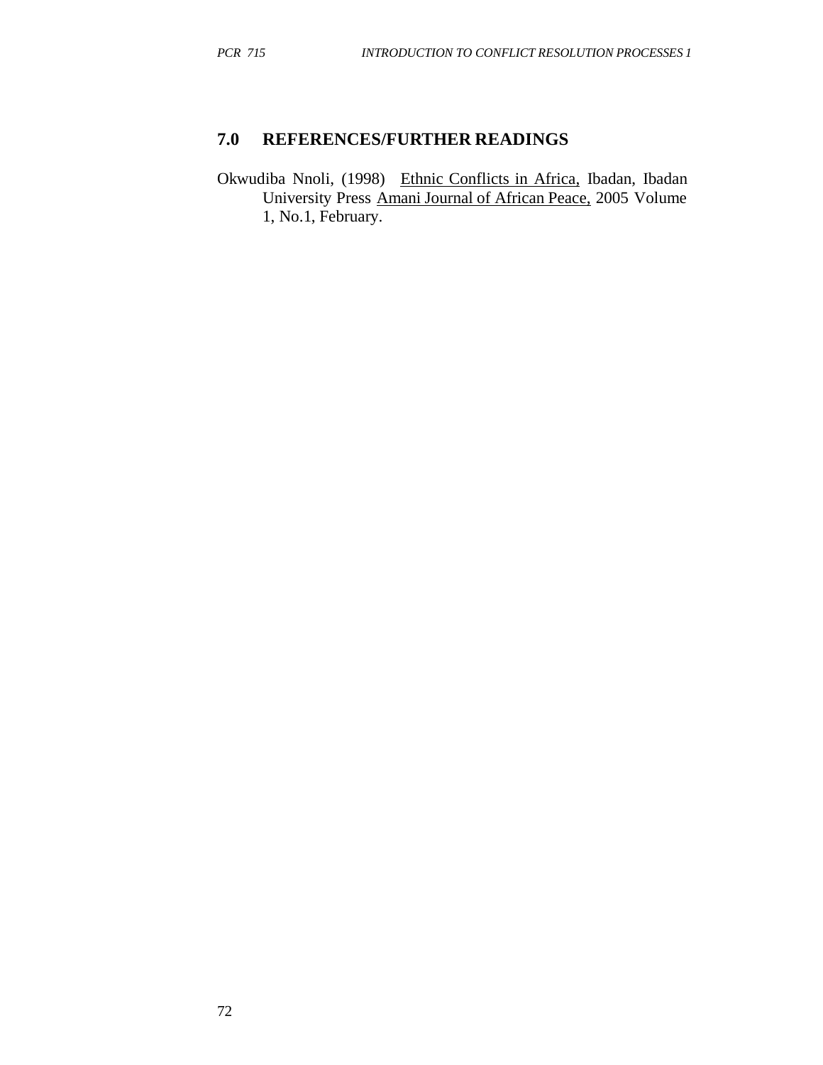#### **7.0 REFERENCES/FURTHER READINGS**

Okwudiba Nnoli, (1998) Ethnic Conflicts in Africa, Ibadan, Ibadan University Press Amani Journal of African Peace, 2005 Volume 1, No.1, February.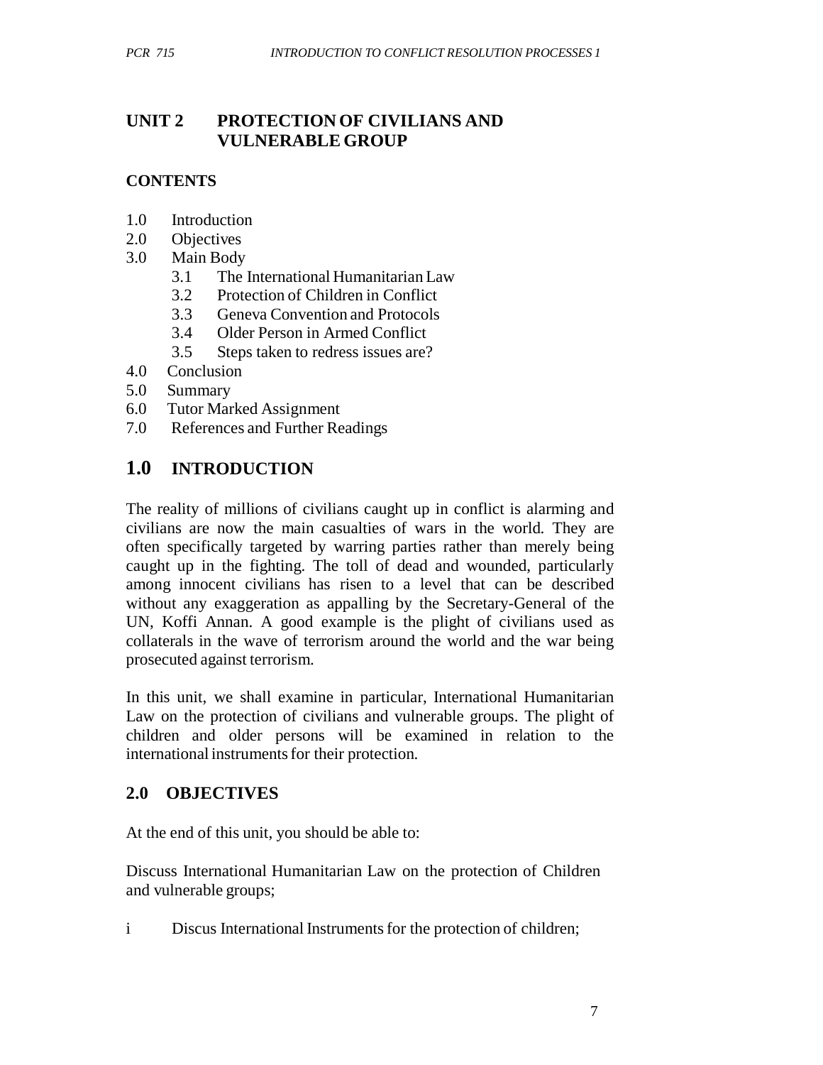# **UNIT 2 PROTECTION OF CIVILIANS AND VULNERABLE GROUP**

# **CONTENTS**

- 1.0 Introduction
- 2.0 Objectives
- 3.0 Main Body
	- 3.1 The International Humanitarian Law
	- 3.2 Protection of Children in Conflict
	- 3.3 Geneva Convention and Protocols
	- 3.4 Older Person in Armed Conflict
	- 3.5 Steps taken to redress issues are?
- 4.0 Conclusion
- 5.0 Summary
- 6.0 Tutor Marked Assignment
- 7.0 References and Further Readings

# **1.0 INTRODUCTION**

The reality of millions of civilians caught up in conflict is alarming and civilians are now the main casualties of wars in the world. They are often specifically targeted by warring parties rather than merely being caught up in the fighting. The toll of dead and wounded, particularly among innocent civilians has risen to a level that can be described without any exaggeration as appalling by the Secretary-General of the UN, Koffi Annan. A good example is the plight of civilians used as collaterals in the wave of terrorism around the world and the war being prosecuted against terrorism.

In this unit, we shall examine in particular, International Humanitarian Law on the protection of civilians and vulnerable groups. The plight of children and older persons will be examined in relation to the international instruments for their protection.

# **2.0 OBJECTIVES**

At the end of this unit, you should be able to:

Discuss International Humanitarian Law on the protection of Children and vulnerable groups;

i Discus International Instruments for the protection of children;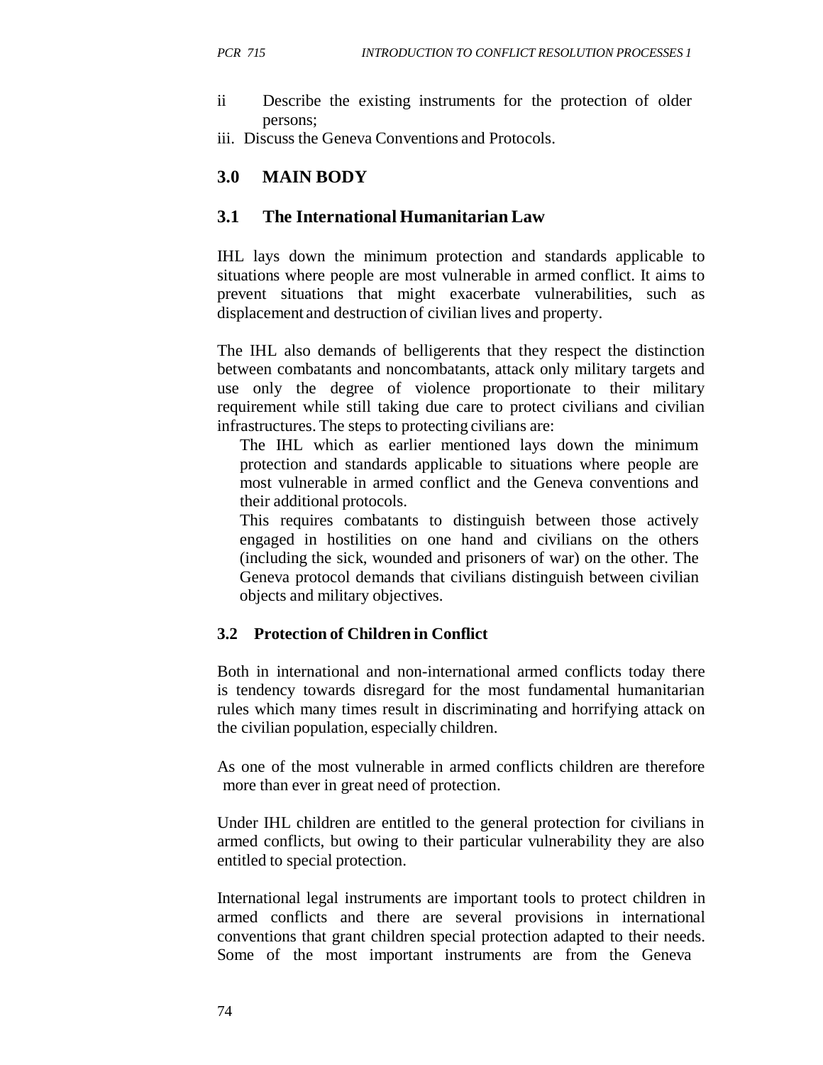- ii Describe the existing instruments for the protection of older persons;
- iii. Discuss the Geneva Conventions and Protocols.

# **3.0 MAIN BODY**

#### **3.1 The International Humanitarian Law**

IHL lays down the minimum protection and standards applicable to situations where people are most vulnerable in armed conflict. It aims to prevent situations that might exacerbate vulnerabilities, such as displacement and destruction of civilian lives and property.

The IHL also demands of belligerents that they respect the distinction between combatants and noncombatants, attack only military targets and use only the degree of violence proportionate to their military requirement while still taking due care to protect civilians and civilian infrastructures. The steps to protecting civilians are:

The IHL which as earlier mentioned lays down the minimum protection and standards applicable to situations where people are most vulnerable in armed conflict and the Geneva conventions and their additional protocols.

This requires combatants to distinguish between those actively engaged in hostilities on one hand and civilians on the others (including the sick, wounded and prisoners of war) on the other. The Geneva protocol demands that civilians distinguish between civilian objects and military objectives.

#### **3.2 Protection of Children in Conflict**

Both in international and non-international armed conflicts today there is tendency towards disregard for the most fundamental humanitarian rules which many times result in discriminating and horrifying attack on the civilian population, especially children.

As one of the most vulnerable in armed conflicts children are therefore more than ever in great need of protection.

Under IHL children are entitled to the general protection for civilians in armed conflicts, but owing to their particular vulnerability they are also entitled to special protection.

International legal instruments are important tools to protect children in armed conflicts and there are several provisions in international conventions that grant children special protection adapted to their needs. Some of the most important instruments are from the Geneva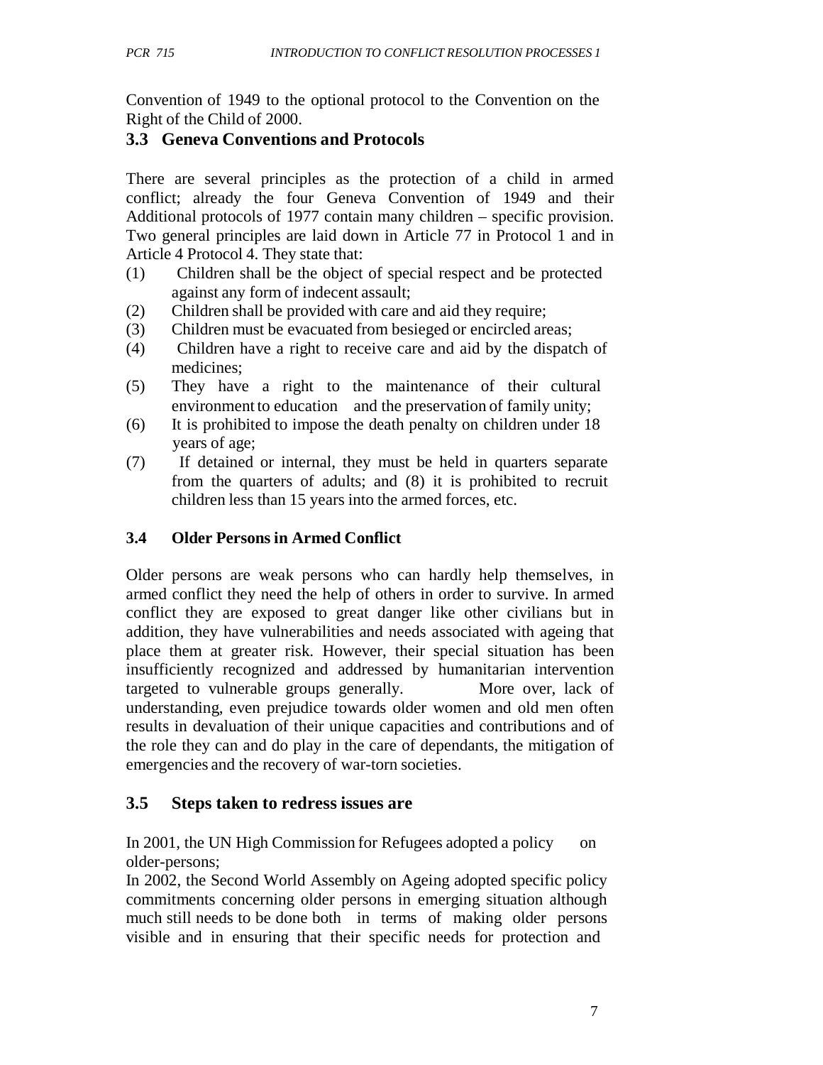Convention of 1949 to the optional protocol to the Convention on the Right of the Child of 2000.

## **3.3 Geneva Conventions and Protocols**

There are several principles as the protection of a child in armed conflict; already the four Geneva Convention of 1949 and their Additional protocols of 1977 contain many children – specific provision. Two general principles are laid down in Article 77 in Protocol 1 and in Article 4 Protocol 4. They state that:

- (1) Children shall be the object of special respect and be protected against any form of indecent assault;
- (2) Children shall be provided with care and aid they require;
- (3) Children must be evacuated from besieged or encircled areas;
- (4) Children have a right to receive care and aid by the dispatch of medicines;
- (5) They have a right to the maintenance of their cultural environment to education and the preservation of family unity;
- (6) It is prohibited to impose the death penalty on children under 18 years of age;
- (7) If detained or internal, they must be held in quarters separate from the quarters of adults; and (8) it is prohibited to recruit children less than 15 years into the armed forces, etc.

## **3.4 Older Persons in Armed Conflict**

Older persons are weak persons who can hardly help themselves, in armed conflict they need the help of others in order to survive. In armed conflict they are exposed to great danger like other civilians but in addition, they have vulnerabilities and needs associated with ageing that place them at greater risk. However, their special situation has been insufficiently recognized and addressed by humanitarian intervention targeted to vulnerable groups generally. More over, lack of understanding, even prejudice towards older women and old men often results in devaluation of their unique capacities and contributions and of the role they can and do play in the care of dependants, the mitigation of emergencies and the recovery of war-torn societies.

## **3.5 Steps taken to redress issues are**

In 2001, the UN High Commission for Refugees adopted a policy on older-persons;

In 2002, the Second World Assembly on Ageing adopted specific policy commitments concerning older persons in emerging situation although much still needs to be done both in terms of making older persons visible and in ensuring that their specific needs for protection and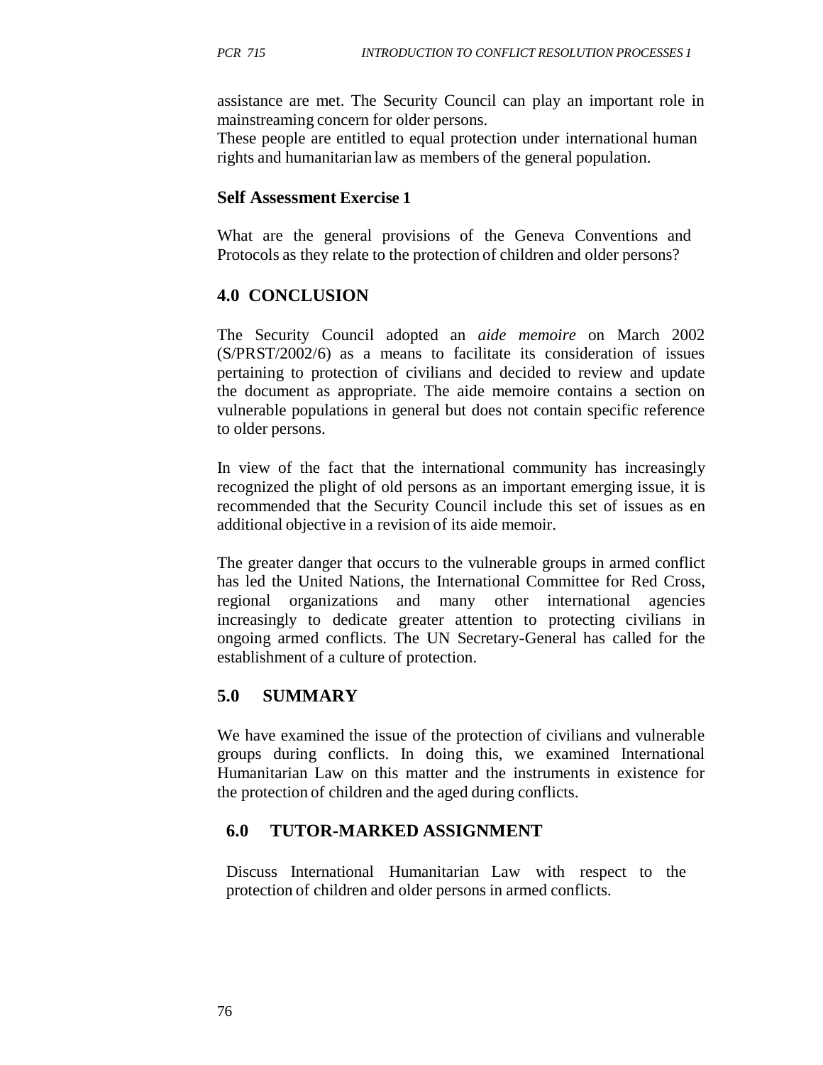assistance are met. The Security Council can play an important role in mainstreaming concern for older persons.

These people are entitled to equal protection under international human rights and humanitarian law as members of the general population.

#### **Self Assessment Exercise 1**

What are the general provisions of the Geneva Conventions and Protocols as they relate to the protection of children and older persons?

#### **4.0 CONCLUSION**

The Security Council adopted an *aide memoire* on March 2002 (S/PRST/2002/6) as a means to facilitate its consideration of issues pertaining to protection of civilians and decided to review and update the document as appropriate. The aide memoire contains a section on vulnerable populations in general but does not contain specific reference to older persons.

In view of the fact that the international community has increasingly recognized the plight of old persons as an important emerging issue, it is recommended that the Security Council include this set of issues as en additional objective in a revision of its aide memoir.

The greater danger that occurs to the vulnerable groups in armed conflict has led the United Nations, the International Committee for Red Cross, regional organizations and many other international agencies increasingly to dedicate greater attention to protecting civilians in ongoing armed conflicts. The UN Secretary-General has called for the establishment of a culture of protection.

## **5.0 SUMMARY**

We have examined the issue of the protection of civilians and vulnerable groups during conflicts. In doing this, we examined International Humanitarian Law on this matter and the instruments in existence for the protection of children and the aged during conflicts.

#### **6.0 TUTOR-MARKED ASSIGNMENT**

Discuss International Humanitarian Law with respect to the protection of children and older persons in armed conflicts.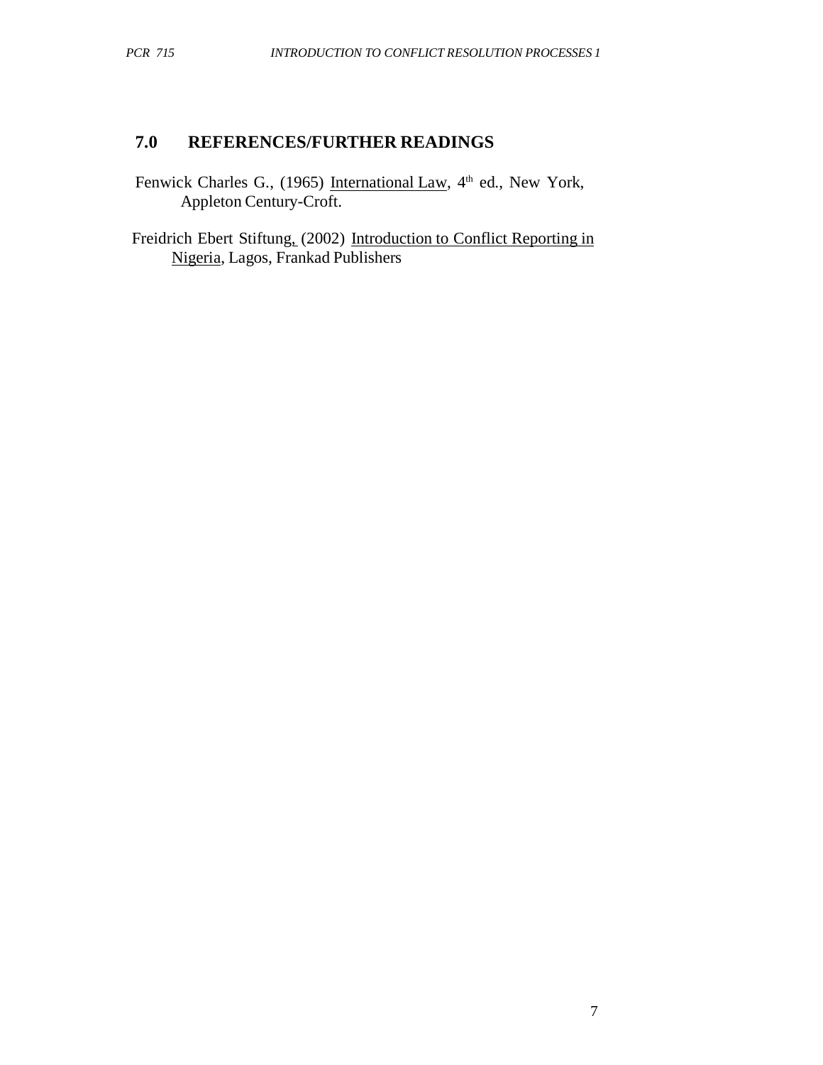## **7.0 REFERENCES/FURTHER READINGS**

- Fenwick Charles G., (1965) International Law, 4<sup>th</sup> ed., New York, Appleton Century-Croft.
- Freidrich Ebert Stiftung, (2002) Introduction to Conflict Reporting in Nigeria, Lagos, Frankad Publishers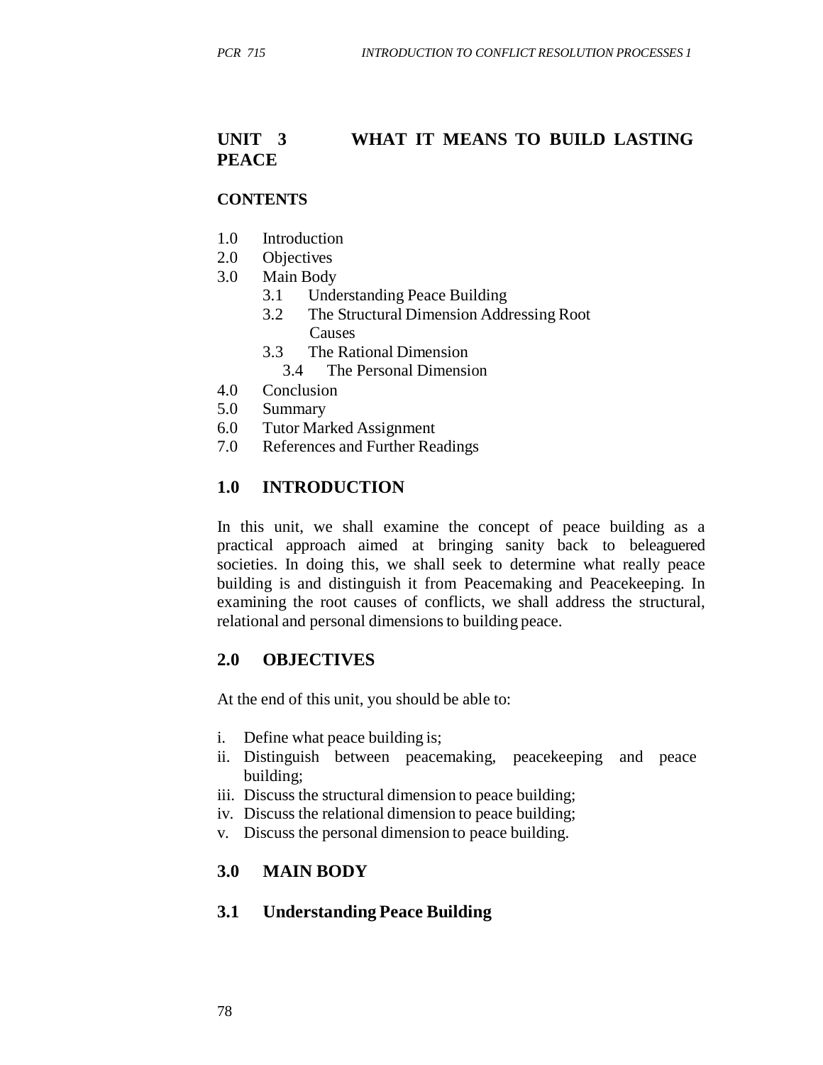# **UNIT 3 WHAT IT MEANS TO BUILD LASTING PEACE**

#### **CONTENTS**

- 1.0 Introduction
- 2.0 Objectives
- 3.0 Main Body
	- 3.1 Understanding Peace Building
	- 3.2 The Structural Dimension Addressing Root Causes
	- 3.3 The Rational Dimension
		- 3.4 The Personal Dimension
- 4.0 Conclusion
- 5.0 Summary
- 6.0 Tutor Marked Assignment
- 7.0 References and Further Readings

## **1.0 INTRODUCTION**

In this unit, we shall examine the concept of peace building as a practical approach aimed at bringing sanity back to beleaguered societies. In doing this, we shall seek to determine what really peace building is and distinguish it from Peacemaking and Peacekeeping. In examining the root causes of conflicts, we shall address the structural, relational and personal dimensions to building peace.

## **2.0 OBJECTIVES**

At the end of this unit, you should be able to:

- i. Define what peace building is;
- ii. Distinguish between peacemaking, peacekeeping and peace building;
- iii. Discuss the structural dimension to peace building;
- iv. Discuss the relational dimension to peace building;
- v. Discuss the personal dimension to peace building.

#### **3.0 MAIN BODY**

#### **3.1 Understanding Peace Building**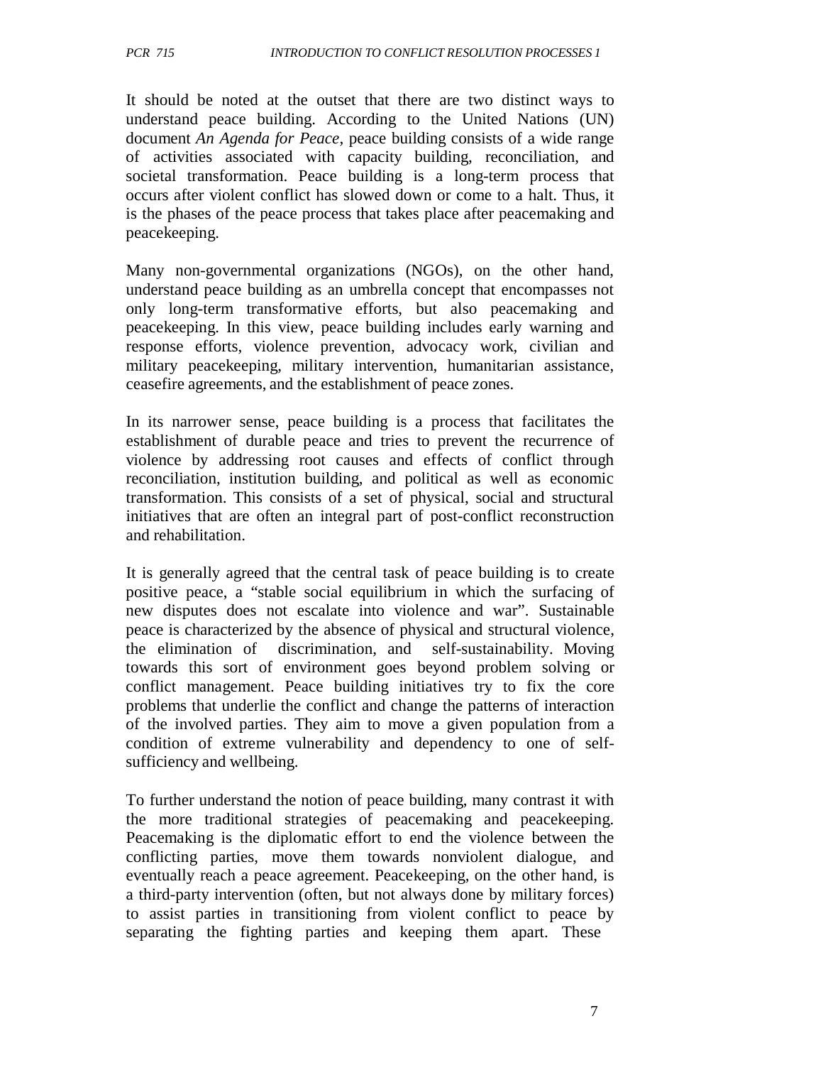It should be noted at the outset that there are two distinct ways to understand peace building. According to the United Nations (UN) document *An Agenda for Peace*, peace building consists of a wide range of activities associated with capacity building, reconciliation, and societal transformation. Peace building is a long-term process that occurs after violent conflict has slowed down or come to a halt. Thus, it is the phases of the peace process that takes place after peacemaking and peacekeeping.

Many non-governmental organizations (NGOs), on the other hand, understand peace building as an umbrella concept that encompasses not only long-term transformative efforts, but also peacemaking and peacekeeping. In this view, peace building includes early warning and response efforts, violence prevention, advocacy work, civilian and military peacekeeping, military intervention, humanitarian assistance, ceasefire agreements, and the establishment of peace zones.

In its narrower sense, peace building is a process that facilitates the establishment of durable peace and tries to prevent the recurrence of violence by addressing root causes and effects of conflict through reconciliation, institution building, and political as well as economic transformation. This consists of a set of physical, social and structural initiatives that are often an integral part of post-conflict reconstruction and rehabilitation.

It is generally agreed that the central task of peace building is to create positive peace, a "stable social equilibrium in which the surfacing of new disputes does not escalate into violence and war". Sustainable peace is characterized by the absence of physical and structural violence, the elimination of discrimination, and self-sustainability. Moving towards this sort of environment goes beyond problem solving or conflict management. Peace building initiatives try to fix the core problems that underlie the conflict and change the patterns of interaction of the involved parties. They aim to move a given population from a condition of extreme vulnerability and dependency to one of selfsufficiency and wellbeing.

To further understand the notion of peace building, many contrast it with the more traditional strategies of peacemaking and peacekeeping. Peacemaking is the diplomatic effort to end the violence between the conflicting parties, move them towards nonviolent dialogue, and eventually reach a peace agreement. Peacekeeping, on the other hand, is a third-party intervention (often, but not always done by military forces) to assist parties in transitioning from violent conflict to peace by separating the fighting parties and keeping them apart. These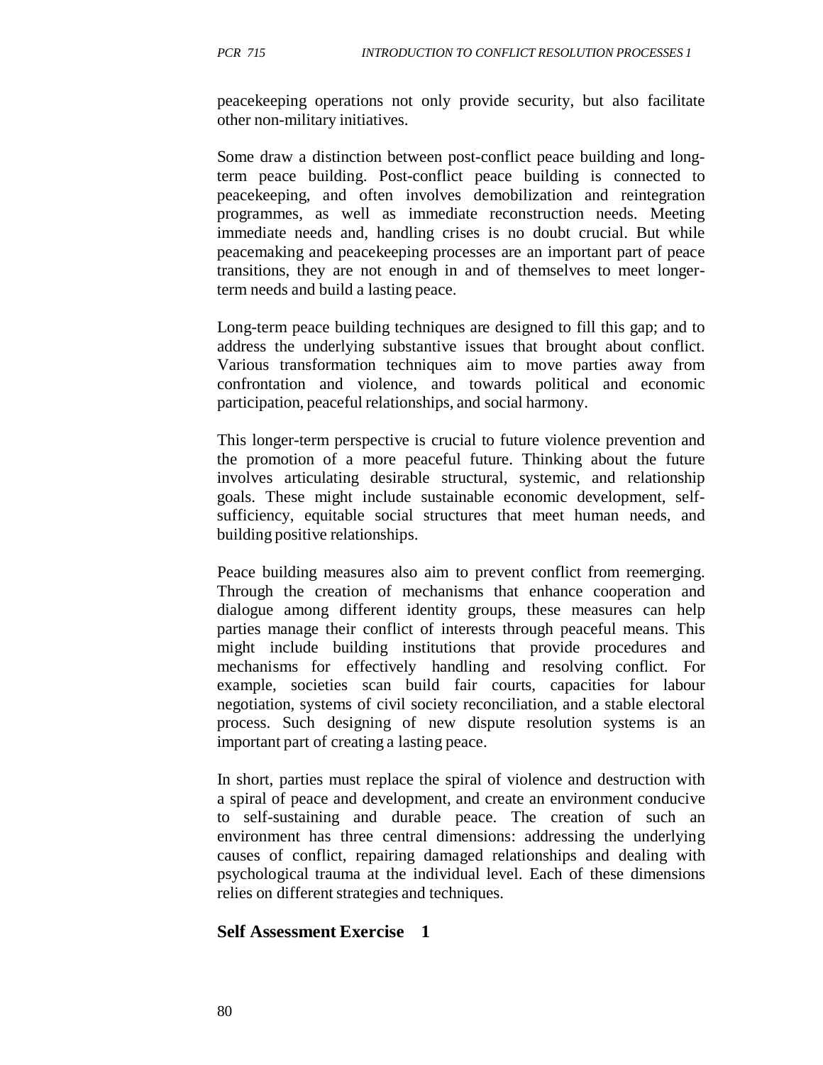peacekeeping operations not only provide security, but also facilitate other non-military initiatives.

Some draw a distinction between post-conflict peace building and longterm peace building. Post-conflict peace building is connected to peacekeeping, and often involves demobilization and reintegration programmes, as well as immediate reconstruction needs. Meeting immediate needs and, handling crises is no doubt crucial. But while peacemaking and peacekeeping processes are an important part of peace transitions, they are not enough in and of themselves to meet longerterm needs and build a lasting peace.

Long-term peace building techniques are designed to fill this gap; and to address the underlying substantive issues that brought about conflict. Various transformation techniques aim to move parties away from confrontation and violence, and towards political and economic participation, peaceful relationships, and social harmony.

This longer-term perspective is crucial to future violence prevention and the promotion of a more peaceful future. Thinking about the future involves articulating desirable structural, systemic, and relationship goals. These might include sustainable economic development, selfsufficiency, equitable social structures that meet human needs, and building positive relationships.

Peace building measures also aim to prevent conflict from reemerging. Through the creation of mechanisms that enhance cooperation and dialogue among different identity groups, these measures can help parties manage their conflict of interests through peaceful means. This might include building institutions that provide procedures and mechanisms for effectively handling and resolving conflict. For example, societies scan build fair courts, capacities for labour negotiation, systems of civil society reconciliation, and a stable electoral process. Such designing of new dispute resolution systems is an important part of creating a lasting peace.

In short, parties must replace the spiral of violence and destruction with a spiral of peace and development, and create an environment conducive to self-sustaining and durable peace. The creation of such an environment has three central dimensions: addressing the underlying causes of conflict, repairing damaged relationships and dealing with psychological trauma at the individual level. Each of these dimensions relies on different strategies and techniques.

#### **Self Assessment Exercise 1**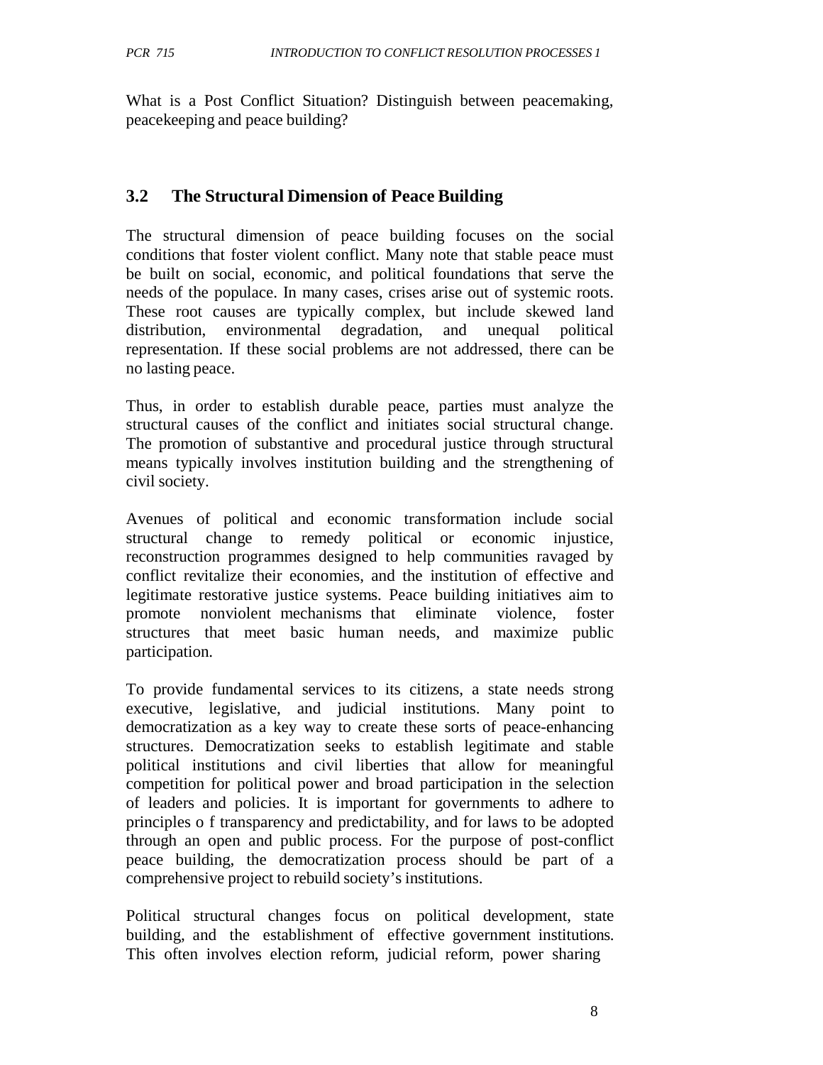What is a Post Conflict Situation? Distinguish between peacemaking, peacekeeping and peace building?

#### **3.2 The Structural Dimension of Peace Building**

The structural dimension of peace building focuses on the social conditions that foster violent conflict. Many note that stable peace must be built on social, economic, and political foundations that serve the needs of the populace. In many cases, crises arise out of systemic roots. These root causes are typically complex, but include skewed land distribution, environmental degradation, and unequal political representation. If these social problems are not addressed, there can be no lasting peace.

Thus, in order to establish durable peace, parties must analyze the structural causes of the conflict and initiates social structural change. The promotion of substantive and procedural justice through structural means typically involves institution building and the strengthening of civil society.

Avenues of political and economic transformation include social structural change to remedy political or economic injustice, reconstruction programmes designed to help communities ravaged by conflict revitalize their economies, and the institution of effective and legitimate restorative justice systems. Peace building initiatives aim to promote nonviolent mechanisms that eliminate violence, foster structures that meet basic human needs, and maximize public participation.

To provide fundamental services to its citizens, a state needs strong executive, legislative, and judicial institutions. Many point to democratization as a key way to create these sorts of peace-enhancing structures. Democratization seeks to establish legitimate and stable political institutions and civil liberties that allow for meaningful competition for political power and broad participation in the selection of leaders and policies. It is important for governments to adhere to principles o f transparency and predictability, and for laws to be adopted through an open and public process. For the purpose of post-conflict peace building, the democratization process should be part of a comprehensive project to rebuild society's institutions.

Political structural changes focus on political development, state building, and the establishment of effective government institutions. This often involves election reform, judicial reform, power sharing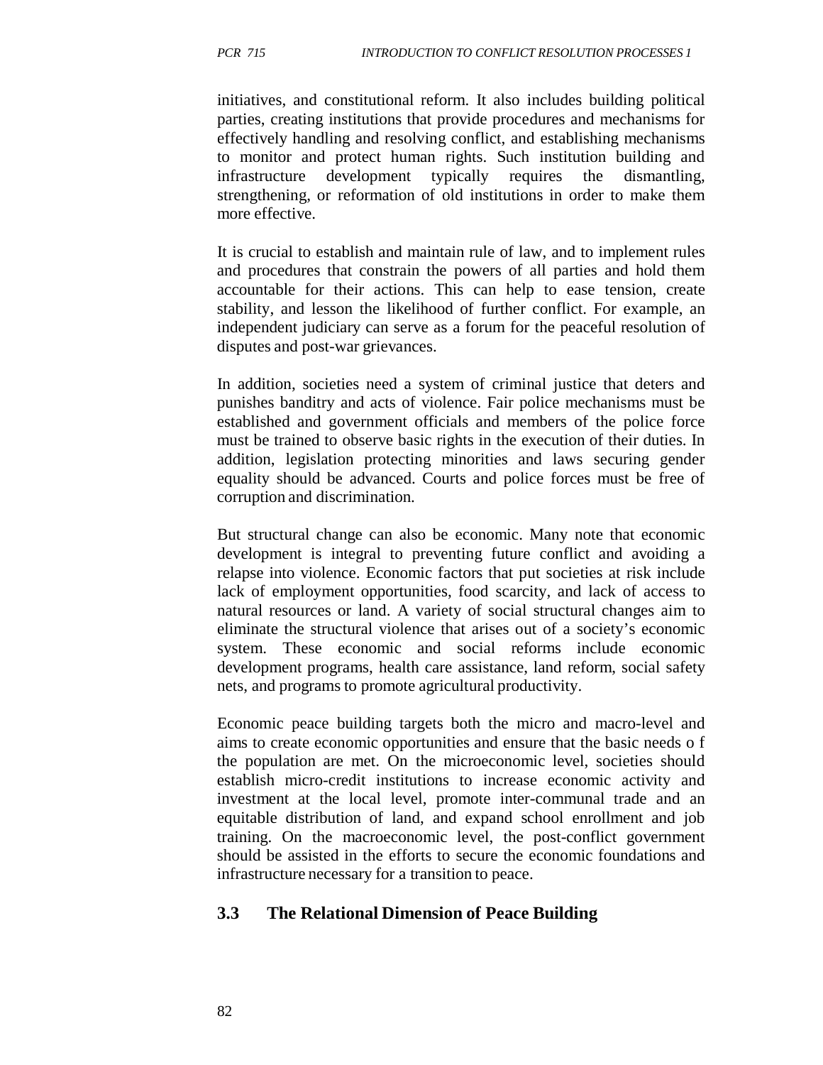initiatives, and constitutional reform. It also includes building political parties, creating institutions that provide procedures and mechanisms for effectively handling and resolving conflict, and establishing mechanisms to monitor and protect human rights. Such institution building and infrastructure development typically requires the dismantling, strengthening, or reformation of old institutions in order to make them more effective.

It is crucial to establish and maintain rule of law, and to implement rules and procedures that constrain the powers of all parties and hold them accountable for their actions. This can help to ease tension, create stability, and lesson the likelihood of further conflict. For example, an independent judiciary can serve as a forum for the peaceful resolution of disputes and post-war grievances.

In addition, societies need a system of criminal justice that deters and punishes banditry and acts of violence. Fair police mechanisms must be established and government officials and members of the police force must be trained to observe basic rights in the execution of their duties. In addition, legislation protecting minorities and laws securing gender equality should be advanced. Courts and police forces must be free of corruption and discrimination.

But structural change can also be economic. Many note that economic development is integral to preventing future conflict and avoiding a relapse into violence. Economic factors that put societies at risk include lack of employment opportunities, food scarcity, and lack of access to natural resources or land. A variety of social structural changes aim to eliminate the structural violence that arises out of a society's economic system. These economic and social reforms include economic development programs, health care assistance, land reform, social safety nets, and programs to promote agricultural productivity.

Economic peace building targets both the micro and macro-level and aims to create economic opportunities and ensure that the basic needs o f the population are met. On the microeconomic level, societies should establish micro-credit institutions to increase economic activity and investment at the local level, promote inter-communal trade and an equitable distribution of land, and expand school enrollment and job training. On the macroeconomic level, the post-conflict government should be assisted in the efforts to secure the economic foundations and infrastructure necessary for a transition to peace.

#### **3.3 The Relational Dimension of Peace Building**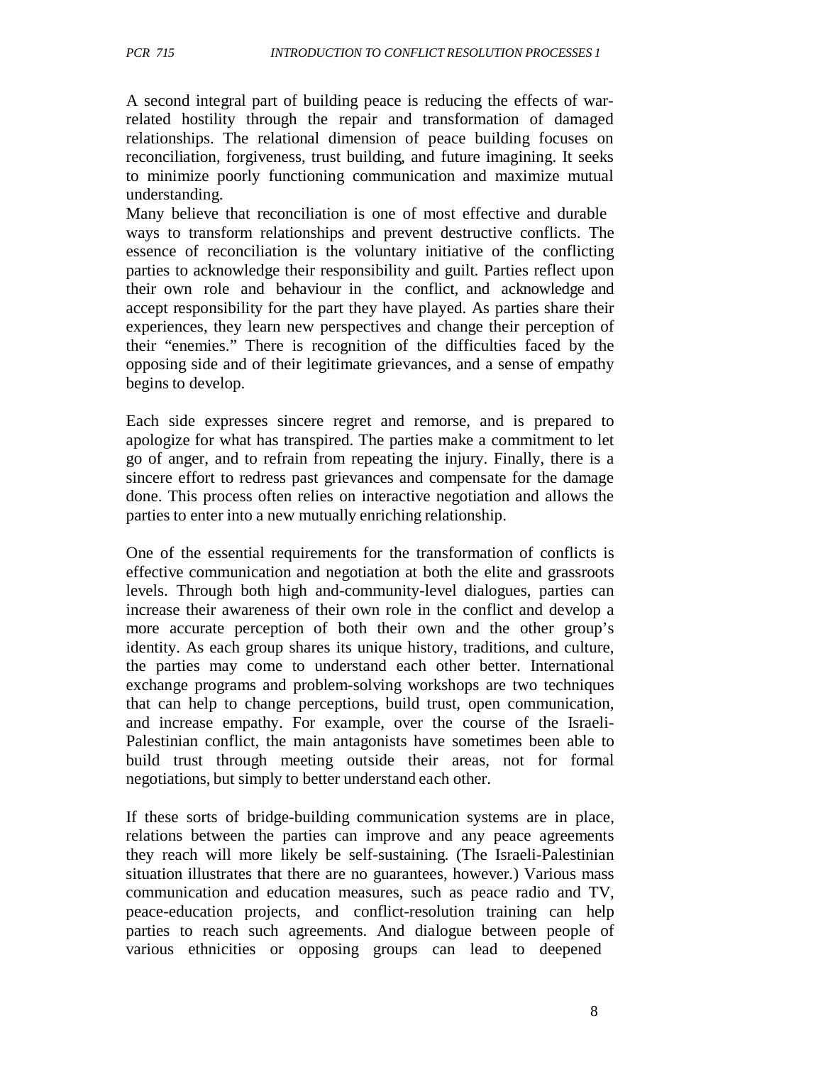A second integral part of building peace is reducing the effects of warrelated hostility through the repair and transformation of damaged relationships. The relational dimension of peace building focuses on reconciliation, forgiveness, trust building, and future imagining. It seeks to minimize poorly functioning communication and maximize mutual understanding.

Many believe that reconciliation is one of most effective and durable ways to transform relationships and prevent destructive conflicts. The essence of reconciliation is the voluntary initiative of the conflicting parties to acknowledge their responsibility and guilt. Parties reflect upon their own role and behaviour in the conflict, and acknowledge and accept responsibility for the part they have played. As parties share their experiences, they learn new perspectives and change their perception of their "enemies." There is recognition of the difficulties faced by the opposing side and of their legitimate grievances, and a sense of empathy begins to develop.

Each side expresses sincere regret and remorse, and is prepared to apologize for what has transpired. The parties make a commitment to let go of anger, and to refrain from repeating the injury. Finally, there is a sincere effort to redress past grievances and compensate for the damage done. This process often relies on interactive negotiation and allows the parties to enter into a new mutually enriching relationship.

One of the essential requirements for the transformation of conflicts is effective communication and negotiation at both the elite and grassroots levels. Through both high and-community-level dialogues, parties can increase their awareness of their own role in the conflict and develop a more accurate perception of both their own and the other group's identity. As each group shares its unique history, traditions, and culture, the parties may come to understand each other better. International exchange programs and problem-solving workshops are two techniques that can help to change perceptions, build trust, open communication, and increase empathy. For example, over the course of the Israeli-Palestinian conflict, the main antagonists have sometimes been able to build trust through meeting outside their areas, not for formal negotiations, but simply to better understand each other.

If these sorts of bridge-building communication systems are in place, relations between the parties can improve and any peace agreements they reach will more likely be self-sustaining. (The Israeli-Palestinian situation illustrates that there are no guarantees, however.) Various mass communication and education measures, such as peace radio and TV, peace-education projects, and conflict-resolution training can help parties to reach such agreements. And dialogue between people of various ethnicities or opposing groups can lead to deepened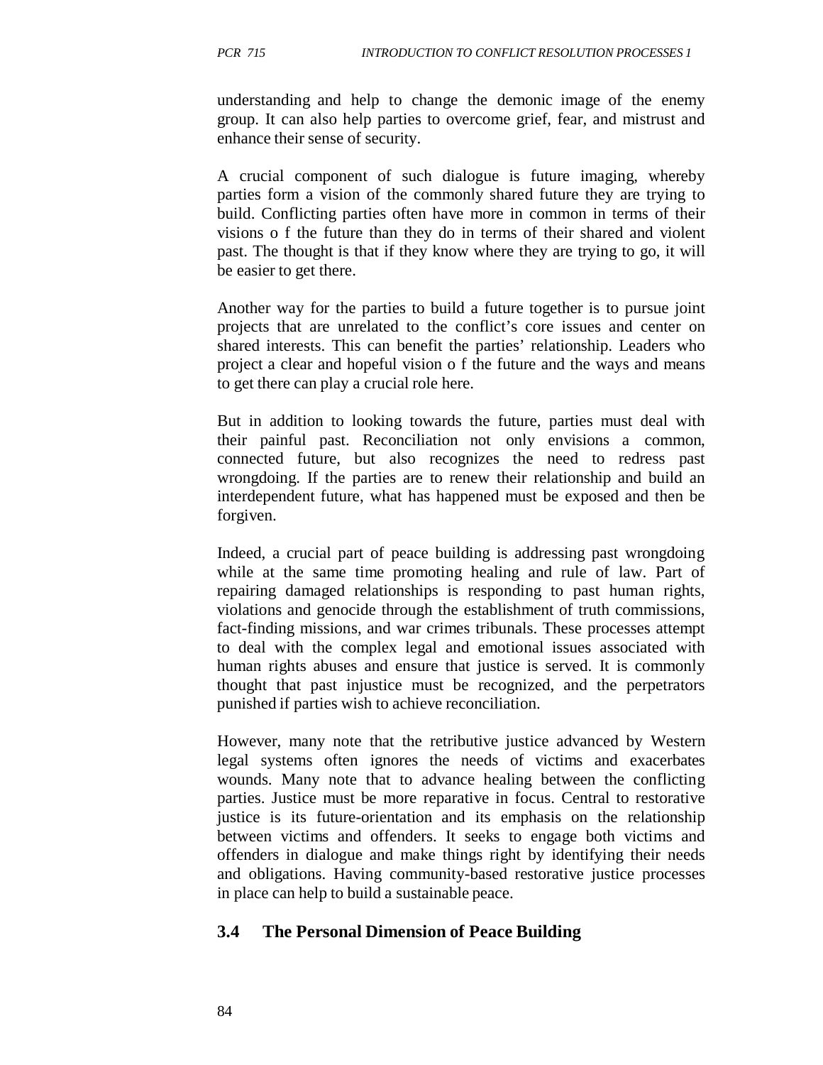understanding and help to change the demonic image of the enemy group. It can also help parties to overcome grief, fear, and mistrust and enhance their sense of security.

A crucial component of such dialogue is future imaging, whereby parties form a vision of the commonly shared future they are trying to build. Conflicting parties often have more in common in terms of their visions o f the future than they do in terms of their shared and violent past. The thought is that if they know where they are trying to go, it will be easier to get there.

Another way for the parties to build a future together is to pursue joint projects that are unrelated to the conflict's core issues and center on shared interests. This can benefit the parties' relationship. Leaders who project a clear and hopeful vision o f the future and the ways and means to get there can play a crucial role here.

But in addition to looking towards the future, parties must deal with their painful past. Reconciliation not only envisions a common, connected future, but also recognizes the need to redress past wrongdoing. If the parties are to renew their relationship and build an interdependent future, what has happened must be exposed and then be forgiven.

Indeed, a crucial part of peace building is addressing past wrongdoing while at the same time promoting healing and rule of law. Part of repairing damaged relationships is responding to past human rights, violations and genocide through the establishment of truth commissions, fact-finding missions, and war crimes tribunals. These processes attempt to deal with the complex legal and emotional issues associated with human rights abuses and ensure that justice is served. It is commonly thought that past injustice must be recognized, and the perpetrators punished if parties wish to achieve reconciliation.

However, many note that the retributive justice advanced by Western legal systems often ignores the needs of victims and exacerbates wounds. Many note that to advance healing between the conflicting parties. Justice must be more reparative in focus. Central to restorative justice is its future-orientation and its emphasis on the relationship between victims and offenders. It seeks to engage both victims and offenders in dialogue and make things right by identifying their needs and obligations. Having community-based restorative justice processes in place can help to build a sustainable peace.

#### **3.4 The Personal Dimension of Peace Building**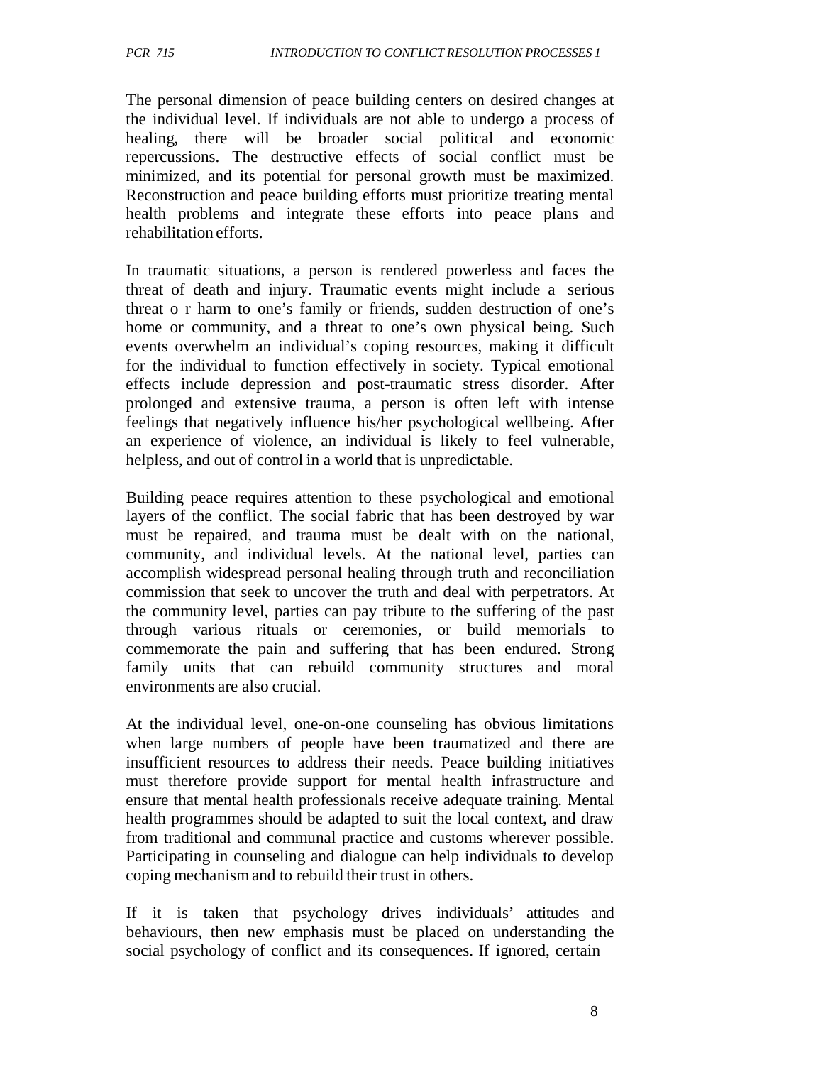The personal dimension of peace building centers on desired changes at the individual level. If individuals are not able to undergo a process of healing, there will be broader social political and economic repercussions. The destructive effects of social conflict must be minimized, and its potential for personal growth must be maximized. Reconstruction and peace building efforts must prioritize treating mental health problems and integrate these efforts into peace plans and rehabilitation efforts.

In traumatic situations, a person is rendered powerless and faces the threat of death and injury. Traumatic events might include a serious threat o r harm to one's family or friends, sudden destruction of one's home or community, and a threat to one's own physical being. Such events overwhelm an individual's coping resources, making it difficult for the individual to function effectively in society. Typical emotional effects include depression and post-traumatic stress disorder. After prolonged and extensive trauma, a person is often left with intense feelings that negatively influence his/her psychological wellbeing. After an experience of violence, an individual is likely to feel vulnerable, helpless, and out of control in a world that is unpredictable.

Building peace requires attention to these psychological and emotional layers of the conflict. The social fabric that has been destroyed by war must be repaired, and trauma must be dealt with on the national, community, and individual levels. At the national level, parties can accomplish widespread personal healing through truth and reconciliation commission that seek to uncover the truth and deal with perpetrators. At the community level, parties can pay tribute to the suffering of the past through various rituals or ceremonies, or build memorials to commemorate the pain and suffering that has been endured. Strong family units that can rebuild community structures and moral environments are also crucial.

At the individual level, one-on-one counseling has obvious limitations when large numbers of people have been traumatized and there are insufficient resources to address their needs. Peace building initiatives must therefore provide support for mental health infrastructure and ensure that mental health professionals receive adequate training. Mental health programmes should be adapted to suit the local context, and draw from traditional and communal practice and customs wherever possible. Participating in counseling and dialogue can help individuals to develop coping mechanism and to rebuild their trust in others.

If it is taken that psychology drives individuals' attitudes and behaviours, then new emphasis must be placed on understanding the social psychology of conflict and its consequences. If ignored, certain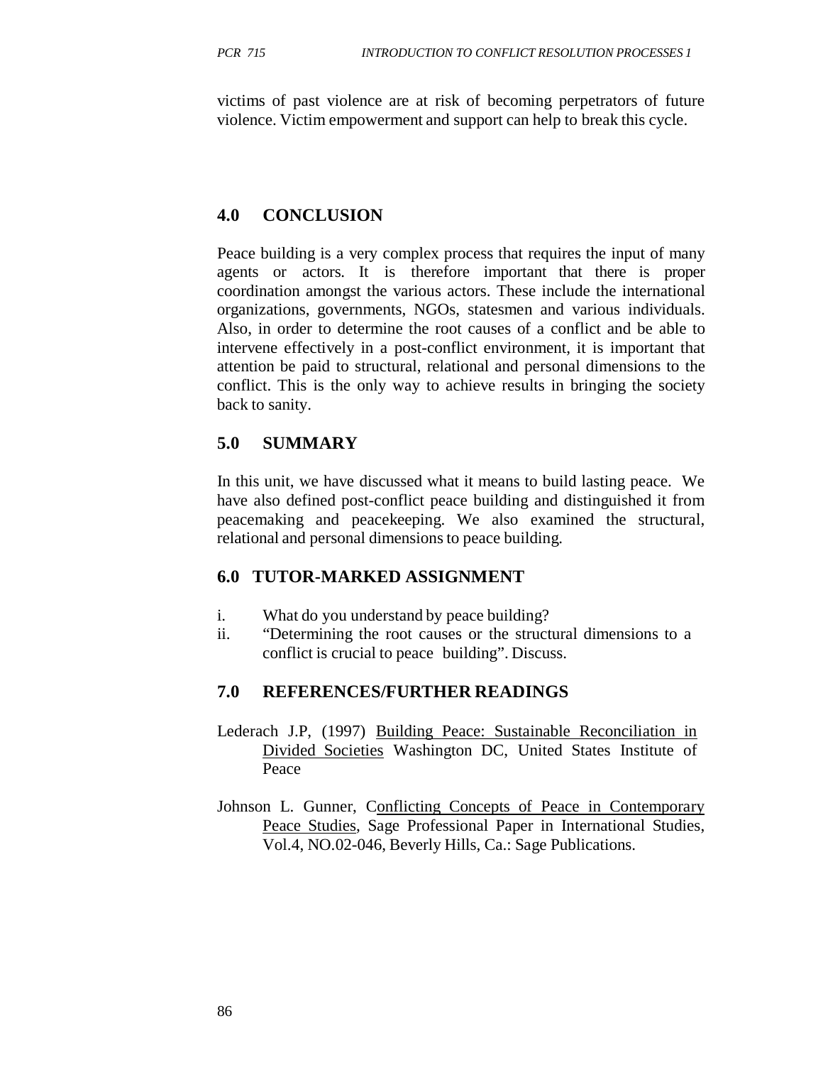victims of past violence are at risk of becoming perpetrators of future violence. Victim empowerment and support can help to break this cycle.

## **4.0 CONCLUSION**

Peace building is a very complex process that requires the input of many agents or actors. It is therefore important that there is proper coordination amongst the various actors. These include the international organizations, governments, NGOs, statesmen and various individuals. Also, in order to determine the root causes of a conflict and be able to intervene effectively in a post-conflict environment, it is important that attention be paid to structural, relational and personal dimensions to the conflict. This is the only way to achieve results in bringing the society back to sanity.

# **5.0 SUMMARY**

In this unit, we have discussed what it means to build lasting peace. We have also defined post-conflict peace building and distinguished it from peacemaking and peacekeeping. We also examined the structural, relational and personal dimensions to peace building.

## **6.0 TUTOR-MARKED ASSIGNMENT**

- i. What do you understand by peace building?
- ii. "Determining the root causes or the structural dimensions to a conflict is crucial to peace building". Discuss.

## **7.0 REFERENCES/FURTHER READINGS**

- Lederach J.P, (1997) Building Peace: Sustainable Reconciliation in Divided Societies Washington DC, United States Institute of Peace
- Johnson L. Gunner, Conflicting Concepts of Peace in Contemporary Peace Studies, Sage Professional Paper in International Studies, Vol.4, NO.02-046, Beverly Hills, Ca.: Sage Publications.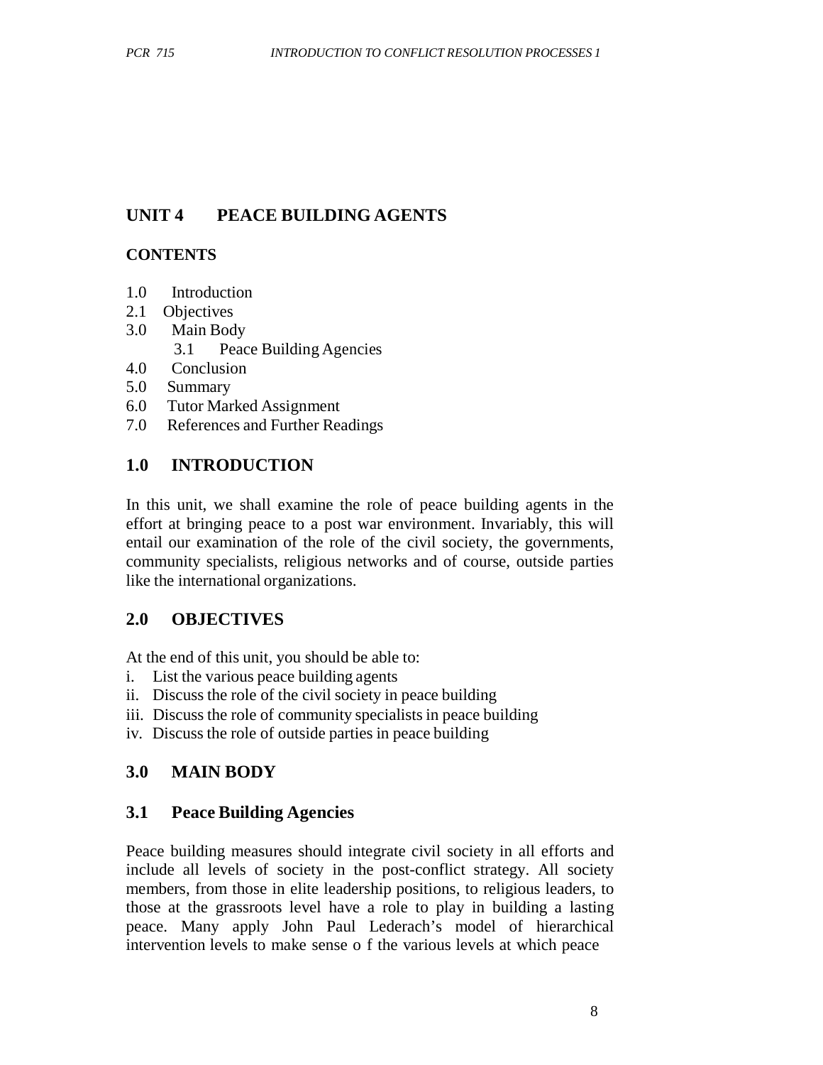# **UNIT 4 PEACE BUILDING AGENTS**

#### **CONTENTS**

- 1.0 Introduction
- 2.1 Objectives
- 3.0 Main Body
	- 3.1 Peace Building Agencies
- 4.0 Conclusion
- 5.0 Summary
- 6.0 Tutor Marked Assignment
- 7.0 References and Further Readings

# **1.0 INTRODUCTION**

In this unit, we shall examine the role of peace building agents in the effort at bringing peace to a post war environment. Invariably, this will entail our examination of the role of the civil society, the governments, community specialists, religious networks and of course, outside parties like the international organizations.

# **2.0 OBJECTIVES**

At the end of this unit, you should be able to:

- i. List the various peace building agents
- ii. Discuss the role of the civil society in peace building
- iii. Discuss the role of community specialists in peace building
- iv. Discuss the role of outside parties in peace building

# **3.0 MAIN BODY**

# **3.1 Peace Building Agencies**

Peace building measures should integrate civil society in all efforts and include all levels of society in the post-conflict strategy. All society members, from those in elite leadership positions, to religious leaders, to those at the grassroots level have a role to play in building a lasting peace. Many apply John Paul Lederach's model of hierarchical intervention levels to make sense o f the various levels at which peace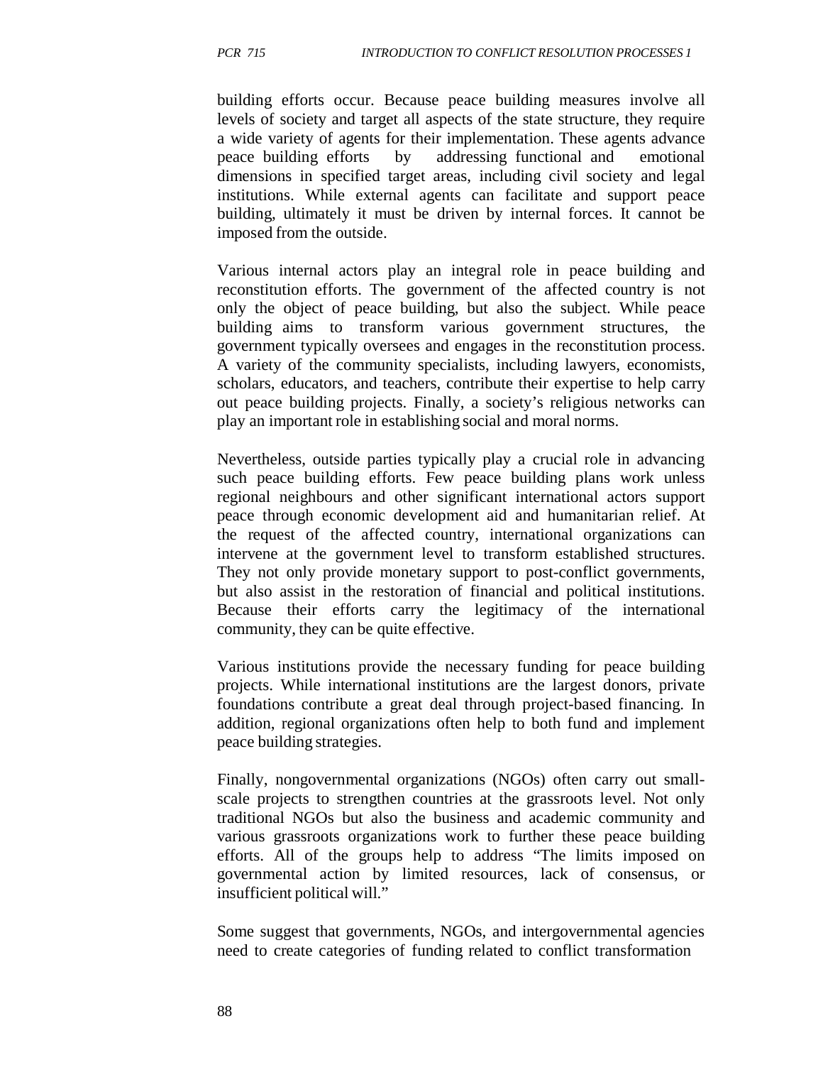building efforts occur. Because peace building measures involve all levels of society and target all aspects of the state structure, they require a wide variety of agents for their implementation. These agents advance peace building efforts by addressing functional and emotional dimensions in specified target areas, including civil society and legal institutions. While external agents can facilitate and support peace building, ultimately it must be driven by internal forces. It cannot be imposed from the outside.

Various internal actors play an integral role in peace building and reconstitution efforts. The government of the affected country is not only the object of peace building, but also the subject. While peace building aims to transform various government structures, the government typically oversees and engages in the reconstitution process. A variety of the community specialists, including lawyers, economists, scholars, educators, and teachers, contribute their expertise to help carry out peace building projects. Finally, a society's religious networks can play an important role in establishing social and moral norms.

Nevertheless, outside parties typically play a crucial role in advancing such peace building efforts. Few peace building plans work unless regional neighbours and other significant international actors support peace through economic development aid and humanitarian relief. At the request of the affected country, international organizations can intervene at the government level to transform established structures. They not only provide monetary support to post-conflict governments, but also assist in the restoration of financial and political institutions. Because their efforts carry the legitimacy of the international community, they can be quite effective.

Various institutions provide the necessary funding for peace building projects. While international institutions are the largest donors, private foundations contribute a great deal through project-based financing. In addition, regional organizations often help to both fund and implement peace building strategies.

Finally, nongovernmental organizations (NGOs) often carry out smallscale projects to strengthen countries at the grassroots level. Not only traditional NGOs but also the business and academic community and various grassroots organizations work to further these peace building efforts. All of the groups help to address "The limits imposed on governmental action by limited resources, lack of consensus, or insufficient political will."

Some suggest that governments, NGOs, and intergovernmental agencies need to create categories of funding related to conflict transformation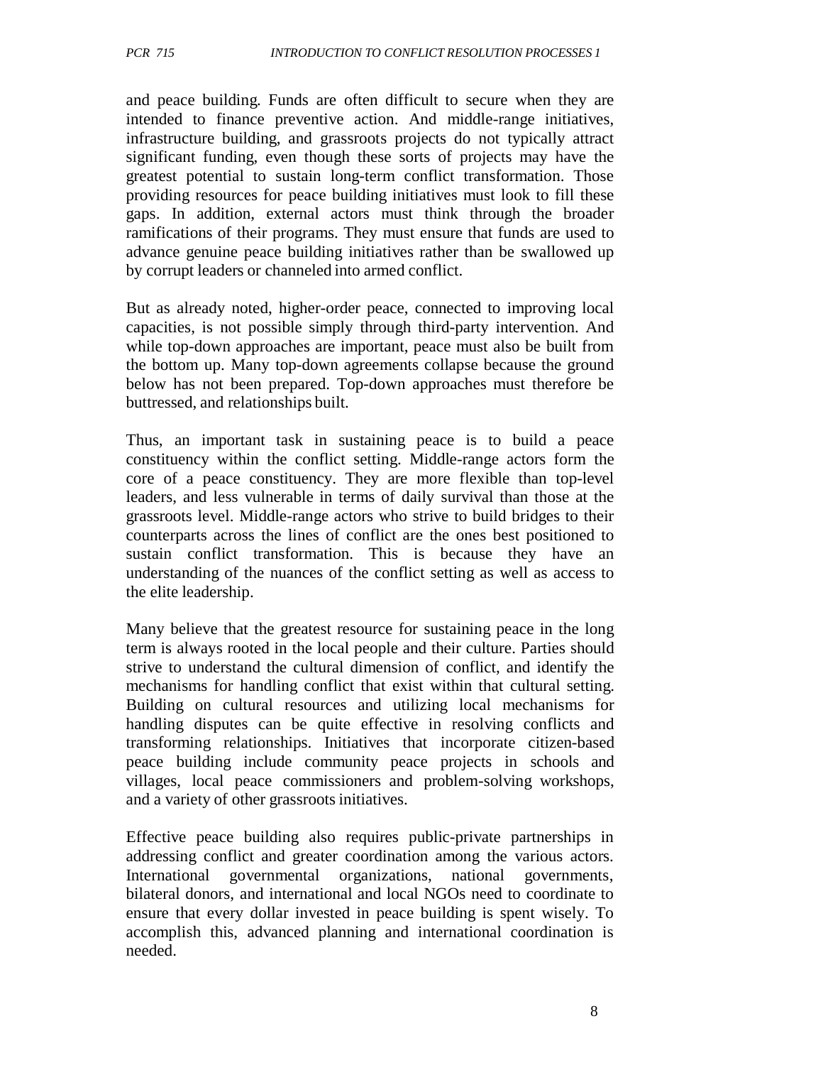and peace building. Funds are often difficult to secure when they are intended to finance preventive action. And middle-range initiatives, infrastructure building, and grassroots projects do not typically attract significant funding, even though these sorts of projects may have the greatest potential to sustain long-term conflict transformation. Those providing resources for peace building initiatives must look to fill these gaps. In addition, external actors must think through the broader ramifications of their programs. They must ensure that funds are used to advance genuine peace building initiatives rather than be swallowed up by corrupt leaders or channeled into armed conflict.

But as already noted, higher-order peace, connected to improving local capacities, is not possible simply through third-party intervention. And while top-down approaches are important, peace must also be built from the bottom up. Many top-down agreements collapse because the ground below has not been prepared. Top-down approaches must therefore be buttressed, and relationships built.

Thus, an important task in sustaining peace is to build a peace constituency within the conflict setting. Middle-range actors form the core of a peace constituency. They are more flexible than top-level leaders, and less vulnerable in terms of daily survival than those at the grassroots level. Middle-range actors who strive to build bridges to their counterparts across the lines of conflict are the ones best positioned to sustain conflict transformation. This is because they have an understanding of the nuances of the conflict setting as well as access to the elite leadership.

Many believe that the greatest resource for sustaining peace in the long term is always rooted in the local people and their culture. Parties should strive to understand the cultural dimension of conflict, and identify the mechanisms for handling conflict that exist within that cultural setting. Building on cultural resources and utilizing local mechanisms for handling disputes can be quite effective in resolving conflicts and transforming relationships. Initiatives that incorporate citizen-based peace building include community peace projects in schools and villages, local peace commissioners and problem-solving workshops, and a variety of other grassroots initiatives.

Effective peace building also requires public-private partnerships in addressing conflict and greater coordination among the various actors. International governmental organizations, national governments, bilateral donors, and international and local NGOs need to coordinate to ensure that every dollar invested in peace building is spent wisely. To accomplish this, advanced planning and international coordination is needed.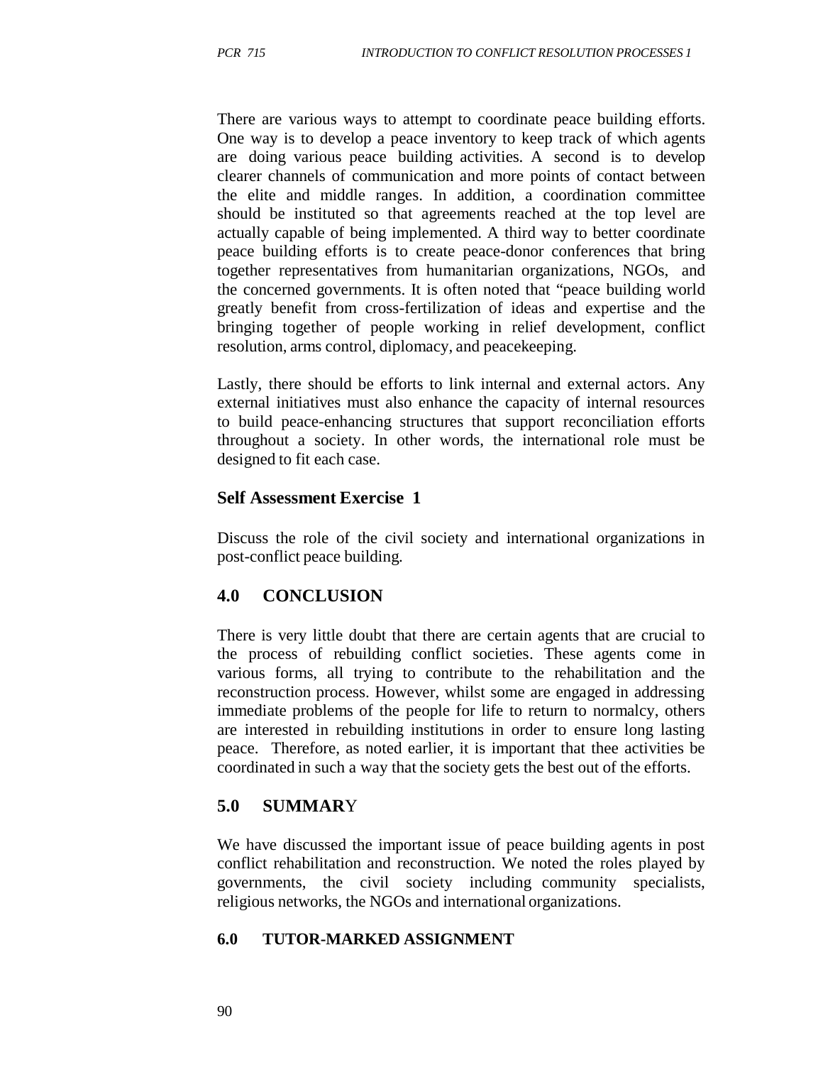There are various ways to attempt to coordinate peace building efforts. One way is to develop a peace inventory to keep track of which agents are doing various peace building activities. A second is to develop clearer channels of communication and more points of contact between the elite and middle ranges. In addition, a coordination committee should be instituted so that agreements reached at the top level are actually capable of being implemented. A third way to better coordinate peace building efforts is to create peace-donor conferences that bring together representatives from humanitarian organizations, NGOs, and the concerned governments. It is often noted that "peace building world greatly benefit from cross-fertilization of ideas and expertise and the bringing together of people working in relief development, conflict resolution, arms control, diplomacy, and peacekeeping.

Lastly, there should be efforts to link internal and external actors. Any external initiatives must also enhance the capacity of internal resources to build peace-enhancing structures that support reconciliation efforts throughout a society. In other words, the international role must be designed to fit each case.

#### **Self Assessment Exercise 1**

Discuss the role of the civil society and international organizations in post-conflict peace building.

# **4.0 CONCLUSION**

There is very little doubt that there are certain agents that are crucial to the process of rebuilding conflict societies. These agents come in various forms, all trying to contribute to the rehabilitation and the reconstruction process. However, whilst some are engaged in addressing immediate problems of the people for life to return to normalcy, others are interested in rebuilding institutions in order to ensure long lasting peace. Therefore, as noted earlier, it is important that thee activities be coordinated in such a way that the society gets the best out of the efforts.

## **5.0 SUMMAR**Y

We have discussed the important issue of peace building agents in post conflict rehabilitation and reconstruction. We noted the roles played by governments, the civil society including community specialists, religious networks, the NGOs and international organizations.

#### **6.0 TUTOR-MARKED ASSIGNMENT**